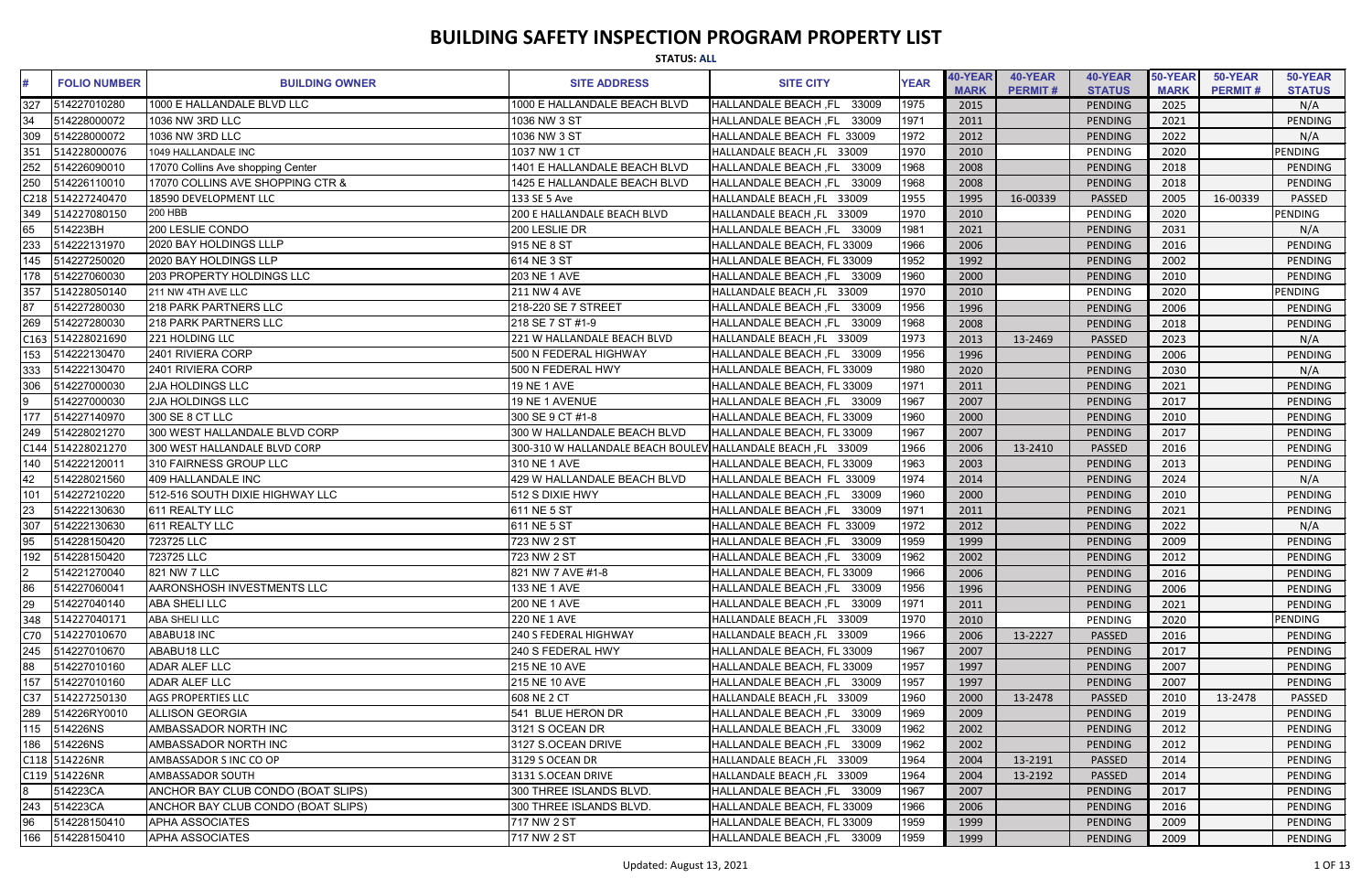|                 | <b>STATUS: ALL</b>  |                                    |                                  |                                      |             |                               |                           |                          |                        |                           |                          |  |
|-----------------|---------------------|------------------------------------|----------------------------------|--------------------------------------|-------------|-------------------------------|---------------------------|--------------------------|------------------------|---------------------------|--------------------------|--|
| #               | <b>FOLIO NUMBER</b> | <b>BUILDING OWNER</b>              | <b>SITE ADDRESS</b>              | <b>SITE CITY</b>                     | <b>YEAR</b> | <b>40-YEAR</b><br><b>MARK</b> | 40-YEAR<br><b>PERMIT#</b> | 40-YEAR<br><b>STATUS</b> | 50-YEAR<br><b>MARK</b> | 50-YEAR<br><b>PERMIT#</b> | 50-YEAR<br><b>STATUS</b> |  |
| 327             | 514227010280        | 1000 E HALLANDALE BLVD LLC         | 1000 E HALLANDALE BEACH BLVD     | <b>HALLANDALE BEACH ,FL</b><br>33009 | 1975        | 2015                          |                           | PENDING                  | 2025                   |                           | N/A                      |  |
| 34              | 514228000072        | 1036 NW 3RD LLC                    | 1036 NW 3 ST                     | HALLANDALE BEACH, FL<br>33009        | 1971        | 2011                          |                           | PENDING                  | 2021                   |                           | PENDING                  |  |
| 309             | 514228000072        | 1036 NW 3RD LLC                    | 1036 NW 3 ST                     | HALLANDALE BEACH FL 33009            | 1972        | 2012                          |                           | PENDING                  | 2022                   |                           | N/A                      |  |
| 351             | 514228000076        | 1049 HALLANDALE INC                | 1037 NW 1 CT                     | HALLANDALE BEACH, FL 33009           | 1970        | 2010                          |                           | PENDING                  | 2020                   |                           | <b>PENDING</b>           |  |
| 252             | 514226090010        | 17070 Collins Ave shopping Center  | 1401 E HALLANDALE BEACH BLVD     | 33009<br>HALLANDALE BEACH ,FL        | 1968        | 2008                          |                           | PENDING                  | 2018                   |                           | PENDING                  |  |
|                 | 514226110010        | 17070 COLLINS AVE SHOPPING CTR &   | 1425 E HALLANDALE BEACH BLVD     | HALLANDALE BEACH, FL 33009           | 1968        | 2008                          |                           | PENDING                  | 2018                   |                           | <b>PENDING</b>           |  |
|                 | C218 514227240470   | 18590 DEVELOPMENT LLC              | 133 SE 5 Ave                     | HALLANDALE BEACH, FL 33009           | 1955        | 1995                          | 16-00339                  | PASSED                   | 2005                   | 16-00339                  | PASSED                   |  |
| 349             | 514227080150        | <b>200 HBB</b>                     | 200 E HALLANDALE BEACH BLVD      | HALLANDALE BEACH, FL 33009           | 1970        | 2010                          |                           | PENDING                  | 2020                   |                           | PENDING                  |  |
| 65              | 514223BH            | 200 LESLIE CONDO                   | 200 LESLIE DR                    | HALLANDALE BEACH, FL 33009           | 1981        | 2021                          |                           | <b>PENDING</b>           | 2031                   |                           | N/A                      |  |
| 233             | 514222131970        | 2020 BAY HOLDINGS LLLP             | 915 NE 8 ST                      | HALLANDALE BEACH, FL 33009           | 1966        | 2006                          |                           | <b>PENDING</b>           | 2016                   |                           | <b>PENDING</b>           |  |
| 145             | 514227250020        | 2020 BAY HOLDINGS LLP              | 614 NE 3 ST                      | HALLANDALE BEACH, FL 33009           | 1952        | 1992                          |                           | PENDING                  | 2002                   |                           | <b>PENDING</b>           |  |
| 178             | 514227060030        | 203 PROPERTY HOLDINGS LLC          | 203 NE 1 AVE                     | HALLANDALE BEACH, FL 33009           | 1960        | 2000                          |                           | PENDING                  | 2010                   |                           | PENDING                  |  |
| 357             | 514228050140        | 211 NW 4TH AVE LLC                 | <b>211 NW 4 AVE</b>              | HALLANDALE BEACH, FL 33009           | 1970        | 2010                          |                           | PENDING                  | 2020                   |                           | PENDING                  |  |
| 87              | 514227280030        | <b>218 PARK PARTNERS LLC</b>       | 218-220 SE 7 STREET              | 33009<br>HALLANDALE BEACH ,FL        | 1956        | 1996                          |                           | PENDING                  | 2006                   |                           | PENDING                  |  |
| 269             | 514227280030        | <b>218 PARK PARTNERS LLC</b>       | 218 SE 7 ST #1-9                 | HALLANDALE BEACH, FL 33009           | 1968        | 2008                          |                           | <b>PENDING</b>           | 2018                   |                           | <b>PENDING</b>           |  |
|                 | C163 514228021690   | 221 HOLDING LLC                    | 221 W HALLANDALE BEACH BLVD      | HALLANDALE BEACH, FL 33009           | 1973        | 2013                          | 13-2469                   | PASSED                   | 2023                   |                           | N/A                      |  |
| 153             | 514222130470        | 2401 RIVIERA CORP                  | 500 N FEDERAL HIGHWAY            | HALLANDALE BEACH, FL 33009           | 1956        | 1996                          |                           | PENDING                  | 2006                   |                           | <b>PENDING</b>           |  |
| 333             | 514222130470        | 2401 RIVIERA CORP                  | 500 N FEDERAL HWY                | HALLANDALE BEACH, FL 33009           | 1980        | 2020                          |                           | PENDING                  | 2030                   |                           | N/A                      |  |
| 306             | 514227000030        | <b>2JA HOLDINGS LLC</b>            | 19 NE 1 AVE                      | HALLANDALE BEACH, FL 33009           | 1971        | 2011                          |                           | PENDING                  | 2021                   |                           | PENDING                  |  |
|                 | 514227000030        | <b>2JA HOLDINGS LLC</b>            | 19 NE 1 AVENUE                   | HALLANDALE BEACH, FL 33009           | 1967        | 2007                          |                           | PENDING                  | 2017                   |                           | <b>PENDING</b>           |  |
| 177             | 514227140970        | 300 SE 8 CT LLC                    | 300 SE 9 CT #1-8                 | HALLANDALE BEACH, FL 33009           | 1960        | 2000                          |                           | PENDING                  | 2010                   |                           | PENDING                  |  |
| 249             | 514228021270        | 300 WEST HALLANDALE BLVD CORP      | 300 W HALLANDALE BEACH BLVD      | HALLANDALE BEACH, FL 33009           | 1967        | 2007                          |                           | PENDING                  | 2017                   |                           | PENDING                  |  |
|                 | C144 514228021270   | 300 WEST HALLANDALE BLVD CORP      | 300-310 W HALLANDALE BEACH BOULE | HALLANDALE BEACH, FL 33009           | 1966        | 2006                          | 13-2410                   | PASSED                   | 2016                   |                           | <b>PENDING</b>           |  |
| 140             | 514222120011        | 310 FAIRNESS GROUP LLC             | 310 NE 1 AVE                     | HALLANDALE BEACH, FL 33009           | 1963        | 2003                          |                           | PENDING                  | 2013                   |                           | PENDING                  |  |
| 42              | 514228021560        | 409 HALLANDALE INC                 | 429 W HALLANDALE BEACH BLVD      | HALLANDALE BEACH FL 33009            | 1974        | 2014                          |                           | PENDING                  | 2024                   |                           | N/A                      |  |
| 101             | 514227210220        | 512-516 SOUTH DIXIE HIGHWAY LLC    | 512 S DIXIE HWY                  | 33009<br><b>HALLANDALE BEACH, FL</b> | 1960        | 2000                          |                           | PENDING                  | 2010                   |                           | PENDING                  |  |
| 23              | 514222130630        | 611 REALTY LLC                     | 611 NE 5 ST                      | 33009<br>HALLANDALE BEACH, FL        | 1971        | 2011                          |                           | PENDING                  | 2021                   |                           | <b>PENDING</b>           |  |
| 307             | 514222130630        | 611 REALTY LLC                     | 611 NE 5 ST                      | HALLANDALE BEACH FL 33009            | 1972        | 2012                          |                           | PENDING                  | 2022                   |                           | N/A                      |  |
| 95              | 514228150420        | 723725 LLC                         | 723 NW 2 ST                      | HALLANDALE BEACH, FL 33009           | 1959        | 1999                          |                           | PENDING                  | 2009                   |                           | <b>PENDING</b>           |  |
| 192             | 514228150420        | 723725 LLC                         | 723 NW 2 ST                      | HALLANDALE BEACH, FL 33009           | 1962        | 2002                          |                           | PENDING                  | 2012                   |                           | PENDING                  |  |
|                 | 514221270040        | 821 NW 7 LLC                       | 821 NW 7 AVE #1-8                | HALLANDALE BEACH, FL 33009           | 1966        | 2006                          |                           | PENDING                  | 2016                   |                           | PENDING                  |  |
| 86              | 514227060041        | AARONSHOSH INVESTMENTS LLC         | 133 NE 1 AVE                     | HALLANDALE BEACH, FL 33009           | 1956        | 1996                          |                           | PENDING                  | 2006                   |                           | PENDING                  |  |
| 29              | 514227040140        | <b>ABA SHELI LLC</b>               | <b>200 NE 1 AVE</b>              | HALLANDALE BEACH, FL 33009           | 1971        | 2011                          |                           | PENDING                  | 2021                   |                           | PENDING                  |  |
| 348             | 514227040171        | <b>ABA SHELI LLC</b>               | <b>220 NE 1 AVE</b>              | HALLANDALE BEACH, FL 33009           | 1970        | 2010                          |                           | PENDING                  | 2020                   |                           | PENDING                  |  |
| C70             | 514227010670        | ABABU18 INC                        | <b>240 S FEDERAL HIGHWAY</b>     | HALLANDALE BEACH, FL 33009           | 1966        | 2006                          | 13-2227                   | PASSED                   | 2016                   |                           | PENDING                  |  |
| 245             | 514227010670        | ABABU18 LLC                        | 240 S FEDERAL HWY                | HALLANDALE BEACH, FL 33009           | 1967        | 2007                          |                           | PENDING                  | 2017                   |                           | PENDING                  |  |
| 88              | 514227010160        | <b>ADAR ALEF LLC</b>               | 215 NE 10 AVE                    | HALLANDALE BEACH, FL 33009           | 1957        | 1997                          |                           | PENDING                  | 2007                   |                           | PENDING                  |  |
| 157             | 514227010160        | <b>ADAR ALEF LLC</b>               | 215 NE 10 AVE                    | HALLANDALE BEACH, FL 33009           | 1957        | 1997                          |                           | PENDING                  | 2007                   |                           | PENDING                  |  |
| C <sub>37</sub> | 514227250130        | <b>AGS PROPERTIES LLC</b>          | 608 NE 2 CT                      | HALLANDALE BEACH, FL 33009           | 1960        | 2000                          | 13-2478                   | <b>PASSED</b>            | 2010                   | 13-2478                   | PASSED                   |  |
| 289             | 514226RY0010        | <b>ALLISON GEORGIA</b>             | 541 BLUE HERON DR                | HALLANDALE BEACH, FL 33009           | 1969        | 2009                          |                           | PENDING                  | 2019                   |                           | PENDING                  |  |
| 115             | 514226NS            | <b>AMBASSADOR NORTH INC</b>        | 3121 S OCEAN DR                  | HALLANDALE BEACH, FL 33009           | 1962        | 2002                          |                           | PENDING                  | 2012                   |                           | PENDING                  |  |
| 186             | 514226NS            | <b>AMBASSADOR NORTH INC</b>        | 3127 S.OCEAN DRIVE               | HALLANDALE BEACH, FL 33009           | 1962        | 2002                          |                           | PENDING                  | 2012                   |                           | PENDING                  |  |
|                 | C118 514226NR       | AMBASSADOR S INC CO OP             | 3129 S OCEAN DR                  | HALLANDALE BEACH, FL 33009           | 1964        | 2004                          | 13-2191                   | <b>PASSED</b>            | 2014                   |                           | PENDING                  |  |
|                 | C119 514226NR       | <b>AMBASSADOR SOUTH</b>            | 3131 S.OCEAN DRIVE               | HALLANDALE BEACH, FL 33009           | 1964        | 2004                          | 13-2192                   | <b>PASSED</b>            | 2014                   |                           | <b>PENDING</b>           |  |
|                 | 514223CA            | ANCHOR BAY CLUB CONDO (BOAT SLIPS) | 300 THREE ISLANDS BLVD.          | HALLANDALE BEACH, FL 33009           | 1967        | 2007                          |                           | PENDING                  | 2017                   |                           | PENDING                  |  |
| 243             | 514223CA            | ANCHOR BAY CLUB CONDO (BOAT SLIPS) | 300 THREE ISLANDS BLVD.          | HALLANDALE BEACH, FL 33009           | 1966        | 2006                          |                           | PENDING                  | 2016                   |                           | PENDING                  |  |
| 96              | 514228150410        | <b>APHA ASSOCIATES</b>             | 717 NW 2 ST                      | HALLANDALE BEACH, FL 33009           | 1959        | 1999                          |                           | PENDING                  | 2009                   |                           | PENDING                  |  |
|                 | 166 514228150410    | <b>APHA ASSOCIATES</b>             | 717 NW 2 ST                      | HALLANDALE BEACH, FL 33009           | 1959        | 1999                          |                           | PENDING                  | 2009                   |                           | PENDING                  |  |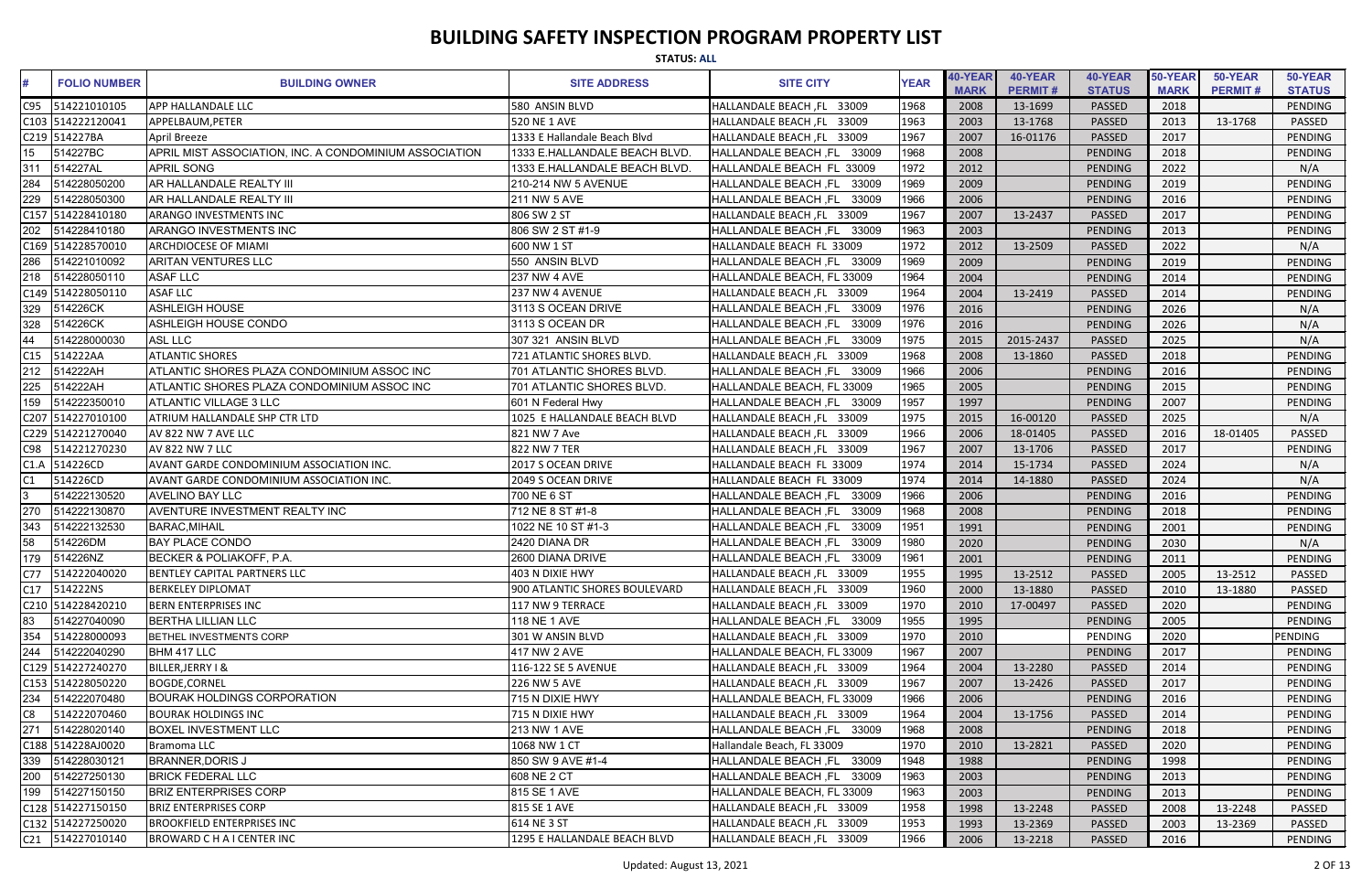|                 | <b>STATUS: ALL</b>  |                                                        |                               |                                      |             |                        |                           |                          |                        |                           |                          |
|-----------------|---------------------|--------------------------------------------------------|-------------------------------|--------------------------------------|-------------|------------------------|---------------------------|--------------------------|------------------------|---------------------------|--------------------------|
|                 | <b>FOLIO NUMBER</b> | <b>BUILDING OWNER</b>                                  | <b>SITE ADDRESS</b>           | <b>SITE CITY</b>                     | <b>YEAR</b> | 40-YEAR<br><b>MARK</b> | 40-YEAR<br><b>PERMIT#</b> | 40-YEAR<br><b>STATUS</b> | 50-YEAR<br><b>MARK</b> | 50-YEAR<br><b>PERMIT#</b> | 50-YEAR<br><b>STATUS</b> |
| C95             | 514221010105        | <b>APP HALLANDALE LLC</b>                              | 580 ANSIN BLVD                | HALLANDALE BEACH, FL 33009           | 1968        | 2008                   | 13-1699                   | PASSED                   | 2018                   |                           | <b>PENDING</b>           |
|                 | C103 514222120041   | APPELBAUM, PETER                                       | 520 NE 1 AVE                  | HALLANDALE BEACH, FL 33009           | 1963        | 2003                   | 13-1768                   | PASSED                   | 2013                   | 13-1768                   | <b>PASSED</b>            |
|                 | C219 514227BA       | <b>April Breeze</b>                                    | 1333 E Hallandale Beach Blvd  | HALLANDALE BEACH, FL 33009           | 1967        | 2007                   | 16-01176                  | PASSED                   | 2017                   |                           | <b>PENDING</b>           |
| 15 <sub>1</sub> | 514227BC            | APRIL MIST ASSOCIATION, INC. A CONDOMINIUM ASSOCIATION | 1333 E.HALLANDALE BEACH BLVD. | <b>HALLANDALE BEACH, FL</b><br>33009 | 1968        | 2008                   |                           | <b>PENDING</b>           | 2018                   |                           | PENDING                  |
| 311             | 514227AL            | <b>APRIL SONG</b>                                      | 1333 E.HALLANDALE BEACH BLVD. | HALLANDALE BEACH FL 33009            | 1972        | 2012                   |                           | <b>PENDING</b>           | 2022                   |                           | N/A                      |
| 284             | 514228050200        | AR HALLANDALE REALTY III                               | 210-214 NW 5 AVENUE           | 33009<br><b>HALLANDALE BEACH, FL</b> | 1969        | 2009                   |                           | PENDING                  | 2019                   |                           | <b>PENDING</b>           |
| 229             | 514228050300        | AR HALLANDALE REALTY III                               | 211 NW 5 AVE                  | HALLANDALE BEACH, FL 33009           | 1966        | 2006                   |                           | <b>PENDING</b>           | 2016                   |                           | PENDING                  |
|                 | C157 514228410180   | <b>ARANGO INVESTMENTS INC</b>                          | 806 SW 2 ST                   | HALLANDALE BEACH, FL 33009           | 1967        | 2007                   | 13-2437                   | PASSED                   | 2017                   |                           | <b>PENDING</b>           |
| 202             | 514228410180        | <b>ARANGO INVESTMENTS INC</b>                          | 806 SW 2 ST #1-9              | <b>HALLANDALE BEACH, FL</b><br>33009 | 1963        | 2003                   |                           | PENDING                  | 2013                   |                           | PENDING                  |
|                 | C169 514228570010   | <b>ARCHDIOCESE OF MIAMI</b>                            | 600 NW 1 ST                   | HALLANDALE BEACH FL 33009            | 1972        | 2012                   | 13-2509                   | PASSED                   | 2022                   |                           | N/A                      |
| 286             | 514221010092        | <b>ARITAN VENTURES LLC</b>                             | 550 ANSIN BLVD                | HALLANDALE BEACH, FL 33009           | 1969        | 2009                   |                           | <b>PENDING</b>           | 2019                   |                           | <b>PENDING</b>           |
| 218             | 514228050110        | <b>ASAF LLC</b>                                        | <b>237 NW 4 AVE</b>           | HALLANDALE BEACH, FL 33009           | 1964        | 2004                   |                           | <b>PENDING</b>           | 2014                   |                           | <b>PENDING</b>           |
| C149            | 514228050110        | <b>ASAF LLC</b>                                        | 237 NW 4 AVENUE               | HALLANDALE BEACH, FL 33009           | 1964        | 2004                   | 13-2419                   | PASSED                   | 2014                   |                           | PENDING                  |
| 329             | 514226CK            | <b>ASHLEIGH HOUSE</b>                                  | 3113 S OCEAN DRIVE            | 33009<br><b>HALLANDALE BEACH, FL</b> | 1976        | 2016                   |                           | <b>PENDING</b>           | 2026                   |                           | N/A                      |
| 328             | 514226CK            | ASHLEIGH HOUSE CONDO                                   | 3113 S OCEAN DR               | <b>HALLANDALE BEACH, FL</b><br>33009 | 1976        | 2016                   |                           | PENDING                  | 2026                   |                           | N/A                      |
| 44              | 514228000030        | <b>ASL LLC</b>                                         | 307 321 ANSIN BLVD            | HALLANDALE BEACH, FL<br>33009        | 1975        | 2015                   | 2015-2437                 | PASSED                   | 2025                   |                           | N/A                      |
| C15             | 514222AA            | <b>ATLANTIC SHORES</b>                                 | 721 ATLANTIC SHORES BLVD.     | HALLANDALE BEACH, FL 33009           | 1968        | 2008                   | 13-1860                   | PASSED                   | 2018                   |                           | <b>PENDING</b>           |
| 212             | 514222AH            | ATLANTIC SHORES PLAZA CONDOMINIUM ASSOC INC            | 701 ATLANTIC SHORES BLVD.     | HALLANDALE BEACH, FL<br>33009        | 1966        | 2006                   |                           | PENDING                  | 2016                   |                           | <b>PENDING</b>           |
| 225             | 514222AH            | ATLANTIC SHORES PLAZA CONDOMINIUM ASSOC INC            | 701 ATLANTIC SHORES BLVD.     | HALLANDALE BEACH, FL 33009           | 1965        | 2005                   |                           | <b>PENDING</b>           | 2015                   |                           | PENDING                  |
| 159             | 514222350010        | <b>ATLANTIC VILLAGE 3 LLC</b>                          | 601 N Federal Hwy             | HALLANDALE BEACH, FL 33009           | 1957        | 1997                   |                           | PENDING                  | 2007                   |                           | <b>PENDING</b>           |
|                 | C207 514227010100   | <b>ATRIUM HALLANDALE SHP CTR LTD</b>                   | 1025 E HALLANDALE BEACH BLVD  | HALLANDALE BEACH, FL 33009           | 1975        | 2015                   | 16-00120                  | <b>PASSED</b>            | 2025                   |                           | N/A                      |
|                 | C229 514221270040   | AV 822 NW 7 AVE LLC                                    | 821 NW 7 Ave                  | HALLANDALE BEACH, FL 33009           | 1966        | 2006                   | 18-01405                  | PASSED                   | 2016                   | 18-01405                  | <b>PASSED</b>            |
| C98             | 514221270230        | AV 822 NW 7 LLC                                        | 822 NW 7 TER                  | HALLANDALE BEACH, FL 33009           | 1967        | 2007                   | 13-1706                   | PASSED                   | 2017                   |                           | <b>PENDING</b>           |
| C1.A            | 514226CD            | AVANT GARDE CONDOMINIUM ASSOCIATION INC.               | 2017 S OCEAN DRIVE            | HALLANDALE BEACH FL 33009            | 1974        | 2014                   | 15-1734                   | PASSED                   | 2024                   |                           | N/A                      |
| C1              | 514226CD            | AVANT GARDE CONDOMINIUM ASSOCIATION INC.               | 2049 S OCEAN DRIVE            | HALLANDALE BEACH FL 33009            | 1974        | 2014                   | 14-1880                   | PASSED                   | 2024                   |                           | N/A                      |
|                 | 514222130520        | <b>AVELINO BAY LLC</b>                                 | 700 NE 6 ST                   | <b>HALLANDALE BEACH, FL</b><br>33009 | 1966        | 2006                   |                           | <b>PENDING</b>           | 2016                   |                           | <b>PENDING</b>           |
|                 | 514222130870        | AVENTURE INVESTMENT REALTY INC                         | 712 NE 8 ST #1-8              | <b>HALLANDALE BEACH, FL</b><br>33009 | 1968        | 2008                   |                           | <b>PENDING</b>           | 2018                   |                           | <b>PENDING</b>           |
| 343             | 514222132530        | <b>BARAC, MIHAIL</b>                                   | 1022 NE 10 ST #1-3            | 33009<br><b>HALLANDALE BEACH, FL</b> | 1951        | 1991                   |                           | PENDING                  | 2001                   |                           | PENDING                  |
| 58              | 514226DM            | <b>BAY PLACE CONDO</b>                                 | 2420 DIANA DR                 | HALLANDALE BEACH, FL 33009           | 1980        | 2020                   |                           | PENDING                  | 2030                   |                           | N/A                      |
| 179             | 514226NZ            | BECKER & POLIAKOFF, P.A.                               | 2600 DIANA DRIVE              | HALLANDALE BEACH, FL 33009           | 1961        | 2001                   |                           | PENDING                  | 2011                   |                           | PENDING                  |
| C77             | 514222040020        | <b>BENTLEY CAPITAL PARTNERS LLC</b>                    | 403 N DIXIE HWY               | HALLANDALE BEACH, FL 33009           | 1955        | 1995                   | 13-2512                   | <b>PASSED</b>            | 2005                   | 13-2512                   | PASSED                   |
| C17             | 514222NS            | <b>BERKELEY DIPLOMAT</b>                               | 900 ATLANTIC SHORES BOULEVARD | HALLANDALE BEACH, FL 33009           | 1960        | 2000                   | 13-1880                   | <b>PASSED</b>            | 2010                   | 13-1880                   | PASSED                   |
|                 | C210 514228420210   | <b>BERN ENTERPRISES INC</b>                            | 117 NW 9 TERRACE              | HALLANDALE BEACH, FL 33009           | 1970        | 2010                   | 17-00497                  | <b>PASSED</b>            | 2020                   |                           | PENDING                  |
| 83              | 514227040090        | <b>BERTHA LILLIAN LLC</b>                              | 118 NE 1 AVE                  | HALLANDALE BEACH, FL 33009           | 1955        | 1995                   |                           | PENDING                  | 2005                   |                           | PENDING                  |
| 354             | 514228000093        | BETHEL INVESTMENTS CORP                                | 301 W ANSIN BLVD              | HALLANDALE BEACH, FL 33009           | 1970        | 2010                   |                           | PENDING                  | 2020                   |                           | PENDING                  |
| 244             | 514222040290        | BHM 417 LLC                                            | 417 NW 2 AVE                  | HALLANDALE BEACH, FL 33009           | 1967        | 2007                   |                           | PENDING                  | 2017                   |                           | PENDING                  |
|                 | C129 514227240270   | BILLER, JERRY I &                                      | 116-122 SE 5 AVENUE           | HALLANDALE BEACH, FL 33009           | 1964        | 2004                   | 13-2280                   | PASSED                   | 2014                   |                           | PENDING                  |
|                 | C153 514228050220   | <b>BOGDE,CORNEL</b>                                    | 226 NW 5 AVE                  | HALLANDALE BEACH, FL 33009           | 1967        | 2007                   | 13-2426                   | <b>PASSED</b>            | 2017                   |                           | PENDING                  |
| 234             | 514222070480        | <b>BOURAK HOLDINGS CORPORATION</b>                     | 715 N DIXIE HWY               | HALLANDALE BEACH, FL 33009           | 1966        | 2006                   |                           | PENDING                  | 2016                   |                           | PENDING                  |
| C8              | 514222070460        | <b>BOURAK HOLDINGS INC</b>                             | 715 N DIXIE HWY               | HALLANDALE BEACH, FL 33009           | 1964        | 2004                   | 13-1756                   | <b>PASSED</b>            | 2014                   |                           | PENDING                  |
| 271             | 514228020140        | <b>BOXEL INVESTMENT LLC</b>                            | 213 NW 1 AVE                  | HALLANDALE BEACH, FL 33009           | 1968        | 2008                   |                           | PENDING                  | 2018                   |                           | PENDING                  |
|                 | C188 514228AJ0020   | Bramoma LLC                                            | 1068 NW 1 CT                  | Hallandale Beach, FL 33009           | 1970        | 2010                   | 13-2821                   | PASSED                   | 2020                   |                           | PENDING                  |
| 339             | 514228030121        | <b>BRANNER, DORIS J</b>                                | 850 SW 9 AVE #1-4             | HALLANDALE BEACH, FL 33009           | 1948        | 1988                   |                           | PENDING                  | 1998                   |                           | PENDING                  |
| 200             | 514227250130        | <b>BRICK FEDERAL LLC</b>                               | 608 NE 2 CT                   | HALLANDALE BEACH, FL 33009           | 1963        | 2003                   |                           | PENDING                  | 2013                   |                           | PENDING                  |
| 199             | 514227150150        | <b>BRIZ ENTERPRISES CORP</b>                           | 815 SE 1 AVE                  | HALLANDALE BEACH, FL 33009           | 1963        | 2003                   |                           | PENDING                  | 2013                   |                           | PENDING                  |
|                 | C128 514227150150   | <b>BRIZ ENTERPRISES CORP</b>                           | 815 SE 1 AVE                  | HALLANDALE BEACH, FL 33009           | 1958        | 1998                   | 13-2248                   | <b>PASSED</b>            | 2008                   | 13-2248                   | <b>PASSED</b>            |
|                 | C132 514227250020   | <b>BROOKFIELD ENTERPRISES INC</b>                      | 614 NE 3 ST                   | HALLANDALE BEACH, FL 33009           | 1953        | 1993                   | 13-2369                   | <b>PASSED</b>            | 2003                   | 13-2369                   | PASSED                   |
|                 | C21 514227010140    | <b>BROWARD C H A I CENTER INC</b>                      | 1295 E HALLANDALE BEACH BLVD  | HALLANDALE BEACH, FL 33009           | 1966        | 2006                   | 13-2218                   | PASSED                   | 2016                   |                           | PENDING                  |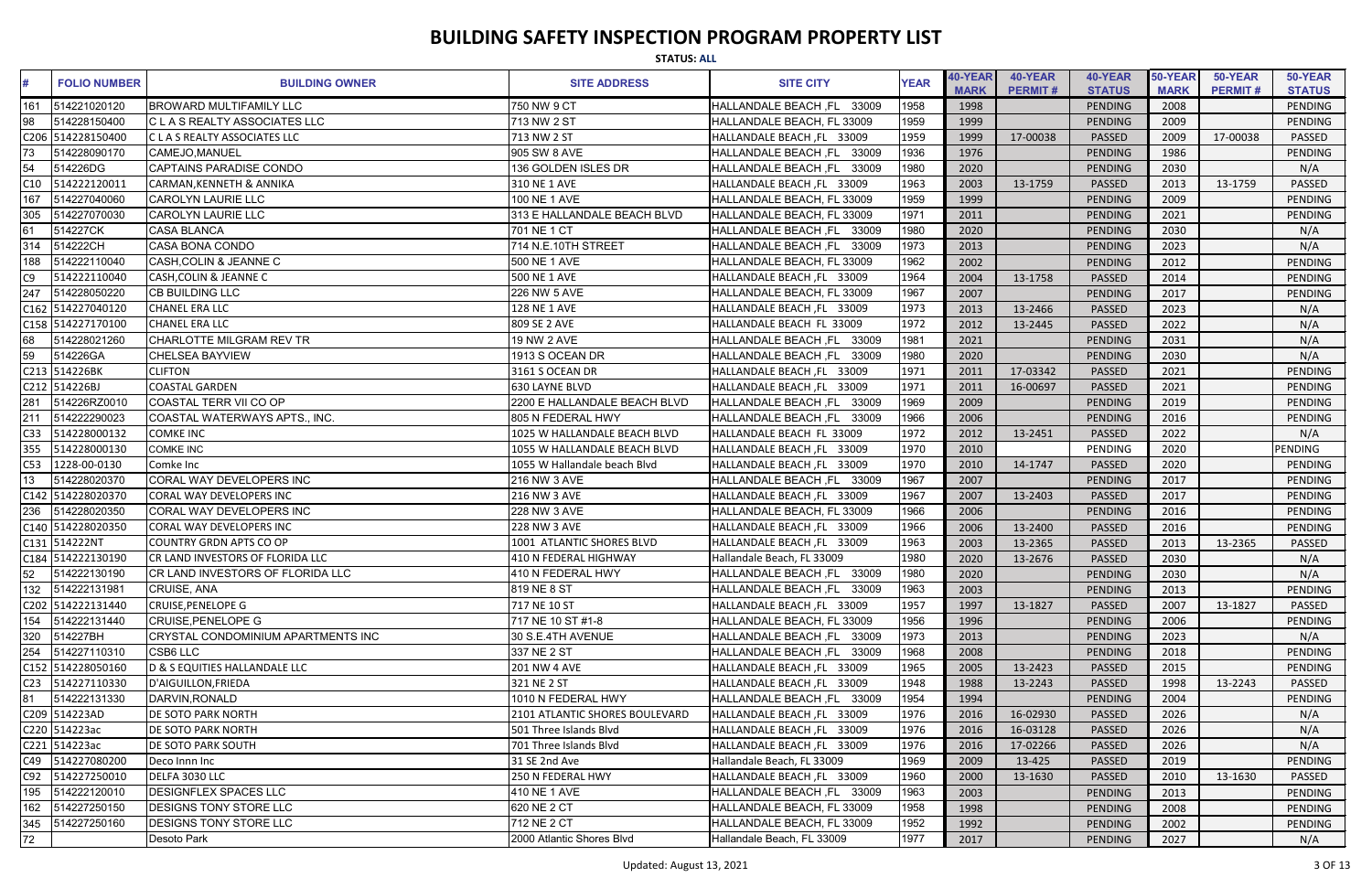| <b>STATUS: ALL</b>  |                                          |                                |                            |             |                        |                           |                          |                        |                           |                          |  |
|---------------------|------------------------------------------|--------------------------------|----------------------------|-------------|------------------------|---------------------------|--------------------------|------------------------|---------------------------|--------------------------|--|
| <b>FOLIO NUMBER</b> | <b>BUILDING OWNER</b>                    | <b>SITE ADDRESS</b>            | <b>SITE CITY</b>           | <b>YEAR</b> | 40-YEAR<br><b>MARK</b> | 40-YEAR<br><b>PERMIT#</b> | 40-YEAR<br><b>STATUS</b> | 50-YEAR<br><b>MARK</b> | 50-YEAR<br><b>PERMIT#</b> | 50-YEAR<br><b>STATUS</b> |  |
| 514221020120<br>161 | <b>BROWARD MULTIFAMILY LLC</b>           | 750 NW 9 CT                    | HALLANDALE BEACH, FL 33009 | 1958        | 1998                   |                           | PENDING                  | 2008                   |                           | PENDING                  |  |
| 98<br>514228150400  | <b>C L A S REALTY ASSOCIATES LLC</b>     | 713 NW 2 ST                    | HALLANDALE BEACH, FL 33009 | 1959        | 1999                   |                           | PENDING                  | 2009                   |                           | PENDING                  |  |
| C206 514228150400   | C L A S REALTY ASSOCIATES LLC            | 713 NW 2 ST                    | HALLANDALE BEACH, FL 33009 | 1959        | 1999                   | 17-00038                  | <b>PASSED</b>            | 2009                   | 17-00038                  | <b>PASSED</b>            |  |
| 73<br>514228090170  | CAMEJO, MANUEL                           | 905 SW 8 AVE                   | HALLANDALE BEACH, FL 33009 | 1936        | 1976                   |                           | PENDING                  | 1986                   |                           | <b>PENDING</b>           |  |
| 54<br>514226DG      | <b>CAPTAINS PARADISE CONDO</b>           | 136 GOLDEN ISLES DR            | HALLANDALE BEACH, FL 33009 | 1980        | 2020                   |                           | PENDING                  | 2030                   |                           | N/A                      |  |
| 514222120011<br>C10 | <b>CARMAN, KENNETH &amp; ANNIKA</b>      | 310 NE 1 AVE                   | HALLANDALE BEACH, FL 33009 | 1963        | 2003                   | 13-1759                   | PASSED                   | 2013                   | 13-1759                   | PASSED                   |  |
| 167<br>514227040060 | <b>CAROLYN LAURIE LLC</b>                | 100 NE 1 AVE                   | HALLANDALE BEACH, FL 33009 | 1959        | 1999                   |                           | PENDING                  | 2009                   |                           | PENDING                  |  |
| 305<br>514227070030 | <b>CAROLYN LAURIE LLC</b>                | 313 E HALLANDALE BEACH BLVD    | HALLANDALE BEACH, FL 33009 | 1971        | 2011                   |                           | PENDING                  | 2021                   |                           | <b>PENDING</b>           |  |
| 61<br>514227CK      | <b>CASA BLANCA</b>                       | 701 NE 1 CT                    | HALLANDALE BEACH, FL 33009 | 1980        | 2020                   |                           | <b>PENDING</b>           | 2030                   |                           | N/A                      |  |
| 314<br>514222CH     | <b>CASA BONA CONDO</b>                   | 714 N.E.10TH STREET            | HALLANDALE BEACH, FL 33009 | 1973        | 2013                   |                           | PENDING                  | 2023                   |                           | N/A                      |  |
| 514222110040<br>188 | CASH, COLIN & JEANNE C                   | 500 NE 1 AVE                   | HALLANDALE BEACH, FL 33009 | 1962        | 2002                   |                           | PENDING                  | 2012                   |                           | PENDING                  |  |
| C9<br>514222110040  | <b>CASH, COLIN &amp; JEANNE C</b>        | 500 NE 1 AVE                   | HALLANDALE BEACH, FL 33009 | 1964        | 2004                   | 13-1758                   | PASSED                   | 2014                   |                           | PENDING                  |  |
| 247<br>514228050220 | <b>CB BUILDING LLC</b>                   | 226 NW 5 AVE                   | HALLANDALE BEACH, FL 33009 | 1967        | 2007                   |                           | PENDING                  | 2017                   |                           | PENDING                  |  |
| C162 514227040120   | <b>CHANEL ERA LLC</b>                    | 128 NE 1 AVE                   | HALLANDALE BEACH, FL 33009 | 1973        | 2013                   | 13-2466                   | <b>PASSED</b>            | 2023                   |                           | N/A                      |  |
| C158 514227170100   | <b>CHANEL ERA LLC</b>                    | 809 SE 2 AVE                   | HALLANDALE BEACH FL 33009  | 1972        | 2012                   | 13-2445                   | <b>PASSED</b>            | 2022                   |                           | N/A                      |  |
| 68<br>514228021260  | CHARLOTTE MILGRAM REV TR                 | 19 NW 2 AVE                    | HALLANDALE BEACH, FL 33009 | 1981        | 2021                   |                           | <b>PENDING</b>           | 2031                   |                           | N/A                      |  |
| 59<br>514226GA      | <b>CHELSEA BAYVIEW</b>                   | 1913 S OCEAN DR                | HALLANDALE BEACH, FL 33009 | 1980        | 2020                   |                           | <b>PENDING</b>           | 2030                   |                           | N/A                      |  |
| C213 514226BK       | <b>CLIFTON</b>                           | 3161 S OCEAN DR                | HALLANDALE BEACH, FL 33009 | 1971        | 2011                   | 17-03342                  | PASSED                   | 2021                   |                           | <b>PENDING</b>           |  |
| C212 514226BJ       | <b>COASTAL GARDEN</b>                    | 630 LAYNE BLVD                 | HALLANDALE BEACH, FL 33009 | 1971        | 2011                   | 16-00697                  | <b>PASSED</b>            | 2021                   |                           | PENDING                  |  |
| 514226RZ0010<br>281 | <b>COASTAL TERR VII CO OP</b>            | 2200 E HALLANDALE BEACH BLVD   | HALLANDALE BEACH, FL 33009 | 1969        | 2009                   |                           | PENDING                  | 2019                   |                           | <b>PENDING</b>           |  |
| 211<br>514222290023 | COASTAL WATERWAYS APTS., INC.            | 805 N FEDERAL HWY              | HALLANDALE BEACH, FL 33009 | 1966        | 2006                   |                           | <b>PENDING</b>           | 2016                   |                           | <b>PENDING</b>           |  |
| C33<br>514228000132 | <b>COMKE INC</b>                         | 1025 W HALLANDALE BEACH BLVD   | HALLANDALE BEACH FL 33009  | 1972        | 2012                   | 13-2451                   | PASSED                   | 2022                   |                           | N/A                      |  |
| 355<br>514228000130 | <b>COMKE INC</b>                         | 1055 W HALLANDALE BEACH BLVD   | HALLANDALE BEACH, FL 33009 | 1970        | 2010                   |                           | PENDING                  | 2020                   |                           | PENDING                  |  |
| C53<br>1228-00-0130 | Comke Inc                                | 1055 W Hallandale beach Blvd   | HALLANDALE BEACH, FL 33009 | 1970        | 2010                   | 14-1747                   | PASSED                   | 2020                   |                           | PENDING                  |  |
| 13<br>514228020370  | CORAL WAY DEVELOPERS INC                 | 216 NW 3 AVE                   | HALLANDALE BEACH, FL 33009 | 1967        | 2007                   |                           | <b>PENDING</b>           | 2017                   |                           | PENDING                  |  |
| C142 514228020370   | CORAL WAY DEVELOPERS INC                 | 216 NW 3 AVE                   | HALLANDALE BEACH, FL 33009 | 1967        | 2007                   | 13-2403                   | <b>PASSED</b>            | 2017                   |                           | PENDING                  |  |
| 514228020350<br>236 | <b>CORAL WAY DEVELOPERS INC</b>          | 228 NW 3 AVE                   | HALLANDALE BEACH, FL 33009 | 1966        | 2006                   |                           | PENDING                  | 2016                   |                           | PENDING                  |  |
| C140 514228020350   | CORAL WAY DEVELOPERS INC                 | 228 NW 3 AVE                   | HALLANDALE BEACH, FL 33009 | 1966        | 2006                   | 13-2400                   | <b>PASSED</b>            | 2016                   |                           | PENDING                  |  |
| C131 514222NT       | <b>COUNTRY GRDN APTS CO OP</b>           | 1001 ATLANTIC SHORES BLVD      | HALLANDALE BEACH, FL 33009 | 1963        | 2003                   | 13-2365                   | <b>PASSED</b>            | 2013                   | 13-2365                   | <b>PASSED</b>            |  |
| C184 514222130190   | CR LAND INVESTORS OF FLORIDA LLC         | 410 N FEDERAL HIGHWAY          | Hallandale Beach, FL 33009 | 1980        | 2020                   | 13-2676                   | PASSED                   | 2030                   |                           | N/A                      |  |
| 52<br>514222130190  | <b>CR LAND INVESTORS OF FLORIDA LLC</b>  | 410 N FEDERAL HWY              | HALLANDALE BEACH, FL 33009 | 1980        | 2020                   |                           | PENDING                  | 2030                   |                           | N/A                      |  |
| 132<br>514222131981 | CRUISE, ANA                              | 819 NE 8 ST                    | HALLANDALE BEACH, FL 33009 | 1963        | 2003                   |                           | PENDING                  | 2013                   |                           | PENDING                  |  |
| C202 514222131440   | <b>CRUISE, PENELOPE G</b>                | 717 NE 10 ST                   | HALLANDALE BEACH, FL 33009 | 1957        | 1997                   | 13-1827                   | <b>PASSED</b>            | 2007                   | 13-1827                   | <b>PASSED</b>            |  |
| 154<br>514222131440 | <b>CRUISE, PENELOPE G</b>                | 717 NE 10 ST #1-8              | HALLANDALE BEACH, FL 33009 | 1956        | 1996                   |                           | <b>PENDING</b>           | 2006                   |                           | PENDING                  |  |
| 320<br>514227BH     | CRYSTAL CONDOMINIUM APARTMENTS INC       | 30 S.E.4TH AVENUE              | HALLANDALE BEACH, FL 33009 | 1973        | 2013                   |                           | PENDING                  | 2023                   |                           | N/A                      |  |
| 254<br>514227110310 | CSB6 LLC                                 | 337 NE 2 ST                    | HALLANDALE BEACH, FL 33009 | 1968        | 2008                   |                           | PENDING                  | 2018                   |                           | PENDING                  |  |
| C152 514228050160   | <b>D &amp; S EQUITIES HALLANDALE LLC</b> | 201 NW 4 AVE                   | HALLANDALE BEACH, FL 33009 | 1965        | 2005                   | 13-2423                   | PASSED                   | 2015                   |                           | PENDING                  |  |
| C23 514227110330    | D'AIGUILLON, FRIEDA                      | 321 NE 2 ST                    | HALLANDALE BEACH, FL 33009 | 1948        | 1988                   | 13-2243                   | <b>PASSED</b>            | 1998                   | 13-2243                   | PASSED                   |  |
| 81<br>514222131330  | DARVIN, RONALD                           | 1010 N FEDERAL HWY             | HALLANDALE BEACH, FL 33009 | 1954        | 1994                   |                           | <b>PENDING</b>           | 2004                   |                           | PENDING                  |  |
| C209 514223AD       | <b>DE SOTO PARK NORTH</b>                | 2101 ATLANTIC SHORES BOULEVARD | HALLANDALE BEACH, FL 33009 | 1976        | 2016                   | 16-02930                  | <b>PASSED</b>            | 2026                   |                           | N/A                      |  |
| C220 514223ac       | <b>DE SOTO PARK NORTH</b>                | 501 Three Islands Blvd         | HALLANDALE BEACH, FL 33009 | 1976        | 2016                   | 16-03128                  | PASSED                   | 2026                   |                           | N/A                      |  |
| C221 514223ac       | <b>DE SOTO PARK SOUTH</b>                | 701 Three Islands Blvd         | HALLANDALE BEACH, FL 33009 | 1976        | 2016                   | 17-02266                  | PASSED                   | 2026                   |                           | N/A                      |  |
| C49 514227080200    | Deco Innn Inc                            | 31 SE 2nd Ave                  | Hallandale Beach, FL 33009 | 1969        | 2009                   | 13-425                    | <b>PASSED</b>            | 2019                   |                           | PENDING                  |  |
| 514227250010<br>C92 | DELFA 3030 LLC                           | 250 N FEDERAL HWY              | HALLANDALE BEACH, FL 33009 | 1960        | 2000                   | 13-1630                   | <b>PASSED</b>            | 2010                   | 13-1630                   | PASSED                   |  |
| 195<br>514222120010 | <b>DESIGNFLEX SPACES LLC</b>             | 410 NE 1 AVE                   | HALLANDALE BEACH, FL 33009 | 1963        | 2003                   |                           | <b>PENDING</b>           | 2013                   |                           | PENDING                  |  |
| 514227250150<br>162 | <b>DESIGNS TONY STORE LLC</b>            | 620 NE 2 CT                    | HALLANDALE BEACH, FL 33009 | 1958        | 1998                   |                           | <b>PENDING</b>           | 2008                   |                           | PENDING                  |  |
| 345<br>514227250160 | <b>DESIGNS TONY STORE LLC</b>            | 712 NE 2 CT                    | HALLANDALE BEACH, FL 33009 | 1952        | 1992                   |                           | PENDING                  | 2002                   |                           | PENDING                  |  |
| 72                  | Desoto Park                              | 2000 Atlantic Shores Blvd      | Hallandale Beach, FL 33009 | 1977        | 2017                   |                           | PENDING                  | 2027                   |                           | N/A                      |  |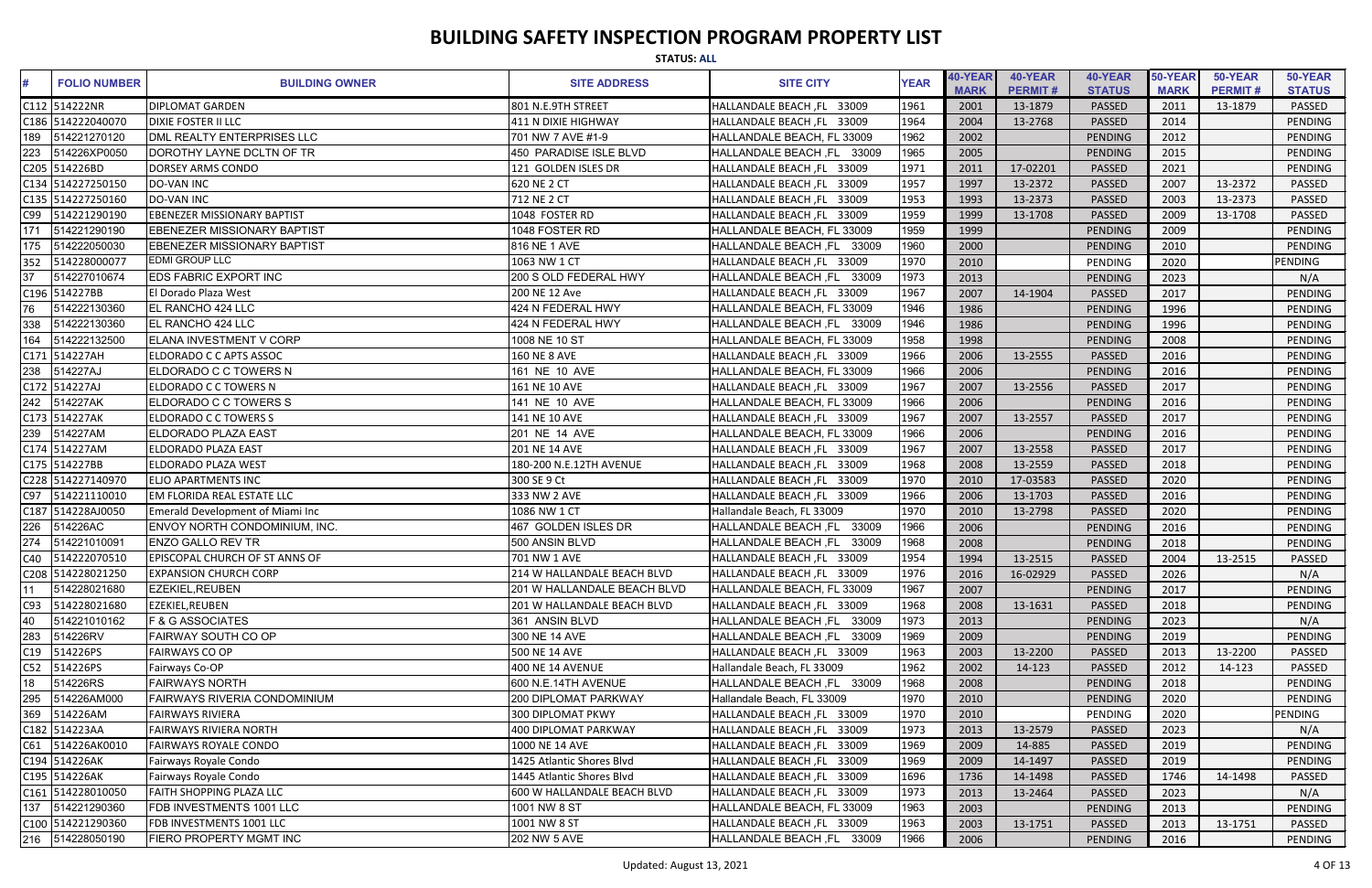|                 | <b>STATUS: ALL</b>  |                                         |                             |                            |             |                        |                           |                          |                        |                           |                          |
|-----------------|---------------------|-----------------------------------------|-----------------------------|----------------------------|-------------|------------------------|---------------------------|--------------------------|------------------------|---------------------------|--------------------------|
| #               | <b>FOLIO NUMBER</b> | <b>BUILDING OWNER</b>                   | <b>SITE ADDRESS</b>         | <b>SITE CITY</b>           | <b>YEAR</b> | 40-YEAR<br><b>MARK</b> | 40-YEAR<br><b>PERMIT#</b> | 40-YEAR<br><b>STATUS</b> | 50-YEAR<br><b>MARK</b> | 50-YEAR<br><b>PERMIT#</b> | 50-YEAR<br><b>STATUS</b> |
|                 | C112 514222NR       | <b>DIPLOMAT GARDEN</b>                  | 801 N.E.9TH STREET          | HALLANDALE BEACH, FL 33009 | 1961        | 2001                   | 13-1879                   | <b>PASSED</b>            | 2011                   | 13-1879                   | <b>PASSED</b>            |
|                 | C186 514222040070   | <b>DIXIE FOSTER II LLC</b>              | 411 N DIXIE HIGHWAY         | HALLANDALE BEACH, FL 33009 | 1964        | 2004                   | 13-2768                   | <b>PASSED</b>            | 2014                   |                           | PENDING                  |
| 189             | 514221270120        | DML REALTY ENTERPRISES LLC              | 701 NW 7 AVE #1-9           | HALLANDALE BEACH, FL 33009 | 1962        | 2002                   |                           | <b>PENDING</b>           | 2012                   |                           | <b>PENDING</b>           |
| 223             | 514226XP0050        | DOROTHY LAYNE DCLTN OF TR               | 450 PARADISE ISLE BLVD      | HALLANDALE BEACH, FL 33009 | 1965        | 2005                   |                           | <b>PENDING</b>           | 2015                   |                           | PENDING                  |
|                 | C205 514226BD       | <b>DORSEY ARMS CONDO</b>                | 121 GOLDEN ISLES DR         | HALLANDALE BEACH, FL 33009 | 1971        | 2011                   | 17-02201                  | <b>PASSED</b>            | 2021                   |                           | PENDING                  |
|                 | C134 514227250150   | <b>DO-VAN INC</b>                       | 620 NE 2 CT                 | HALLANDALE BEACH, FL 33009 | 1957        | 1997                   | 13-2372                   | PASSED                   | 2007                   | 13-2372                   | PASSED                   |
|                 | C135 514227250160   | <b>DO-VAN INC</b>                       | 712 NE 2 CT                 | HALLANDALE BEACH, FL 33009 | 1953        | 1993                   | 13-2373                   | <b>PASSED</b>            | 2003                   | 13-2373                   | PASSED                   |
| C99             | 514221290190        | <b>EBENEZER MISSIONARY BAPTIST</b>      | 1048 FOSTER RD              | HALLANDALE BEACH, FL 33009 | 1959        | 1999                   | 13-1708                   | <b>PASSED</b>            | 2009                   | 13-1708                   | PASSED                   |
| 171             | 514221290190        | <b>EBENEZER MISSIONARY BAPTIST</b>      | 1048 FOSTER RD              | HALLANDALE BEACH, FL 33009 | 1959        | 1999                   |                           | <b>PENDING</b>           | 2009                   |                           | <b>PENDING</b>           |
| 175             | 514222050030        | EBENEZER MISSIONARY BAPTIST             | 816 NE 1 AVE                | HALLANDALE BEACH, FL 33009 | 1960        | 2000                   |                           | PENDING                  | 2010                   |                           | PENDING                  |
| 352             | 514228000077        | <b>EDMI GROUP LLC</b>                   | 1063 NW 1 CT                | HALLANDALE BEACH, FL 33009 | 1970        | 2010                   |                           | PENDING                  | 2020                   |                           | PENDING                  |
| $\overline{37}$ | 514227010674        | <b>EDS FABRIC EXPORT INC</b>            | 200 S OLD FEDERAL HWY       | HALLANDALE BEACH, FL 33009 | 1973        | 2013                   |                           | <b>PENDING</b>           | 2023                   |                           | N/A                      |
|                 | C196 514227BB       | El Dorado Plaza West                    | 200 NE 12 Ave               | HALLANDALE BEACH, FL 33009 | 1967        | 2007                   | 14-1904                   | <b>PASSED</b>            | 2017                   |                           | PENDING                  |
|                 | 514222130360        | EL RANCHO 424 LLC                       | 424 N FEDERAL HWY           | HALLANDALE BEACH, FL 33009 | 1946        | 1986                   |                           | PENDING                  | 1996                   |                           | PENDING                  |
| 338             | 514222130360        | <b>IEL RANCHO 424 LLC</b>               | 424 N FEDERAL HWY           | HALLANDALE BEACH, FL 33009 | 1946        | 1986                   |                           | <b>PENDING</b>           | 1996                   |                           | <b>PENDING</b>           |
| 164             | 514222132500        | <b>IELANA INVESTMENT V CORP</b>         | 1008 NE 10 ST               | HALLANDALE BEACH, FL 33009 | 1958        | 1998                   |                           | <b>PENDING</b>           | 2008                   |                           | PENDING                  |
|                 | C171 514227AH       | ELDORADO C C APTS ASSOC                 | <b>160 NE 8 AVE</b>         | HALLANDALE BEACH, FL 33009 | 1966        | 2006                   | 13-2555                   | PASSED                   | 2016                   |                           | PENDING                  |
| 238             | 514227AJ            | ELDORADO C C TOWERS N                   | 161 NE 10 AVE               | HALLANDALE BEACH, FL 33009 | 1966        | 2006                   |                           | <b>PENDING</b>           | 2016                   |                           | <b>PENDING</b>           |
|                 | C172 514227AJ       | <b>ELDORADO C C TOWERS N</b>            | 161 NE 10 AVE               | HALLANDALE BEACH, FL 33009 | 1967        | 2007                   | 13-2556                   | <b>PASSED</b>            | 2017                   |                           | PENDING                  |
| 242             | 514227AK            | ELDORADO C C TOWERS S                   | 141 NE 10 AVE               | HALLANDALE BEACH, FL 33009 | 1966        | 2006                   |                           | <b>PENDING</b>           | 2016                   |                           | <b>PENDING</b>           |
|                 | C173 514227AK       | <b>ELDORADO C C TOWERS S</b>            | 141 NE 10 AVE               | HALLANDALE BEACH, FL 33009 | 1967        | 2007                   | 13-2557                   | PASSED                   | 2017                   |                           | <b>PENDING</b>           |
| 239             | 514227AM            | <b>ELDORADO PLAZA EAST</b>              | 201 NE 14 AVE               | HALLANDALE BEACH, FL 33009 | 1966        | 2006                   |                           | <b>PENDING</b>           | 2016                   |                           | <b>PENDING</b>           |
|                 | C174 514227AM       | <b>ELDORADO PLAZA EAST</b>              | 201 NE 14 AVE               | HALLANDALE BEACH, FL 33009 | 1967        | 2007                   | 13-2558                   | PASSED                   | 2017                   |                           | <b>PENDING</b>           |
|                 | C175 514227BB       | <b>ELDORADO PLAZA WEST</b>              | 180-200 N.E.12TH AVENUE     | HALLANDALE BEACH, FL 33009 | 1968        | 2008                   | 13-2559                   | PASSED                   | 2018                   |                           | PENDING                  |
|                 | C228 514227140970   | <b>ELJO APARTMENTS INC</b>              | 300 SE 9 Ct                 | HALLANDALE BEACH, FL 33009 | 1970        | 2010                   | 17-03583                  | PASSED                   | 2020                   |                           | PENDING                  |
| C97             | 514221110010        | EM FLORIDA REAL ESTATE LLC              | 333 NW 2 AVE                | HALLANDALE BEACH, FL 33009 | 1966        | 2006                   | 13-1703                   | PASSED                   | 2016                   |                           | PENDING                  |
|                 | C187 514228AJ0050   | <b>Emerald Development of Miami Inc</b> | 1086 NW 1 CT                | Hallandale Beach, FL 33009 | 1970        | 2010                   | 13-2798                   | <b>PASSED</b>            | 2020                   |                           | PENDING                  |
|                 | 226 514226AC        | ENVOY NORTH CONDOMINIUM, INC.           | 467 GOLDEN ISLES DR         | HALLANDALE BEACH, FL 33009 | 1966        | 2006                   |                           | <b>PENDING</b>           | 2016                   |                           | PENDING                  |
| 274             | 514221010091        | <b>ENZO GALLO REV TR</b>                | 500 ANSIN BLVD              | HALLANDALE BEACH, FL 33009 | 1968        | 2008                   |                           | PENDING                  | 2018                   |                           | <b>PENDING</b>           |
| C40             | 514222070510        | <b>EPISCOPAL CHURCH OF ST ANNS OF</b>   | 701 NW 1 AVE                | HALLANDALE BEACH, FL 33009 | 1954        | 1994                   | 13-2515                   | PASSED                   | 2004                   | 13-2515                   | <b>PASSED</b>            |
|                 | C208 514228021250   | <b>EXPANSION CHURCH CORP</b>            | 214 W HALLANDALE BEACH BLVD | HALLANDALE BEACH, FL 33009 | 1976        | 2016                   | 16-02929                  | <b>PASSED</b>            | 2026                   |                           | N/A                      |
|                 | 514228021680        | <b>EZEKIEL, REUBEN</b>                  | 201 W HALLANDALE BEACH BLVD | HALLANDALE BEACH, FL 33009 | 1967        | 2007                   |                           | <b>PENDING</b>           | 2017                   |                           | PENDING                  |
| C93             | 514228021680        | EZEKIEL, REUBEN                         | 201 W HALLANDALE BEACH BLVD | HALLANDALE BEACH, FL 33009 | 1968        | 2008                   | 13-1631                   | PASSED                   | 2018                   |                           | PENDING                  |
| 40              | 514221010162        | <b>F &amp; G ASSOCIATES</b>             | 361 ANSIN BLVD              | HALLANDALE BEACH, FL 33009 | 1973        | 2013                   |                           | <b>PENDING</b>           | 2023                   |                           | N/A                      |
| 283             | 514226RV            | <b>FAIRWAY SOUTH CO OP</b>              | 300 NE 14 AVE               | HALLANDALE BEACH, FL 33009 | 1969        | 2009                   |                           | <b>PENDING</b>           | 2019                   |                           | <b>PENDING</b>           |
| C19             | 514226PS            | <b>FAIRWAYS CO OP</b>                   | 500 NE 14 AVE               | HALLANDALE BEACH, FL 33009 | 1963        | 2003                   | 13-2200                   | PASSED                   | 2013                   | 13-2200                   | PASSED                   |
| C52             | 514226PS            | Fairways Co-OP                          | <b>400 NE 14 AVENUE</b>     | Hallandale Beach, FL 33009 | 1962        | 2002                   | 14-123                    | PASSED                   | 2012                   | 14-123                    | PASSED                   |
| $\overline{18}$ | 514226RS            | <b>FAIRWAYS NORTH</b>                   | 600 N.E.14TH AVENUE         | HALLANDALE BEACH, FL 33009 | 1968        | 2008                   |                           | PENDING                  | 2018                   |                           | PENDING                  |
| 295             | 514226AM000         | <b>FAIRWAYS RIVERIA CONDOMINIUM</b>     | 200 DIPLOMAT PARKWAY        | Hallandale Beach, FL 33009 | 1970        | 2010                   |                           | PENDING                  | 2020                   |                           | PENDING                  |
| 369             | 514226AM            | <b>FAIRWAYS RIVIERA</b>                 | <b>300 DIPLOMAT PKWY</b>    | HALLANDALE BEACH, FL 33009 | 1970        | 2010                   |                           | PENDING                  | 2020                   |                           | PENDING                  |
|                 | C182 514223AA       | <b>FAIRWAYS RIVIERA NORTH</b>           | 400 DIPLOMAT PARKWAY        | HALLANDALE BEACH, FL 33009 | 1973        | 2013                   | 13-2579                   | PASSED                   | 2023                   |                           | N/A                      |
| C61             | 514226AK0010        | <b>FAIRWAYS ROYALE CONDO</b>            | 1000 NE 14 AVE              | HALLANDALE BEACH, FL 33009 | 1969        | 2009                   | 14-885                    | PASSED                   | 2019                   |                           | <b>PENDING</b>           |
|                 | C194 514226AK       | Fairways Royale Condo                   | 1425 Atlantic Shores Blvd   | HALLANDALE BEACH, FL 33009 | 1969        | 2009                   | 14-1497                   | PASSED                   | 2019                   |                           | PENDING                  |
|                 | C195 514226AK       | Fairways Royale Condo                   | 1445 Atlantic Shores Blvd   | HALLANDALE BEACH, FL 33009 | 1696        | 1736                   | 14-1498                   | <b>PASSED</b>            | 1746                   | 14-1498                   | PASSED                   |
|                 | C161 514228010050   | <b>FAITH SHOPPING PLAZA LLC</b>         | 600 W HALLANDALE BEACH BLVD | HALLANDALE BEACH, FL 33009 | 1973        | 2013                   | 13-2464                   | PASSED                   | 2023                   |                           | N/A                      |
| 137             | 514221290360        | <b>FDB INVESTMENTS 1001 LLC</b>         | 1001 NW 8 ST                | HALLANDALE BEACH, FL 33009 | 1963        | 2003                   |                           | <b>PENDING</b>           | 2013                   |                           | <b>PENDING</b>           |
|                 | C100 514221290360   | FDB INVESTMENTS 1001 LLC                | 1001 NW 8 ST                | HALLANDALE BEACH, FL 33009 | 1963        | 2003                   | 13-1751                   | PASSED                   | 2013                   | 13-1751                   | PASSED                   |
|                 |                     | <b>FIERO PROPERTY MGMT INC</b>          | 202 NW 5 AVE                | HALLANDALE BEACH, FL 33009 | 1966        | 2006                   |                           | <b>PENDING</b>           | 2016                   |                           | PENDING                  |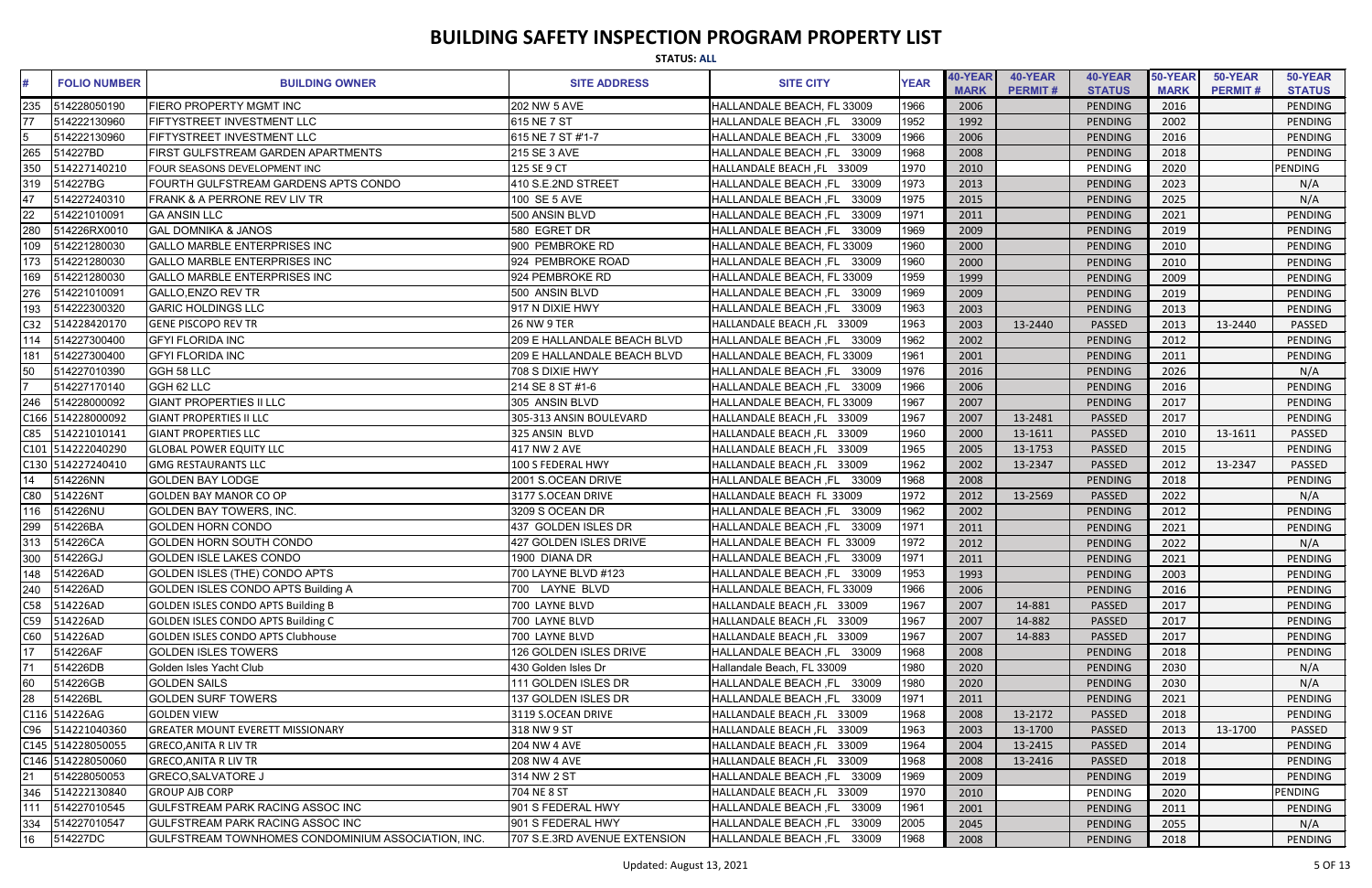|                 | <b>STATUS: ALL</b>  |                                                    |                              |                               |             |                        |                           |                          |                        |                           |                          |
|-----------------|---------------------|----------------------------------------------------|------------------------------|-------------------------------|-------------|------------------------|---------------------------|--------------------------|------------------------|---------------------------|--------------------------|
| #               | <b>FOLIO NUMBER</b> | <b>BUILDING OWNER</b>                              | <b>SITE ADDRESS</b>          | <b>SITE CITY</b>              | <b>YEAR</b> | 40-YEAR<br><b>MARK</b> | 40-YEAR<br><b>PERMIT#</b> | 40-YEAR<br><b>STATUS</b> | 50-YEAR<br><b>MARK</b> | 50-YEAR<br><b>PERMIT#</b> | 50-YEAR<br><b>STATUS</b> |
| 235             | 514228050190        | <b>FIERO PROPERTY MGMT INC</b>                     | 202 NW 5 AVE                 | HALLANDALE BEACH, FL 33009    | 1966        | 2006                   |                           | PENDING                  | 2016                   |                           | PENDING                  |
|                 | 514222130960        | <b>FIFTYSTREET INVESTMENT LLC</b>                  | 615 NE 7 ST                  | HALLANDALE BEACH, FL 33009    | 1952        | 1992                   |                           | <b>PENDING</b>           | 2002                   |                           | PENDING                  |
|                 | 514222130960        | <b>FIFTYSTREET INVESTMENT LLC</b>                  | 615 NE 7 ST #'1-7            | 33009<br>HALLANDALE BEACH, FL | 1966        | 2006                   |                           | PENDING                  | 2016                   |                           | PENDING                  |
| 265             | 514227BD            | <b>FIRST GULFSTREAM GARDEN APARTMENTS</b>          | 215 SE 3 AVE                 | 33009<br>HALLANDALE BEACH, FL | 1968        | 2008                   |                           | <b>PENDING</b>           | 2018                   |                           | PENDING                  |
|                 | 514227140210        | FOUR SEASONS DEVELOPMENT INC                       | 125 SE 9 CT                  | HALLANDALE BEACH, FL 33009    | 1970        | 2010                   |                           | PENDING                  | 2020                   |                           | PENDING                  |
| 319             | 514227BG            | FOURTH GULFSTREAM GARDENS APTS CONDO               | 410 S.E.2ND STREET           | HALLANDALE BEACH, FL<br>33009 | 1973        | 2013                   |                           | PENDING                  | 2023                   |                           | N/A                      |
| 47              | 514227240310        | <b>IFRANK &amp; A PERRONE REV LIV TR</b>           | 100 SE 5 AVE                 | HALLANDALE BEACH, FL<br>33009 | 1975        | 2015                   |                           | PENDING                  | 2025                   |                           | N/A                      |
| 22              | 514221010091        | <b>GA ANSIN LLC</b>                                | 500 ANSIN BLVD               | 33009<br>HALLANDALE BEACH, FL | 1971        | 2011                   |                           | PENDING                  | 2021                   |                           | PENDING                  |
|                 | 514226RX0010        | <b>GAL DOMNIKA &amp; JANOS</b>                     | 580 EGRET DR                 | HALLANDALE BEACH, FL<br>33009 | 1969        | 2009                   |                           | PENDING                  | 2019                   |                           | PENDING                  |
| 109             | 514221280030        | <b>GALLO MARBLE ENTERPRISES INC</b>                | 900 PEMBROKE RD              | HALLANDALE BEACH, FL 33009    | 1960        | 2000                   |                           | PENDING                  | 2010                   |                           | <b>PENDING</b>           |
| 173             | 514221280030        | <b>GALLO MARBLE ENTERPRISES INC</b>                | 924 PEMBROKE ROAD            | HALLANDALE BEACH, FL 33009    | 1960        | 2000                   |                           | <b>PENDING</b>           | 2010                   |                           | <b>PENDING</b>           |
| 169             | 514221280030        | <b>GALLO MARBLE ENTERPRISES INC</b>                | 924 PEMBROKE RD              | HALLANDALE BEACH, FL 33009    | 1959        | 1999                   |                           | <b>PENDING</b>           | 2009                   |                           | PENDING                  |
| 276             | 514221010091        | <b>GALLO, ENZO REV TR</b>                          | 500 ANSIN BLVD               | HALLANDALE BEACH, FL 33009    | 1969        | 2009                   |                           | <b>PENDING</b>           | 2019                   |                           | <b>PENDING</b>           |
| 193             | 514222300320        | <b>GARIC HOLDINGS LLC</b>                          | 917 N DIXIE HWY              | HALLANDALE BEACH, FL 33009    | 1963        | 2003                   |                           | <b>PENDING</b>           | 2013                   |                           | PENDING                  |
| C32             | 514228420170        | <b>GENE PISCOPO REV TR</b>                         | <b>26 NW 9 TER</b>           | HALLANDALE BEACH, FL 33009    | 1963        | 2003                   | 13-2440                   | PASSED                   | 2013                   | 13-2440                   | PASSED                   |
| 114             | 514227300400        | <b>IGFYI FLORIDA INC</b>                           | 209 E HALLANDALE BEACH BLVD  | HALLANDALE BEACH, FL 33009    | 1962        | 2002                   |                           | <b>PENDING</b>           | 2012                   |                           | PENDING                  |
| 181             | 514227300400        | <b>GFYI FLORIDA INC</b>                            | 209 E HALLANDALE BEACH BLVD  | HALLANDALE BEACH, FL 33009    | 1961        | 2001                   |                           | <b>PENDING</b>           | 2011                   |                           | <b>PENDING</b>           |
| $\overline{50}$ | 514227010390        | GGH 58 LLC                                         | 708 S DIXIE HWY              | HALLANDALE BEACH, FL 33009    | 1976        | 2016                   |                           | PENDING                  | 2026                   |                           | N/A                      |
|                 | 514227170140        | GGH 62 LLC                                         | 214 SE 8 ST #1-6             | HALLANDALE BEACH, FL 33009    | 1966        | 2006                   |                           | PENDING                  | 2016                   |                           | PENDING                  |
| 246             | 514228000092        | <b>GIANT PROPERTIES II LLC</b>                     | 305 ANSIN BLVD               | HALLANDALE BEACH, FL 33009    | 1967        | 2007                   |                           | PENDING                  | 2017                   |                           | <b>PENDING</b>           |
|                 | C166 514228000092   | <b>GIANT PROPERTIES II LLC</b>                     | 305-313 ANSIN BOULEVARD      | HALLANDALE BEACH, FL 33009    | 1967        | 2007                   | 13-2481                   | PASSED                   | 2017                   |                           | PENDING                  |
| C85             | 514221010141        | <b>GIANT PROPERTIES LLC</b>                        | 325 ANSIN BLVD               | HALLANDALE BEACH, FL 33009    | 1960        | 2000                   | 13-1611                   | PASSED                   | 2010                   | 13-1611                   | PASSED                   |
|                 | C101 514222040290   | <b>GLOBAL POWER EQUITY LLC</b>                     | 417 NW 2 AVE                 | HALLANDALE BEACH, FL 33009    | 1965        | 2005                   | 13-1753                   | PASSED                   | 2015                   |                           | PENDING                  |
|                 | C130 514227240410   | <b>GMG RESTAURANTS LLC</b>                         | 100 S FEDERAL HWY            | HALLANDALE BEACH, FL 33009    | 1962        | 2002                   | 13-2347                   | PASSED                   | 2012                   | 13-2347                   | PASSED                   |
| 14              | 514226NN            | <b>GOLDEN BAY LODGE</b>                            | 2001 S.OCEAN DRIVE           | HALLANDALE BEACH, FL 33009    | 1968        | 2008                   |                           | <b>PENDING</b>           | 2018                   |                           | <b>PENDING</b>           |
| C80             | 514226NT            | <b>GOLDEN BAY MANOR CO OP</b>                      | 3177 S.OCEAN DRIVE           | HALLANDALE BEACH FL 33009     | 1972        | 2012                   | 13-2569                   | <b>PASSED</b>            | 2022                   |                           | N/A                      |
| 116             | 514226NU            | <b>GOLDEN BAY TOWERS, INC.</b>                     | 3209 S OCEAN DR              | HALLANDALE BEACH, FL 33009    | 1962        | 2002                   |                           | <b>PENDING</b>           | 2012                   |                           | PENDING                  |
| 299             | 514226BA            | <b>GOLDEN HORN CONDO</b>                           | 437 GOLDEN ISLES DR          | HALLANDALE BEACH, FL 33009    | 1971        | 2011                   |                           | PENDING                  | 2021                   |                           | PENDING                  |
| 313             | 514226CA            | GOLDEN HORN SOUTH CONDO                            | 427 GOLDEN ISLES DRIVE       | HALLANDALE BEACH FL 33009     | 1972        | 2012                   |                           | PENDING                  | 2022                   |                           | N/A                      |
| 300             | 514226GJ            | <b>GOLDEN ISLE LAKES CONDO</b>                     | 1900 DIANA DR                | HALLANDALE BEACH, FL 33009    | 1971        | 2011                   |                           | <b>PENDING</b>           | 2021                   |                           | PENDING                  |
| 148             | 514226AD            | GOLDEN ISLES (THE) CONDO APTS                      | 700 LAYNE BLVD #123          | HALLANDALE BEACH, FL 33009    | 1953        | 1993                   |                           | PENDING                  | 2003                   |                           | PENDING                  |
| 240             | 514226AD            | GOLDEN ISLES CONDO APTS Building A                 | 700 LAYNE BLVD               | HALLANDALE BEACH, FL 33009    | 1966        | 2006                   |                           | PENDING                  | 2016                   |                           | PENDING                  |
| C58             | 514226AD            | GOLDEN ISLES CONDO APTS Building B                 | 700 LAYNE BLVD               | HALLANDALE BEACH, FL 33009    | 1967        | 2007                   | 14-881                    | PASSED                   | 2017                   |                           | PENDING                  |
| C59             | 514226AD            | GOLDEN ISLES CONDO APTS Building C                 | 700 LAYNE BLVD               | HALLANDALE BEACH, FL 33009    | 1967        | 2007                   | 14-882                    | PASSED                   | 2017                   |                           | PENDING                  |
| C60             | 514226AD            | <b>GOLDEN ISLES CONDO APTS Clubhouse</b>           | 700 LAYNE BLVD               | HALLANDALE BEACH, FL 33009    | 1967        | 2007                   | 14-883                    | PASSED                   | 2017                   |                           | PENDING                  |
| 17              | 514226AF            | <b>GOLDEN ISLES TOWERS</b>                         | 126 GOLDEN ISLES DRIVE       | HALLANDALE BEACH, FL 33009    | 1968        | 2008                   |                           | <b>PENDING</b>           | 2018                   |                           | PENDING                  |
| $\overline{71}$ | 514226DB            | Golden Isles Yacht Club                            | 430 Golden Isles Dr          | Hallandale Beach, FL 33009    | 1980        | 2020                   |                           | PENDING                  | 2030                   |                           | N/A                      |
| 60              | 514226GB            | <b>GOLDEN SAILS</b>                                | 111 GOLDEN ISLES DR          | HALLANDALE BEACH, FL 33009    | 1980        | 2020                   |                           | <b>PENDING</b>           | 2030                   |                           | N/A                      |
| 28              | 514226BL            | <b>GOLDEN SURF TOWERS</b>                          | 137 GOLDEN ISLES DR          | HALLANDALE BEACH, FL 33009    | 1971        | 2011                   |                           | PENDING                  | 2021                   |                           | PENDING                  |
|                 | C116 514226AG       | <b>GOLDEN VIEW</b>                                 | 3119 S.OCEAN DRIVE           | HALLANDALE BEACH, FL 33009    | 1968        | 2008                   | 13-2172                   | PASSED                   | 2018                   |                           | PENDING                  |
| C96             | 514221040360        | <b>GREATER MOUNT EVERETT MISSIONARY</b>            | 318 NW 9 ST                  | HALLANDALE BEACH, FL 33009    | 1963        | 2003                   | 13-1700                   | PASSED                   | 2013                   | 13-1700                   | <b>PASSED</b>            |
|                 | C145 514228050055   | <b>GRECO, ANITA R LIV TR</b>                       | 204 NW 4 AVE                 | HALLANDALE BEACH, FL 33009    | 1964        | 2004                   | 13-2415                   | PASSED                   | 2014                   |                           | PENDING                  |
|                 | C146 514228050060   | <b>GRECO, ANITA R LIV TR</b>                       | 208 NW 4 AVE                 | HALLANDALE BEACH, FL 33009    | 1968        | 2008                   | 13-2416                   | PASSED                   | 2018                   |                           | PENDING                  |
| 21              | 514228050053        | <b>GRECO, SALVATORE J</b>                          | 314 NW 2 ST                  | HALLANDALE BEACH, FL 33009    | 1969        | 2009                   |                           | <b>PENDING</b>           | 2019                   |                           | PENDING                  |
| 346             | 514222130840        | <b>GROUP AJB CORP</b>                              | 704 NE 8 ST                  | HALLANDALE BEACH, FL 33009    | 1970        | 2010                   |                           | PENDING                  | 2020                   |                           | PENDING                  |
|                 | 514227010545        | <b>GULFSTREAM PARK RACING ASSOC INC</b>            | 901 S FEDERAL HWY            | HALLANDALE BEACH, FL 33009    | 1961        | 2001                   |                           | PENDING                  | 2011                   |                           | PENDING                  |
| 334             | 514227010547        | <b>GULFSTREAM PARK RACING ASSOC INC</b>            | 901 S FEDERAL HWY            | HALLANDALE BEACH, FL 33009    | 2005        | 2045                   |                           | <b>PENDING</b>           | 2055                   |                           | N/A                      |
| 16              | 514227DC            | GULFSTREAM TOWNHOMES CONDOMINIUM ASSOCIATION, INC. | 707 S.E.3RD AVENUE EXTENSION | HALLANDALE BEACH, FL 33009    | 1968        | 2008                   |                           | PENDING                  | 2018                   |                           | PENDING                  |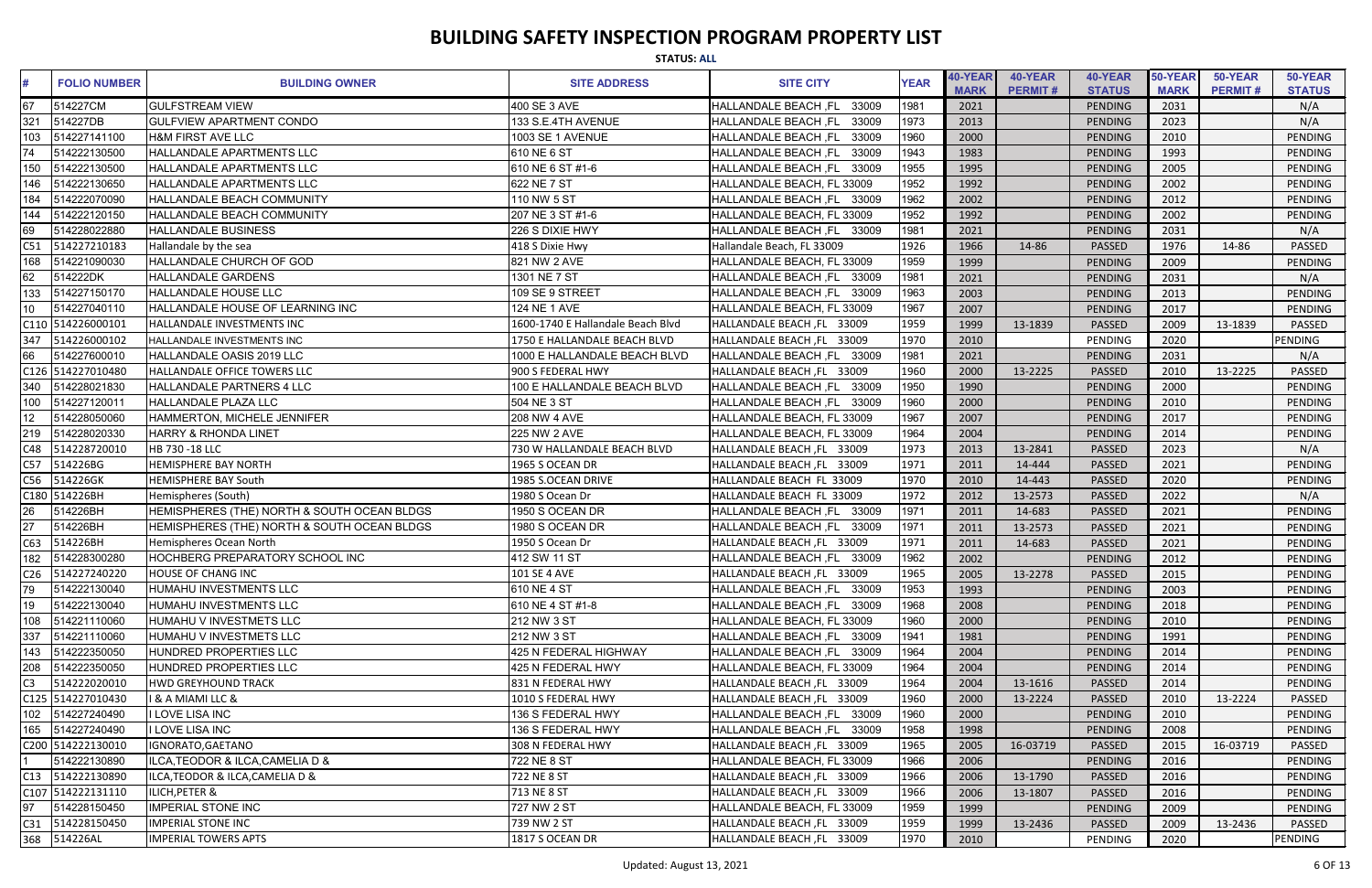|                 | <b>STATUS: ALL</b>  |                                             |                                   |                               |             |                        |                           |                          |                        |                           |                          |
|-----------------|---------------------|---------------------------------------------|-----------------------------------|-------------------------------|-------------|------------------------|---------------------------|--------------------------|------------------------|---------------------------|--------------------------|
| #               | <b>FOLIO NUMBER</b> | <b>BUILDING OWNER</b>                       | <b>SITE ADDRESS</b>               | <b>SITE CITY</b>              | <b>YEAR</b> | 40-YEAR<br><b>MARK</b> | 40-YEAR<br><b>PERMIT#</b> | 40-YEAR<br><b>STATUS</b> | 50-YEAR<br><b>MARK</b> | 50-YEAR<br><b>PERMIT#</b> | 50-YEAR<br><b>STATUS</b> |
| 67              | 514227CM            | <b>GULFSTREAM VIEW</b>                      | 400 SE 3 AVE                      | 33009<br>HALLANDALE BEACH, FL | 1981        | 2021                   |                           | PENDING                  | 2031                   |                           | N/A                      |
| 321             | 514227DB            | <b>GULFVIEW APARTMENT CONDO</b>             | 133 S.E.4TH AVENUE                | 33009<br>HALLANDALE BEACH, FL | 1973        | 2013                   |                           | PENDING                  | 2023                   |                           | N/A                      |
| 103             | 514227141100        | <b>H&amp;M FIRST AVE LLC</b>                | 1003 SE 1 AVENUE                  | 33009<br>HALLANDALE BEACH ,FL | 1960        | 2000                   |                           | PENDING                  | 2010                   |                           | <b>PENDING</b>           |
| $\overline{74}$ | 514222130500        | HALLANDALE APARTMENTS LLC                   | 610 NE 6 ST                       | 33009<br>HALLANDALE BEACH, FL | 1943        | 1983                   |                           | PENDING                  | 1993                   |                           | <b>PENDING</b>           |
| 150             | 514222130500        | <b>HALLANDALE APARTMENTS LLC</b>            | 610 NE 6 ST #1-6                  | HALLANDALE BEACH, FL 33009    | 1955        | 1995                   |                           | <b>PENDING</b>           | 2005                   |                           | <b>PENDING</b>           |
| 146             | 514222130650        | <b>HALLANDALE APARTMENTS LLC</b>            | 622 NE 7 ST                       | HALLANDALE BEACH, FL 33009    | 1952        | 1992                   |                           | <b>PENDING</b>           | 2002                   |                           | PENDING                  |
| 184             | 514222070090        | <b>HALLANDALE BEACH COMMUNITY</b>           | 110 NW 5 ST                       | HALLANDALE BEACH, FL 33009    | 1962        | 2002                   |                           | <b>PENDING</b>           | 2012                   |                           | PENDING                  |
| 144             | 514222120150        | <b>HALLANDALE BEACH COMMUNITY</b>           | 207 NE 3 ST #1-6                  | HALLANDALE BEACH, FL 33009    | 1952        | 1992                   |                           | <b>PENDING</b>           | 2002                   |                           | PENDING                  |
| 69              | 514228022880        | <b>HALLANDALE BUSINESS</b>                  | 226 S DIXIE HWY                   | HALLANDALE BEACH, FL 33009    | 1981        | 2021                   |                           | <b>PENDING</b>           | 2031                   |                           | N/A                      |
| C51             | 514227210183        | Hallandale by the sea                       | 418 S Dixie Hwy                   | Hallandale Beach, FL 33009    | 1926        | 1966                   | 14-86                     | <b>PASSED</b>            | 1976                   | 14-86                     | <b>PASSED</b>            |
| 168             | 514221090030        | HALLANDALE CHURCH OF GOD                    | 821 NW 2 AVE                      | HALLANDALE BEACH, FL 33009    | 1959        | 1999                   |                           | PENDING                  | 2009                   |                           | <b>PENDING</b>           |
| 62              | 514222DK            | <b>HALLANDALE GARDENS</b>                   | 1301 NE 7 ST                      | HALLANDALE BEACH, FL 33009    | 1981        | 2021                   |                           | <b>PENDING</b>           | 2031                   |                           | N/A                      |
| 133             | 514227150170        | <b>HALLANDALE HOUSE LLC</b>                 | 109 SE 9 STREET                   | HALLANDALE BEACH, FL 33009    | 1963        | 2003                   |                           | <b>PENDING</b>           | 2013                   |                           | PENDING                  |
|                 | 514227040110        | HALLANDALE HOUSE OF LEARNING INC            | 124 NE 1 AVE                      | HALLANDALE BEACH, FL 33009    | 1967        | 2007                   |                           | <b>PENDING</b>           | 2017                   |                           | PENDING                  |
|                 | C110 514226000101   | HALLANDALE INVESTMENTS INC                  | 1600-1740 E Hallandale Beach Blvd | HALLANDALE BEACH, FL 33009    | 1959        | 1999                   | 13-1839                   | <b>PASSED</b>            | 2009                   | 13-1839                   | <b>PASSED</b>            |
| 347             | 514226000102        | HALLANDALE INVESTMENTS INC                  | 1750 E HALLANDALE BEACH BLVD      | HALLANDALE BEACH, FL 33009    | 1970        | 2010                   |                           | PENDING                  | 2020                   |                           | <b>PENDING</b>           |
| 66              | 514227600010        | HALLANDALE OASIS 2019 LLC                   | 1000 E HALLANDALE BEACH BLVD      | HALLANDALE BEACH, FL 33009    | 1981        | 2021                   |                           | <b>PENDING</b>           | 2031                   |                           | N/A                      |
|                 | C126 514227010480   | <b>HALLANDALE OFFICE TOWERS LLC</b>         | 900 S FEDERAL HWY                 | HALLANDALE BEACH, FL 33009    | 1960        | 2000                   | 13-2225                   | <b>PASSED</b>            | 2010                   | 13-2225                   | PASSED                   |
|                 | 514228021830        | <b>HALLANDALE PARTNERS 4 LLC</b>            | 100 E HALLANDALE BEACH BLVD       | HALLANDALE BEACH, FL<br>33009 | 1950        | 1990                   |                           | PENDING                  | 2000                   |                           | PENDING                  |
| 100             | 514227120011        | <b>HALLANDALE PLAZA LLC</b>                 | 504 NE 3 ST                       | HALLANDALE BEACH, FL 33009    | 1960        | 2000                   |                           | <b>PENDING</b>           | 2010                   |                           | PENDING                  |
| 12              | 514228050060        | HAMMERTON, MICHELE JENNIFER                 | <b>208 NW 4 AVE</b>               | HALLANDALE BEACH, FL 33009    | 1967        | 2007                   |                           | <b>PENDING</b>           | 2017                   |                           | <b>PENDING</b>           |
| 219             | 514228020330        | <b>HARRY &amp; RHONDA LINET</b>             | 225 NW 2 AVE                      | HALLANDALE BEACH, FL 33009    | 1964        | 2004                   |                           | PENDING                  | 2014                   |                           | <b>PENDING</b>           |
| C48             | 514228720010        | HB 730 -18 LLC                              | 730 W HALLANDALE BEACH BLVD       | HALLANDALE BEACH, FL 33009    | 1973        | 2013                   | 13-2841                   | <b>PASSED</b>            | 2023                   |                           | N/A                      |
| C57             | 514226BG            | <b>HEMISPHERE BAY NORTH</b>                 | 1965 S OCEAN DR                   | HALLANDALE BEACH, FL 33009    | 1971        | 2011                   | 14-444                    | PASSED                   | 2021                   |                           | <b>PENDING</b>           |
| C56             | 514226GK            | <b>HEMISPHERE BAY South</b>                 | 1985 S.OCEAN DRIVE                | HALLANDALE BEACH FL 33009     | 1970        | 2010                   | 14-443                    | PASSED                   | 2020                   |                           | PENDING                  |
|                 | C180 514226BH       | Hemispheres (South)                         | 1980 S Ocean Dr                   | HALLANDALE BEACH FL 33009     | 1972        | 2012                   | 13-2573                   | <b>PASSED</b>            | 2022                   |                           | N/A                      |
|                 | 514226BH            | HEMISPHERES (THE) NORTH & SOUTH OCEAN BLDGS | 1950 S OCEAN DR                   | HALLANDALE BEACH, FL 33009    | 1971        | 2011                   | 14-683                    | <b>PASSED</b>            | 2021                   |                           | PENDING                  |
| $\overline{27}$ | 514226BH            | HEMISPHERES (THE) NORTH & SOUTH OCEAN BLDGS | 1980 S OCEAN DR                   | HALLANDALE BEACH, FL<br>33009 | 1971        | 2011                   | 13-2573                   | <b>PASSED</b>            | 2021                   |                           | PENDING                  |
| C63             | 514226BH            | Hemispheres Ocean North                     | 1950 S Ocean Dr                   | HALLANDALE BEACH, FL 33009    | 1971        | 2011                   | 14-683                    | <b>PASSED</b>            | 2021                   |                           | <b>PENDING</b>           |
| 182             | 514228300280        | <b>HOCHBERG PREPARATORY SCHOOL INC</b>      | 412 SW 11 ST                      | HALLANDALE BEACH, FL 33009    | 1962        | 2002                   |                           | PENDING                  | 2012                   |                           | PENDING                  |
| C <sub>26</sub> | 514227240220        | <b>HOUSE OF CHANG INC</b>                   | 101 SE 4 AVE                      | HALLANDALE BEACH, FL 33009    | 1965        | 2005                   | 13-2278                   | <b>PASSED</b>            | 2015                   |                           | PENDING                  |
| 79              | 514222130040        | IHUMAHU INVESTMENTS LLC                     | 610 NE 4 ST                       | HALLANDALE BEACH, FL 33009    | 1953        | 1993                   |                           | PENDING                  | 2003                   |                           | PENDING                  |
| 19              | 514222130040        | HUMAHU INVESTMENTS LLC                      | 610 NE 4 ST #1-8                  | HALLANDALE BEACH, FL 33009    | 1968        | 2008                   |                           | PENDING                  | 2018                   |                           | PENDING                  |
| 108             | 514221110060        | HUMAHU V INVESTMETS LLC                     | 212 NW 3 ST                       | HALLANDALE BEACH, FL 33009    | 1960        | 2000                   |                           | PENDING                  | 2010                   |                           | PENDING                  |
| 337             | 514221110060        | HUMAHU V INVESTMETS LLC                     | 212 NW 3 ST                       | HALLANDALE BEACH, FL 33009    | 1941        | 1981                   |                           | PENDING                  | 1991                   |                           | PENDING                  |
| 143             | 514222350050        | HUNDRED PROPERTIES LLC                      | 425 N FEDERAL HIGHWAY             | HALLANDALE BEACH, FL 33009    | 1964        | 2004                   |                           | PENDING                  | 2014                   |                           | PENDING                  |
| 208             | 514222350050        | HUNDRED PROPERTIES LLC                      | 425 N FEDERAL HWY                 | HALLANDALE BEACH, FL 33009    | 1964        | 2004                   |                           | PENDING                  | 2014                   |                           | PENDING                  |
| $\overline{C3}$ | 514222020010        | <b>HWD GREYHOUND TRACK</b>                  | 831 N FEDERAL HWY                 | HALLANDALE BEACH, FL 33009    | 1964        | 2004                   | 13-1616                   | <b>PASSED</b>            | 2014                   |                           | PENDING                  |
|                 | C125 514227010430   | <b>I &amp; A MIAMI LLC &amp;</b>            | 1010 S FEDERAL HWY                | HALLANDALE BEACH, FL 33009    | 1960        | 2000                   | 13-2224                   | <b>PASSED</b>            | 2010                   | 13-2224                   | PASSED                   |
| 102             | 514227240490        | I LOVE LISA INC                             | 136 S FEDERAL HWY                 | HALLANDALE BEACH, FL 33009    | 1960        | 2000                   |                           | PENDING                  | 2010                   |                           | PENDING                  |
| 165             | 514227240490        | I LOVE LISA INC                             | 136 S FEDERAL HWY                 | HALLANDALE BEACH, FL 33009    | 1958        | 1998                   |                           | PENDING                  | 2008                   |                           | PENDING                  |
|                 | C200 514222130010   | IGNORATO, GAETANO                           | 308 N FEDERAL HWY                 | HALLANDALE BEACH, FL 33009    | 1965        | 2005                   | 16-03719                  | <b>PASSED</b>            | 2015                   | 16-03719                  | PASSED                   |
|                 | 514222130890        | ILCA, TEODOR & ILCA, CAMELIA D &            | 722 NE 8 ST                       | HALLANDALE BEACH, FL 33009    | 1966        | 2006                   |                           | PENDING                  | 2016                   |                           | PENDING                  |
| C13             | 514222130890        | ILCA, TEODOR & ILCA, CAMELIA D &            | 722 NE 8 ST                       | HALLANDALE BEACH, FL 33009    | 1966        | 2006                   | 13-1790                   | <b>PASSED</b>            | 2016                   |                           | PENDING                  |
|                 | C107 514222131110   | <b>ILICH, PETER &amp;</b>                   | 713 NE 8 ST                       | HALLANDALE BEACH, FL 33009    | 1966        | 2006                   | 13-1807                   | <b>PASSED</b>            | 2016                   |                           | PENDING                  |
| 97              | 514228150450        | <b>IMPERIAL STONE INC</b>                   | 727 NW 2 ST                       | HALLANDALE BEACH, FL 33009    | 1959        | 1999                   |                           | PENDING                  | 2009                   |                           | PENDING                  |
| C31             | 514228150450        | <b>IMPERIAL STONE INC</b>                   | 739 NW 2 ST                       | HALLANDALE BEACH, FL 33009    | 1959        | 1999                   | 13-2436                   | PASSED                   | 2009                   | 13-2436                   | PASSED                   |
|                 | 368 514226AL        | <b>IMPERIAL TOWERS APTS</b>                 | 1817 S OCEAN DR                   | HALLANDALE BEACH, FL 33009    | 1970        | 2010                   |                           | PENDING                  | 2020                   |                           | PENDING                  |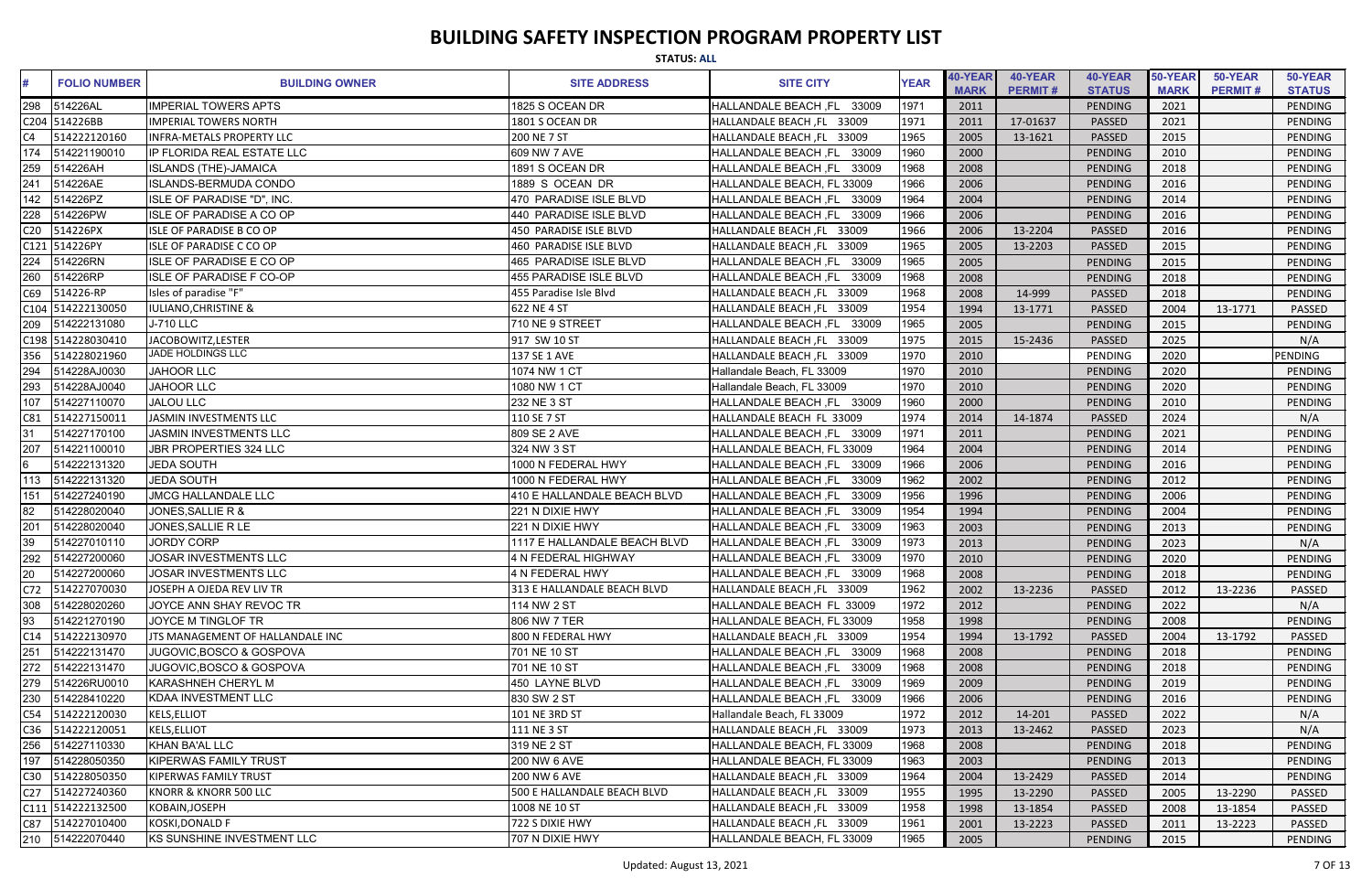|                 | <b>STATUS: ALL</b>  |                                  |                               |                               |             |                        |                           |                          |                        |                           |                          |
|-----------------|---------------------|----------------------------------|-------------------------------|-------------------------------|-------------|------------------------|---------------------------|--------------------------|------------------------|---------------------------|--------------------------|
| #               | <b>FOLIO NUMBER</b> | <b>BUILDING OWNER</b>            | <b>SITE ADDRESS</b>           | <b>SITE CITY</b>              | <b>YEAR</b> | 40-YEAR<br><b>MARK</b> | 40-YEAR<br><b>PERMIT#</b> | 40-YEAR<br><b>STATUS</b> | 50-YEAR<br><b>MARK</b> | 50-YEAR<br><b>PERMIT#</b> | 50-YEAR<br><b>STATUS</b> |
| 298             | 514226AL            | <b>IMPERIAL TOWERS APTS</b>      | 1825 S OCEAN DR               | HALLANDALE BEACH, FL<br>33009 | 1971        | 2011                   |                           | PENDING                  | 2021                   |                           | PENDING                  |
|                 | C204 514226BB       | <b>IMPERIAL TOWERS NORTH</b>     | 1801 S OCEAN DR               | HALLANDALE BEACH, FL 33009    | 1971        | 2011                   | 17-01637                  | <b>PASSED</b>            | 2021                   |                           | PENDING                  |
|                 | 514222120160        | <b>INFRA-METALS PROPERTY LLC</b> | 200 NE 7 ST                   | HALLANDALE BEACH, FL 33009    | 1965        | 2005                   | 13-1621                   | <b>PASSED</b>            | 2015                   |                           | PENDING                  |
| 174             | 514221190010        | IP FLORIDA REAL ESTATE LLC       | 609 NW 7 AVE                  | 33009<br>HALLANDALE BEACH, FL | 1960        | 2000                   |                           | PENDING                  | 2010                   |                           | PENDING                  |
| 259             | 514226AH            | <b>ISLANDS (THE)-JAMAICA</b>     | 1891 S OCEAN DR               | HALLANDALE BEACH, FL<br>33009 | 1968        | 2008                   |                           | PENDING                  | 2018                   |                           | PENDING                  |
| 241             | 514226AE            | <b>ISLANDS-BERMUDA CONDO</b>     | 1889 S OCEAN DR               | HALLANDALE BEACH, FL 33009    | 1966        | 2006                   |                           | PENDING                  | 2016                   |                           | <b>PENDING</b>           |
| 142             | 514226PZ            | ISLE OF PARADISE "D", INC.       | 470 PARADISE ISLE BLVD        | HALLANDALE BEACH, FL<br>33009 | 1964        | 2004                   |                           | PENDING                  | 2014                   |                           | PENDING                  |
| 228             | 514226PW            | <b>ISLE OF PARADISE A CO OP</b>  | 440 PARADISE ISLE BLVD        | HALLANDALE BEACH, FL<br>33009 | 1966        | 2006                   |                           | PENDING                  | 2016                   |                           | PENDING                  |
| C <sub>20</sub> | 514226PX            | <b>ISLE OF PARADISE B CO OP</b>  | 450 PARADISE ISLE BLVD        | HALLANDALE BEACH, FL 33009    | 1966        | 2006                   | 13-2204                   | <b>PASSED</b>            | 2016                   |                           | PENDING                  |
| C121            | 514226PY            | <b>ISLE OF PARADISE C CO OP</b>  | 460 PARADISE ISLE BLVD        | HALLANDALE BEACH, FL 33009    | 1965        | 2005                   | 13-2203                   | <b>PASSED</b>            | 2015                   |                           | <b>PENDING</b>           |
| 224             | 514226RN            | ISLE OF PARADISE E CO OP         | 465 PARADISE ISLE BLVD        | HALLANDALE BEACH, FL 33009    | 1965        | 2005                   |                           | PENDING                  | 2015                   |                           | PENDING                  |
| 260             | 514226RP            | <b>ISLE OF PARADISE F CO-OP</b>  | <b>455 PARADISE ISLE BLVD</b> | HALLANDALE BEACH, FL<br>33009 | 1968        | 2008                   |                           | PENDING                  | 2018                   |                           | PENDING                  |
| C69             | 514226-RP           | Isles of paradise "F"            | 455 Paradise Isle Blvd        | HALLANDALE BEACH, FL 33009    | 1968        | 2008                   | 14-999                    | <b>PASSED</b>            | 2018                   |                           | PENDING                  |
|                 | C104 514222130050   | <b>IULIANO, CHRISTINE &amp;</b>  | 622 NE 4 ST                   | HALLANDALE BEACH, FL 33009    | 1954        | 1994                   | 13-1771                   | <b>PASSED</b>            | 2004                   | 13-1771                   | <b>PASSED</b>            |
| 209             | 514222131080        | <b>J-710 LLC</b>                 | 710 NE 9 STREET               | HALLANDALE BEACH, FL 33009    | 1965        | 2005                   |                           | PENDING                  | 2015                   |                           | <b>PENDING</b>           |
|                 | C198 514228030410   | JACOBOWITZ, LESTER               | 917 SW 10 ST                  | HALLANDALE BEACH, FL 33009    | 1975        | 2015                   | 15-2436                   | <b>PASSED</b>            | 2025                   |                           | N/A                      |
| 356             | 514228021960        | JADE HOLDINGS LLC                | 137 SE 1 AVE                  | HALLANDALE BEACH, FL 33009    | 1970        | 2010                   |                           | PENDING                  | 2020                   |                           | PENDING                  |
| 294             | 514228AJ0030        | <b>JAHOOR LLC</b>                | 1074 NW 1 CT                  | Hallandale Beach, FL 33009    | 1970        | 2010                   |                           | PENDING                  | 2020                   |                           | PENDING                  |
| 293             | 514228AJ0040        | <b>JAHOOR LLC</b>                | 1080 NW 1 CT                  | Hallandale Beach, FL 33009    | 1970        | 2010                   |                           | PENDING                  | 2020                   |                           | PENDING                  |
| 107             | 514227110070        | <b>JALOU LLC</b>                 | 232 NE 3 ST                   | HALLANDALE BEACH, FL 33009    | 1960        | 2000                   |                           | PENDING                  | 2010                   |                           | <b>PENDING</b>           |
| C81             | 514227150011        | JASMIN INVESTMENTS LLC           | 110 SE 7 ST                   | HALLANDALE BEACH FL 33009     | 1974        | 2014                   | 14-1874                   | <b>PASSED</b>            | 2024                   |                           | N/A                      |
| 31              | 514227170100        | <b>JASMIN INVESTMENTS LLC</b>    | 809 SE 2 AVE                  | HALLANDALE BEACH, FL 33009    | 1971        | 2011                   |                           | PENDING                  | 2021                   |                           | PENDING                  |
| 207             | 514221100010        | JBR PROPERTIES 324 LLC           | 324 NW 3 ST                   | HALLANDALE BEACH, FL 33009    | 1964        | 2004                   |                           | PENDING                  | 2014                   |                           | PENDING                  |
| $6\overline{6}$ | 514222131320        | <b>JEDA SOUTH</b>                | 1000 N FEDERAL HWY            | 33009<br>HALLANDALE BEACH, FL | 1966        | 2006                   |                           | PENDING                  | 2016                   |                           | <b>PENDING</b>           |
| 113             | 514222131320        | <b>JEDA SOUTH</b>                | 1000 N FEDERAL HWY            | HALLANDALE BEACH, FL<br>33009 | 1962        | 2002                   |                           | PENDING                  | 2012                   |                           | PENDING                  |
| 151             | 514227240190        | <b>JMCG HALLANDALE LLC</b>       | 410 E HALLANDALE BEACH BLVD   | HALLANDALE BEACH, FL<br>33009 | 1956        | 1996                   |                           | PENDING                  | 2006                   |                           | PENDING                  |
| 82              | 514228020040        | JONES, SALLIE R &                | 221 N DIXIE HWY               | 33009<br>HALLANDALE BEACH ,FL | 1954        | 1994                   |                           | PENDING                  | 2004                   |                           | PENDING                  |
| 201             | 514228020040        | JONES, SALLIE R LE               | 221 N DIXIE HWY               | HALLANDALE BEACH, FL<br>33009 | 1963        | 2003                   |                           | PENDING                  | 2013                   |                           | PENDING                  |
| 39              | 514227010110        | <b>JORDY CORP</b>                | 1117 E HALLANDALE BEACH BLVD  | HALLANDALE BEACH, FL 33009    | 1973        | 2013                   |                           | PENDING                  | 2023                   |                           | N/A                      |
| 292             | 514227200060        | JOSAR INVESTMENTS LLC            | 4 N FEDERAL HIGHWAY           | HALLANDALE BEACH, FL 33009    | 1970        | 2010                   |                           | PENDING                  | 2020                   |                           | PENDING                  |
| 20              | 514227200060        | JOSAR INVESTMENTS LLC            | 4 N FEDERAL HWY               | HALLANDALE BEACH, FL 33009    | 1968        | 2008                   |                           | PENDING                  | 2018                   |                           | PENDING                  |
| C72             | 514227070030        | JOSEPH A OJEDA REV LIV TR        | 313 E HALLANDALE BEACH BLVD   | HALLANDALE BEACH, FL 33009    | 1962        | 2002                   | 13-2236                   | <b>PASSED</b>            | 2012                   | 13-2236                   | PASSED                   |
| 308             | 514228020260        | JOYCE ANN SHAY REVOC TR          | 114 NW 2 ST                   | HALLANDALE BEACH FL 33009     | 1972        | 2012                   |                           | PENDING                  | 2022                   |                           | N/A                      |
| 93              | 514221270190        | JOYCE M TINGLOF TR               | 806 NW 7 TER                  | HALLANDALE BEACH, FL 33009    | 1958        | 1998                   |                           | PENDING                  | 2008                   |                           | PENDING                  |
| C14             | 514222130970        | JTS MANAGEMENT OF HALLANDALE INC | 800 N FEDERAL HWY             | HALLANDALE BEACH, FL 33009    | 1954        | 1994                   | 13-1792                   | <b>PASSED</b>            | 2004                   | 13-1792                   | PASSED                   |
| 251             | 514222131470        | JUGOVIC, BOSCO & GOSPOVA         | 701 NE 10 ST                  | HALLANDALE BEACH, FL 33009    | 1968        | 2008                   |                           | PENDING                  | 2018                   |                           | PENDING                  |
| 272             | 514222131470        | JUGOVIC, BOSCO & GOSPOVA         | 701 NE 10 ST                  | HALLANDALE BEACH ,FL<br>33009 | 1968        | 2008                   |                           | PENDING                  | 2018                   |                           | PENDING                  |
| 279             | 514226RU0010        | KARASHNEH CHERYL M               | 450 LAYNE BLVD                | HALLANDALE BEACH, FL<br>33009 | 1969        | 2009                   |                           | PENDING                  | 2019                   |                           | PENDING                  |
| 230             | 514228410220        | KDAA INVESTMENT LLC              | 830 SW 2 ST                   | HALLANDALE BEACH, FL 33009    | 1966        | 2006                   |                           | PENDING                  | 2016                   |                           | PENDING                  |
| C54             | 514222120030        | <b>KELS, ELLIOT</b>              | 101 NE 3RD ST                 | Hallandale Beach, FL 33009    | 1972        | 2012                   | 14-201                    | <b>PASSED</b>            | 2022                   |                           | N/A                      |
| C36             | 514222120051        | <b>KELS, ELLIOT</b>              | 111 NE 3 ST                   | HALLANDALE BEACH, FL 33009    | 1973        | 2013                   | 13-2462                   | <b>PASSED</b>            | 2023                   |                           | N/A                      |
| 256             | 514227110330        | KHAN BA'AL LLC                   | 319 NE 2 ST                   | HALLANDALE BEACH, FL 33009    | 1968        | 2008                   |                           | PENDING                  | 2018                   |                           | PENDING                  |
| 197             | 514228050350        | <b>KIPERWAS FAMILY TRUST</b>     | 200 NW 6 AVE                  | HALLANDALE BEACH, FL 33009    | 1963        | 2003                   |                           | PENDING                  | 2013                   |                           | PENDING                  |
| C30             | 514228050350        | <b>KIPERWAS FAMILY TRUST</b>     | 200 NW 6 AVE                  | HALLANDALE BEACH, FL 33009    | 1964        | 2004                   | 13-2429                   | <b>PASSED</b>            | 2014                   |                           | PENDING                  |
| C27             | 514227240360        | KNORR & KNORR 500 LLC            | 500 E HALLANDALE BEACH BLVD   | HALLANDALE BEACH, FL 33009    | 1955        | 1995                   | 13-2290                   | <b>PASSED</b>            | 2005                   | 13-2290                   | <b>PASSED</b>            |
|                 | C111 514222132500   | KOBAIN, JOSEPH                   | 1008 NE 10 ST                 | HALLANDALE BEACH, FL 33009    | 1958        | 1998                   | 13-1854                   | <b>PASSED</b>            | 2008                   | 13-1854                   | <b>PASSED</b>            |
| C87             | 514227010400        | KOSKI, DONALD F                  | 722 S DIXIE HWY               | HALLANDALE BEACH, FL 33009    | 1961        | 2001                   | 13-2223                   | PASSED                   | 2011                   | 13-2223                   | PASSED                   |
|                 | 210 514222070440    | KS SUNSHINE INVESTMENT LLC       | 707 N DIXIE HWY               | HALLANDALE BEACH, FL 33009    | 1965        | 2005                   |                           | <b>PENDING</b>           | 2015                   |                           | PENDING                  |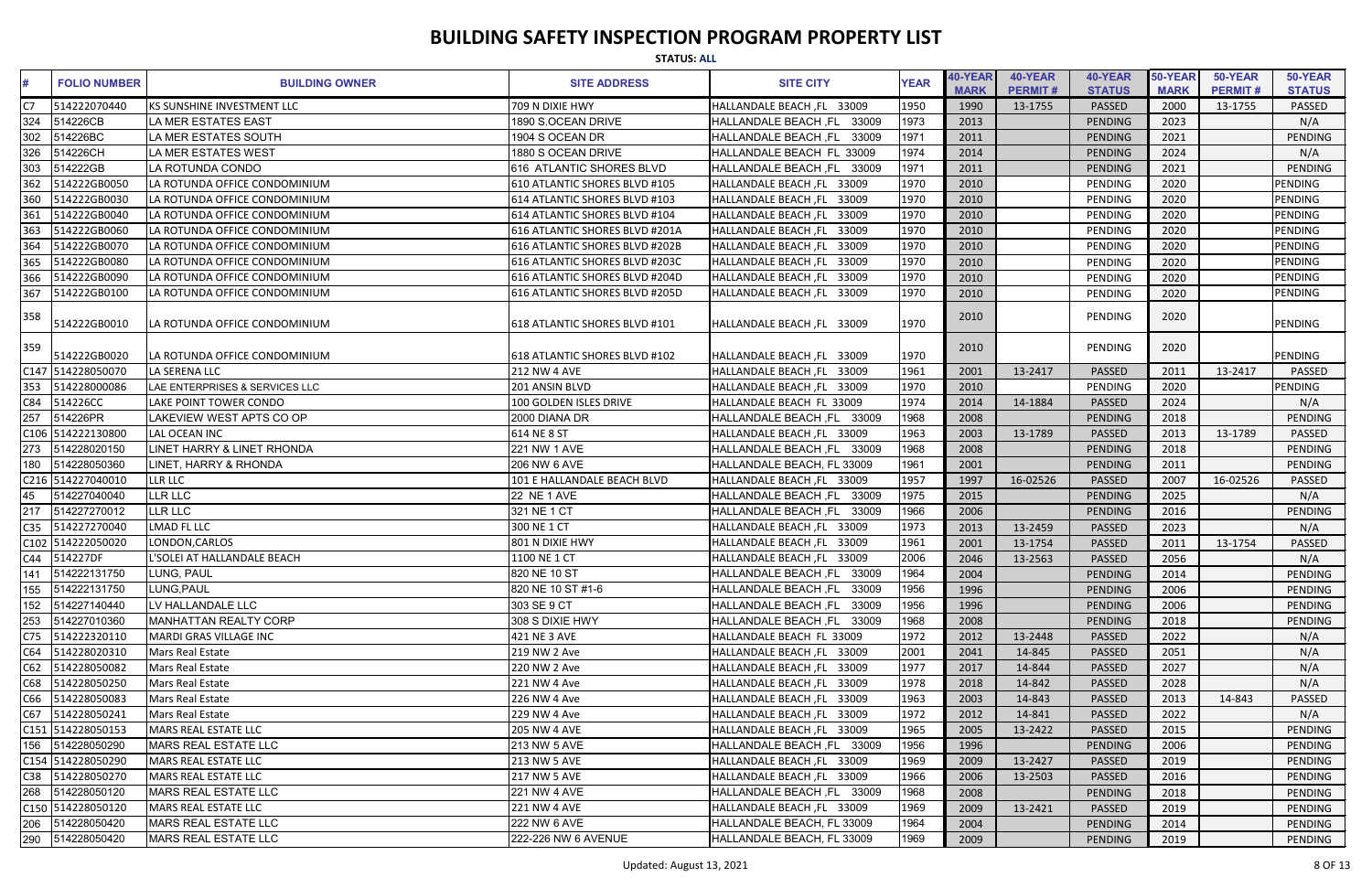|                 | <b>STATUS: ALL</b>  |                                |                                |                               |             |                        |                           |                          |                        |                           |                          |
|-----------------|---------------------|--------------------------------|--------------------------------|-------------------------------|-------------|------------------------|---------------------------|--------------------------|------------------------|---------------------------|--------------------------|
| #               | <b>FOLIO NUMBER</b> | <b>BUILDING OWNER</b>          | <b>SITE ADDRESS</b>            | <b>SITE CITY</b>              | <b>YEAR</b> | 40-YEAR<br><b>MARK</b> | 40-YEAR<br><b>PERMIT#</b> | 40-YEAR<br><b>STATUS</b> | 50-YEAR<br><b>MARK</b> | 50-YEAR<br><b>PERMIT#</b> | 50-YEAR<br><b>STATUS</b> |
| C7              | 514222070440        | KS SUNSHINE INVESTMENT LLC     | 709 N DIXIE HWY                | HALLANDALE BEACH, FL 33009    | 1950        | 1990                   | 13-1755                   | <b>PASSED</b>            | 2000                   | 13-1755                   | PASSED                   |
| 324             | 514226CB            | LA MER ESTATES EAST            | 1890 S.OCEAN DRIVE             | HALLANDALE BEACH, FL<br>33009 | 1973        | 2013                   |                           | <b>PENDING</b>           | 2023                   |                           | N/A                      |
| 302             | 514226BC            | LA MER ESTATES SOUTH           | 1904 S OCEAN DR                | 33009<br>HALLANDALE BEACH ,FL | 1971        | 2011                   |                           | PENDING                  | 2021                   |                           | <b>PENDING</b>           |
| 326             | 514226CH            | LA MER ESTATES WEST            | 1880 S OCEAN DRIVE             | HALLANDALE BEACH FL 33009     | 1974        | 2014                   |                           | <b>PENDING</b>           | 2024                   |                           | N/A                      |
| 303             | 514222GB            | LA ROTUNDA CONDO               | 616 ATLANTIC SHORES BLVD       | HALLANDALE BEACH, FL 33009    | 1971        | 2011                   |                           | <b>PENDING</b>           | 2021                   |                           | <b>PENDING</b>           |
| 362             | 514222GB0050        | LA ROTUNDA OFFICE CONDOMINIUM  | 610 ATLANTIC SHORES BLVD #105  | HALLANDALE BEACH, FL 33009    | 1970        | 2010                   |                           | PENDING                  | 2020                   |                           | PENDING                  |
| 360             | 514222GB0030        | LA ROTUNDA OFFICE CONDOMINIUM  | 614 ATLANTIC SHORES BLVD #103  | HALLANDALE BEACH, FL 33009    | 1970        | 2010                   |                           | PENDING                  | 2020                   |                           | <b>PENDING</b>           |
| 361             | 514222GB0040        | LA ROTUNDA OFFICE CONDOMINIUM  | 614 ATLANTIC SHORES BLVD #104  | HALLANDALE BEACH, FL 33009    | 1970        | 2010                   |                           | PENDING                  | 2020                   |                           | <b>PENDING</b>           |
| 363             | 514222GB0060        | LA ROTUNDA OFFICE CONDOMINIUM  | 616 ATLANTIC SHORES BLVD #201A | HALLANDALE BEACH, FL 33009    | 1970        | 2010                   |                           | PENDING                  | 2020                   |                           | <b>PENDING</b>           |
| 364             | 514222GB0070        | LA ROTUNDA OFFICE CONDOMINIUM  | 616 ATLANTIC SHORES BLVD #202B | HALLANDALE BEACH, FL 33009    | 1970        | 2010                   |                           | PENDING                  | 2020                   |                           | <b>PENDING</b>           |
| 365             | 514222GB0080        | LA ROTUNDA OFFICE CONDOMINIUM  | 616 ATLANTIC SHORES BLVD #203C | HALLANDALE BEACH, FL 33009    | 1970        | 2010                   |                           | PENDING                  | 2020                   |                           | <b>PENDING</b>           |
| 366             | 514222GB0090        | LA ROTUNDA OFFICE CONDOMINIUM  | 616 ATLANTIC SHORES BLVD #204D | HALLANDALE BEACH, FL 33009    | 1970        | 2010                   |                           | PENDING                  | 2020                   |                           | <b>PENDING</b>           |
| 367             | 514222GB0100        | LA ROTUNDA OFFICE CONDOMINIUM  | 616 ATLANTIC SHORES BLVD #205D | HALLANDALE BEACH, FL 33009    | 1970        | 2010                   |                           | PENDING                  | 2020                   |                           | <b>PENDING</b>           |
|                 |                     |                                |                                |                               |             |                        |                           |                          |                        |                           |                          |
| 358             | 514222GB0010        | LA ROTUNDA OFFICE CONDOMINIUM  | 618 ATLANTIC SHORES BLVD #101  | HALLANDALE BEACH, FL 33009    | 1970        | 2010                   |                           | PENDING                  | 2020                   |                           | <b>PENDING</b>           |
| 359             | 514222GB0020        | LA ROTUNDA OFFICE CONDOMINIUM  | 618 ATLANTIC SHORES BLVD #102  | HALLANDALE BEACH, FL 33009    | 1970        | 2010                   |                           | PENDING                  | 2020                   |                           | <b>PENDING</b>           |
|                 | C147 514228050070   | LA SERENA LLC                  | <b>212 NW 4 AVE</b>            | HALLANDALE BEACH, FL 33009    | 1961        | 2001                   | 13-2417                   | <b>PASSED</b>            | 2011                   | 13-2417                   | PASSED                   |
| 353             | 514228000086        | LAE ENTERPRISES & SERVICES LLC | 201 ANSIN BLVD                 | HALLANDALE BEACH, FL 33009    | 1970        | 2010                   |                           | PENDING                  | 2020                   |                           | <b>PENDING</b>           |
| C84             | 514226CC            | LAKE POINT TOWER CONDO         | 100 GOLDEN ISLES DRIVE         | HALLANDALE BEACH FL 33009     | 1974        | 2014                   | 14-1884                   | <b>PASSED</b>            | 2024                   |                           | N/A                      |
| 257             | 514226PR            | LAKEVIEW WEST APTS CO OP       | 2000 DIANA DR                  | HALLANDALE BEACH, FL 33009    | 1968        | 2008                   |                           | <b>PENDING</b>           | 2018                   |                           | PENDING                  |
|                 | C106 514222130800   | LAL OCEAN INC                  | 614 NE 8 ST                    | HALLANDALE BEACH, FL 33009    | 1963        | 2003                   | 13-1789                   | <b>PASSED</b>            | 2013                   | 13-1789                   | PASSED                   |
| 273             | 514228020150        | LINET HARRY & LINET RHONDA     | <b>221 NW 1 AVE</b>            | HALLANDALE BEACH, FL 33009    | 1968        | 2008                   |                           | PENDING                  | 2018                   |                           | PENDING                  |
| 180             | 514228050360        | LINET, HARRY & RHONDA          | <b>206 NW 6 AVE</b>            | HALLANDALE BEACH, FL 33009    | 1961        | 2001                   |                           | <b>PENDING</b>           | 2011                   |                           | <b>PENDING</b>           |
|                 | C216 514227040010   | <b>LLR LLC</b>                 | 101 E HALLANDALE BEACH BLVD    | HALLANDALE BEACH, FL 33009    | 1957        | 1997                   | 16-02526                  | <b>PASSED</b>            | 2007                   | 16-02526                  | PASSED                   |
| 45              | 514227040040        | <b>LLR LLC</b>                 | <b>22 NE 1 AVE</b>             | HALLANDALE BEACH, FL<br>33009 | 1975        | 2015                   |                           | PENDING                  | 2025                   |                           | N/A                      |
|                 | 514227270012        | LLR LLC                        | 321 NE 1 CT                    | HALLANDALE BEACH, FL 33009    | 1966        | 2006                   |                           | <b>PENDING</b>           | 2016                   |                           | PENDING                  |
|                 | C35 514227270040    | <b>LMAD FL LLC</b>             | 300 NE 1 CT                    | HALLANDALE BEACH, FL 33009    | 1973        | 2013                   | 13-2459                   | <b>PASSED</b>            | 2023                   |                           | N/A                      |
|                 | C102 514222050020   | LONDON, CARLOS                 | 801 N DIXIE HWY                | HALLANDALE BEACH, FL 33009    | 1961        | 2001                   | 13-1754                   | <b>PASSED</b>            | 2011                   | 13-1754                   | PASSED                   |
|                 | C44 514227DF        | L'SOLEI AT HALLANDALE BEACH    | 1100 NE 1 CT                   | HALLANDALE BEACH, FL 33009    | 2006        | 2046                   | 13-2563                   | <b>PASSED</b>            | 2056                   |                           | N/A                      |
| 141             | 514222131750        | LUNG, PAUL                     | 820 NE 10 ST                   | HALLANDALE BEACH, FL 33009    | 1964        | 2004                   |                           | PENDING                  | 2014                   |                           | PENDING                  |
| 155             | 514222131750        | LUNG, PAUL                     | 820 NE 10 ST #1-6              | HALLANDALE BEACH, FL<br>33009 | 1956        | 1996                   |                           | PENDING                  | 2006                   |                           | PENDING                  |
| 152             | 514227140440        | LV HALLANDALE LLC              | 303 SE 9 CT                    | HALLANDALE BEACH, FL 33009    | 1956        | 1996                   |                           | PENDING                  | 2006                   |                           | PENDING                  |
| 253             | 514227010360        | <b>MANHATTAN REALTY CORP</b>   | 308 S DIXIE HWY                | HALLANDALE BEACH, FL 33009    | 1968        | 2008                   |                           | PENDING                  | 2018                   |                           | PENDING                  |
| C <sub>75</sub> | 514222320110        | MARDI GRAS VILLAGE INC         | 421 NE 3 AVE                   | HALLANDALE BEACH FL 33009     | 1972        | 2012                   | 13-2448                   | <b>PASSED</b>            | 2022                   |                           | N/A                      |
| C64             | 514228020310        | Mars Real Estate               | 219 NW 2 Ave                   | HALLANDALE BEACH, FL 33009    | 2001        | 2041                   | 14-845                    | <b>PASSED</b>            | 2051                   |                           | N/A                      |
| C62             | 514228050082        | Mars Real Estate               | 220 NW 2 Ave                   | HALLANDALE BEACH, FL 33009    | 1977        | 2017                   | 14-844                    | <b>PASSED</b>            | 2027                   |                           | N/A                      |
| C68             | 514228050250        | Mars Real Estate               | 221 NW 4 Ave                   | HALLANDALE BEACH, FL 33009    | 1978        | 2018                   | 14-842                    | <b>PASSED</b>            | 2028                   |                           | N/A                      |
| C66             | 514228050083        | Mars Real Estate               | 226 NW 4 Ave                   | HALLANDALE BEACH, FL 33009    | 1963        | 2003                   | 14-843                    | <b>PASSED</b>            | 2013                   | 14-843                    | PASSED                   |
| C67             | 514228050241        | Mars Real Estate               | 229 NW 4 Ave                   | HALLANDALE BEACH, FL 33009    | 1972        | 2012                   | 14-841                    | <b>PASSED</b>            | 2022                   |                           | N/A                      |
|                 | C151 514228050153   | MARS REAL ESTATE LLC           | <b>205 NW 4 AVE</b>            | HALLANDALE BEACH, FL 33009    | 1965        | 2005                   | 13-2422                   | <b>PASSED</b>            | 2015                   |                           | PENDING                  |
| 156             | 514228050290        | MARS REAL ESTATE LLC           | <b>213 NW 5 AVE</b>            | HALLANDALE BEACH, FL 33009    | 1956        | 1996                   |                           | PENDING                  | 2006                   |                           | PENDING                  |
|                 | C154 514228050290   | MARS REAL ESTATE LLC           | <b>213 NW 5 AVE</b>            | HALLANDALE BEACH, FL 33009    | 1969        | 2009                   | 13-2427                   | <b>PASSED</b>            | 2019                   |                           | PENDING                  |
|                 | C38 514228050270    | MARS REAL ESTATE LLC           | <b>217 NW 5 AVE</b>            | HALLANDALE BEACH, FL 33009    | 1966        | 2006                   | 13-2503                   | <b>PASSED</b>            | 2016                   |                           | PENDING                  |
| 268             | 514228050120        | <b>MARS REAL ESTATE LLC</b>    | <b>221 NW 4 AVE</b>            | HALLANDALE BEACH, FL 33009    | 1968        | 2008                   |                           | PENDING                  | 2018                   |                           | PENDING                  |
|                 | C150 514228050120   | MARS REAL ESTATE LLC           | <b>221 NW 4 AVE</b>            | HALLANDALE BEACH, FL 33009    | 1969        | 2009                   | 13-2421                   | <b>PASSED</b>            | 2019                   |                           | PENDING                  |
| 206             | 514228050420        | MARS REAL ESTATE LLC           | 222 NW 6 AVE                   | HALLANDALE BEACH, FL 33009    | 1964        | 2004                   |                           | PENDING                  | 2014                   |                           | PENDING                  |
|                 |                     | MARS REAL ESTATE LLC           | 222-226 NW 6 AVENUE            | HALLANDALE BEACH, FL 33009    | 1969        | 2009                   |                           | PENDING                  | 2019                   |                           | PENDING                  |
|                 |                     |                                |                                |                               |             |                        |                           |                          |                        |                           |                          |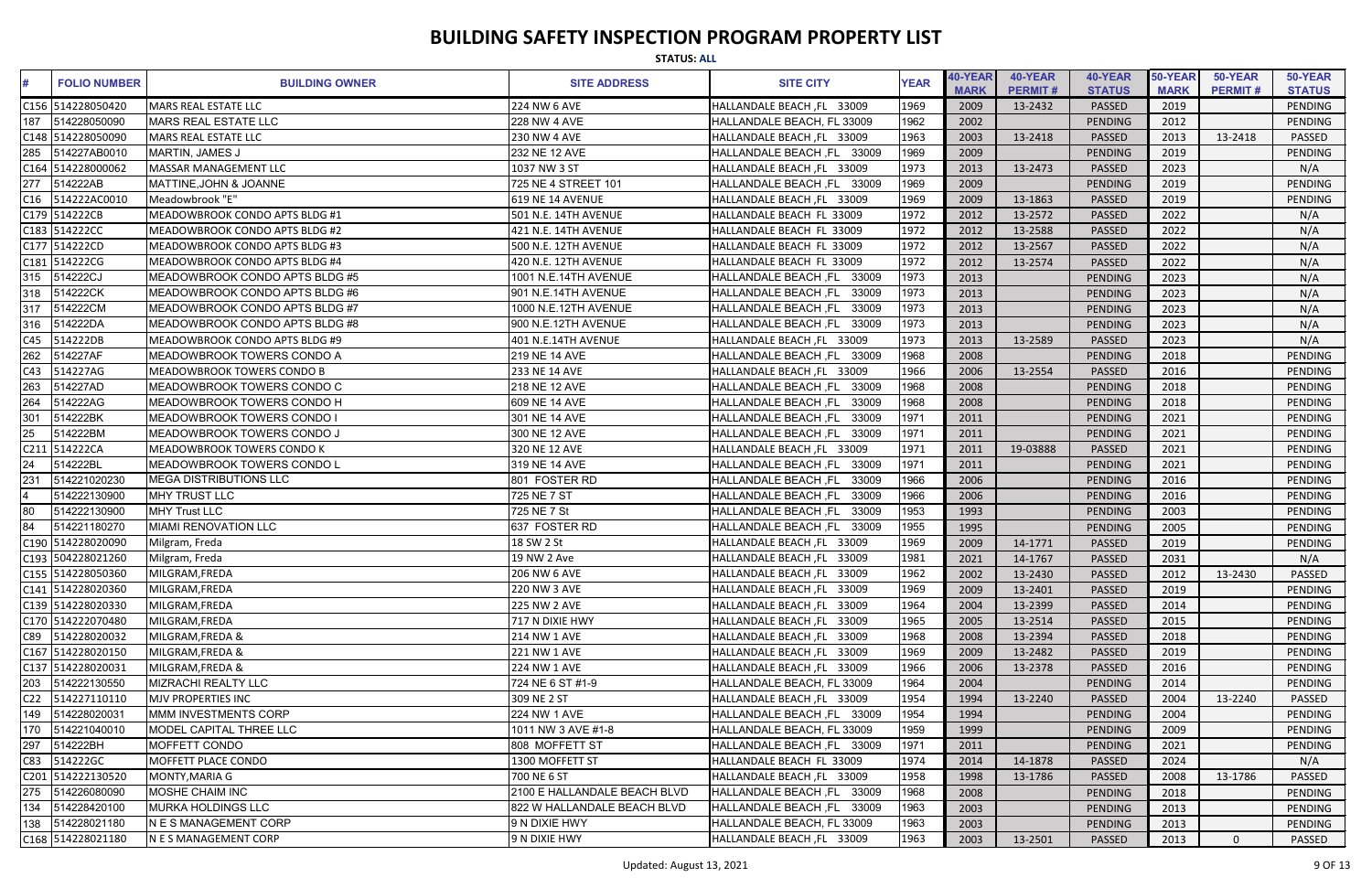| <b>STATUS: ALL</b>              |                                       |                              |                               |             |                        |                           |                          |                        |                           |                          |
|---------------------------------|---------------------------------------|------------------------------|-------------------------------|-------------|------------------------|---------------------------|--------------------------|------------------------|---------------------------|--------------------------|
| <b>FOLIO NUMBER</b>             | <b>BUILDING OWNER</b>                 | <b>SITE ADDRESS</b>          | <b>SITE CITY</b>              | <b>YEAR</b> | 40-YEAR<br><b>MARK</b> | 40-YEAR<br><b>PERMIT#</b> | 40-YEAR<br><b>STATUS</b> | 50-YEAR<br><b>MARK</b> | 50-YEAR<br><b>PERMIT#</b> | 50-YEAR<br><b>STATUS</b> |
| C156 514228050420               | MARS REAL ESTATE LLC                  | 224 NW 6 AVE                 | HALLANDALE BEACH, FL 33009    | 1969        | 2009                   | 13-2432                   | PASSED                   | 2019                   |                           | PENDING                  |
| 187<br>514228050090             | <b>MARS REAL ESTATE LLC</b>           | <b>228 NW 4 AVE</b>          | HALLANDALE BEACH, FL 33009    | 1962        | 2002                   |                           | PENDING                  | 2012                   |                           | PENDING                  |
| C148 514228050090               | <b>MARS REAL ESTATE LLC</b>           | 230 NW 4 AVE                 | HALLANDALE BEACH, FL 33009    | 1963        | 2003                   | 13-2418                   | PASSED                   | 2013                   | 13-2418                   | <b>PASSED</b>            |
| 285<br>514227AB0010             | MARTIN, JAMES J                       | 232 NE 12 AVE                | HALLANDALE BEACH, FL 33009    | 1969        | 2009                   |                           | <b>PENDING</b>           | 2019                   |                           | <b>PENDING</b>           |
| C164 514228000062               | MASSAR MANAGEMENT LLC                 | 1037 NW 3 ST                 | HALLANDALE BEACH, FL 33009    | 1973        | 2013                   | 13-2473                   | PASSED                   | 2023                   |                           | N/A                      |
| 277<br>514222AB                 | <b>MATTINE, JOHN &amp; JOANNE</b>     | 725 NE 4 STREET 101          | HALLANDALE BEACH, FL 33009    | 1969        | 2009                   |                           | <b>PENDING</b>           | 2019                   |                           | <b>PENDING</b>           |
| C16<br>514222AC0010             | Meadowbrook "E"                       | 619 NE 14 AVENUE             | HALLANDALE BEACH, FL 33009    | 1969        | 2009                   | 13-1863                   | PASSED                   | 2019                   |                           | PENDING                  |
| C179 514222CB                   | MEADOWBROOK CONDO APTS BLDG #1        | 501 N.E. 14TH AVENUE         | HALLANDALE BEACH FL 33009     | 1972        | 2012                   | 13-2572                   | PASSED                   | 2022                   |                           | N/A                      |
| C183 514222CC                   | MEADOWBROOK CONDO APTS BLDG #2        | 421 N.E. 14TH AVENUE         | HALLANDALE BEACH FL 33009     | 1972        | 2012                   | 13-2588                   | <b>PASSED</b>            | 2022                   |                           | N/A                      |
| C177 514222CD                   | <b>MEADOWBROOK CONDO APTS BLDG #3</b> | 500 N.E. 12TH AVENUE         | HALLANDALE BEACH FL 33009     | 1972        | 2012                   | 13-2567                   | PASSED                   | 2022                   |                           | N/A                      |
| C181 514222CG                   | MEADOWBROOK CONDO APTS BLDG #4        | 420 N.E. 12TH AVENUE         | HALLANDALE BEACH FL 33009     | 1972        | 2012                   | 13-2574                   | PASSED                   | 2022                   |                           | N/A                      |
| 514222CJ<br>315                 | MEADOWBROOK CONDO APTS BLDG #5        | 1001 N.E.14TH AVENUE         | HALLANDALE BEACH, FL<br>33009 | 1973        | 2013                   |                           | <b>PENDING</b>           | 2023                   |                           | N/A                      |
| 318<br>514222CK                 | MEADOWBROOK CONDO APTS BLDG #6        | 901 N.E.14TH AVENUE          | HALLANDALE BEACH, FL<br>33009 | 1973        | 2013                   |                           | PENDING                  | 2023                   |                           | N/A                      |
| 514222CM<br>317                 | MEADOWBROOK CONDO APTS BLDG #7        | 1000 N.E.12TH AVENUE         | 33009<br>HALLANDALE BEACH, FL | 1973        | 2013                   |                           | PENDING                  | 2023                   |                           | N/A                      |
| 316<br>514222DA                 | MEADOWBROOK CONDO APTS BLDG #8        | 900 N.E.12TH AVENUE          | HALLANDALE BEACH, FL<br>33009 | 1973        | 2013                   |                           | <b>PENDING</b>           | 2023                   |                           | N/A                      |
| 514222DB<br>C45                 | MEADOWBROOK CONDO APTS BLDG #9        | 401 N.E.14TH AVENUE          | HALLANDALE BEACH, FL 33009    | 1973        | 2013                   | 13-2589                   | PASSED                   | 2023                   |                           | N/A                      |
| 262<br>514227AF                 | MEADOWBROOK TOWERS CONDO A            | 219 NE 14 AVE                | HALLANDALE BEACH, FL 33009    | 1968        | 2008                   |                           | <b>PENDING</b>           | 2018                   |                           | <b>PENDING</b>           |
| 514227AG<br>C43                 | <b>MEADOWBROOK TOWERS CONDO B</b>     | 233 NE 14 AVE                | HALLANDALE BEACH, FL 33009    | 1966        | 2006                   | 13-2554                   | PASSED                   | 2016                   |                           | <b>PENDING</b>           |
| 263<br>514227AD                 | IMEADOWBROOK TOWERS CONDO C           | 218 NE 12 AVE                | HALLANDALE BEACH, FL<br>33009 | 1968        | 2008                   |                           | PENDING                  | 2018                   |                           | PENDING                  |
| 264<br>514222AG                 | IMEADOWBROOK TOWERS CONDO H           | 609 NE 14 AVE                | HALLANDALE BEACH, FL<br>33009 | 1968        | 2008                   |                           | PENDING                  | 2018                   |                           | <b>PENDING</b>           |
| 301<br>514222BK                 | MEADOWBROOK TOWERS CONDO I            | 301 NE 14 AVE                | HALLANDALE BEACH, FL<br>33009 | 1971        | 2011                   |                           | <b>PENDING</b>           | 2021                   |                           | <b>PENDING</b>           |
| $\overline{25}$<br>514222BM     | <b>MEADOWBROOK TOWERS CONDO J</b>     | 300 NE 12 AVE                | HALLANDALE BEACH, FL<br>33009 | 1971        | 2011                   |                           | <b>PENDING</b>           | 2021                   |                           | PENDING                  |
| C <sub>211</sub><br>514222CA    | <b>MEADOWBROOK TOWERS CONDO K</b>     | 320 NE 12 AVE                | HALLANDALE BEACH, FL 33009    | 1971        | 2011                   | 19-03888                  | PASSED                   | 2021                   |                           | <b>PENDING</b>           |
| 24<br>514222BL                  | IMEADOWBROOK TOWERS CONDO L           | 319 NE 14 AVE                | HALLANDALE BEACH, FL<br>33009 | 1971        | 2011                   |                           | PENDING                  | 2021                   |                           | PENDING                  |
| 231<br>514221020230             | <b>IMEGA DISTRIBUTIONS LLC</b>        | 801 FOSTER RD                | HALLANDALE BEACH, FL<br>33009 | 1966        | 2006                   |                           | PENDING                  | 2016                   |                           | <b>PENDING</b>           |
| 514222130900                    | <b>MHY TRUST LLC</b>                  | 725 NE 7 ST                  | HALLANDALE BEACH, FL<br>33009 | 1966        | 2006                   |                           | PENDING                  | 2016                   |                           | PENDING                  |
| 514222130900<br>80              | <b>MHY Trust LLC</b>                  | 725 NE 7 St                  | 33009<br>HALLANDALE BEACH, FL | 1953        | 1993                   |                           | PENDING                  | 2003                   |                           | PENDING                  |
| 84<br>514221180270              | MIAMI RENOVATION LLC                  | 637 FOSTER RD                | HALLANDALE BEACH, FL<br>33009 | 1955        | 1995                   |                           | <b>PENDING</b>           | 2005                   |                           | PENDING                  |
| C190 514228020090               | Milgram, Freda                        | 18 SW 2 St                   | HALLANDALE BEACH, FL 33009    | 1969        | 2009                   | 14-1771                   | <b>PASSED</b>            | 2019                   |                           | PENDING                  |
| C193 504228021260               | Milgram, Freda                        | 19 NW 2 Ave                  | HALLANDALE BEACH, FL 33009    | 1981        | 2021                   | 14-1767                   | PASSED                   | 2031                   |                           | N/A                      |
| C155 514228050360               | MILGRAM, FREDA                        | 206 NW 6 AVE                 | HALLANDALE BEACH, FL 33009    | 1962        | 2002                   | 13-2430                   | <b>PASSED</b>            | 2012                   | 13-2430                   | PASSED                   |
| C141 514228020360               | MILGRAM, FREDA                        | 220 NW 3 AVE                 | HALLANDALE BEACH, FL 33009    | 1969        | 2009                   | 13-2401                   | <b>PASSED</b>            | 2019                   |                           | PENDING                  |
| C139 514228020330               | MILGRAM, FREDA                        | <b>225 NW 2 AVE</b>          | HALLANDALE BEACH, FL 33009    | 1964        | 2004                   | 13-2399                   | <b>PASSED</b>            | 2014                   |                           | PENDING                  |
| C170 514222070480               | MILGRAM, FREDA                        | 717 N DIXIE HWY              | HALLANDALE BEACH, FL 33009    | 1965        | 2005                   | 13-2514                   | PASSED                   | 2015                   |                           | PENDING                  |
| C89 514228020032                | MILGRAM, FREDA &                      | 214 NW 1 AVE                 | HALLANDALE BEACH, FL 33009    | 1968        | 2008                   | 13-2394                   | PASSED                   | 2018                   |                           | PENDING                  |
| C167 514228020150               | MILGRAM, FREDA &                      | 221 NW 1 AVE                 | HALLANDALE BEACH, FL 33009    | 1969        | 2009                   | 13-2482                   | <b>PASSED</b>            | 2019                   |                           | PENDING                  |
| C137 514228020031               | MILGRAM, FREDA &                      | 224 NW 1 AVE                 | HALLANDALE BEACH, FL 33009    | 1966        | 2006                   | 13-2378                   | PASSED                   | 2016                   |                           | PENDING                  |
| 203<br>514222130550             | MIZRACHI REALTY LLC                   | 724 NE 6 ST #1-9             | HALLANDALE BEACH, FL 33009    | 1964        | 2004                   |                           | <b>PENDING</b>           | 2014                   |                           | PENDING                  |
| C <sub>22</sub><br>514227110110 | MJV PROPERTIES INC                    | 309 NE 2 ST                  | HALLANDALE BEACH, FL 33009    | 1954        | 1994                   | 13-2240                   | <b>PASSED</b>            | 2004                   | 13-2240                   | PASSED                   |
| 514228020031<br>149             | MMM INVESTMENTS CORP                  | 224 NW 1 AVE                 | HALLANDALE BEACH, FL 33009    | 1954        | 1994                   |                           | <b>PENDING</b>           | 2004                   |                           | PENDING                  |
| 170<br>514221040010             | MODEL CAPITAL THREE LLC               | 1011 NW 3 AVE #1-8           | HALLANDALE BEACH, FL 33009    | 1959        | 1999                   |                           | PENDING                  | 2009                   |                           | PENDING                  |
| 297<br>514222BH                 | <b>MOFFETT CONDO</b>                  | 808 MOFFETT ST               | HALLANDALE BEACH, FL 33009    | 1971        | 2011                   |                           | PENDING                  | 2021                   |                           | <b>PENDING</b>           |
| C83<br>514222GC                 | <b>MOFFETT PLACE CONDO</b>            | 1300 MOFFETT ST              | HALLANDALE BEACH FL 33009     | 1974        | 2014                   | 14-1878                   | <b>PASSED</b>            | 2024                   |                           | N/A                      |
| C201 514222130520               | MONTY, MARIA G                        | 700 NE 6 ST                  | HALLANDALE BEACH, FL 33009    | 1958        | 1998                   | 13-1786                   | <b>PASSED</b>            | 2008                   | 13-1786                   | PASSED                   |
| 275<br>514226080090             | MOSHE CHAIM INC                       | 2100 E HALLANDALE BEACH BLVD | HALLANDALE BEACH, FL 33009    | 1968        | 2008                   |                           | <b>PENDING</b>           | 2018                   |                           | PENDING                  |
| 514228420100<br>134             | <b>MURKA HOLDINGS LLC</b>             | 822 W HALLANDALE BEACH BLVD  | HALLANDALE BEACH, FL 33009    | 1963        | 2003                   |                           | <b>PENDING</b>           | 2013                   |                           | PENDING                  |
| 138<br>514228021180             | <b>N E S MANAGEMENT CORP</b>          | 9 N DIXIE HWY                | HALLANDALE BEACH, FL 33009    | 1963        | 2003                   |                           | <b>PENDING</b>           | 2013                   |                           | PENDING                  |
| C168 514228021180               | N E S MANAGEMENT CORP                 | 9 N DIXIE HWY                | HALLANDALE BEACH, FL 33009    | 1963        | 2003                   | 13-2501                   | PASSED                   | 2013                   | $\Omega$                  | PASSED                   |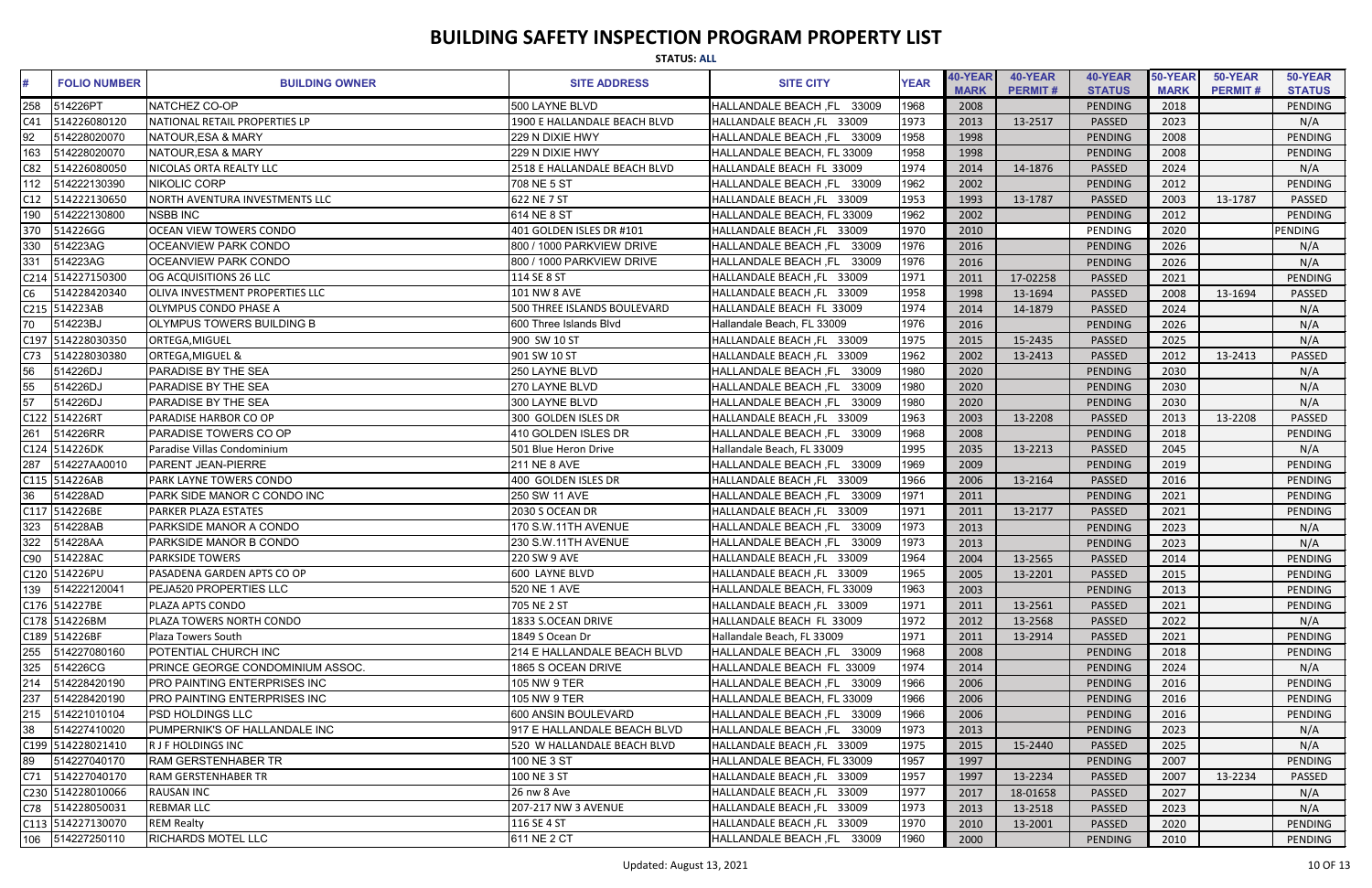|     | <b>STATUS: ALL</b>  |                                        |                              |                                      |             |                        |                           |                          |                        |                           |                          |
|-----|---------------------|----------------------------------------|------------------------------|--------------------------------------|-------------|------------------------|---------------------------|--------------------------|------------------------|---------------------------|--------------------------|
|     | <b>FOLIO NUMBER</b> | <b>BUILDING OWNER</b>                  | <b>SITE ADDRESS</b>          | <b>SITE CITY</b>                     | <b>YEAR</b> | 40-YEAR<br><b>MARK</b> | 40-YEAR<br><b>PERMIT#</b> | 40-YEAR<br><b>STATUS</b> | 50-YEAR<br><b>MARK</b> | 50-YEAR<br><b>PERMIT#</b> | 50-YEAR<br><b>STATUS</b> |
| 258 | 514226PT            | NATCHEZ CO-OP                          | 500 LAYNE BLVD               | 33009<br><b>HALLANDALE BEACH, FL</b> | 1968        | 2008                   |                           | <b>PENDING</b>           | 2018                   |                           | PENDING                  |
| C41 | 514226080120        | INATIONAL RETAIL PROPERTIES LP         | 1900 E HALLANDALE BEACH BLVD | HALLANDALE BEACH, FL 33009           | 1973        | 2013                   | 13-2517                   | <b>PASSED</b>            | 2023                   |                           | N/A                      |
| 92  | 514228020070        | NATOUR,ESA & MARY                      | 229 N DIXIE HWY              | HALLANDALE BEACH, FL 33009           | 1958        | 1998                   |                           | <b>PENDING</b>           | 2008                   |                           | <b>PENDING</b>           |
| 163 | 514228020070        | NATOUR, ESA & MARY                     | 229 N DIXIE HWY              | HALLANDALE BEACH, FL 33009           | 1958        | 1998                   |                           | <b>PENDING</b>           | 2008                   |                           | <b>PENDING</b>           |
| C82 | 514226080050        | NICOLAS ORTA REALTY LLC                | 2518 E HALLANDALE BEACH BLVD | HALLANDALE BEACH FL 33009            | 1974        | 2014                   | 14-1876                   | <b>PASSED</b>            | 2024                   |                           | N/A                      |
| 112 | 514222130390        | NIKOLIC CORP                           | 708 NE 5 ST                  | HALLANDALE BEACH, FL 33009           | 1962        | 2002                   |                           | <b>PENDING</b>           | 2012                   |                           | <b>PENDING</b>           |
| C12 | 514222130650        | NORTH AVENTURA INVESTMENTS LLC         | 622 NE 7 ST                  | HALLANDALE BEACH, FL 33009           | 1953        | 1993                   | 13-1787                   | <b>PASSED</b>            | 2003                   | 13-1787                   | PASSED                   |
| 190 | 514222130800        | <b>NSBB INC</b>                        | 614 NE 8 ST                  | HALLANDALE BEACH, FL 33009           | 1962        | 2002                   |                           | PENDING                  | 2012                   |                           | <b>PENDING</b>           |
|     | 370 514226GG        | <b>OCEAN VIEW TOWERS CONDO</b>         | 401 GOLDEN ISLES DR #101     | HALLANDALE BEACH, FL 33009           | 1970        | 2010                   |                           | PENDING                  | 2020                   |                           | <b>PENDING</b>           |
| 330 | 514223AG            | <b>OCEANVIEW PARK CONDO</b>            | 800 / 1000 PARKVIEW DRIVE    | HALLANDALE BEACH, FL 33009           | 1976        | 2016                   |                           | <b>PENDING</b>           | 2026                   |                           | N/A                      |
| 331 | 514223AG            | <b>OCEANVIEW PARK CONDO</b>            | 800 / 1000 PARKVIEW DRIVE    | HALLANDALE BEACH, FL<br>33009        | 1976        | 2016                   |                           | PENDING                  | 2026                   |                           | N/A                      |
|     | C214 514227150300   | OG ACQUISITIONS 26 LLC                 | 114 SE 8 ST                  | HALLANDALE BEACH, FL 33009           | 1971        | 2011                   | 17-02258                  | PASSED                   | 2021                   |                           | <b>PENDING</b>           |
| C6  | 514228420340        | <b>OLIVA INVESTMENT PROPERTIES LLC</b> | <b>101 NW 8 AVE</b>          | HALLANDALE BEACH, FL 33009           | 1958        | 1998                   | 13-1694                   | <b>PASSED</b>            | 2008                   | 13-1694                   | PASSED                   |
|     | C215 514223AB       | OLYMPUS CONDO PHASE A                  | 500 THREE ISLANDS BOULEVARD  | HALLANDALE BEACH FL 33009            | 1974        | 2014                   | 14-1879                   | <b>PASSED</b>            | 2024                   |                           | N/A                      |
| 70  | 514223BJ            | OLYMPUS TOWERS BUILDING B              | 600 Three Islands Blvd       | Hallandale Beach, FL 33009           | 1976        | 2016                   |                           | <b>PENDING</b>           | 2026                   |                           | N/A                      |
|     | C197 514228030350   | ORTEGA, MIGUEL                         | 900 SW 10 ST                 | HALLANDALE BEACH, FL 33009           | 1975        | 2015                   | 15-2435                   | PASSED                   | 2025                   |                           | N/A                      |
| C73 | 514228030380        | <b>ORTEGA, MIGUEL &amp;</b>            | 901 SW 10 ST                 | HALLANDALE BEACH, FL 33009           | 1962        | 2002                   | 13-2413                   | <b>PASSED</b>            | 2012                   | 13-2413                   | <b>PASSED</b>            |
| 56  | 514226DJ            | <b>PARADISE BY THE SEA</b>             | 250 LAYNE BLVD               | <b>HALLANDALE BEACH, FL</b><br>33009 | 1980        | 2020                   |                           | PENDING                  | 2030                   |                           | N/A                      |
| 55  | 514226DJ            | <b>PARADISE BY THE SEA</b>             | 270 LAYNE BLVD               | 33009<br><b>HALLANDALE BEACH, FL</b> | 1980        | 2020                   |                           | <b>PENDING</b>           | 2030                   |                           | N/A                      |
| 57  | 514226DJ            | PARADISE BY THE SEA                    | 300 LAYNE BLVD               | 33009<br>HALLANDALE BEACH, FL        | 1980        | 2020                   |                           | PENDING                  | 2030                   |                           | N/A                      |
|     | C122 514226RT       | PARADISE HARBOR CO OP                  | 300 GOLDEN ISLES DR          | HALLANDALE BEACH, FL 33009           | 1963        | 2003                   | 13-2208                   | PASSED                   | 2013                   | 13-2208                   | <b>PASSED</b>            |
| 261 | 514226RR            | PARADISE TOWERS CO OP                  | 410 GOLDEN ISLES DR          | HALLANDALE BEACH, FL 33009           | 1968        | 2008                   |                           | <b>PENDING</b>           | 2018                   |                           | <b>PENDING</b>           |
|     | C124 514226DK       | Paradise Villas Condominium            | 501 Blue Heron Drive         | Hallandale Beach, FL 33009           | 1995        | 2035                   | 13-2213                   | PASSED                   | 2045                   |                           | N/A                      |
| 287 | 514227AA0010        | <b>PARENT JEAN-PIERRE</b>              | <b>211 NE 8 AVE</b>          | HALLANDALE BEACH, FL 33009           | 1969        | 2009                   |                           | <b>PENDING</b>           | 2019                   |                           | <b>PENDING</b>           |
|     | C115 514226AB       | PARK LAYNE TOWERS CONDO                | 400 GOLDEN ISLES DR          | HALLANDALE BEACH, FL 33009           | 1966        | 2006                   | 13-2164                   | <b>PASSED</b>            | 2016                   |                           | PENDING                  |
| 36  | 514228AD            | PARK SIDE MANOR C CONDO INC            | 250 SW 11 AVE                | HALLANDALE BEACH, FL<br>33009        | 1971        | 2011                   |                           | <b>PENDING</b>           | 2021                   |                           | PENDING                  |
|     | C117 514226BE       | PARKER PLAZA ESTATES                   | 2030 S OCEAN DR              | HALLANDALE BEACH, FL 33009           | 1971        | 2011                   | 13-2177                   | <b>PASSED</b>            | 2021                   |                           | PENDING                  |
|     | 323 514228AB        | <b>PARKSIDE MANOR A CONDO</b>          | 170 S.W.11TH AVENUE          | HALLANDALE BEACH, FL<br>33009        | 1973        | 2013                   |                           | <b>PENDING</b>           | 2023                   |                           | N/A                      |
|     | 322 514228AA        | <b>PARKSIDE MANOR B CONDO</b>          | 230 S.W.11TH AVENUE          | HALLANDALE BEACH, FL 33009           | 1973        | 2013                   |                           | PENDING                  | 2023                   |                           | N/A                      |
|     | C90 514228AC        | <b>PARKSIDE TOWERS</b>                 | 220 SW 9 AVE                 | HALLANDALE BEACH, FL 33009           | 1964        | 2004                   | 13-2565                   | PASSED                   | 2014                   |                           | PENDING                  |
|     | C120 514226PU       | PASADENA GARDEN APTS CO OP             | 600 LAYNE BLVD               | HALLANDALE BEACH, FL 33009           | 1965        | 2005                   | 13-2201                   | <b>PASSED</b>            | 2015                   |                           | PENDING                  |
|     | 139 514222120041    | <b>PEJA520 PROPERTIES LLC</b>          | 520 NE 1 AVE                 | HALLANDALE BEACH, FL 33009           | 1963        | 2003                   |                           | PENDING                  | 2013                   |                           | PENDING                  |
|     | C176 514227BE       | PLAZA APTS CONDO                       | 705 NE 2 ST                  | HALLANDALE BEACH, FL 33009           | 1971        | 2011                   | 13-2561                   | <b>PASSED</b>            | 2021                   |                           | PENDING                  |
|     | C178 514226BM       | PLAZA TOWERS NORTH CONDO               | 1833 S.OCEAN DRIVE           | HALLANDALE BEACH FL 33009            | 1972        | 2012                   | 13-2568                   | <b>PASSED</b>            | 2022                   |                           | N/A                      |
|     | C189 514226BF       | Plaza Towers South                     | 1849 S Ocean Dr              | Hallandale Beach, FL 33009           | 1971        | 2011                   | 13-2914                   | PASSED                   | 2021                   |                           | PENDING                  |
|     |                     | POTENTIAL CHURCH INC                   | 214 E HALLANDALE BEACH BLVD  | HALLANDALE BEACH, FL 33009           | 1968        | 2008                   |                           | <b>PENDING</b>           | 2018                   |                           | PENDING                  |
|     | 325 514226CG        | PRINCE GEORGE CONDOMINIUM ASSOC.       | 1865 S OCEAN DRIVE           | HALLANDALE BEACH FL 33009            | 1974        | 2014                   |                           | PENDING                  | 2024                   |                           | N/A                      |
|     | 214 514228420190    | <b>PRO PAINTING ENTERPRISES INC</b>    | 105 NW 9 TER                 | HALLANDALE BEACH, FL 33009           | 1966        | 2006                   |                           | PENDING                  | 2016                   |                           | PENDING                  |
| 237 | 514228420190        | <b>PRO PAINTING ENTERPRISES INC</b>    | 105 NW 9 TER                 | HALLANDALE BEACH, FL 33009           | 1966        | 2006                   |                           | <b>PENDING</b>           | 2016                   |                           | <b>PENDING</b>           |
|     | 215 514221010104    | <b>PSD HOLDINGS LLC</b>                | 600 ANSIN BOULEVARD          | HALLANDALE BEACH, FL 33009           | 1966        | 2006                   |                           | <b>PENDING</b>           | 2016                   |                           | PENDING                  |
| 38  | 514227410020        | PUMPERNIK'S OF HALLANDALE INC          | 917 E HALLANDALE BEACH BLVD  | HALLANDALE BEACH, FL 33009           | 1973        | 2013                   |                           | PENDING                  | 2023                   |                           | N/A                      |
|     | C199 514228021410   | <b>R J F HOLDINGS INC</b>              | 520 W HALLANDALE BEACH BLVD  | HALLANDALE BEACH, FL 33009           | 1975        | 2015                   | 15-2440                   | PASSED                   | 2025                   |                           | N/A                      |
| 89  | 514227040170        | <b>RAM GERSTENHABER TR</b>             | 100 NE 3 ST                  | HALLANDALE BEACH, FL 33009           | 1957        | 1997                   |                           | <b>PENDING</b>           | 2007                   |                           | PENDING                  |
|     | C71 514227040170    | <b>RAM GERSTENHABER TR</b>             | 100 NE 3 ST                  | HALLANDALE BEACH, FL 33009           | 1957        | 1997                   | 13-2234                   | <b>PASSED</b>            | 2007                   | 13-2234                   | PASSED                   |
|     | C230 514228010066   | <b>RAUSAN INC</b>                      | 26 nw 8 Ave                  | HALLANDALE BEACH, FL 33009           | 1977        | 2017                   | 18-01658                  | <b>PASSED</b>            | 2027                   |                           | N/A                      |
|     | C78 514228050031    | <b>REBMAR LLC</b>                      | 207-217 NW 3 AVENUE          | HALLANDALE BEACH, FL 33009           | 1973        | 2013                   | 13-2518                   | <b>PASSED</b>            | 2023                   |                           | N/A                      |
|     | C113 514227130070   | <b>REM Realty</b>                      | 116 SE 4 ST                  | HALLANDALE BEACH, FL 33009           | 1970        | 2010                   | 13-2001                   | PASSED                   | 2020                   |                           | PENDING                  |
|     | 106 514227250110    | <b>RICHARDS MOTEL LLC</b>              | 611 NE 2 CT                  | HALLANDALE BEACH, FL 33009           | 1960        | 2000                   |                           | PENDING                  | 2010                   |                           | PENDING                  |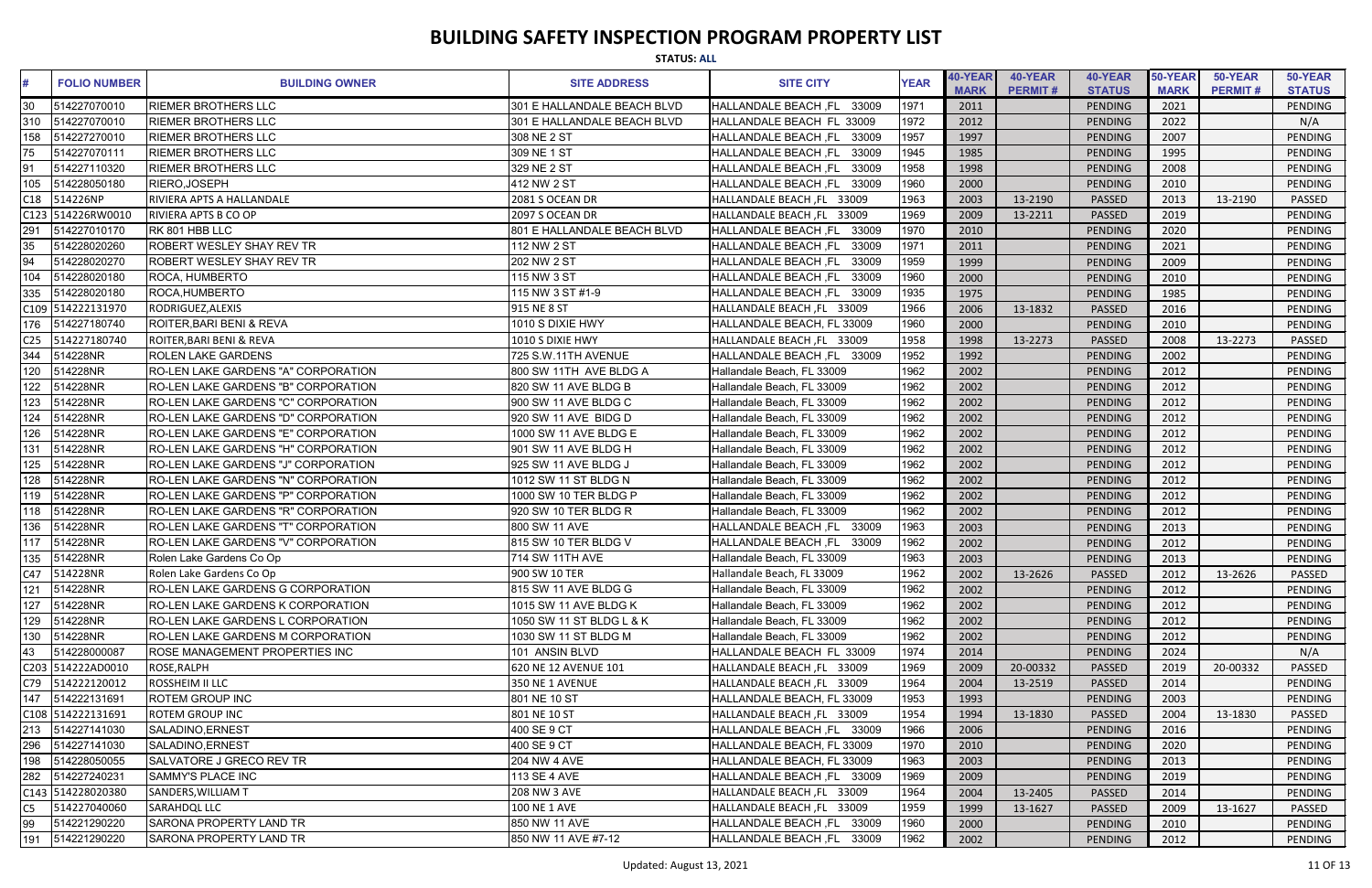|                 | <b>STATUS: ALL</b>  |                                            |                             |                                      |             |                        |                           |                          |                        |                           |                          |  |
|-----------------|---------------------|--------------------------------------------|-----------------------------|--------------------------------------|-------------|------------------------|---------------------------|--------------------------|------------------------|---------------------------|--------------------------|--|
|                 | <b>FOLIO NUMBER</b> | <b>BUILDING OWNER</b>                      | <b>SITE ADDRESS</b>         | <b>SITE CITY</b>                     | <b>YEAR</b> | 40-YEAR<br><b>MARK</b> | 40-YEAR<br><b>PERMIT#</b> | 40-YEAR<br><b>STATUS</b> | 50-YEAR<br><b>MARK</b> | 50-YEAR<br><b>PERMIT#</b> | 50-YEAR<br><b>STATUS</b> |  |
|                 | 514227070010        | <b>RIEMER BROTHERS LLC</b>                 | 301 E HALLANDALE BEACH BLVD | 33009<br><b>HALLANDALE BEACH, FL</b> | 1971        | 2011                   |                           | <b>PENDING</b>           | 2021                   |                           | PENDING                  |  |
| 310             | 514227070010        | <b>RIEMER BROTHERS LLC</b>                 | 301 E HALLANDALE BEACH BLVD | HALLANDALE BEACH FL<br>. 33009       | 1972        | 2012                   |                           | PENDING                  | 2022                   |                           | N/A                      |  |
| 158             | 514227270010        | <b>RIEMER BROTHERS LLC</b>                 | 308 NE 2 ST                 | 33009<br><b>HALLANDALE BEACH, FL</b> | 1957        | 1997                   |                           | <b>PENDING</b>           | 2007                   |                           | PENDING                  |  |
| 75              | 514227070111        | <b>RIEMER BROTHERS LLC</b>                 | 309 NE 1 ST                 | 33009<br><b>HALLANDALE BEACH, FL</b> | 1945        | 1985                   |                           | <b>PENDING</b>           | 1995                   |                           | <b>PENDING</b>           |  |
| 91              | 514227110320        | <b>RIEMER BROTHERS LLC</b>                 | 329 NE 2 ST                 | <b>HALLANDALE BEACH, FL</b><br>33009 | 1958        | 1998                   |                           | PENDING                  | 2008                   |                           | <b>PENDING</b>           |  |
| 105             | 514228050180        | RIERO, JOSEPH                              | 412 NW 2 ST                 | <b>HALLANDALE BEACH, FL</b><br>33009 | 1960        | 2000                   |                           | PENDING                  | 2010                   |                           | <b>PENDING</b>           |  |
| C18             | 514226NP            | RIVIERA APTS A HALLANDALE                  | 2081 S OCEAN DR             | HALLANDALE BEACH, FL 33009           | 1963        | 2003                   | 13-2190                   | <b>PASSED</b>            | 2013                   | 13-2190                   | PASSED                   |  |
|                 | C123 514226RW001C   | RIVIERA APTS B CO OP                       | 2097 S OCEAN DR             | HALLANDALE BEACH, FL 33009           | 1969        | 2009                   | 13-2211                   | <b>PASSED</b>            | 2019                   |                           | <b>PENDING</b>           |  |
| 291             | 514227010170        | RK 801 HBB LLC                             | 801 E HALLANDALE BEACH BLVD | 33009<br><b>HALLANDALE BEACH, FL</b> | 1970        | 2010                   |                           | <b>PENDING</b>           | 2020                   |                           | <b>PENDING</b>           |  |
| 35              | 514228020260        | <b>ROBERT WESLEY SHAY REV TR</b>           | 112 NW 2 ST                 | 33009<br><b>HALLANDALE BEACH, FL</b> | 1971        | 2011                   |                           | PENDING                  | 2021                   |                           | <b>PENDING</b>           |  |
| 94              | 514228020270        | <b>ROBERT WESLEY SHAY REV TR</b>           | 202 NW 2 ST                 | <b>HALLANDALE BEACH, FL</b><br>33009 | 1959        | 1999                   |                           | PENDING                  | 2009                   |                           | <b>PENDING</b>           |  |
| 104             | 514228020180        | ROCA, HUMBERTO                             | 115 NW 3 ST                 | <b>HALLANDALE BEACH, FL</b><br>33009 | 1960        | 2000                   |                           | <b>PENDING</b>           | 2010                   |                           | <b>PENDING</b>           |  |
| 335             | 514228020180        | ROCA.HUMBERTO                              | 115 NW 3 ST #1-9            | <b>HALLANDALE BEACH, FL</b><br>33009 | 1935        | 1975                   |                           | <b>PENDING</b>           | 1985                   |                           | <b>PENDING</b>           |  |
|                 | C109 514222131970   | RODRIGUEZ, ALEXIS                          | 915 NE 8 ST                 | HALLANDALE BEACH, FL 33009           | 1966        | 2006                   | 13-1832                   | <b>PASSED</b>            | 2016                   |                           | PENDING                  |  |
| 176             | 514227180740        | ROITER, BARI BENI & REVA                   | 1010 S DIXIE HWY            | HALLANDALE BEACH, FL 33009           | 1960        | 2000                   |                           | <b>PENDING</b>           | 2010                   |                           | <b>PENDING</b>           |  |
| C <sub>25</sub> | 514227180740        | <b>ROITER, BARI BENI &amp; REVA</b>        | 1010 S DIXIE HWY            | HALLANDALE BEACH, FL 33009           | 1958        | 1998                   | 13-2273                   | <b>PASSED</b>            | 2008                   | 13-2273                   | PASSED                   |  |
| 344             | 514228NR            | <b>ROLEN LAKE GARDENS</b>                  | 725 S.W.11TH AVENUE         | HALLANDALE BEACH, FL 33009           | 1952        | 1992                   |                           | <b>PENDING</b>           | 2002                   |                           | <b>PENDING</b>           |  |
| 120             | 514228NR            | RO-LEN LAKE GARDENS "A" CORPORATION        | 800 SW 11TH AVE BLDG A      | Hallandale Beach, FL 33009           | 1962        | 2002                   |                           | PENDING                  | 2012                   |                           | <b>PENDING</b>           |  |
| 122             | 514228NR            | RO-LEN LAKE GARDENS "B" CORPORATION        | 820 SW 11 AVE BLDG B        | Hallandale Beach, FL 33009           | 1962        | 2002                   |                           | <b>PENDING</b>           | 2012                   |                           | PENDING                  |  |
| 123             | 514228NR            | RO-LEN LAKE GARDENS "C" CORPORATION        | 900 SW 11 AVE BLDG C        | Hallandale Beach, FL 33009           | 1962        | 2002                   |                           | PENDING                  | 2012                   |                           | PENDING                  |  |
| 124             | 514228NR            | RO-LEN LAKE GARDENS "D" CORPORATION        | 920 SW 11 AVE BIDG D        | Hallandale Beach, FL 33009           | 1962        | 2002                   |                           | PENDING                  | 2012                   |                           | <b>PENDING</b>           |  |
| 126             | 514228NR            | IRO-LEN LAKE GARDENS "E" CORPORATION       | 1000 SW 11 AVE BLDG E       | Hallandale Beach, FL 33009           | 1962        | 2002                   |                           | <b>PENDING</b>           | 2012                   |                           | <b>PENDING</b>           |  |
| 131             | 514228NR            | <b>RO-LEN LAKE GARDENS "H" CORPORATION</b> | 901 SW 11 AVE BLDG H        | Hallandale Beach, FL 33009           | 1962        | 2002                   |                           | PENDING                  | 2012                   |                           | <b>PENDING</b>           |  |
| 125             | 514228NR            | <b>RO-LEN LAKE GARDENS "J" CORPORATION</b> | 925 SW 11 AVE BLDG J        | Hallandale Beach, FL 33009           | 1962        | 2002                   |                           | <b>PENDING</b>           | 2012                   |                           | <b>PENDING</b>           |  |
| 128             | 514228NR            | <b>RO-LEN LAKE GARDENS "N" CORPORATION</b> | 1012 SW 11 ST BLDG N        | Hallandale Beach, FL 33009           | 1962        | 2002                   |                           | PENDING                  | 2012                   |                           | <b>PENDING</b>           |  |
| 119             | 514228NR            | RO-LEN LAKE GARDENS "P" CORPORATION        | 1000 SW 10 TER BLDG P       | Hallandale Beach, FL 33009           | 1962        | 2002                   |                           | PENDING                  | 2012                   |                           | PENDING                  |  |
| 118             | 514228NR            | RO-LEN LAKE GARDENS "R" CORPORATION        | 920 SW 10 TER BLDG R        | Hallandale Beach, FL 33009           | 1962        | 2002                   |                           | PENDING                  | 2012                   |                           | PENDING                  |  |
|                 | 136 514228NR        | <b>RO-LEN LAKE GARDENS "T" CORPORATION</b> | 800 SW 11 AVE               | HALLANDALE BEACH, FL 33009           | 1963        | 2003                   |                           | <b>PENDING</b>           | 2013                   |                           | PENDING                  |  |
| 117             | 514228NR            | <b>RO-LEN LAKE GARDENS "V" CORPORATION</b> | 815 SW 10 TER BLDG V        | HALLANDALE BEACH, FL 33009           | 1962        | 2002                   |                           | PENDING                  | 2012                   |                           | PENDING                  |  |
|                 | 135 514228NR        | Rolen Lake Gardens Co Op                   | 714 SW 11TH AVE             | Hallandale Beach, FL 33009           | 1963        | 2003                   |                           | <b>PENDING</b>           | 2013                   |                           | PENDING                  |  |
|                 | C47 514228NR        | Rolen Lake Gardens Co Op                   | 900 SW 10 TER               | Hallandale Beach, FL 33009           | 1962        | 2002                   | 13-2626                   | <b>PASSED</b>            | 2012                   | 13-2626                   | PASSED                   |  |
| 121             | 514228NR            | RO-LEN LAKE GARDENS G CORPORATION          | 815 SW 11 AVE BLDG G        | Hallandale Beach, FL 33009           | 1962        | 2002                   |                           | PENDING                  | 2012                   |                           | PENDING                  |  |
| 127             | 514228NR            | <b>RO-LEN LAKE GARDENS K CORPORATION</b>   | 1015 SW 11 AVE BLDG K       | Hallandale Beach, FL 33009           | 1962        | 2002                   |                           | <b>PENDING</b>           | 2012                   |                           | PENDING                  |  |
| 129             | 514228NR            | <b>RO-LEN LAKE GARDENS L CORPORATION</b>   | 1050 SW 11 ST BLDG L & K    | Hallandale Beach, FL 33009           | 1962        | 2002                   |                           | <b>PENDING</b>           | 2012                   |                           | PENDING                  |  |
|                 | 130 514228NR        | <b>RO-LEN LAKE GARDENS M CORPORATION</b>   | 1030 SW 11 ST BLDG M        | Hallandale Beach, FL 33009           | 1962        | 2002                   |                           | PENDING                  | 2012                   |                           | PENDING                  |  |
| 43              | 514228000087        | ROSE MANAGEMENT PROPERTIES INC             | 101 ANSIN BLVD              | HALLANDALE BEACH FL 33009            | 1974        | 2014                   |                           | <b>PENDING</b>           | 2024                   |                           | N/A                      |  |
|                 | C203 514222AD0010   | ROSE, RALPH                                | 620 NE 12 AVENUE 101        | HALLANDALE BEACH, FL 33009           | 1969        | 2009                   | 20-00332                  | PASSED                   | 2019                   | 20-00332                  | <b>PASSED</b>            |  |
|                 | C79 514222120012    | <b>ROSSHEIM II LLC</b>                     | 350 NE 1 AVENUE             | HALLANDALE BEACH, FL 33009           | 1964        | 2004                   | 13-2519                   | <b>PASSED</b>            | 2014                   |                           | PENDING                  |  |
| 147             | 514222131691        | <b>ROTEM GROUP INC</b>                     | 801 NE 10 ST                | HALLANDALE BEACH, FL 33009           | 1953        | 1993                   |                           | <b>PENDING</b>           | 2003                   |                           | <b>PENDING</b>           |  |
|                 | C108 514222131691   | <b>ROTEM GROUP INC</b>                     | 801 NE 10 ST                | HALLANDALE BEACH, FL 33009           | 1954        | 1994                   | 13-1830                   | <b>PASSED</b>            | 2004                   | 13-1830                   | PASSED                   |  |
|                 | 213 514227141030    | SALADINO, ERNEST                           | 400 SE 9 CT                 | HALLANDALE BEACH, FL 33009           | 1966        | 2006                   |                           | PENDING                  | 2016                   |                           | <b>PENDING</b>           |  |
| 296             | 514227141030        | SALADINO, ERNEST                           | 400 SE 9 CT                 | HALLANDALE BEACH, FL 33009           | 1970        | 2010                   |                           | <b>PENDING</b>           | 2020                   |                           | PENDING                  |  |
| 198             | 514228050055        | SALVATORE J GRECO REV TR                   | 204 NW 4 AVE                | HALLANDALE BEACH, FL 33009           | 1963        | 2003                   |                           | <b>PENDING</b>           | 2013                   |                           | PENDING                  |  |
|                 | 282 514227240231    | SAMMY'S PLACE INC                          | 113 SE 4 AVE                | HALLANDALE BEACH, FL 33009           | 1969        | 2009                   |                           | <b>PENDING</b>           | 2019                   |                           | PENDING                  |  |
|                 | C143 514228020380   | SANDERS, WILLIAM T                         | <b>208 NW 3 AVE</b>         | HALLANDALE BEACH, FL 33009           | 1964        | 2004                   | 13-2405                   | <b>PASSED</b>            | 2014                   |                           | PENDING                  |  |
| C5              | 514227040060        | <b>SARAHDQL LLC</b>                        | <b>100 NE 1 AVE</b>         | HALLANDALE BEACH, FL 33009           | 1959        | 1999                   | 13-1627                   | PASSED                   | 2009                   | 13-1627                   | PASSED                   |  |
| 99              | 514221290220        | SARONA PROPERTY LAND TR                    | 850 NW 11 AVE               | HALLANDALE BEACH, FL 33009           | 1960        | 2000                   |                           | <b>PENDING</b>           | 2010                   |                           | PENDING                  |  |
| 191             | 514221290220        | <b>SARONA PROPERTY LAND TR</b>             | 850 NW 11 AVE #7-12         | HALLANDALE BEACH, FL 33009           | 1962        | 2002                   |                           | <b>PENDING</b>           | 2012                   |                           | PENDING                  |  |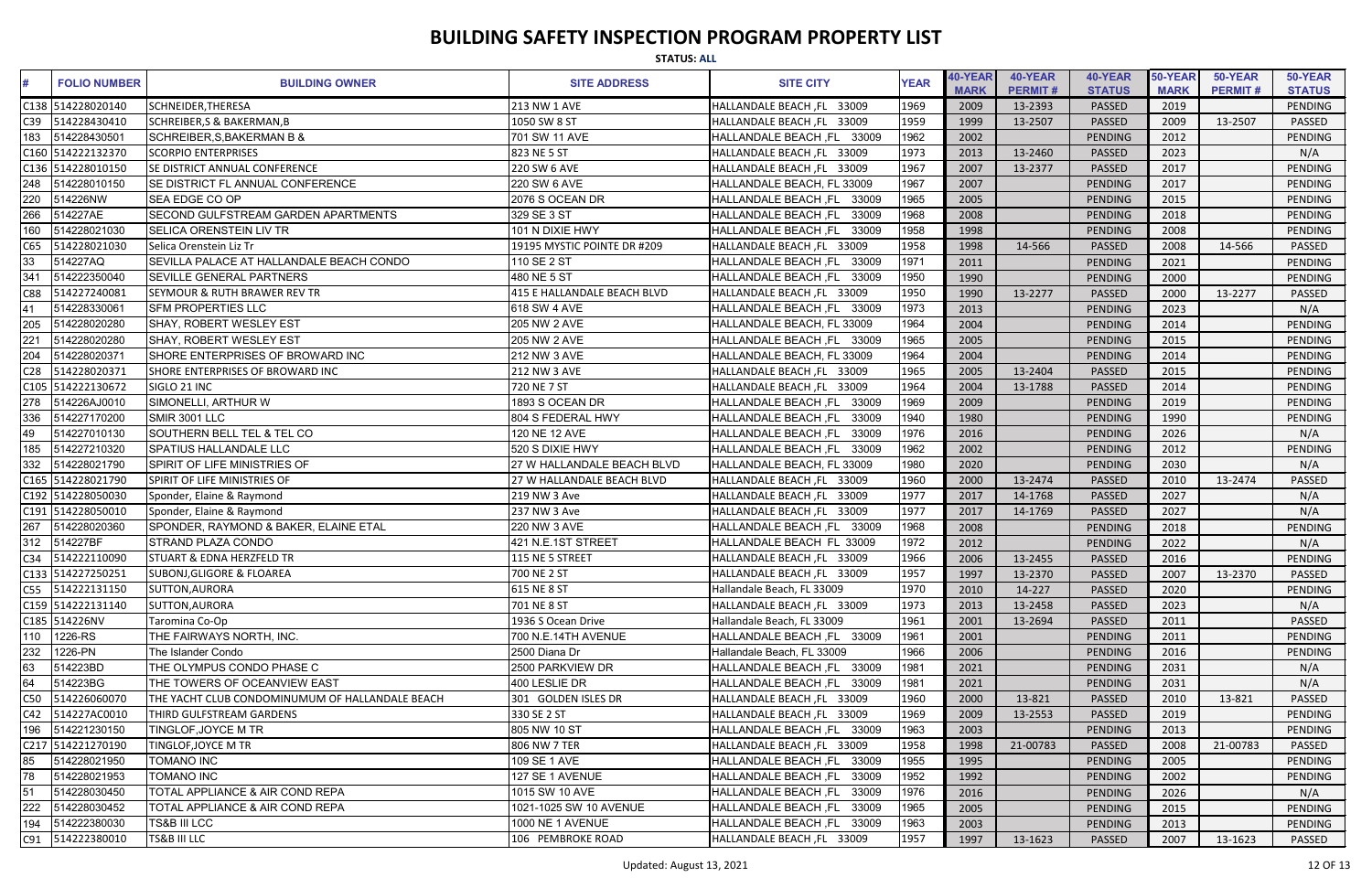|     | <b>STATUS: ALL</b>  |                                                 |                             |                                      |             |                        |                           |                          |                        |                           |                          |
|-----|---------------------|-------------------------------------------------|-----------------------------|--------------------------------------|-------------|------------------------|---------------------------|--------------------------|------------------------|---------------------------|--------------------------|
|     | <b>FOLIO NUMBER</b> | <b>BUILDING OWNER</b>                           | <b>SITE ADDRESS</b>         | <b>SITE CITY</b>                     | <b>YEAR</b> | 40-YEAR<br><b>MARK</b> | 40-YEAR<br><b>PERMIT#</b> | 40-YEAR<br><b>STATUS</b> | 50-YEAR<br><b>MARK</b> | 50-YEAR<br><b>PERMIT#</b> | 50-YEAR<br><b>STATUS</b> |
|     | C138 514228020140   | <b>SCHNEIDER, THERESA</b>                       | 213 NW 1 AVE                | HALLANDALE BEACH, FL 33009           | 1969        | 2009                   | 13-2393                   | PASSED                   | 2019                   |                           | PENDING                  |
| C39 | 514228430410        | <b>SCHREIBER, S &amp; BAKERMAN, B</b>           | 1050 SW 8 ST                | HALLANDALE BEACH, FL 33009           | 1959        | 1999                   | 13-2507                   | PASSED                   | 2009                   | 13-2507                   | <b>PASSED</b>            |
| 183 | 514228430501        | <b>SCHREIBER, S, BAKERMAN B &amp;</b>           | 701 SW 11 AVE               | HALLANDALE BEACH, FL 33009           | 1962        | 2002                   |                           | PENDING                  | 2012                   |                           | <b>PENDING</b>           |
|     | C160 514222132370   | <b>SCORPIO ENTERPRISES</b>                      | 823 NE 5 ST                 | HALLANDALE BEACH, FL 33009           | 1973        | 2013                   | 13-2460                   | PASSED                   | 2023                   |                           | N/A                      |
|     | C136 514228010150   | <b>SE DISTRICT ANNUAL CONFERENCE</b>            | 220 SW 6 AVE                | HALLANDALE BEACH, FL 33009           | 1967        | 2007                   | 13-2377                   | PASSED                   | 2017                   |                           | PENDING                  |
| 248 | 514228010150        | <b>SE DISTRICT FL ANNUAL CONFERENCE</b>         | 220 SW 6 AVE                | HALLANDALE BEACH, FL 33009           | 1967        | 2007                   |                           | PENDING                  | 2017                   |                           | <b>PENDING</b>           |
| 220 | 514226NW            | <b>SEA EDGE CO OP</b>                           | 2076 S OCEAN DR             | 33009<br><b>HALLANDALE BEACH, FL</b> | 1965        | 2005                   |                           | PENDING                  | 2015                   |                           | PENDING                  |
| 266 | 514227AE            | SECOND GULFSTREAM GARDEN APARTMENTS             | 329 SE 3 ST                 | 33009<br><b>HALLANDALE BEACH ,FL</b> | 1968        | 2008                   |                           | PENDING                  | 2018                   |                           | <b>PENDING</b>           |
| 160 | 514228021030        | <b>SELICA ORENSTEIN LIV TR</b>                  | 101 N DIXIE HWY             | 33009<br><b>HALLANDALE BEACH, FL</b> | 1958        | 1998                   |                           | PENDING                  | 2008                   |                           | PENDING                  |
| C65 | 514228021030        | Selica Orenstein Liz Tr                         | 19195 MYSTIC POINTE DR #209 | HALLANDALE BEACH, FL 33009           | 1958        | 1998                   | 14-566                    | PASSED                   | 2008                   | 14-566                    | <b>PASSED</b>            |
| 33  | 514227AQ            | SEVILLA PALACE AT HALLANDALE BEACH CONDO        | 110 SE 2 ST                 | <b>HALLANDALE BEACH, FL</b><br>33009 | 1971        | 2011                   |                           | PENDING                  | 2021                   |                           | <b>PENDING</b>           |
| 341 | 514222350040        | <b>SEVILLE GENERAL PARTNERS</b>                 | 480 NE 5 ST                 | HALLANDALE BEACH, FL<br>33009        | 1950        | 1990                   |                           | PENDING                  | 2000                   |                           | PENDING                  |
| C88 | 514227240081        | <b>ISEYMOUR &amp; RUTH BRAWER REV TR</b>        | 415 E HALLANDALE BEACH BLVD | HALLANDALE BEACH, FL 33009           | 1950        | 1990                   | 13-2277                   | <b>PASSED</b>            | 2000                   | 13-2277                   | PASSED                   |
| 41  | 514228330061        | <b>SFM PROPERTIES LLC</b>                       | 618 SW 4 AVE                | HALLANDALE BEACH ,FL<br>33009        | 1973        | 2013                   |                           | PENDING                  | 2023                   |                           | N/A                      |
| 205 | 514228020280        | <b>SHAY, ROBERT WESLEY EST</b>                  | 205 NW 2 AVE                | HALLANDALE BEACH, FL 33009           | 1964        | 2004                   |                           | PENDING                  | 2014                   |                           | <b>PENDING</b>           |
| 221 | 514228020280        | SHAY, ROBERT WESLEY EST                         | 205 NW 2 AVE                | HALLANDALE BEACH, FL 33009           | 1965        | 2005                   |                           | PENDING                  | 2015                   |                           | <b>PENDING</b>           |
| 204 | 514228020371        | SHORE ENTERPRISES OF BROWARD INC                | 212 NW 3 AVE                | HALLANDALE BEACH, FL 33009           | 1964        | 2004                   |                           | PENDING                  | 2014                   |                           | PENDING                  |
| C28 | 514228020371        | SHORE ENTERPRISES OF BROWARD INC                | <b>212 NW 3 AVE</b>         | HALLANDALE BEACH, FL 33009           | 1965        | 2005                   | 13-2404                   | PASSED                   | 2015                   |                           | PENDING                  |
|     | C105 514222130672   | SIGLO 21 INC                                    | 720 NE 7 ST                 | HALLANDALE BEACH, FL 33009           | 1964        | 2004                   | 13-1788                   | PASSED                   | 2014                   |                           | PENDING                  |
| 278 | 514226AJ0010        | SIMONELLI, ARTHUR W                             | 1893 S OCEAN DR             | 33009<br><b>HALLANDALE BEACH, FL</b> | 1969        | 2009                   |                           | PENDING                  | 2019                   |                           | <b>PENDING</b>           |
| 336 | 514227170200        | SMIR 3001 LLC                                   | 804 S FEDERAL HWY           | 33009<br><b>HALLANDALE BEACH, FL</b> | 1940        | 1980                   |                           | PENDING                  | 1990                   |                           | <b>PENDING</b>           |
| 49  | 514227010130        | SOUTHERN BELL TEL & TEL CO                      | 120 NE 12 AVE               | 33009<br><b>HALLANDALE BEACH, FL</b> | 1976        | 2016                   |                           | PENDING                  | 2026                   |                           | N/A                      |
| 185 | 514227210320        | <b>SPATIUS HALLANDALE LLC</b>                   | 520 S DIXIE HWY             | HALLANDALE BEACH, FL<br>33009        | 1962        | 2002                   |                           | PENDING                  | 2012                   |                           | PENDING                  |
| 332 | 514228021790        | SPIRIT OF LIFE MINISTRIES OF                    | 27 W HALLANDALE BEACH BLVD  | HALLANDALE BEACH, FL 33009           | 1980        | 2020                   |                           | PENDING                  | 2030                   |                           | N/A                      |
|     | C165 514228021790   | SPIRIT OF LIFE MINISTRIES OF                    | 27 W HALLANDALE BEACH BLVD  | HALLANDALE BEACH, FL 33009           | 1960        | 2000                   | 13-2474                   | PASSED                   | 2010                   | 13-2474                   | <b>PASSED</b>            |
|     | C192 514228050030   | Sponder, Elaine & Raymond                       | 219 NW 3 Ave                | HALLANDALE BEACH, FL 33009           | 1977        | 2017                   | 14-1768                   | PASSED                   | 2027                   |                           | N/A                      |
|     | C191 514228050010   | Sponder, Elaine & Raymond                       | 237 NW 3 Ave                | HALLANDALE BEACH, FL 33009           | 1977        | 2017                   | 14-1769                   | PASSED                   | 2027                   |                           | N/A                      |
|     | 267 514228020360    | SPONDER, RAYMOND & BAKER, ELAINE ETAL           | 220 NW 3 AVE                | HALLANDALE BEACH, FL 33009           | 1968        | 2008                   |                           | PENDING                  | 2018                   |                           | PENDING                  |
|     | 312 514227BF        | <b>STRAND PLAZA CONDO</b>                       | 421 N.E.1ST STREET          | HALLANDALE BEACH FL 33009            | 1972        | 2012                   |                           | PENDING                  | 2022                   |                           | N/A                      |
|     | C34 514222110090    | <b>STUART &amp; EDNA HERZFELD TR</b>            | 115 NE 5 STREET             | HALLANDALE BEACH, FL 33009           | 1966        | 2006                   | 13-2455                   | PASSED                   | 2016                   |                           | PENDING                  |
|     | C133 514227250251   | <b>SUBONJ, GLIGORE &amp; FLOAREA</b>            | 700 NE 2 ST                 | HALLANDALE BEACH, FL 33009           | 1957        | 1997                   | 13-2370                   | <b>PASSED</b>            | 2007                   | 13-2370                   | PASSED                   |
|     | C55 514222131150    | <b>SUTTON, AURORA</b>                           | 615 NE 8 ST                 | Hallandale Beach, FL 33009           | 1970        | 2010                   | 14-227                    | <b>PASSED</b>            | 2020                   |                           | PENDING                  |
|     | C159 514222131140   | <b>SUTTON, AURORA</b>                           | 701 NE 8 ST                 | HALLANDALE BEACH, FL 33009           | 1973        | 2013                   | 13-2458                   | <b>PASSED</b>            | 2023                   |                           | N/A                      |
|     | C185 514226NV       | Taromina Co-Op                                  | 1936 S Ocean Drive          | Hallandale Beach, FL 33009           | 1961        | 2001                   | 13-2694                   | <b>PASSED</b>            | 2011                   |                           | <b>PASSED</b>            |
|     | 110 1226-RS         | THE FAIRWAYS NORTH, INC.                        | 700 N.E.14TH AVENUE         | HALLANDALE BEACH, FL 33009           | 1961        | 2001                   |                           | PENDING                  | 2011                   |                           | <b>PENDING</b>           |
| 232 | 1226-PN             | The Islander Condo                              | 2500 Diana Dr               | Hallandale Beach, FL 33009           | 1966        | 2006                   |                           | PENDING                  | 2016                   |                           | PENDING                  |
| 63  | 514223BD            | THE OLYMPUS CONDO PHASE C                       | 2500 PARKVIEW DR            | HALLANDALE BEACH, FL 33009           | 1981        | 2021                   |                           | PENDING                  | 2031                   |                           | N/A                      |
| 64  | 514223BG            | THE TOWERS OF OCEANVIEW EAST                    | 400 LESLIE DR               | HALLANDALE BEACH, FL 33009           | 1981        | 2021                   |                           | PENDING                  | 2031                   |                           | N/A                      |
| C50 | 514226060070        | THE YACHT CLUB CONDOMINUMUM OF HALLANDALE BEACH | 301 GOLDEN ISLES DR         | HALLANDALE BEACH, FL 33009           | 1960        | 2000                   | 13-821                    | <b>PASSED</b>            | 2010                   | 13-821                    | <b>PASSED</b>            |
|     | C42 514227AC0010    | THIRD GULFSTREAM GARDENS                        | 330 SE 2 ST                 | HALLANDALE BEACH, FL 33009           | 1969        | 2009                   | 13-2553                   | PASSED                   | 2019                   |                           | PENDING                  |
| 196 | 514221230150        | TINGLOF, JOYCE M TR                             | 805 NW 10 ST                | HALLANDALE BEACH, FL 33009           | 1963        | 2003                   |                           | PENDING                  | 2013                   |                           | PENDING                  |
|     | C217 514221270190   | TINGLOF, JOYCE M TR                             | 806 NW 7 TER                | HALLANDALE BEACH, FL 33009           | 1958        | 1998                   | 21-00783                  | <b>PASSED</b>            | 2008                   | 21-00783                  | PASSED                   |
| 85  | 514228021950        | <b>TOMANO INC</b>                               | 109 SE 1 AVE                | HALLANDALE BEACH, FL 33009           | 1955        | 1995                   |                           | PENDING                  | 2005                   |                           | PENDING                  |
| 78  | 514228021953        | <b>TOMANO INC</b>                               | 127 SE 1 AVENUE             | <b>HALLANDALE BEACH, FL</b><br>33009 | 1952        | 1992                   |                           | PENDING                  | 2002                   |                           | PENDING                  |
| 51  | 514228030450        | TOTAL APPLIANCE & AIR COND REPA                 | 1015 SW 10 AVE              | HALLANDALE BEACH ,FL<br>33009        | 1976        | 2016                   |                           | PENDING                  | 2026                   |                           | N/A                      |
| 222 | 514228030452        | TOTAL APPLIANCE & AIR COND REPA                 | 1021-1025 SW 10 AVENUE      | HALLANDALE BEACH, FL 33009           | 1965        | 2005                   |                           | PENDING                  | 2015                   |                           | PENDING                  |
| 194 | 514222380030        | <b>TS&amp;B III LCC</b>                         | 1000 NE 1 AVENUE            | HALLANDALE BEACH, FL 33009           | 1963        | 2003                   |                           | PENDING                  | 2013                   |                           | PENDING                  |
|     | C91 514222380010    | <b>TS&amp;B III LLC</b>                         | 106 PEMBROKE ROAD           | HALLANDALE BEACH, FL 33009           | 1957        | 1997                   | 13-1623                   | PASSED                   | 2007                   | 13-1623                   | PASSED                   |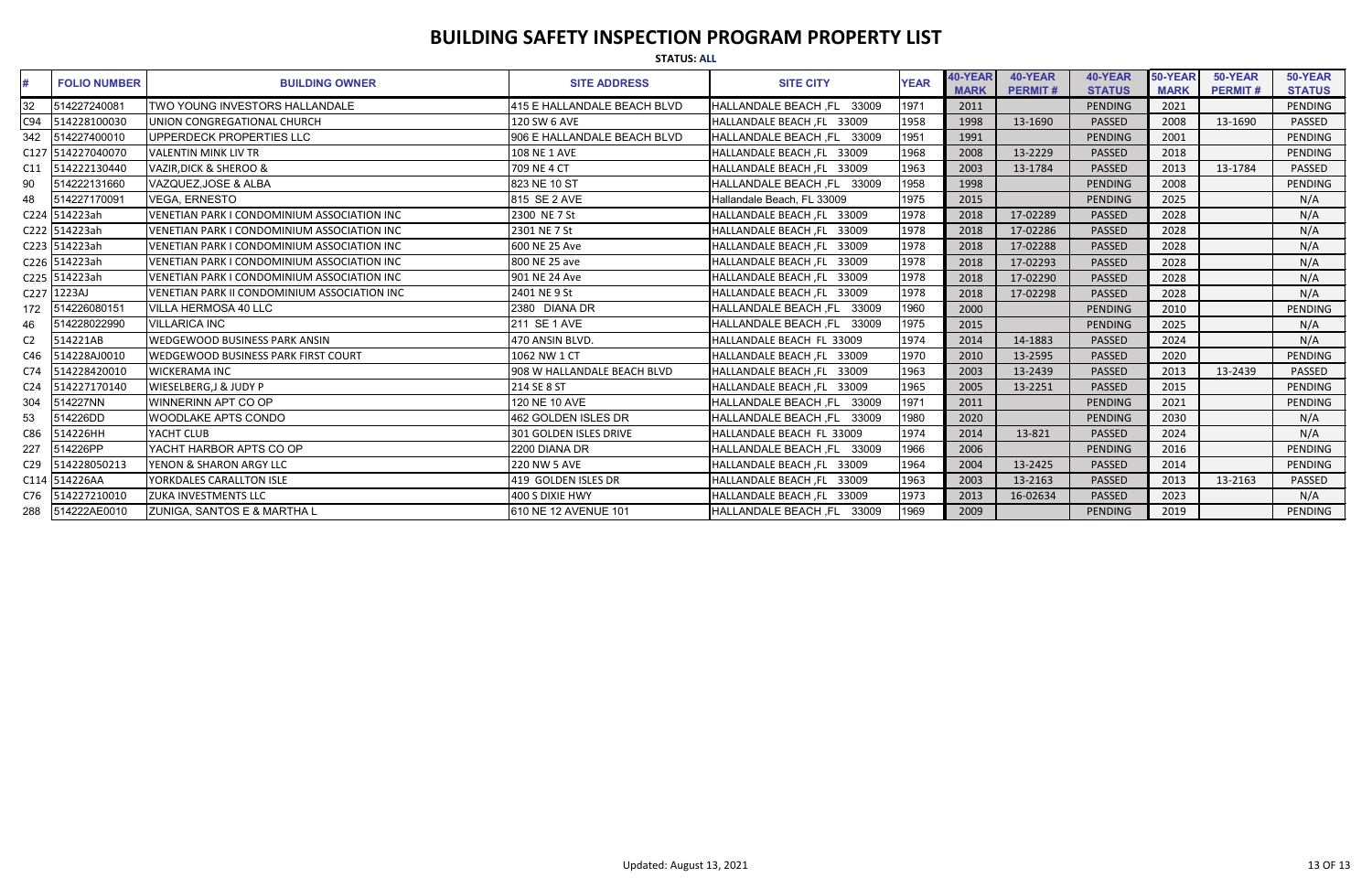|                 | <b>STATUS: ALL</b>  |                                              |                               |                               |             |             |                |                |             |                |                |  |  |
|-----------------|---------------------|----------------------------------------------|-------------------------------|-------------------------------|-------------|-------------|----------------|----------------|-------------|----------------|----------------|--|--|
| #               | <b>FOLIO NUMBER</b> | <b>BUILDING OWNER</b>                        | <b>SITE ADDRESS</b>           | <b>SITE CITY</b>              | <b>YEAR</b> | 40-YEAR     | 40-YEAR        | 40-YEAR        | 50-YEAR     | 50-YEAR        | 50-YEAR        |  |  |
|                 |                     |                                              |                               |                               |             | <b>MARK</b> | <b>PERMIT#</b> | <b>STATUS</b>  | <b>MARK</b> | <b>PERMIT#</b> | <b>STATUS</b>  |  |  |
| 32              | 514227240081        | TWO YOUNG INVESTORS HALLANDALE               | 415 E HALLANDALE BEACH BLVD   | HALLANDALE BEACH, FL<br>33009 | 1971        | 2011        |                | <b>PENDING</b> | 2021        |                | PENDING        |  |  |
| C94             | 514228100030        | UNION CONGREGATIONAL CHURCH                  | 120 SW 6 AVE                  | HALLANDALE BEACH, FL 33009    | 1958        | 1998        | 13-1690        | PASSED         | 2008        | 13-1690        | PASSED         |  |  |
| 342             | 514227400010        | UPPERDECK PROPERTIES LLC                     | 906 E HALLANDALE BEACH BLVD   | HALLANDALE BEACH, FL 33009    | 1951        | 1991        |                | <b>PENDING</b> | 2001        |                | <b>PENDING</b> |  |  |
|                 | C127 514227040070   | <b>VALENTIN MINK LIV TR</b>                  | 108 NE 1 AVE                  | HALLANDALE BEACH, FL 33009    | 1968        | 2008        | 13-2229        | <b>PASSED</b>  | 2018        |                | <b>PENDING</b> |  |  |
| C <sub>11</sub> | 514222130440        | <b>VAZIR, DICK &amp; SHEROO &amp;</b>        | 709 NE 4 CT                   | HALLANDALE BEACH, FL 33009    | 1963        | 2003        | 13-1784        | <b>PASSED</b>  | 2013        | 13-1784        | <b>PASSED</b>  |  |  |
| 90              | 514222131660        | VAZQUEZ, JOSE & ALBA                         | 823 NE 10 ST                  | HALLANDALE BEACH, FL 33009    | 1958        | 1998        |                | <b>PENDING</b> | 2008        |                | <b>PENDING</b> |  |  |
| 48              | 514227170091        | <b>VEGA, ERNESTO</b>                         | 815 SE 2 AVE                  | Hallandale Beach, FL 33009    | 1975        | 2015        |                | <b>PENDING</b> | 2025        |                | N/A            |  |  |
|                 | C224 514223ah       | VENETIAN PARK I CONDOMINIUM ASSOCIATION INC  | 2300 NE 7 St                  | HALLANDALE BEACH, FL 33009    | 1978        | 2018        | 17-02289       | <b>PASSED</b>  | 2028        |                | N/A            |  |  |
|                 | C222 514223ah       | VENETIAN PARK I CONDOMINIUM ASSOCIATION INC  | 2301 NE 7 St                  | HALLANDALE BEACH, FL 33009    | 1978        | 2018        | 17-02286       | <b>PASSED</b>  | 2028        |                | N/A            |  |  |
|                 | C223 514223ah       | VENETIAN PARK I CONDOMINIUM ASSOCIATION INC  | 600 NE 25 Ave                 | HALLANDALE BEACH, FL 33009    | 1978        | 2018        | 17-02288       | PASSED         | 2028        |                | N/A            |  |  |
|                 | C226 514223ah       | VENETIAN PARK I CONDOMINIUM ASSOCIATION INC  | 800 NE 25 ave                 | HALLANDALE BEACH, FL 33009    | 1978        | 2018        | 17-02293       | PASSED         | 2028        |                | N/A            |  |  |
|                 | C225 514223ah       | VENETIAN PARK I CONDOMINIUM ASSOCIATION INC  | 901 NE 24 Ave                 | HALLANDALE BEACH, FL 33009    | 1978        | 2018        | 17-02290       | PASSED         | 2028        |                | N/A            |  |  |
|                 | C227 1223AJ         | VENETIAN PARK II CONDOMINIUM ASSOCIATION INC | 2401 NE 9 St                  | HALLANDALE BEACH, FL 33009    | 1978        | 2018        | 17-02298       | PASSED         | 2028        |                | N/A            |  |  |
| 172             | 514226080151        | <b>VILLA HERMOSA 40 LLC</b>                  | 2380 DIANA DR                 | HALLANDALE BEACH, FL 33009    | 1960        | 2000        |                | PENDING        | 2010        |                | PENDING        |  |  |
| 46              | 514228022990        | <b>VILLARICA INC</b>                         | 211 SE 1 AVE                  | HALLANDALE BEACH, FL 33009    | 1975        | 2015        |                | PENDING        | 2025        |                | N/A            |  |  |
| C <sub>2</sub>  | 514221AB            | <b>WEDGEWOOD BUSINESS PARK ANSIN</b>         | 470 ANSIN BLVD.               | HALLANDALE BEACH FL 33009     | 1974        | 2014        | 14-1883        | PASSED         | 2024        |                | N/A            |  |  |
| C46             | 514228AJ0010        | <b>WEDGEWOOD BUSINESS PARK FIRST COURT</b>   | 1062 NW 1 CT                  | HALLANDALE BEACH, FL 33009    | 1970        | 2010        | 13-2595        | <b>PASSED</b>  | 2020        |                | PENDING        |  |  |
| C <sub>74</sub> | 514228420010        | <b>WICKERAMA INC</b>                         | 908 W HALLANDALE BEACH BLVD   | HALLANDALE BEACH, FL 33009    | 1963        | 2003        | 13-2439        | <b>PASSED</b>  | 2013        | 13-2439        | <b>PASSED</b>  |  |  |
| C <sub>24</sub> | 514227170140        | <b>WIESELBERG, J &amp; JUDY P</b>            | 214 SE 8 ST                   | HALLANDALE BEACH, FL 33009    | 1965        | 2005        | 13-2251        | <b>PASSED</b>  | 2015        |                | <b>PENDING</b> |  |  |
| 304             | 514227NN            | WINNERINN APT CO OP                          | 120 NE 10 AVE                 | HALLANDALE BEACH, FL 33009    | 1971        | 2011        |                | PENDING        | 2021        |                | PENDING        |  |  |
| 53              | 514226DD            | <b>WOODLAKE APTS CONDO</b>                   | 462 GOLDEN ISLES DR           | HALLANDALE BEACH, FL 33009    | 1980        | 2020        |                | PENDING        | 2030        |                | N/A            |  |  |
| C86             | 514226HH            | YACHT CLUB                                   | <b>301 GOLDEN ISLES DRIVE</b> | HALLANDALE BEACH FL 33009     | 1974        | 2014        | 13-821         | <b>PASSED</b>  | 2024        |                | N/A            |  |  |
| 227             | 514226PP            | YACHT HARBOR APTS CO OP                      | 2200 DIANA DR                 | HALLANDALE BEACH, FL 33009    | 1966        | 2006        |                | <b>PENDING</b> | 2016        |                | <b>PENDING</b> |  |  |
| C <sub>29</sub> | 514228050213        | YENON & SHARON ARGY LLC                      | <b>220 NW 5 AVE</b>           | HALLANDALE BEACH, FL 33009    | 1964        | 2004        | 13-2425        | <b>PASSED</b>  | 2014        |                | PENDING        |  |  |
|                 | C114 514226AA       | YORKDALES CARALLTON ISLE                     | 419 GOLDEN ISLES DR           | HALLANDALE BEACH, FL 33009    | 1963        | 2003        | 13-2163        | <b>PASSED</b>  | 2013        | 13-2163        | <b>PASSED</b>  |  |  |
| C76             | 514227210010        | <b>ZUKA INVESTMENTS LLC</b>                  | 400 S DIXIE HWY               | HALLANDALE BEACH, FL 33009    | 1973        | 2013        | 16-02634       | PASSED         | 2023        |                | N/A            |  |  |
| 288             | 514222AE0010        | <b>ZUNIGA, SANTOS E &amp; MARTHA L</b>       | 610 NE 12 AVENUE 101          | HALLANDALE BEACH, FL 33009    | 1969        | 2009        |                | <b>PENDING</b> | 2019        |                | PENDING        |  |  |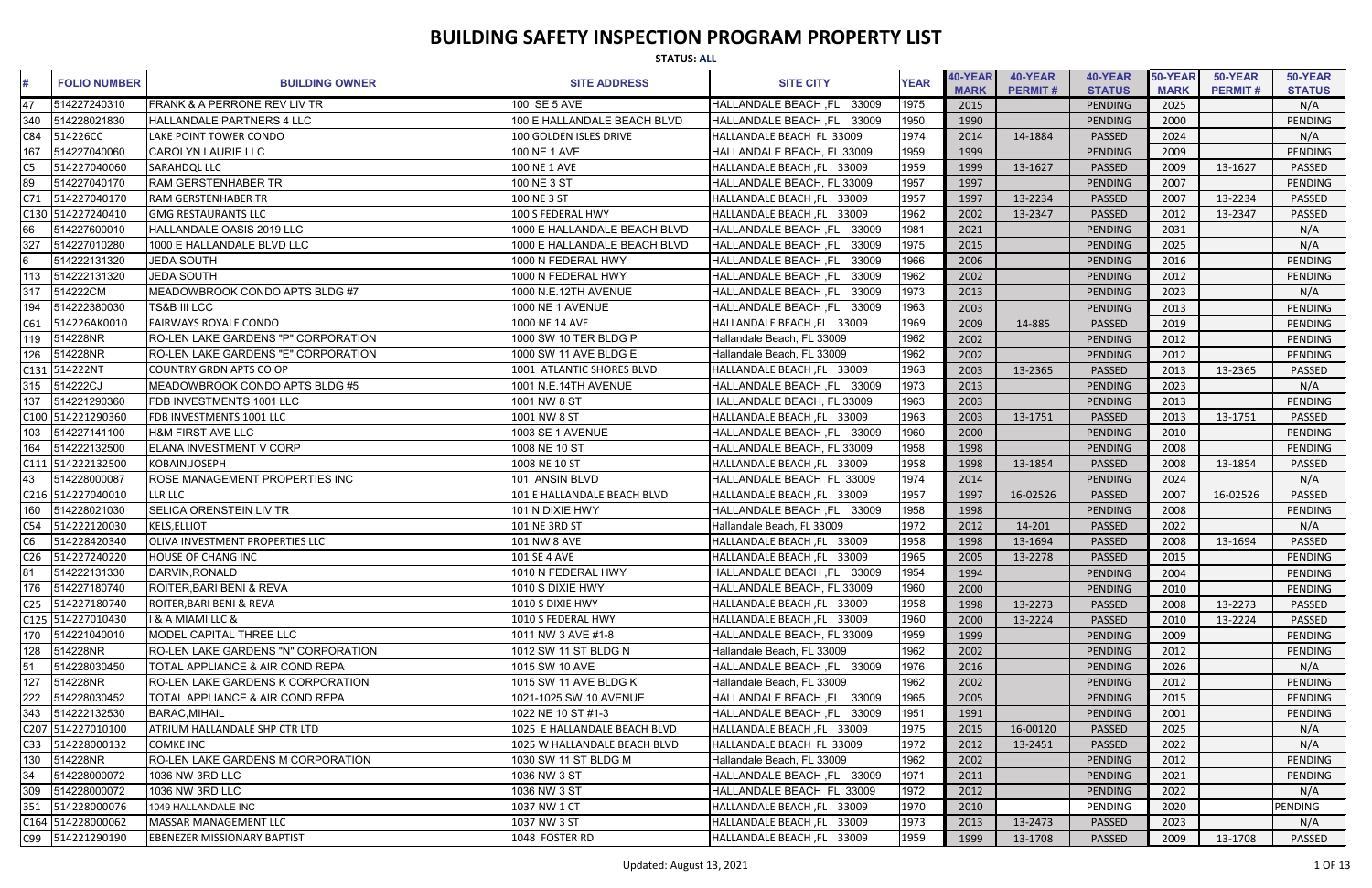|                 | <b>STATUS: ALL</b>  |                                            |                              |                                      |             |                        |                           |                          |                        |                           |                          |  |
|-----------------|---------------------|--------------------------------------------|------------------------------|--------------------------------------|-------------|------------------------|---------------------------|--------------------------|------------------------|---------------------------|--------------------------|--|
|                 | <b>FOLIO NUMBER</b> | <b>BUILDING OWNER</b>                      | <b>SITE ADDRESS</b>          | <b>SITE CITY</b>                     | <b>YEAR</b> | 40-YEAR<br><b>MARK</b> | 40-YEAR<br><b>PERMIT#</b> | 40-YEAR<br><b>STATUS</b> | 50-YEAR<br><b>MARK</b> | 50-YEAR<br><b>PERMIT#</b> | 50-YEAR<br><b>STATUS</b> |  |
| 47              | 514227240310        | <b>FRANK &amp; A PERRONE REV LIV TR</b>    | 100 SE 5 AVE                 | 33009<br><b>HALLANDALE BEACH, FL</b> | 1975        | 2015                   |                           | PENDING                  | 2025                   |                           | N/A                      |  |
| 340             | 514228021830        | HALLANDALE PARTNERS 4 LLC                  | 100 E HALLANDALE BEACH BLVD  | 33009<br>HALLANDALE BEACH, FL        | 1950        | 1990                   |                           | <b>PENDING</b>           | 2000                   |                           | <b>PENDING</b>           |  |
| C84             | 514226CC            | LAKE POINT TOWER CONDO                     | 100 GOLDEN ISLES DRIVE       | HALLANDALE BEACH FL 33009            | 1974        | 2014                   | 14-1884                   | <b>PASSED</b>            | 2024                   |                           | N/A                      |  |
| 167             | 514227040060        | <b>CAROLYN LAURIE LLC</b>                  | 100 NE 1 AVE                 | HALLANDALE BEACH, FL 33009           | 1959        | 1999                   |                           | <b>PENDING</b>           | 2009                   |                           | <b>PENDING</b>           |  |
| C5.             | 514227040060        | <b>SARAHDQL LLC</b>                        | 100 NE 1 AVE                 | HALLANDALE BEACH, FL 33009           | 1959        | 1999                   | 13-1627                   | <b>PASSED</b>            | 2009                   | 13-1627                   | PASSED                   |  |
| 89              | 514227040170        | <b>RAM GERSTENHABER TR</b>                 | 100 NE 3 ST                  | HALLANDALE BEACH, FL 33009           | 1957        | 1997                   |                           | <b>PENDING</b>           | 2007                   |                           | <b>PENDING</b>           |  |
| C71             | 514227040170        | <b>RAM GERSTENHABER TR</b>                 | 100 NE 3 ST                  | HALLANDALE BEACH, FL 33009           | 1957        | 1997                   | 13-2234                   | <b>PASSED</b>            | 2007                   | 13-2234                   | PASSED                   |  |
|                 | C130 514227240410   | <b>GMG RESTAURANTS LLC</b>                 | 100 S FEDERAL HWY            | HALLANDALE BEACH, FL 33009           | 1962        | 2002                   | 13-2347                   | <b>PASSED</b>            | 2012                   | 13-2347                   | <b>PASSED</b>            |  |
| 66              | 514227600010        | HALLANDALE OASIS 2019 LLC                  | 1000 E HALLANDALE BEACH BLVD | HALLANDALE BEACH, FL<br>33009        | 1981        | 2021                   |                           | <b>PENDING</b>           | 2031                   |                           | N/A                      |  |
| 327             | 514227010280        | 1000 E HALLANDALE BLVD LLC                 | 1000 E HALLANDALE BEACH BLVD | <b>HALLANDALE BEACH, FL</b><br>33009 | 1975        | 2015                   |                           | <b>PENDING</b>           | 2025                   |                           | N/A                      |  |
|                 | 514222131320        | <b>JEDA SOUTH</b>                          | 1000 N FEDERAL HWY           | HALLANDALE BEACH, FL<br>33009        | 1966        | 2006                   |                           | <b>PENDING</b>           | 2016                   |                           | PENDING                  |  |
| 113             | 514222131320        | <b>JEDA SOUTH</b>                          | 1000 N FEDERAL HWY           | 33009<br><b>HALLANDALE BEACH, FL</b> | 1962        | 2002                   |                           | <b>PENDING</b>           | 2012                   |                           | PENDING                  |  |
| 317             | 514222CM            | MEADOWBROOK CONDO APTS BLDG #7             | 1000 N.E.12TH AVENUE         | 33009<br><b>HALLANDALE BEACH, FL</b> | 1973        | 2013                   |                           | <b>PENDING</b>           | 2023                   |                           | N/A                      |  |
| 194             | 514222380030        | <b>TS&amp;B III LCC</b>                    | 1000 NE 1 AVENUE             | HALLANDALE BEACH, FL<br>33009        | 1963        | 2003                   |                           | <b>PENDING</b>           | 2013                   |                           | PENDING                  |  |
| C61             | 514226AK0010        | <b>FAIRWAYS ROYALE CONDO</b>               | 1000 NE 14 AVE               | HALLANDALE BEACH, FL 33009           | 1969        | 2009                   | 14-885                    | <b>PASSED</b>            | 2019                   |                           | <b>PENDING</b>           |  |
| 119             | 514228NR            | RO-LEN LAKE GARDENS "P" CORPORATION        | 1000 SW 10 TER BLDG P        | Hallandale Beach, FL 33009           | 1962        | 2002                   |                           | <b>PENDING</b>           | 2012                   |                           | <b>PENDING</b>           |  |
| 126             | 514228NR            | RO-LEN LAKE GARDENS "E" CORPORATION        | 1000 SW 11 AVE BLDG E        | Hallandale Beach, FL 33009           | 1962        | 2002                   |                           | <b>PENDING</b>           | 2012                   |                           | <b>PENDING</b>           |  |
|                 | C131 514222NT       | <b>COUNTRY GRDN APTS CO OP</b>             | 1001 ATLANTIC SHORES BLVD    | HALLANDALE BEACH, FL 33009           | 1963        | 2003                   | 13-2365                   | <b>PASSED</b>            | 2013                   | 13-2365                   | <b>PASSED</b>            |  |
| 315             | 514222CJ            | MEADOWBROOK CONDO APTS BLDG #5             | 1001 N.E.14TH AVENUE         | HALLANDALE BEACH, FL 33009           | 1973        | 2013                   |                           | <b>PENDING</b>           | 2023                   |                           | N/A                      |  |
| 137             | 514221290360        | FDB INVESTMENTS 1001 LLC                   | 1001 NW 8 ST                 | HALLANDALE BEACH, FL 33009           | 1963        | 2003                   |                           | <b>PENDING</b>           | 2013                   |                           | PENDING                  |  |
|                 | C100 514221290360   | FDB INVESTMENTS 1001 LLC                   | 1001 NW 8 ST                 | HALLANDALE BEACH, FL 33009           | 1963        | 2003                   | 13-1751                   | <b>PASSED</b>            | 2013                   | 13-1751                   | PASSED                   |  |
| 103             | 514227141100        | <b>H&amp;M FIRST AVE LLC</b>               | <b>1003 SE 1 AVENUE</b>      | HALLANDALE BEACH, FL 33009           | 1960        | 2000                   |                           | <b>PENDING</b>           | 2010                   |                           | <b>PENDING</b>           |  |
| 164             | 514222132500        | ELANA INVESTMENT V CORP                    | 1008 NE 10 ST                | HALLANDALE BEACH, FL 33009           | 1958        | 1998                   |                           | <b>PENDING</b>           | 2008                   |                           | <b>PENDING</b>           |  |
|                 | C111 514222132500   | KOBAIN, JOSEPH                             | 1008 NE 10 ST                | HALLANDALE BEACH, FL 33009           | 1958        | 1998                   | 13-1854                   | <b>PASSED</b>            | 2008                   | 13-1854                   | PASSED                   |  |
| 43              | 514228000087        | <b>ROSE MANAGEMENT PROPERTIES INC</b>      | 101 ANSIN BLVD               | HALLANDALE BEACH FL 33009            | 1974        | 2014                   |                           | <b>PENDING</b>           | 2024                   |                           | N/A                      |  |
|                 | C216 514227040010   | LLR LLC                                    | 101 E HALLANDALE BEACH BLVD  | HALLANDALE BEACH, FL 33009           | 1957        | 1997                   | 16-02526                  | <b>PASSED</b>            | 2007                   | 16-02526                  | <b>PASSED</b>            |  |
| 160             | 514228021030        | <b>SELICA ORENSTEIN LIV TR</b>             | 101 N DIXIE HWY              | HALLANDALE BEACH, FL 33009           | 1958        | 1998                   |                           | PENDING                  | 2008                   |                           | PENDING                  |  |
|                 | C54 514222120030    | <b>KELS, ELLIOT</b>                        | 101 NE 3RD ST                | Hallandale Beach, FL 33009           | 1972        | 2012                   | 14-201                    | <b>PASSED</b>            | 2022                   |                           | N/A                      |  |
| C6              | 514228420340        | <b>OLIVA INVESTMENT PROPERTIES LLC</b>     | <b>101 NW 8 AVE</b>          | HALLANDALE BEACH, FL 33009           | 1958        | 1998                   | 13-1694                   | <b>PASSED</b>            | 2008                   | 13-1694                   | PASSED                   |  |
| C <sub>26</sub> | 514227240220        | <b>HOUSE OF CHANG INC</b>                  | 101 SE 4 AVE                 | HALLANDALE BEACH, FL 33009           | 1965        | 2005                   | 13-2278                   | <b>PASSED</b>            | 2015                   |                           | PENDING                  |  |
| 81              | 514222131330        | DARVIN, RONALD                             | 1010 N FEDERAL HWY           | HALLANDALE BEACH, FL 33009           | 1954        | 1994                   |                           | PENDING                  | 2004                   |                           | PENDING                  |  |
| 176             | 514227180740        | ROITER, BARI BENI & REVA                   | 1010 S DIXIE HWY             | HALLANDALE BEACH, FL 33009           | 1960        | 2000                   |                           | PENDING                  | 2010                   |                           | PENDING                  |  |
|                 | C25 514227180740    | <b>ROITER, BARI BENI &amp; REVA</b>        | 1010 S DIXIE HWY             | HALLANDALE BEACH, FL 33009           | 1958        | 1998                   | 13-2273                   | <b>PASSED</b>            | 2008                   | 13-2273                   | PASSED                   |  |
|                 | C125 514227010430   | I & A MIAMI LLC &                          | 1010 S FEDERAL HWY           | HALLANDALE BEACH, FL 33009           | 1960        | 2000                   | 13-2224                   | <b>PASSED</b>            | 2010                   | 13-2224                   | PASSED                   |  |
| 170             | 514221040010        | MODEL CAPITAL THREE LLC                    | 1011 NW 3 AVE #1-8           | HALLANDALE BEACH, FL 33009           | 1959        | 1999                   |                           | PENDING                  | 2009                   |                           | PENDING                  |  |
| 128             | 514228NR            | RO-LEN LAKE GARDENS "N" CORPORATION        | 1012 SW 11 ST BLDG N         | Hallandale Beach, FL 33009           | 1962        | 2002                   |                           | PENDING                  | 2012                   |                           | PENDING                  |  |
| 51              | 514228030450        | TOTAL APPLIANCE & AIR COND REPA            | 1015 SW 10 AVE               | HALLANDALE BEACH, FL 33009           | 1976        | 2016                   |                           | PENDING                  | 2026                   |                           | N/A                      |  |
| 127             | 514228NR            | <b>RO-LEN LAKE GARDENS K CORPORATION</b>   | 1015 SW 11 AVE BLDG K        | Hallandale Beach, FL 33009           | 1962        | 2002                   |                           | PENDING                  | 2012                   |                           | PENDING                  |  |
| 222             | 514228030452        | <b>TOTAL APPLIANCE &amp; AIR COND REPA</b> | 1021-1025 SW 10 AVENUE       | HALLANDALE BEACH, FL 33009           | 1965        | 2005                   |                           | PENDING                  | 2015                   |                           | PENDING                  |  |
| 343             | 514222132530        | <b>BARAC, MIHAIL</b>                       | 1022 NE 10 ST #1-3           | HALLANDALE BEACH, FL 33009           | 1951        | 1991                   |                           | PENDING                  | 2001                   |                           | PENDING                  |  |
|                 | C207 514227010100   | ATRIUM HALLANDALE SHP CTR LTD              | 1025 E HALLANDALE BEACH BLVD | HALLANDALE BEACH, FL 33009           | 1975        | 2015                   | 16-00120                  | <b>PASSED</b>            | 2025                   |                           | N/A                      |  |
| C33             | 514228000132        | <b>COMKE INC</b>                           | 1025 W HALLANDALE BEACH BLVD | HALLANDALE BEACH FL 33009            | 1972        | 2012                   | 13-2451                   | PASSED                   | 2022                   |                           | N/A                      |  |
| 130             | 514228NR            | <b>RO-LEN LAKE GARDENS M CORPORATION</b>   | 1030 SW 11 ST BLDG M         | Hallandale Beach, FL 33009           | 1962        | 2002                   |                           | PENDING                  | 2012                   |                           | PENDING                  |  |
| 34              | 514228000072        | 1036 NW 3RD LLC                            | 1036 NW 3 ST                 | HALLANDALE BEACH, FL 33009           | 1971        | 2011                   |                           | PENDING                  | 2021                   |                           | PENDING                  |  |
| 309             | 514228000072        | 1036 NW 3RD LLC                            | 1036 NW 3 ST                 | HALLANDALE BEACH FL 33009            | 1972        | 2012                   |                           | <b>PENDING</b>           | 2022                   |                           | N/A                      |  |
| 351             | 514228000076        | 1049 HALLANDALE INC                        | 1037 NW 1 CT                 | HALLANDALE BEACH, FL 33009           | 1970        | 2010                   |                           | PENDING                  | 2020                   |                           | PENDING                  |  |
|                 | C164 514228000062   | MASSAR MANAGEMENT LLC                      | 1037 NW 3 ST                 | HALLANDALE BEACH, FL 33009           | 1973        | 2013                   | 13-2473                   | PASSED                   | 2023                   |                           | N/A                      |  |
|                 | C99 514221290190    | <b>EBENEZER MISSIONARY BAPTIST</b>         | 1048 FOSTER RD               | HALLANDALE BEACH, FL 33009           | 1959        | 1999                   | 13-1708                   | PASSED                   | 2009                   | 13-1708                   | PASSED                   |  |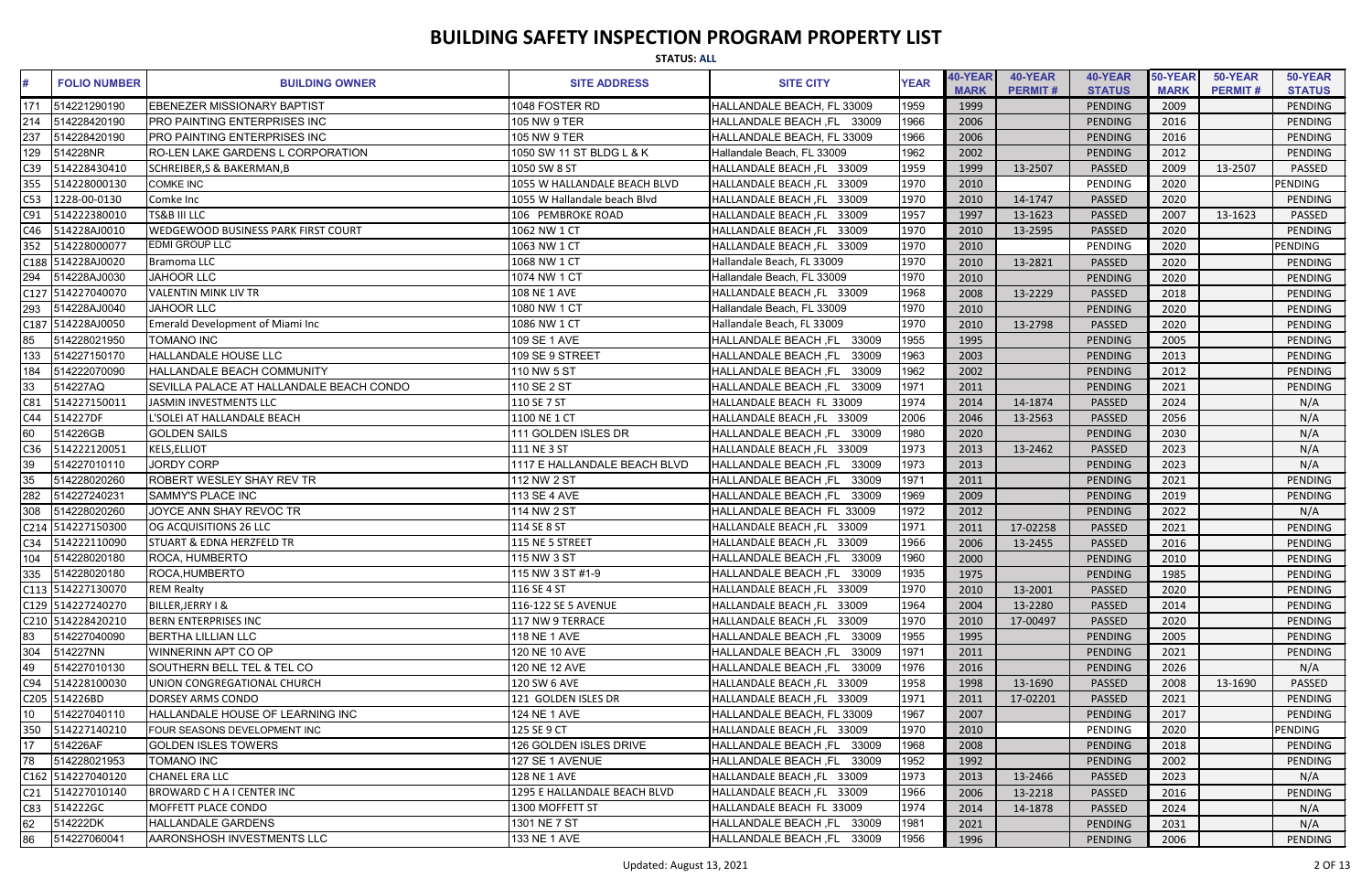|     | <b>STATUS: ALL</b>  |                                            |                              |                                      |             |                               |                           |                          |                        |                           |                          |  |
|-----|---------------------|--------------------------------------------|------------------------------|--------------------------------------|-------------|-------------------------------|---------------------------|--------------------------|------------------------|---------------------------|--------------------------|--|
|     | <b>FOLIO NUMBER</b> | <b>BUILDING OWNER</b>                      | <b>SITE ADDRESS</b>          | <b>SITE CITY</b>                     | <b>YEAR</b> | <b>40-YEAR</b><br><b>MARK</b> | 40-YEAR<br><b>PERMIT#</b> | 40-YEAR<br><b>STATUS</b> | 50-YEAR<br><b>MARK</b> | 50-YEAR<br><b>PERMIT#</b> | 50-YEAR<br><b>STATUS</b> |  |
| 171 | 514221290190        | <b>EBENEZER MISSIONARY BAPTIST</b>         | 1048 FOSTER RD               | HALLANDALE BEACH, FL 33009           | 1959        | 1999                          |                           | PENDING                  | 2009                   |                           | <b>PENDING</b>           |  |
| 214 | 514228420190        | <b>PRO PAINTING ENTERPRISES INC</b>        | 105 NW 9 TER                 | HALLANDALE BEACH, FL<br>33009        | 1966        | 2006                          |                           | <b>PENDING</b>           | 2016                   |                           | PENDING                  |  |
| 237 | 514228420190        | <b>PRO PAINTING ENTERPRISES INC</b>        | 105 NW 9 TER                 | HALLANDALE BEACH, FL 33009           | 1966        | 2006                          |                           | PENDING                  | 2016                   |                           | PENDING                  |  |
| 129 | 514228NR            | RO-LEN LAKE GARDENS L CORPORATION          | 1050 SW 11 ST BLDG L & K     | Hallandale Beach, FL 33009           | 1962        | 2002                          |                           | PENDING                  | 2012                   |                           | PENDING                  |  |
| 39  | 514228430410        | <b>SCHREIBER, S &amp; BAKERMAN, B</b>      | 1050 SW 8 ST                 | HALLANDALE BEACH, FL 33009           | 1959        | 1999                          | 13-2507                   | PASSED                   | 2009                   | 13-2507                   | <b>PASSED</b>            |  |
| 355 | 514228000130        | <b>COMKE INC</b>                           | 1055 W HALLANDALE BEACH BLVD | HALLANDALE BEACH, FL 33009           | 1970        | 2010                          |                           | PENDING                  | 2020                   |                           | PENDING                  |  |
| C53 | 1228-00-0130        | Comke Inc                                  | 1055 W Hallandale beach Blvd | HALLANDALE BEACH, FL 33009           | 1970        | 2010                          | 14-1747                   | PASSED                   | 2020                   |                           | PENDING                  |  |
| C91 | 514222380010        | <b>TS&amp;B III LLC</b>                    | 106 PEMBROKE ROAD            | HALLANDALE BEACH, FL 33009           | 1957        | 1997                          | 13-1623                   | PASSED                   | 2007                   | 13-1623                   | PASSED                   |  |
| C46 | 514228AJ0010        | <b>WEDGEWOOD BUSINESS PARK FIRST COURT</b> | 1062 NW 1 CT                 | HALLANDALE BEACH, FL<br>33009        | 1970        | 2010                          | 13-2595                   | PASSED                   | 2020                   |                           | PENDING                  |  |
| 352 | 514228000077        | <b>EDMI GROUP LLC</b>                      | 1063 NW 1 CT                 | HALLANDALE BEACH, FL 33009           | 1970        | 2010                          |                           | PENDING                  | 2020                   |                           | PENDING                  |  |
|     | C188 514228AJ0020   | <b>Bramoma LLC</b>                         | 1068 NW 1 CT                 | Hallandale Beach, FL 33009           | 1970        | 2010                          | 13-2821                   | PASSED                   | 2020                   |                           | <b>PENDING</b>           |  |
| 294 | 514228AJ0030        | <b>JAHOOR LLC</b>                          | 1074 NW 1 CT                 | Hallandale Beach, FL 33009           | 1970        | 2010                          |                           | PENDING                  | 2020                   |                           | PENDING                  |  |
|     | C127 514227040070   | <b>VALENTIN MINK LIV TR</b>                | <b>108 NE 1 AVE</b>          | HALLANDALE BEACH, FL 33009           | 1968        | 2008                          | 13-2229                   | PASSED                   | 2018                   |                           | <b>PENDING</b>           |  |
| 293 | 514228AJ0040        | <b>JAHOOR LLC</b>                          | 1080 NW 1 CT                 | Hallandale Beach, FL 33009           | 1970        | 2010                          |                           | <b>PENDING</b>           | 2020                   |                           | PENDING                  |  |
|     | C187 514228AJ0050   | <b>Emerald Development of Miami Inc</b>    | 1086 NW 1 CT                 | Hallandale Beach, FL 33009           | 1970        | 2010                          | 13-2798                   | PASSED                   | 2020                   |                           | PENDING                  |  |
| 85  | 514228021950        | <b>TOMANO INC</b>                          | 109 SE 1 AVE                 | 33009<br><b>HALLANDALE BEACH, FL</b> | 1955        | 1995                          |                           | PENDING                  | 2005                   |                           | PENDING                  |  |
| 133 | 514227150170        | <b>HALLANDALE HOUSE LLC</b>                | 109 SE 9 STREET              | 33009<br><b>HALLANDALE BEACH, FL</b> | 1963        | 2003                          |                           | <b>PENDING</b>           | 2013                   |                           | <b>PENDING</b>           |  |
| 184 | 514222070090        | <b>HALLANDALE BEACH COMMUNITY</b>          | 110 NW 5 ST                  | 33009<br><b>HALLANDALE BEACH, FL</b> | 1962        | 2002                          |                           | PENDING                  | 2012                   |                           | <b>PENDING</b>           |  |
| 33  | 514227AQ            | SEVILLA PALACE AT HALLANDALE BEACH CONDO   | 110 SE 2 ST                  | <b>HALLANDALE BEACH, FL</b><br>33009 | 1971        | 2011                          |                           | PENDING                  | 2021                   |                           | PENDING                  |  |
| C81 | 514227150011        | JASMIN INVESTMENTS LLC                     | 110 SE 7 ST                  | HALLANDALE BEACH FL 33009            | 1974        | 2014                          | 14-1874                   | PASSED                   | 2024                   |                           | N/A                      |  |
| C44 | 514227DF            | L'SOLEI AT HALLANDALE BEACH                | 1100 NE 1 CT                 | HALLANDALE BEACH, FL 33009           | 2006        | 2046                          | 13-2563                   | <b>PASSED</b>            | 2056                   |                           | N/A                      |  |
| 60  | 514226GB            | <b>GOLDEN SAILS</b>                        | 111 GOLDEN ISLES DR          | HALLANDALE BEACH, FL 33009           | 1980        | 2020                          |                           | PENDING                  | 2030                   |                           | N/A                      |  |
| C36 | 514222120051        | <b>KELS, ELLIOT</b>                        | 111 NE 3 ST                  | HALLANDALE BEACH, FL 33009           | 1973        | 2013                          | 13-2462                   | PASSED                   | 2023                   |                           | N/A                      |  |
| 39  | 514227010110        | <b>JORDY CORP</b>                          | 1117 E HALLANDALE BEACH BLVD | HALLANDALE BEACH, FL<br>33009        | 1973        | 2013                          |                           | PENDING                  | 2023                   |                           | N/A                      |  |
| 35  | 514228020260        | <b>ROBERT WESLEY SHAY REV TR</b>           | 112 NW 2 ST                  | <b>HALLANDALE BEACH, FL</b><br>33009 | 1971        | 2011                          |                           | PENDING                  | 2021                   |                           | <b>PENDING</b>           |  |
| 282 | 514227240231        | <b>SAMMY'S PLACE INC</b>                   | 113 SE 4 AVE                 | <b>HALLANDALE BEACH, FL</b><br>33009 | 1969        | 2009                          |                           | <b>PENDING</b>           | 2019                   |                           | PENDING                  |  |
| 308 | 514228020260        | JOYCE ANN SHAY REVOC TR                    | 114 NW 2 ST                  | HALLANDALE BEACH FL 33009            | 1972        | 2012                          |                           | <b>PENDING</b>           | 2022                   |                           | N/A                      |  |
|     | C214 514227150300   | OG ACQUISITIONS 26 LLC                     | 114 SE 8 ST                  | HALLANDALE BEACH, FL 33009           | 1971        | 2011                          | 17-02258                  | <b>PASSED</b>            | 2021                   |                           | PENDING                  |  |
|     | C34 514222110090    | <b>STUART &amp; EDNA HERZFELD TR</b>       | 115 NE 5 STREET              | HALLANDALE BEACH, FL 33009           | 1966        | 2006                          | 13-2455                   | <b>PASSED</b>            | 2016                   |                           | PENDING                  |  |
|     | 104 514228020180    | ROCA, HUMBERTO                             | 115 NW 3 ST                  | HALLANDALE BEACH, FL 33009           | 1960        | 2000                          |                           | PENDING                  | 2010                   |                           | PENDING                  |  |
|     | 335 514228020180    | ROCA, HUMBERTO                             | 115 NW 3 ST #1-9             | HALLANDALE BEACH, FL 33009           | 1935        | 1975                          |                           | PENDING                  | 1985                   |                           | PENDING                  |  |
|     | C113 514227130070   | <b>REM Realty</b>                          | 116 SE 4 ST                  | HALLANDALE BEACH, FL 33009           | 1970        | 2010                          | 13-2001                   | <b>PASSED</b>            | 2020                   |                           | PENDING                  |  |
|     | C129 514227240270   | BILLER, JERRY I &                          | 116-122 SE 5 AVENUE          | HALLANDALE BEACH, FL 33009           | 1964        | 2004                          | 13-2280                   | <b>PASSED</b>            | 2014                   |                           | PENDING                  |  |
|     | C210 514228420210   | <b>BERN ENTERPRISES INC</b>                | 117 NW 9 TERRACE             | HALLANDALE BEACH, FL 33009           | 1970        | 2010                          | 17-00497                  | <b>PASSED</b>            | 2020                   |                           | PENDING                  |  |
| 83  | 514227040090        | <b>BERTHA LILLIAN LLC</b>                  | 118 NE 1 AVE                 | HALLANDALE BEACH, FL 33009           | 1955        | 1995                          |                           | PENDING                  | 2005                   |                           | PENDING                  |  |
| 304 | 514227NN            | WINNERINN APT CO OP                        | 120 NE 10 AVE                | HALLANDALE BEACH, FL 33009           | 1971        | 2011                          |                           | PENDING                  | 2021                   |                           | PENDING                  |  |
| 49  | 514227010130        | SOUTHERN BELL TEL & TEL CO                 | 120 NE 12 AVE                | HALLANDALE BEACH, FL 33009           | 1976        | 2016                          |                           | PENDING                  | 2026                   |                           | N/A                      |  |
| C94 | 514228100030        | UNION CONGREGATIONAL CHURCH                | 120 SW 6 AVE                 | HALLANDALE BEACH, FL 33009           | 1958        | 1998                          | 13-1690                   | <b>PASSED</b>            | 2008                   | 13-1690                   | <b>PASSED</b>            |  |
|     | C205 514226BD       | <b>DORSEY ARMS CONDO</b>                   | 121 GOLDEN ISLES DR          | HALLANDALE BEACH, FL 33009           | 1971        | 2011                          | 17-02201                  | <b>PASSED</b>            | 2021                   |                           | PENDING                  |  |
| 10  | 514227040110        | HALLANDALE HOUSE OF LEARNING INC           | 124 NE 1 AVE                 | HALLANDALE BEACH, FL 33009           | 1967        | 2007                          |                           | PENDING                  | 2017                   |                           | PENDING                  |  |
| 350 | 514227140210        | FOUR SEASONS DEVELOPMENT INC               | 125 SE 9 CT                  | HALLANDALE BEACH, FL 33009           | 1970        | 2010                          |                           | PENDING                  | 2020                   |                           | <b>PENDING</b>           |  |
| 17  | 514226AF            | <b>GOLDEN ISLES TOWERS</b>                 | 126 GOLDEN ISLES DRIVE       | HALLANDALE BEACH, FL 33009           | 1968        | 2008                          |                           | PENDING                  | 2018                   |                           | PENDING                  |  |
| 78  | 514228021953        | <b>TOMANO INC</b>                          | 127 SE 1 AVENUE              | HALLANDALE BEACH, FL 33009           | 1952        | 1992                          |                           | PENDING                  | 2002                   |                           | PENDING                  |  |
|     | C162 514227040120   | <b>CHANEL ERA LLC</b>                      | <b>128 NE 1 AVE</b>          | HALLANDALE BEACH, FL 33009           | 1973        | 2013                          | 13-2466                   | <b>PASSED</b>            | 2023                   |                           | N/A                      |  |
| C21 | 514227010140        | <b>BROWARD C H A I CENTER INC</b>          | 1295 E HALLANDALE BEACH BLVD | HALLANDALE BEACH, FL 33009           | 1966        | 2006                          | 13-2218                   | <b>PASSED</b>            | 2016                   |                           | PENDING                  |  |
| C83 | 514222GC            | <b>MOFFETT PLACE CONDO</b>                 | 1300 MOFFETT ST              | HALLANDALE BEACH FL 33009            | 1974        | 2014                          | 14-1878                   | <b>PASSED</b>            | 2024                   |                           | N/A                      |  |
| 62  | 514222DK            | <b>HALLANDALE GARDENS</b>                  | 1301 NE 7 ST                 | HALLANDALE BEACH, FL 33009           | 1981        | 2021                          |                           | PENDING                  | 2031                   |                           | N/A                      |  |
| 86  | 514227060041        | <b>AARONSHOSH INVESTMENTS LLC</b>          | 133 NE 1 AVE                 | HALLANDALE BEACH, FL 33009           | 1956        | 1996                          |                           | PENDING                  | 2006                   |                           | PENDING                  |  |
|     |                     |                                            |                              |                                      |             |                               |                           |                          |                        |                           |                          |  |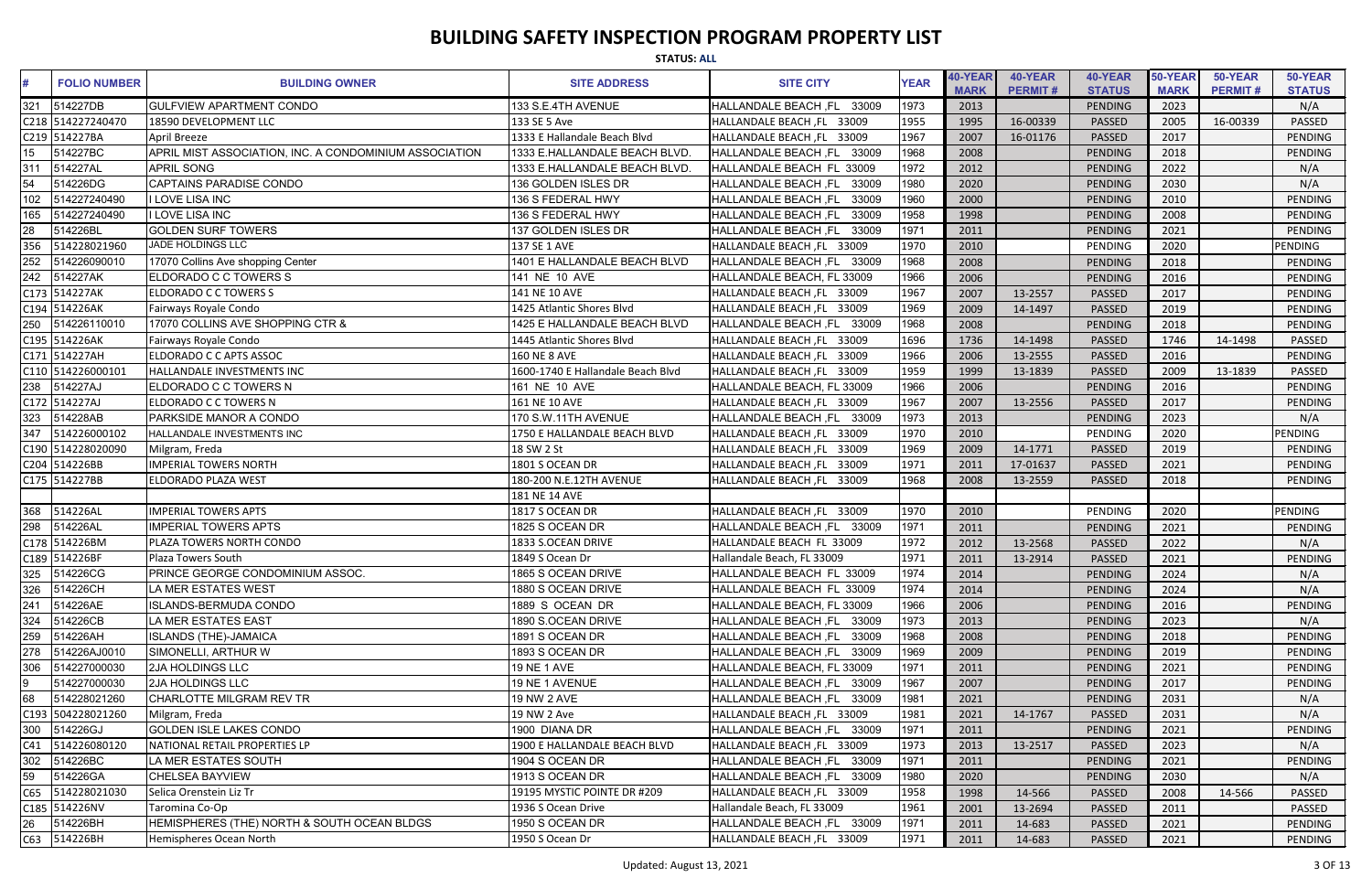|                  |                     |                                                        | <b>STATUS: ALL</b>                |                               |             |                        |                           |                          |                        |                           |                          |
|------------------|---------------------|--------------------------------------------------------|-----------------------------------|-------------------------------|-------------|------------------------|---------------------------|--------------------------|------------------------|---------------------------|--------------------------|
|                  | <b>FOLIO NUMBER</b> | <b>BUILDING OWNER</b>                                  | <b>SITE ADDRESS</b>               | <b>SITE CITY</b>              | <b>YEAR</b> | 40-YEAR<br><b>MARK</b> | 40-YEAR<br><b>PERMIT#</b> | 40-YEAR<br><b>STATUS</b> | 50-YEAR<br><b>MARK</b> | 50-YEAR<br><b>PERMIT#</b> | 50-YEAR<br><b>STATUS</b> |
| 321              | 514227DB            | <b>GULFVIEW APARTMENT CONDO</b>                        | 133 S.E.4TH AVENUE                | HALLANDALE BEACH, FL 33009    | 1973        | 2013                   |                           | PENDING                  | 2023                   |                           | N/A                      |
|                  | C218 514227240470   | 18590 DEVELOPMENT LLC                                  | 133 SE 5 Ave                      | HALLANDALE BEACH, FL 33009    | 1955        | 1995                   | 16-00339                  | <b>PASSED</b>            | 2005                   | 16-00339                  | <b>PASSED</b>            |
| C219             | 514227BA            | April Breeze                                           | 1333 E Hallandale Beach Blvd      | HALLANDALE BEACH, FL 33009    | 1967        | 2007                   | 16-01176                  | <b>PASSED</b>            | 2017                   |                           | <b>PENDING</b>           |
| 15 <sup>15</sup> | 514227BC            | APRIL MIST ASSOCIATION, INC. A CONDOMINIUM ASSOCIATION | 1333 E.HALLANDALE BEACH BLVD      | HALLANDALE BEACH, FL 33009    | 1968        | 2008                   |                           | <b>PENDING</b>           | 2018                   |                           | <b>PENDING</b>           |
| 311              | 514227AL            | <b>APRIL SONG</b>                                      | 1333 E.HALLANDALE BEACH BLVD.     | HALLANDALE BEACH FL 33009     | 1972        | 2012                   |                           | <b>PENDING</b>           | 2022                   |                           | N/A                      |
| 54               | 514226DG            | <b>CAPTAINS PARADISE CONDO</b>                         | 136 GOLDEN ISLES DR               | HALLANDALE BEACH, FL<br>33009 | 1980        | 2020                   |                           | <b>PENDING</b>           | 2030                   |                           | N/A                      |
| 102              | 514227240490        | <b>I LOVE LISA INC</b>                                 | 136 S FEDERAL HWY                 | 33009<br>HALLANDALE BEACH, FL | 1960        | 2000                   |                           | <b>PENDING</b>           | 2010                   |                           | PENDING                  |
| 165              | 514227240490        | I LOVE LISA INC                                        | 136 S FEDERAL HWY                 | 33009<br>HALLANDALE BEACH, FL | 1958        | 1998                   |                           | <b>PENDING</b>           | 2008                   |                           | PENDING                  |
| 28               | 514226BL            | <b>GOLDEN SURF TOWERS</b>                              | 137 GOLDEN ISLES DR               | 33009<br>HALLANDALE BEACH, FL | 1971        | 2011                   |                           | <b>PENDING</b>           | 2021                   |                           | <b>PENDING</b>           |
| 356              | 514228021960        | JADE HOLDINGS LLC                                      | 137 SE 1 AVE                      | HALLANDALE BEACH, FL 33009    | 1970        | 2010                   |                           | PENDING                  | 2020                   |                           | <b>PENDING</b>           |
| 252              | 514226090010        | 17070 Collins Ave shopping Center                      | 1401 E HALLANDALE BEACH BLVD      | HALLANDALE BEACH, FL 33009    | 1968        | 2008                   |                           | PENDING                  | 2018                   |                           | <b>PENDING</b>           |
| 242              | 514227AK            | ELDORADO C C TOWERS S                                  | 141 NE 10 AVE                     | HALLANDALE BEACH, FL 33009    | 1966        | 2006                   |                           | <b>PENDING</b>           | 2016                   |                           | PENDING                  |
|                  | C173 514227AK       | ELDORADO C C TOWERS S                                  | 141 NE 10 AVE                     | HALLANDALE BEACH, FL 33009    | 1967        | 2007                   | 13-2557                   | <b>PASSED</b>            | 2017                   |                           | <b>PENDING</b>           |
|                  | C194 514226AK       | Fairways Royale Condo                                  | 1425 Atlantic Shores Blvd         | HALLANDALE BEACH, FL 33009    | 1969        | 2009                   | 14-1497                   | PASSED                   | 2019                   |                           | PENDING                  |
| 250              | 514226110010        | 17070 COLLINS AVE SHOPPING CTR &                       | 1425 E HALLANDALE BEACH BLVD      | HALLANDALE BEACH, FL 33009    | 1968        | 2008                   |                           | <b>PENDING</b>           | 2018                   |                           | <b>PENDING</b>           |
|                  | C195 514226AK       | Fairways Royale Condo                                  | 1445 Atlantic Shores Blvd         | HALLANDALE BEACH, FL 33009    | 1696        | 1736                   | 14-1498                   | PASSED                   | 1746                   | 14-1498                   | PASSED                   |
|                  | C171 514227AH       | ELDORADO C C APTS ASSOC                                | <b>160 NE 8 AVE</b>               | HALLANDALE BEACH, FL 33009    | 1966        | 2006                   | 13-2555                   | <b>PASSED</b>            | 2016                   |                           | <b>PENDING</b>           |
|                  | C110 514226000101   | HALLANDALE INVESTMENTS INC                             | 1600-1740 E Hallandale Beach Blvd | HALLANDALE BEACH, FL 33009    | 1959        | 1999                   | 13-1839                   | <b>PASSED</b>            | 2009                   | 13-1839                   | PASSED                   |
| 238              | 514227AJ            | ELDORADO C C TOWERS N                                  | 161 NE 10 AVE                     | HALLANDALE BEACH, FL 33009    | 1966        | 2006                   |                           | <b>PENDING</b>           | 2016                   |                           | PENDING                  |
|                  | C172 514227AJ       | <b>ELDORADO C C TOWERS N</b>                           | 161 NE 10 AVE                     | HALLANDALE BEACH, FL 33009    | 1967        | 2007                   | 13-2556                   | <b>PASSED</b>            | 2017                   |                           | PENDING                  |
| 323              | 514228AB            | PARKSIDE MANOR A CONDO                                 | 170 S.W.11TH AVENUE               | HALLANDALE BEACH, FL 33009    | 1973        | 2013                   |                           | <b>PENDING</b>           | 2023                   |                           | N/A                      |
| 347              | 514226000102        | HALLANDALE INVESTMENTS INC                             | 1750 E HALLANDALE BEACH BLVD      | HALLANDALE BEACH, FL 33009    | 1970        | 2010                   |                           | PENDING                  | 2020                   |                           | <b>PENDING</b>           |
|                  | C190 514228020090   | Milgram, Freda                                         | 18 SW 2 St                        | HALLANDALE BEACH, FL 33009    | 1969        | 2009                   | 14-1771                   | PASSED                   | 2019                   |                           | <b>PENDING</b>           |
|                  | C204 514226BB       | <b>MPERIAL TOWERS NORTH</b>                            | 1801 S OCEAN DR                   | HALLANDALE BEACH, FL 33009    | 1971        | 2011                   | 17-01637                  | <b>PASSED</b>            | 2021                   |                           | PENDING                  |
|                  | C175 514227BB       | ELDORADO PLAZA WEST                                    | 180-200 N.E.12TH AVENUE           | HALLANDALE BEACH, FL 33009    | 1968        | 2008                   | 13-2559                   | <b>PASSED</b>            | 2018                   |                           | PENDING                  |
|                  |                     |                                                        | 181 NE 14 AVE                     |                               |             |                        |                           |                          |                        |                           |                          |
| 368              | 514226AL            | <b>MPERIAL TOWERS APTS</b>                             | 1817 S OCEAN DR                   | HALLANDALE BEACH, FL 33009    | 1970        | 2010                   |                           | PENDING                  | 2020                   |                           | <b>PENDING</b>           |
| 298              | 514226AL            | <b>IMPERIAL TOWERS APTS</b>                            | 1825 S OCEAN DR                   | HALLANDALE BEACH, FL 33009    | 1971        | 2011                   |                           | PENDING                  | 2021                   |                           | PENDING                  |
|                  | C178 514226BM       | PLAZA TOWERS NORTH CONDO                               | 1833 S.OCEAN DRIVE                | HALLANDALE BEACH FL 33009     | 1972        | 2012                   | 13-2568                   | <b>PASSED</b>            | 2022                   |                           | N/A                      |
|                  | C189 514226BF       | Plaza Towers South                                     | 1849 S Ocean Dr                   | Hallandale Beach, FL 33009    | 1971        | 2011                   | 13-2914                   | <b>PASSED</b>            | 2021                   |                           | PENDING                  |
| 325              | 514226CG            | PRINCE GEORGE CONDOMINIUM ASSOC.                       | 1865 S OCEAN DRIVE                | HALLANDALE BEACH FL 33009     | 1974        | 2014                   |                           | PENDING                  | 2024                   |                           | N/A                      |
| 326              | 514226CH            | LA MER ESTATES WEST                                    | 1880 S OCEAN DRIVE                | HALLANDALE BEACH FL 33009     | 1974        | 2014                   |                           | PENDING                  | 2024                   |                           | N/A                      |
| 241              | 514226AE            | ISLANDS-BERMUDA CONDO                                  | 1889 S OCEAN DR                   | HALLANDALE BEACH, FL 33009    | 1966        | 2006                   |                           | PENDING                  | 2016                   |                           | PENDING                  |
| 324              | 514226CB            | LA MER ESTATES EAST                                    | 1890 S.OCEAN DRIVE                | HALLANDALE BEACH, FL 33009    | 1973        | 2013                   |                           | PENDING                  | 2023                   |                           | N/A                      |
| 259              | 514226AH            | <b>ISLANDS (THE)-JAMAICA</b>                           | 1891 S OCEAN DR                   | HALLANDALE BEACH, FL 33009    | 1968        | 2008                   |                           | PENDING                  | 2018                   |                           | PENDING                  |
| 278              | 514226AJ0010        | SIMONELLI, ARTHUR W                                    | 1893 S OCEAN DR                   | HALLANDALE BEACH, FL 33009    | 1969        | 2009                   |                           | PENDING                  | 2019                   |                           | PENDING                  |
| 306              | 514227000030        | <b>2JA HOLDINGS LLC</b>                                | <b>19 NE 1 AVE</b>                | HALLANDALE BEACH, FL 33009    | 1971        | 2011                   |                           | PENDING                  | 2021                   |                           | PENDING                  |
|                  | 514227000030        | <b>2JA HOLDINGS LLC</b>                                | 19 NE 1 AVENUE                    | HALLANDALE BEACH, FL 33009    | 1967        | 2007                   |                           | PENDING                  | 2017                   |                           | PENDING                  |
| 68               | 514228021260        | CHARLOTTE MILGRAM REV TR                               | 19 NW 2 AVE                       | HALLANDALE BEACH, FL 33009    | 1981        | 2021                   |                           | PENDING                  | 2031                   |                           | N/A                      |
|                  | C193 504228021260   | Milgram, Freda                                         | 19 NW 2 Ave                       | HALLANDALE BEACH, FL 33009    | 1981        | 2021                   | 14-1767                   | <b>PASSED</b>            | 2031                   |                           | N/A                      |
| 300              | 514226GJ            | <b>GOLDEN ISLE LAKES CONDO</b>                         | 1900 DIANA DR                     | HALLANDALE BEACH, FL 33009    | 1971        | 2011                   |                           | PENDING                  | 2021                   |                           | PENDING                  |
| C41              | 514226080120        | NATIONAL RETAIL PROPERTIES LP                          | 1900 E HALLANDALE BEACH BLVD      | HALLANDALE BEACH, FL 33009    | 1973        | 2013                   | 13-2517                   | <b>PASSED</b>            | 2023                   |                           | N/A                      |
| 302              | 514226BC            | LA MER ESTATES SOUTH                                   | 1904 S OCEAN DR                   | HALLANDALE BEACH, FL 33009    | 1971        | 2011                   |                           | PENDING                  | 2021                   |                           | PENDING                  |
| 59               | 514226GA            | <b>CHELSEA BAYVIEW</b>                                 | 1913 S OCEAN DR                   | HALLANDALE BEACH, FL 33009    | 1980        | 2020                   |                           | PENDING                  | 2030                   |                           | N/A                      |
| C65              | 514228021030        | Selica Orenstein Liz Tr                                | 19195 MYSTIC POINTE DR #209       | HALLANDALE BEACH, FL 33009    | 1958        | 1998                   | 14-566                    | <b>PASSED</b>            | 2008                   | 14-566                    | <b>PASSED</b>            |
|                  | C185 514226NV       | Taromina Co-Op                                         | 1936 S Ocean Drive                | Hallandale Beach, FL 33009    | 1961        | 2001                   | 13-2694                   | <b>PASSED</b>            | 2011                   |                           | PASSED                   |
| 26               | 514226BH            | HEMISPHERES (THE) NORTH & SOUTH OCEAN BLDGS            | 1950 S OCEAN DR                   | HALLANDALE BEACH, FL 33009    | 1971        | 2011                   | 14-683                    | PASSED                   | 2021                   |                           | PENDING                  |
| C63              | 514226BH            | Hemispheres Ocean North                                | 1950 S Ocean Dr                   | HALLANDALE BEACH, FL 33009    | 1971        | 2011                   | 14-683                    | PASSED                   | 2021                   |                           | PENDING                  |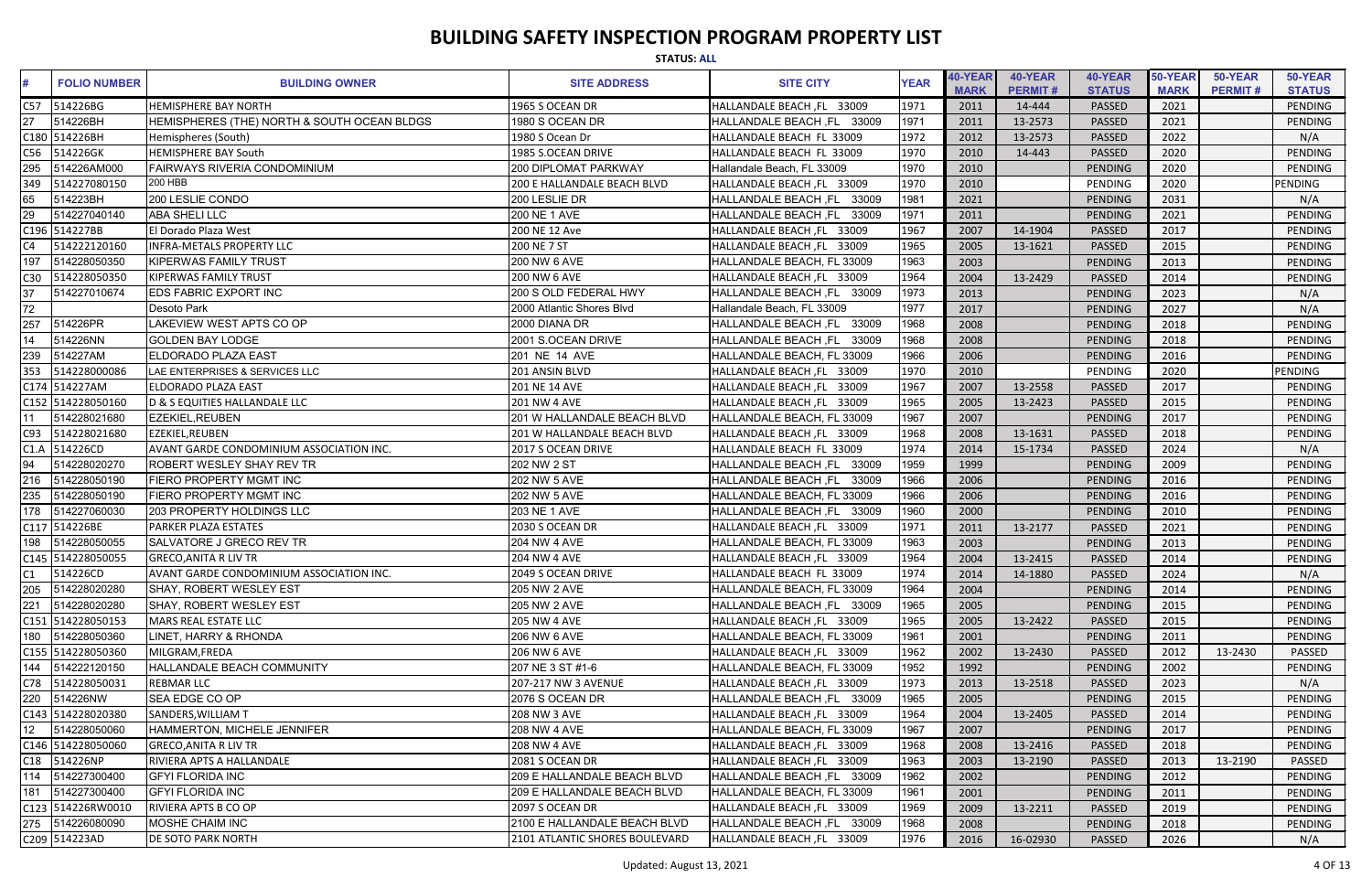|                 | <b>STATUS: ALL</b>  |                                             |                                    |                                      |             |                        |                           |                          |                        |                           |                          |  |
|-----------------|---------------------|---------------------------------------------|------------------------------------|--------------------------------------|-------------|------------------------|---------------------------|--------------------------|------------------------|---------------------------|--------------------------|--|
|                 | <b>FOLIO NUMBER</b> | <b>BUILDING OWNER</b>                       | <b>SITE ADDRESS</b>                | <b>SITE CITY</b>                     | <b>YEAR</b> | 40-YEAR<br><b>MARK</b> | 40-YEAR<br><b>PERMIT#</b> | 40-YEAR<br><b>STATUS</b> | 50-YEAR<br><b>MARK</b> | 50-YEAR<br><b>PERMIT#</b> | 50-YEAR<br><b>STATUS</b> |  |
| C57             | 514226BG            | <b>HEMISPHERE BAY NORTH</b>                 | 1965 S OCEAN DR                    | HALLANDALE BEACH, FL 33009           | 1971        | 2011                   | 14-444                    | <b>PASSED</b>            | 2021                   |                           | PENDING                  |  |
| 27              | 514226BH            | HEMISPHERES (THE) NORTH & SOUTH OCEAN BLDGS | 1980 S OCEAN DR                    | HALLANDALE BEACH, FL<br>33009        | 1971        | 2011                   | 13-2573                   | <b>PASSED</b>            | 2021                   |                           | PENDING                  |  |
|                 | C180 514226BH       | Hemispheres (South)                         | 1980 S Ocean Dr                    | HALLANDALE BEACH FL 33009            | 1972        | 2012                   | 13-2573                   | PASSED                   | 2022                   |                           | N/A                      |  |
| C56             | 514226GK            | <b>HEMISPHERE BAY South</b>                 | 1985 S.OCEAN DRIVE                 | HALLANDALE BEACH FL 33009            | 1970        | 2010                   | 14-443                    | PASSED                   | 2020                   |                           | PENDING                  |  |
| 295             | 514226AM000         | <b>FAIRWAYS RIVERIA CONDOMINIUM</b>         | <b>200 DIPLOMAT PARKWAY</b>        | Hallandale Beach, FL 33009           | 1970        | 2010                   |                           | PENDING                  | 2020                   |                           | PENDING                  |  |
| 349             | 514227080150        | <b>200 HBB</b>                              | <b>200 E HALLANDALE BEACH BLVD</b> | HALLANDALE BEACH, FL 33009           | 1970        | 2010                   |                           | PENDING                  | 2020                   |                           | PENDING                  |  |
| 65              | 514223BH            | 200 LESLIE CONDO                            | 200 LESLIE DR                      | <b>HALLANDALE BEACH, FL</b><br>33009 | 1981        | 2021                   |                           | PENDING                  | 2031                   |                           | N/A                      |  |
| 29              | 514227040140        | <b>ABA SHELI LLC</b>                        | <b>200 NE 1 AVE</b>                | 33009<br><b>HALLANDALE BEACH, FL</b> | 1971        | 2011                   |                           | PENDING                  | 2021                   |                           | <b>PENDING</b>           |  |
|                 | C196 514227BB       | El Dorado Plaza West                        | 200 NE 12 Ave                      | HALLANDALE BEACH, FL 33009           | 1967        | 2007                   | 14-1904                   | PASSED                   | 2017                   |                           | PENDING                  |  |
| C4              | 514222120160        | <b>INFRA-METALS PROPERTY LLC</b>            | 200 NE 7 ST                        | HALLANDALE BEACH, FL 33009           | 1965        | 2005                   | 13-1621                   | PASSED                   | 2015                   |                           | PENDING                  |  |
| 197             | 514228050350        | <b>KIPERWAS FAMILY TRUST</b>                | 200 NW 6 AVE                       | HALLANDALE BEACH, FL 33009           | 1963        | 2003                   |                           | PENDING                  | 2013                   |                           | PENDING                  |  |
| C30             | 514228050350        | <b>KIPERWAS FAMILY TRUST</b>                | 200 NW 6 AVE                       | HALLANDALE BEACH, FL 33009           | 1964        | 2004                   | 13-2429                   | PASSED                   | 2014                   |                           | PENDING                  |  |
| 37              | 514227010674        | <b>EDS FABRIC EXPORT INC</b>                | 200 S OLD FEDERAL HWY              | HALLANDALE BEACH, FL 33009           | 1973        | 2013                   |                           | PENDING                  | 2023                   |                           | N/A                      |  |
| 72              |                     | Desoto Park                                 | 2000 Atlantic Shores Blvd          | Hallandale Beach, FL 33009           | 1977        | 2017                   |                           | PENDING                  | 2027                   |                           | N/A                      |  |
| 257             | 514226PR            | <b>AKEVIEW WEST APTS CO OP</b>              | 2000 DIANA DR                      | 33009<br>HALLANDALE BEACH, FL        | 1968        | 2008                   |                           | PENDING                  | 2018                   |                           | <b>PENDING</b>           |  |
| 14              | 514226NN            | <b>GOLDEN BAY LODGE</b>                     | 2001 S.OCEAN DRIVE                 | HALLANDALE BEACH, FL<br>33009        | 1968        | 2008                   |                           | PENDING                  | 2018                   |                           | <b>PENDING</b>           |  |
| 239             | 514227AM            | <b>ELDORADO PLAZA EAST</b>                  | 201 NE 14 AVE                      | HALLANDALE BEACH, FL 33009           | 1966        | 2006                   |                           | PENDING                  | 2016                   |                           | PENDING                  |  |
| 353             | 514228000086        | LAE ENTERPRISES & SERVICES LLC              | 201 ANSIN BLVD                     | HALLANDALE BEACH, FL 33009           | 1970        | 2010                   |                           | PENDING                  | 2020                   |                           | PENDING                  |  |
|                 | C174 514227AM       | ELDORADO PLAZA EAST                         | <b>201 NE 14 AVE</b>               | HALLANDALE BEACH, FL 33009           | 1967        | 2007                   | 13-2558                   | <b>PASSED</b>            | 2017                   |                           | PENDING                  |  |
|                 | C152 514228050160   | D & S EQUITIES HALLANDALE LLC               | <b>201 NW 4 AVE</b>                | HALLANDALE BEACH, FL 33009           | 1965        | 2005                   | 13-2423                   | PASSED                   | 2015                   |                           | <b>PENDING</b>           |  |
|                 | 514228021680        | <b>EZEKIEL, REUBEN</b>                      | 201 W HALLANDALE BEACH BLVD        | HALLANDALE BEACH, FL 33009           | 1967        | 2007                   |                           | <b>PENDING</b>           | 2017                   |                           | <b>PENDING</b>           |  |
| C93             | 514228021680        | <b>EZEKIEL, REUBEN</b>                      | 201 W HALLANDALE BEACH BLVD        | HALLANDALE BEACH, FL 33009           | 1968        | 2008                   | 13-1631                   | PASSED                   | 2018                   |                           | PENDING                  |  |
| C1.A            | 514226CD            | AVANT GARDE CONDOMINIUM ASSOCIATION INC.    | 2017 S OCEAN DRIVE                 | HALLANDALE BEACH FL 33009            | 1974        | 2014                   | 15-1734                   | PASSED                   | 2024                   |                           | N/A                      |  |
| 94              | 514228020270        | <b>ROBERT WESLEY SHAY REV TR</b>            | 202 NW 2 ST                        | 33009<br><b>HALLANDALE BEACH, FL</b> | 1959        | 1999                   |                           | PENDING                  | 2009                   |                           | PENDING                  |  |
| 216             | 514228050190        | FIERO PROPERTY MGMT INC                     | <b>202 NW 5 AVE</b>                | 33009<br><b>HALLANDALE BEACH, FL</b> | 1966        | 2006                   |                           | PENDING                  | 2016                   |                           | <b>PENDING</b>           |  |
| 235             | 514228050190        | FIERO PROPERTY MGMT INC                     | <b>202 NW 5 AVE</b>                | HALLANDALE BEACH, FL 33009           | 1966        | 2006                   |                           | PENDING                  | 2016                   |                           | PENDING                  |  |
| 178             | 514227060030        | 203 PROPERTY HOLDINGS LLC                   | 203 NE 1 AVE                       | HALLANDALE BEACH, FL 33009           | 1960        | 2000                   |                           | <b>PENDING</b>           | 2010                   |                           | PENDING                  |  |
|                 | C117 514226BE       | <b>PARKER PLAZA ESTATES</b>                 | 2030 S OCEAN DR                    | HALLANDALE BEACH, FL 33009           | 1971        | 2011                   | 13-2177                   | PASSED                   | 2021                   |                           | PENDING                  |  |
| 198             | 514228050055        | SALVATORE J GRECO REV TR                    | 204 NW 4 AVE                       | HALLANDALE BEACH, FL 33009           | 1963        | 2003                   |                           | PENDING                  | 2013                   |                           | PENDING                  |  |
|                 | C145 514228050055   | <b>GRECO, ANITA R LIV TR</b>                | <b>204 NW 4 AVE</b>                | HALLANDALE BEACH, FL 33009           | 1964        | 2004                   | 13-2415                   | PASSED                   | 2014                   |                           | PENDING                  |  |
| C1              | 514226CD            | AVANT GARDE CONDOMINIUM ASSOCIATION INC.    | 2049 S OCEAN DRIVE                 | HALLANDALE BEACH FL 33009            | 1974        | 2014                   | 14-1880                   | PASSED                   | 2024                   |                           | N/A                      |  |
| 205             | 514228020280        | <b>ISHAY. ROBERT WESLEY EST</b>             | <b>205 NW 2 AVE</b>                | HALLANDALE BEACH, FL 33009           | 1964        | 2004                   |                           | PENDING                  | 2014                   |                           | PENDING                  |  |
| 221             | 514228020280        | SHAY, ROBERT WESLEY EST                     | 205 NW 2 AVE                       | HALLANDALE BEACH, FL 33009           | 1965        | 2005                   |                           | PENDING                  | 2015                   |                           | PENDING                  |  |
|                 | C151 514228050153   | MARS REAL ESTATE LLC                        | <b>205 NW 4 AVE</b>                | HALLANDALE BEACH, FL 33009           | 1965        | 2005                   | 13-2422                   | <b>PASSED</b>            | 2015                   |                           | PENDING                  |  |
|                 | 180 514228050360    | LINET, HARRY & RHONDA                       | 206 NW 6 AVE                       | HALLANDALE BEACH, FL 33009           | 1961        | 2001                   |                           | PENDING                  | 2011                   |                           | PENDING                  |  |
|                 | C155 514228050360   | MILGRAM, FREDA                              | 206 NW 6 AVE                       | HALLANDALE BEACH, FL 33009           | 1962        | 2002                   | 13-2430                   | <b>PASSED</b>            | 2012                   | 13-2430                   | PASSED                   |  |
| 144             | 514222120150        | <b>HALLANDALE BEACH COMMUNITY</b>           | 207 NE 3 ST #1-6                   | HALLANDALE BEACH, FL 33009           | 1952        | 1992                   |                           | PENDING                  | 2002                   |                           | <b>PENDING</b>           |  |
|                 | C78 514228050031    | <b>REBMAR LLC</b>                           | 207-217 NW 3 AVENUE                | HALLANDALE BEACH, FL 33009           | 1973        | 2013                   | 13-2518                   | PASSED                   | 2023                   |                           | N/A                      |  |
| 220             | 514226NW            | SEA EDGE CO OP                              | 2076 S OCEAN DR                    | HALLANDALE BEACH, FL 33009           | 1965        | 2005                   |                           | PENDING                  | 2015                   |                           | PENDING                  |  |
|                 | C143 514228020380   | SANDERS, WILLIAM T                          | <b>208 NW 3 AVE</b>                | HALLANDALE BEACH, FL 33009           | 1964        | 2004                   | 13-2405                   | PASSED                   | 2014                   |                           | PENDING                  |  |
| 12 <sub>2</sub> | 514228050060        | HAMMERTON, MICHELE JENNIFER                 | 208 NW 4 AVE                       | HALLANDALE BEACH, FL 33009           | 1967        | 2007                   |                           | PENDING                  | 2017                   |                           | PENDING                  |  |
|                 | C146 514228050060   | <b>GRECO, ANITA R LIV TR</b>                | <b>208 NW 4 AVE</b>                | HALLANDALE BEACH, FL 33009           | 1968        | 2008                   | 13-2416                   | PASSED                   | 2018                   |                           | PENDING                  |  |
|                 | C18 514226NP        | RIVIERA APTS A HALLANDALE                   | 2081 S OCEAN DR                    | HALLANDALE BEACH, FL 33009           | 1963        | 2003                   | 13-2190                   | PASSED                   | 2013                   | 13-2190                   | PASSED                   |  |
| 114             | 514227300400        | <b>GFYI FLORIDA INC</b>                     | 209 E HALLANDALE BEACH BLVD        | HALLANDALE BEACH, FL 33009           | 1962        | 2002                   |                           | PENDING                  | 2012                   |                           | PENDING                  |  |
| 181             | 514227300400        | <b>GFYI FLORIDA INC</b>                     | 209 E HALLANDALE BEACH BLVD        | HALLANDALE BEACH, FL 33009           | 1961        | 2001                   |                           | PENDING                  | 2011                   |                           | PENDING                  |  |
|                 | C123 514226RW0010   | <b>RIVIERA APTS B CO OP</b>                 | 2097 S OCEAN DR                    | HALLANDALE BEACH, FL 33009           | 1969        | 2009                   | 13-2211                   | PASSED                   | 2019                   |                           | PENDING                  |  |
|                 | 275  514226080090   | <b>MOSHE CHAIM INC</b>                      | 2100 E HALLANDALE BEACH BLVD       | HALLANDALE BEACH, FL 33009           | 1968        | 2008                   |                           | <b>PENDING</b>           | 2018                   |                           | PENDING                  |  |
|                 | C209 514223AD       | <b>DE SOTO PARK NORTH</b>                   | 2101 ATLANTIC SHORES BOULEVARD     | HALLANDALE BEACH, FL 33009           | 1976        | 2016                   | 16-02930                  | PASSED                   | 2026                   |                           | N/A                      |  |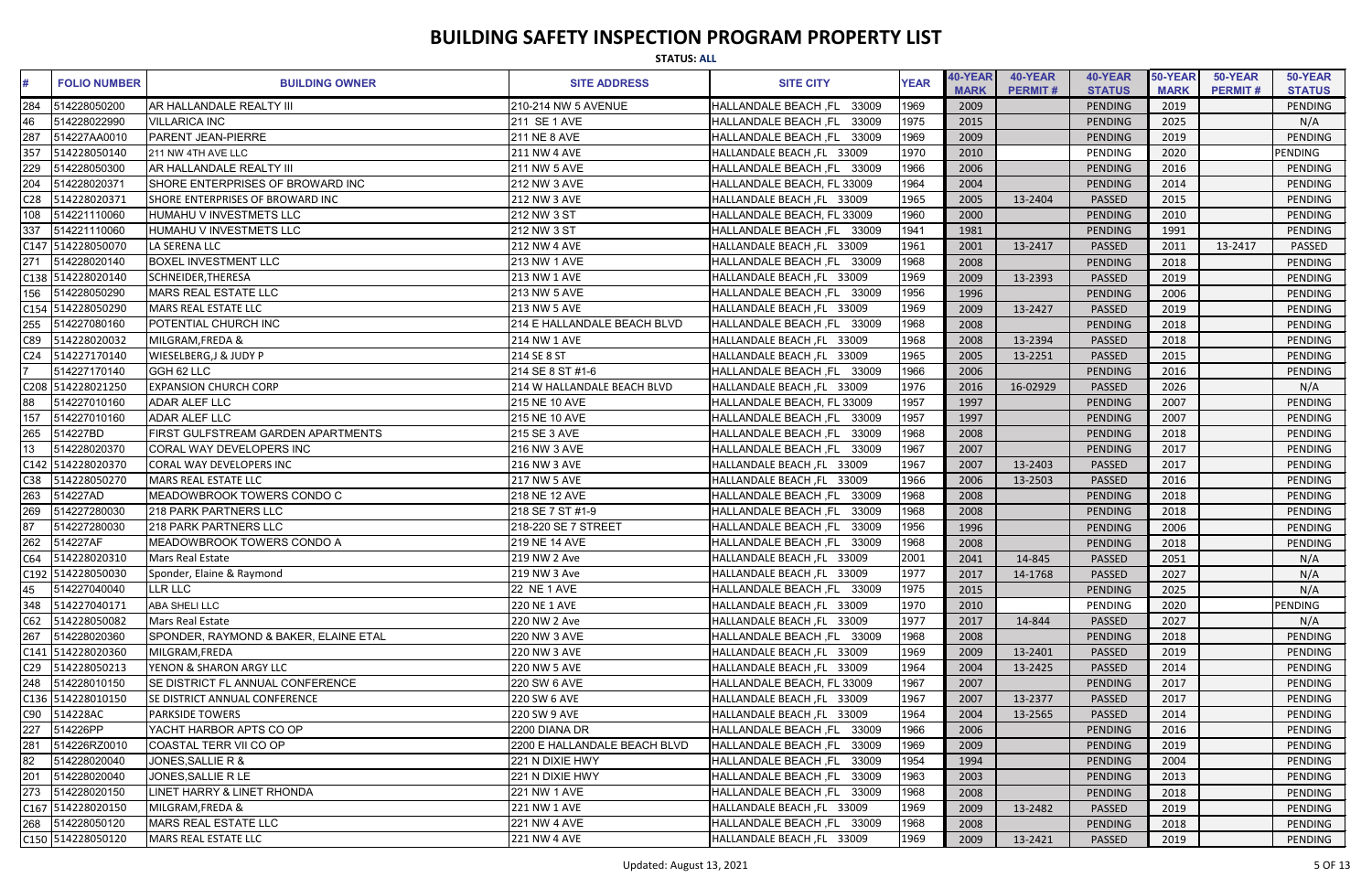|                 | <b>STATUS: ALL</b>  |                                         |                              |                               |             |                        |                           |                          |                        |                           |                          |  |
|-----------------|---------------------|-----------------------------------------|------------------------------|-------------------------------|-------------|------------------------|---------------------------|--------------------------|------------------------|---------------------------|--------------------------|--|
| #               | <b>FOLIO NUMBER</b> | <b>BUILDING OWNER</b>                   | <b>SITE ADDRESS</b>          | <b>SITE CITY</b>              | <b>YEAR</b> | 40-YEAR<br><b>MARK</b> | 40-YEAR<br><b>PERMIT#</b> | 40-YEAR<br><b>STATUS</b> | 50-YEAR<br><b>MARK</b> | 50-YEAR<br><b>PERMIT#</b> | 50-YEAR<br><b>STATUS</b> |  |
| 284             | 514228050200        | <b>AR HALLANDALE REALTY III</b>         | 210-214 NW 5 AVENUE          | HALLANDALE BEACH, FL 33009    | 1969        | 2009                   |                           | PENDING                  | 2019                   |                           | PENDING                  |  |
|                 | 514228022990        | <b>VILLARICA INC</b>                    | 211 SE 1 AVE                 | HALLANDALE BEACH, FL<br>33009 | 1975        | 2015                   |                           | <b>PENDING</b>           | 2025                   |                           | N/A                      |  |
| 287             | 514227AA0010        | <b>PARENT JEAN-PIERRE</b>               | <b>211 NE 8 AVE</b>          | 33009<br>HALLANDALE BEACH, FL | 1969        | 2009                   |                           | PENDING                  | 2019                   |                           | PENDING                  |  |
| 357             | 514228050140        | 211 NW 4TH AVE LLC                      | 211 NW 4 AVE                 | HALLANDALE BEACH, FL 33009    | 1970        | 2010                   |                           | PENDING                  | 2020                   |                           | <b>PENDING</b>           |  |
|                 | 514228050300        | AR HALLANDALE REALTY III                | 211 NW 5 AVE                 | HALLANDALE BEACH, FL 33009    | 1966        | 2006                   |                           | PENDING                  | 2016                   |                           | <b>PENDING</b>           |  |
|                 | 514228020371        | SHORE ENTERPRISES OF BROWARD INC        | 212 NW 3 AVE                 | HALLANDALE BEACH, FL 33009    | 1964        | 2004                   |                           | PENDING                  | 2014                   |                           | PENDING                  |  |
| C <sub>28</sub> | 514228020371        | SHORE ENTERPRISES OF BROWARD INC        | 212 NW 3 AVE                 | HALLANDALE BEACH, FL 33009    | 1965        | 2005                   | 13-2404                   | PASSED                   | 2015                   |                           | PENDING                  |  |
| 108             | 514221110060        | HUMAHU V INVESTMETS LLC                 | 212 NW 3 ST                  | HALLANDALE BEACH, FL 33009    | 1960        | 2000                   |                           | <b>PENDING</b>           | 2010                   |                           | PENDING                  |  |
| 337             | 514221110060        | HUMAHU V INVESTMETS LLC                 | 212 NW 3 ST                  | HALLANDALE BEACH, FL 33009    | 1941        | 1981                   |                           | <b>PENDING</b>           | 1991                   |                           | PENDING                  |  |
|                 | C147 514228050070   | LA SERENA LLC                           | <b>212 NW 4 AVE</b>          | HALLANDALE BEACH, FL 33009    | 1961        | 2001                   | 13-2417                   | <b>PASSED</b>            | 2011                   | 13-2417                   | PASSED                   |  |
| 271             | 514228020140        | <b>BOXEL INVESTMENT LLC</b>             | 213 NW 1 AVE                 | HALLANDALE BEACH, FL 33009    | 1968        | 2008                   |                           | <b>PENDING</b>           | 2018                   |                           | <b>PENDING</b>           |  |
|                 | C138 514228020140   | SCHNEIDER, THERESA                      | 213 NW 1 AVE                 | HALLANDALE BEACH, FL 33009    | 1969        | 2009                   | 13-2393                   | <b>PASSED</b>            | 2019                   |                           | PENDING                  |  |
| 156             | 514228050290        | MARS REAL ESTATE LLC                    | 213 NW 5 AVE                 | HALLANDALE BEACH, FL 33009    | 1956        | 1996                   |                           | <b>PENDING</b>           | 2006                   |                           | <b>PENDING</b>           |  |
|                 | C154 514228050290   | <b>MARS REAL ESTATE LLC</b>             | <b>213 NW 5 AVE</b>          | HALLANDALE BEACH, FL 33009    | 1969        | 2009                   | 13-2427                   | <b>PASSED</b>            | 2019                   |                           | PENDING                  |  |
|                 | 514227080160        | <b>POTENTIAL CHURCH INC</b>             | 214 E HALLANDALE BEACH BLVD  | HALLANDALE BEACH, FL 33009    | 1968        | 2008                   |                           | PENDING                  | 2018                   |                           | PENDING                  |  |
| C89             | 514228020032        | MILGRAM, FREDA &                        | 214 NW 1 AVE                 | HALLANDALE BEACH, FL 33009    | 1968        | 2008                   | 13-2394                   | PASSED                   | 2018                   |                           | PENDING                  |  |
| C <sub>24</sub> | 514227170140        | <b>WIESELBERG, J &amp; JUDY P</b>       | 214 SE 8 ST                  | HALLANDALE BEACH, FL 33009    | 1965        | 2005                   | 13-2251                   | <b>PASSED</b>            | 2015                   |                           | <b>PENDING</b>           |  |
| 7               | 514227170140        | GGH 62 LLC                              | 214 SE 8 ST #1-6             | HALLANDALE BEACH, FL 33009    | 1966        | 2006                   |                           | <b>PENDING</b>           | 2016                   |                           | PENDING                  |  |
|                 | C208 514228021250   | <b>EXPANSION CHURCH CORP</b>            | 214 W HALLANDALE BEACH BLVD  | HALLANDALE BEACH, FL 33009    | 1976        | 2016                   | 16-02929                  | PASSED                   | 2026                   |                           | N/A                      |  |
| 88              | 514227010160        | <b>ADAR ALEF LLC</b>                    | 215 NE 10 AVE                | HALLANDALE BEACH, FL 33009    | 1957        | 1997                   |                           | PENDING                  | 2007                   |                           | PENDING                  |  |
| 157             | 514227010160        | <b>ADAR ALEF LLC</b>                    | 215 NE 10 AVE                | HALLANDALE BEACH, FL 33009    | 1957        | 1997                   |                           | <b>PENDING</b>           | 2007                   |                           | PENDING                  |  |
| 265             | 514227BD            | FIRST GULFSTREAM GARDEN APARTMENTS      | 215 SE 3 AVE                 | HALLANDALE BEACH, FL 33009    | 1968        | 2008                   |                           | <b>PENDING</b>           | 2018                   |                           | PENDING                  |  |
| 13              | 514228020370        | <b>CORAL WAY DEVELOPERS INC</b>         | 216 NW 3 AVE                 | HALLANDALE BEACH, FL 33009    | 1967        | 2007                   |                           | <b>PENDING</b>           | 2017                   |                           | PENDING                  |  |
|                 | C142 514228020370   | CORAL WAY DEVELOPERS INC                | 216 NW 3 AVE                 | HALLANDALE BEACH, FL 33009    | 1967        | 2007                   | 13-2403                   | PASSED                   | 2017                   |                           | PENDING                  |  |
| C38             | 514228050270        | <b>MARS REAL ESTATE LLC</b>             | 217 NW 5 AVE                 | HALLANDALE BEACH, FL 33009    | 1966        | 2006                   | 13-2503                   | PASSED                   | 2016                   |                           | <b>PENDING</b>           |  |
| 263             | 514227AD            | MEADOWBROOK TOWERS CONDO C              | 218 NE 12 AVE                | HALLANDALE BEACH, FL<br>33009 | 1968        | 2008                   |                           | <b>PENDING</b>           | 2018                   |                           | PENDING                  |  |
| 269             | 514227280030        | 218 PARK PARTNERS LLC                   | 218 SE 7 ST #1-9             | HALLANDALE BEACH, FL<br>33009 | 1968        | 2008                   |                           | <b>PENDING</b>           | 2018                   |                           | PENDING                  |  |
| $\overline{87}$ | 514227280030        | 218 PARK PARTNERS LLC                   | 218-220 SE 7 STREET          | HALLANDALE BEACH, FL<br>33009 | 1956        | 1996                   |                           | PENDING                  | 2006                   |                           | PENDING                  |  |
| 262             | 514227AF            | <b>IMEADOWBROOK TOWERS CONDO A</b>      | 219 NE 14 AVE                | HALLANDALE BEACH, FL 33009    | 1968        | 2008                   |                           | PENDING                  | 2018                   |                           | PENDING                  |  |
| C64             | 514228020310        | Mars Real Estate                        | 219 NW 2 Ave                 | HALLANDALE BEACH, FL 33009    | 2001        | 2041                   | 14-845                    | PASSED                   | 2051                   |                           | N/A                      |  |
|                 | C192 514228050030   | Sponder, Elaine & Raymond               | 219 NW 3 Ave                 | HALLANDALE BEACH, FL 33009    | 1977        | 2017                   | 14-1768                   | PASSED                   | 2027                   |                           | N/A                      |  |
| 45              | 514227040040        | LLR LLC                                 | 22 NE 1 AVE                  | HALLANDALE BEACH, FL 33009    | 1975        | 2015                   |                           | PENDING                  | 2025                   |                           | N/A                      |  |
| 348             | 514227040171        | ABA SHELI LLC                           | <b>220 NE 1 AVE</b>          | HALLANDALE BEACH, FL 33009    | 1970        | 2010                   |                           | PENDING                  | 2020                   |                           | <b>PENDING</b>           |  |
| C62             | 514228050082        | Mars Real Estate                        | 220 NW 2 Ave                 | HALLANDALE BEACH, FL 33009    | 1977        | 2017                   | 14-844                    | PASSED                   | 2027                   |                           | N/A                      |  |
| 267             | 514228020360        | SPONDER, RAYMOND & BAKER, ELAINE ETAL   | 220 NW 3 AVE                 | HALLANDALE BEACH, FL 33009    | 1968        | 2008                   |                           | <b>PENDING</b>           | 2018                   |                           | PENDING                  |  |
|                 | C141 514228020360   | MILGRAM, FREDA                          | 220 NW 3 AVE                 | HALLANDALE BEACH, FL 33009    | 1969        | 2009                   | 13-2401                   | PASSED                   | 2019                   |                           | <b>PENDING</b>           |  |
| C <sub>29</sub> | 514228050213        | YENON & SHARON ARGY LLC                 | 220 NW 5 AVE                 | HALLANDALE BEACH, FL 33009    | 1964        | 2004                   | 13-2425                   | PASSED                   | 2014                   |                           | <b>PENDING</b>           |  |
| 248             | 514228010150        | <b>SE DISTRICT FL ANNUAL CONFERENCE</b> | 220 SW 6 AVE                 | HALLANDALE BEACH, FL 33009    | 1967        | 2007                   |                           | <b>PENDING</b>           | 2017                   |                           | PENDING                  |  |
|                 | C136 514228010150   | <b>SE DISTRICT ANNUAL CONFERENCE</b>    | 220 SW 6 AVE                 | HALLANDALE BEACH, FL 33009    | 1967        | 2007                   | 13-2377                   | PASSED                   | 2017                   |                           | PENDING                  |  |
| C90             | 514228AC            | <b>PARKSIDE TOWERS</b>                  | 220 SW 9 AVE                 | HALLANDALE BEACH, FL 33009    | 1964        | 2004                   | 13-2565                   | PASSED                   | 2014                   |                           | PENDING                  |  |
| 227             | 514226PP            | YACHT HARBOR APTS CO OP                 | 2200 DIANA DR                | HALLANDALE BEACH, FL 33009    | 1966        | 2006                   |                           | <b>PENDING</b>           | 2016                   |                           | <b>PENDING</b>           |  |
| 281             | 514226RZ0010        | COASTAL TERR VII CO OP                  | 2200 E HALLANDALE BEACH BLVD | HALLANDALE BEACH, FL 33009    | 1969        | 2009                   |                           | <b>PENDING</b>           | 2019                   |                           | PENDING                  |  |
| 82              | 514228020040        | JONES, SALLIE R &                       | 221 N DIXIE HWY              | HALLANDALE BEACH, FL 33009    | 1954        | 1994                   |                           | <b>PENDING</b>           | 2004                   |                           | PENDING                  |  |
| 201             | 514228020040        | JONES, SALLIE R LE                      | 221 N DIXIE HWY              | HALLANDALE BEACH, FL 33009    | 1963        | 2003                   |                           | <b>PENDING</b>           | 2013                   |                           | <b>PENDING</b>           |  |
| 273             | 514228020150        | LINET HARRY & LINET RHONDA              | 221 NW 1 AVE                 | HALLANDALE BEACH, FL 33009    | 1968        | 2008                   |                           | <b>PENDING</b>           | 2018                   |                           | PENDING                  |  |
|                 | C167 514228020150   | MILGRAM, FREDA &                        | 221 NW 1 AVE                 | HALLANDALE BEACH, FL 33009    | 1969        | 2009                   | 13-2482                   | PASSED                   | 2019                   |                           | PENDING                  |  |
| 268             | 514228050120        | MARS REAL ESTATE LLC                    | <b>221 NW 4 AVE</b>          | HALLANDALE BEACH, FL 33009    | 1968        | 2008                   |                           | <b>PENDING</b>           | 2018                   |                           | PENDING                  |  |
|                 | C150 514228050120   | MARS REAL ESTATE LLC                    | <b>221 NW 4 AVE</b>          | HALLANDALE BEACH, FL 33009    | 1969        | 2009                   | 13-2421                   | PASSED                   | 2019                   |                           | PENDING                  |  |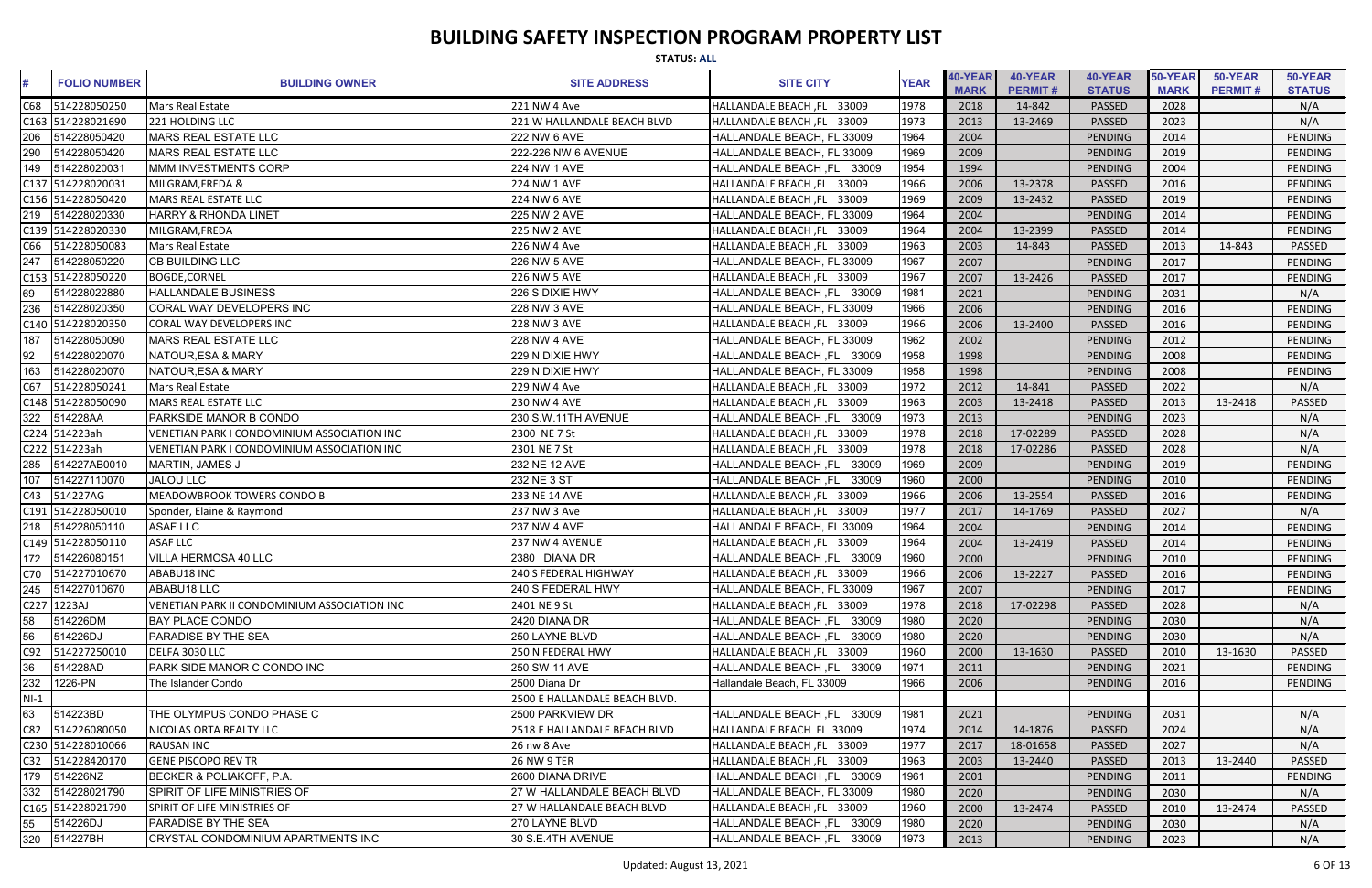|        | <b>STATUS: ALL</b>  |                                              |                               |                                      |             |                        |                           |                          |                        |                           |                          |  |
|--------|---------------------|----------------------------------------------|-------------------------------|--------------------------------------|-------------|------------------------|---------------------------|--------------------------|------------------------|---------------------------|--------------------------|--|
|        | <b>FOLIO NUMBER</b> | <b>BUILDING OWNER</b>                        | <b>SITE ADDRESS</b>           | <b>SITE CITY</b>                     | <b>YEAR</b> | 40-YEAR<br><b>MARK</b> | 40-YEAR<br><b>PERMIT#</b> | 40-YEAR<br><b>STATUS</b> | 50-YEAR<br><b>MARK</b> | 50-YEAR<br><b>PERMIT#</b> | 50-YEAR<br><b>STATUS</b> |  |
| C68    | 514228050250        | Mars Real Estate                             | 221 NW 4 Ave                  | HALLANDALE BEACH, FL 33009           | 1978        | 2018                   | 14-842                    | PASSED                   | 2028                   |                           | N/A                      |  |
|        | C163 514228021690   | 221 HOLDING LLC                              | 221 W HALLANDALE BEACH BLVD   | HALLANDALE BEACH, FL 33009           | 1973        | 2013                   | 13-2469                   | PASSED                   | 2023                   |                           | N/A                      |  |
| 206    | 514228050420        | MARS REAL ESTATE LLC                         | 222 NW 6 AVE                  | HALLANDALE BEACH, FL 33009           | 1964        | 2004                   |                           | PENDING                  | 2014                   |                           | <b>PENDING</b>           |  |
| 290    | 514228050420        | MARS REAL ESTATE LLC                         | 222-226 NW 6 AVENUE           | HALLANDALE BEACH, FL 33009           | 1969        | 2009                   |                           | PENDING                  | 2019                   |                           | PENDING                  |  |
| 149    | 514228020031        | MMM INVESTMENTS CORP                         | 224 NW 1 AVE                  | HALLANDALE BEACH, FL 33009           | 1954        | 1994                   |                           | PENDING                  | 2004                   |                           | PENDING                  |  |
|        | C137 514228020031   | MILGRAM, FREDA &                             | <b>224 NW 1 AVE</b>           | HALLANDALE BEACH, FL 33009           | 1966        | 2006                   | 13-2378                   | PASSED                   | 2016                   |                           | <b>PENDING</b>           |  |
|        | C156 514228050420   | <b>MARS REAL ESTATE LLC</b>                  | <b>224 NW 6 AVE</b>           | HALLANDALE BEACH, FL 33009           | 1969        | 2009                   | 13-2432                   | PASSED                   | 2019                   |                           | PENDING                  |  |
| 219    | 514228020330        | HARRY & RHONDA LINET                         | 225 NW 2 AVE                  | HALLANDALE BEACH, FL 33009           | 1964        | 2004                   |                           | PENDING                  | 2014                   |                           | <b>PENDING</b>           |  |
|        | C139 514228020330   | MILGRAM, FREDA                               | <b>225 NW 2 AVE</b>           | HALLANDALE BEACH, FL 33009           | 1964        | 2004                   | 13-2399                   | PASSED                   | 2014                   |                           | PENDING                  |  |
| C66    | 514228050083        | Mars Real Estate                             | 226 NW 4 Ave                  | HALLANDALE BEACH, FL 33009           | 1963        | 2003                   | 14-843                    | PASSED                   | 2013                   | 14-843                    | PASSED                   |  |
| 247    | 514228050220        | <b>CB BUILDING LLC</b>                       | 226 NW 5 AVE                  | HALLANDALE BEACH, FL 33009           | 1967        | 2007                   |                           | PENDING                  | 2017                   |                           | <b>PENDING</b>           |  |
|        | C153 514228050220   | <b>BOGDE,CORNEL</b>                          | 226 NW 5 AVE                  | HALLANDALE BEACH, FL 33009           | 1967        | 2007                   | 13-2426                   | PASSED                   | 2017                   |                           | PENDING                  |  |
| 69     | 514228022880        | <b>HALLANDALE BUSINESS</b>                   | 226 S DIXIE HWY               | HALLANDALE BEACH, FL 33009           | 1981        | 2021                   |                           | PENDING                  | 2031                   |                           | N/A                      |  |
| 236    | 514228020350        | <b>ICORAL WAY DEVELOPERS INC</b>             | 228 NW 3 AVE                  | HALLANDALE BEACH, FL 33009           | 1966        | 2006                   |                           | PENDING                  | 2016                   |                           | PENDING                  |  |
|        | C140 514228020350   | CORAL WAY DEVELOPERS INC                     | <b>228 NW 3 AVE</b>           | HALLANDALE BEACH, FL 33009           | 1966        | 2006                   | 13-2400                   | <b>PASSED</b>            | 2016                   |                           | <b>PENDING</b>           |  |
| 187    | 514228050090        | MARS REAL ESTATE LLC                         | <b>228 NW 4 AVE</b>           | HALLANDALE BEACH, FL 33009           | 1962        | 2002                   |                           | PENDING                  | 2012                   |                           | <b>PENDING</b>           |  |
| 92     | 514228020070        | NATOUR, ESA & MARY                           | 229 N DIXIE HWY               | HALLANDALE BEACH, FL 33009           | 1958        | 1998                   |                           | PENDING                  | 2008                   |                           | PENDING                  |  |
| 163    | 514228020070        | NATOUR, ESA & MARY                           | 229 N DIXIE HWY               | HALLANDALE BEACH, FL 33009           | 1958        | 1998                   |                           | PENDING                  | 2008                   |                           | PENDING                  |  |
| C67    | 514228050241        | Mars Real Estate                             | 229 NW 4 Ave                  | HALLANDALE BEACH, FL 33009           | 1972        | 2012                   | 14-841                    | PASSED                   | 2022                   |                           | N/A                      |  |
|        | C148 514228050090   | MARS REAL ESTATE LLC                         | 230 NW 4 AVE                  | HALLANDALE BEACH, FL 33009           | 1963        | 2003                   | 13-2418                   | <b>PASSED</b>            | 2013                   | 13-2418                   | <b>PASSED</b>            |  |
| 322    | 514228AA            | <b>PARKSIDE MANOR B CONDO</b>                | 230 S.W.11TH AVENUE           | HALLANDALE BEACH, FL 33009           | 1973        | 2013                   |                           | PENDING                  | 2023                   |                           | N/A                      |  |
|        | C224 514223ah       | VENETIAN PARK I CONDOMINIUM ASSOCIATION INC  | 2300 NE 7 St                  | HALLANDALE BEACH, FL 33009           | 1978        | 2018                   | 17-02289                  | PASSED                   | 2028                   |                           | N/A                      |  |
|        | C222 514223ah       | VENETIAN PARK I CONDOMINIUM ASSOCIATION INC  | 2301 NE 7 St                  | HALLANDALE BEACH, FL 33009           | 1978        | 2018                   | 17-02286                  | PASSED                   | 2028                   |                           | N/A                      |  |
| 285    | 514227AB0010        | MARTIN, JAMES J                              | 232 NE 12 AVE                 | 33009<br><b>HALLANDALE BEACH, FL</b> | 1969        | 2009                   |                           | PENDING                  | 2019                   |                           | <b>PENDING</b>           |  |
| 107    | 514227110070        | <b>JALOU LLC</b>                             | 232 NE 3 ST                   | <b>HALLANDALE BEACH, FL</b><br>33009 | 1960        | 2000                   |                           | PENDING                  | 2010                   |                           | <b>PENDING</b>           |  |
| C43    | 514227AG            | MEADOWBROOK TOWERS CONDO B                   | 233 NE 14 AVE                 | HALLANDALE BEACH, FL 33009           | 1966        | 2006                   | 13-2554                   | PASSED                   | 2016                   |                           | PENDING                  |  |
|        | C191 514228050010   | Sponder, Elaine & Raymond                    | 237 NW 3 Ave                  | HALLANDALE BEACH, FL 33009           | 1977        | 2017                   | 14-1769                   | <b>PASSED</b>            | 2027                   |                           | N/A                      |  |
|        | 218 514228050110    | <b>ASAF LLC</b>                              | <b>237 NW 4 AVE</b>           | HALLANDALE BEACH, FL 33009           | 1964        | 2004                   |                           | <b>PENDING</b>           | 2014                   |                           | PENDING                  |  |
|        | C149 514228050110   | <b>ASAF LLC</b>                              | 237 NW 4 AVENUE               | HALLANDALE BEACH, FL 33009           | 1964        | 2004                   | 13-2419                   | <b>PASSED</b>            | 2014                   |                           | PENDING                  |  |
|        | 172 514226080151    | <b>VILLA HERMOSA 40 LLC</b>                  | 2380 DIANA DR                 | HALLANDALE BEACH, FL 33009           | 1960        | 2000                   |                           | PENDING                  | 2010                   |                           | PENDING                  |  |
|        | C70 514227010670    | ABABU18 INC                                  | 240 S FEDERAL HIGHWAY         | HALLANDALE BEACH, FL 33009           | 1966        | 2006                   | 13-2227                   | <b>PASSED</b>            | 2016                   |                           | PENDING                  |  |
| 245    | 514227010670        | ABABU18 LLC                                  | 240 S FEDERAL HWY             | HALLANDALE BEACH, FL 33009           | 1967        | 2007                   |                           | PENDING                  | 2017                   |                           | PENDING                  |  |
|        | C227 1223AJ         | VENETIAN PARK II CONDOMINIUM ASSOCIATION INC | 2401 NE 9 St                  | HALLANDALE BEACH, FL 33009           | 1978        | 2018                   | 17-02298                  | <b>PASSED</b>            | 2028                   |                           | N/A                      |  |
| 58     | 514226DM            | <b>BAY PLACE CONDO</b>                       | 2420 DIANA DR                 | HALLANDALE BEACH, FL 33009           | 1980        | 2020                   |                           | PENDING                  | 2030                   |                           | N/A                      |  |
| 56     | 514226DJ            | <b>PARADISE BY THE SEA</b>                   | 250 LAYNE BLVD                | HALLANDALE BEACH, FL 33009           | 1980        | 2020                   |                           | PENDING                  | 2030                   |                           | N/A                      |  |
| C92    | 514227250010        | DELFA 3030 LLC                               | 250 N FEDERAL HWY             | HALLANDALE BEACH, FL 33009           | 1960        | 2000                   | 13-1630                   | <b>PASSED</b>            | 2010                   | 13-1630                   | <b>PASSED</b>            |  |
| 36     | 514228AD            | <b>PARK SIDE MANOR C CONDO INC</b>           | 250 SW 11 AVE                 | HALLANDALE BEACH, FL 33009           | 1971        | 2011                   |                           | PENDING                  | 2021                   |                           | PENDING                  |  |
| 232    | 1226-PN             | The Islander Condo                           | 2500 Diana Dr                 | Hallandale Beach, FL 33009           | 1966        | 2006                   |                           | PENDING                  | 2016                   |                           | PENDING                  |  |
| $NI-1$ |                     |                                              | 2500 E HALLANDALE BEACH BLVD. |                                      |             |                        |                           |                          |                        |                           |                          |  |
| 63     | 514223BD            | THE OLYMPUS CONDO PHASE C                    | 2500 PARKVIEW DR              | HALLANDALE BEACH, FL 33009           | 1981        | 2021                   |                           | PENDING                  | 2031                   |                           | N/A                      |  |
| C82    | 514226080050        | NICOLAS ORTA REALTY LLC                      | 2518 E HALLANDALE BEACH BLVD  | HALLANDALE BEACH FL 33009            | 1974        | 2014                   | 14-1876                   | PASSED                   | 2024                   |                           | N/A                      |  |
|        | C230 514228010066   | <b>RAUSAN INC</b>                            | 26 nw 8 Ave                   | HALLANDALE BEACH, FL 33009           | 1977        | 2017                   | 18-01658                  | PASSED                   | 2027                   |                           | N/A                      |  |
|        | C32 514228420170    | <b>GENE PISCOPO REV TR</b>                   | <b>26 NW 9 TER</b>            | HALLANDALE BEACH, FL 33009           | 1963        | 2003                   | 13-2440                   | <b>PASSED</b>            | 2013                   | 13-2440                   | <b>PASSED</b>            |  |
| 179    | 514226NZ            | <b>BECKER &amp; POLIAKOFF, P.A.</b>          | 2600 DIANA DRIVE              | HALLANDALE BEACH, FL 33009           | 1961        | 2001                   |                           | PENDING                  | 2011                   |                           | PENDING                  |  |
| 332    | 514228021790        | SPIRIT OF LIFE MINISTRIES OF                 | 27 W HALLANDALE BEACH BLVD    | HALLANDALE BEACH, FL 33009           | 1980        | 2020                   |                           | PENDING                  | 2030                   |                           | N/A                      |  |
|        | C165 514228021790   | SPIRIT OF LIFE MINISTRIES OF                 | 27 W HALLANDALE BEACH BLVD    | HALLANDALE BEACH, FL 33009           | 1960        | 2000                   | 13-2474                   | <b>PASSED</b>            | 2010                   | 13-2474                   | <b>PASSED</b>            |  |
| 55     | 514226DJ            | <b>PARADISE BY THE SEA</b>                   | 270 LAYNE BLVD                | HALLANDALE BEACH, FL 33009           | 1980        | 2020                   |                           | PENDING                  | 2030                   |                           | N/A                      |  |
| 320    | 514227BH            | CRYSTAL CONDOMINIUM APARTMENTS INC           | 30 S.E.4TH AVENUE             | HALLANDALE BEACH, FL 33009           | 1973        | 2013                   |                           | PENDING                  | 2023                   |                           | N/A                      |  |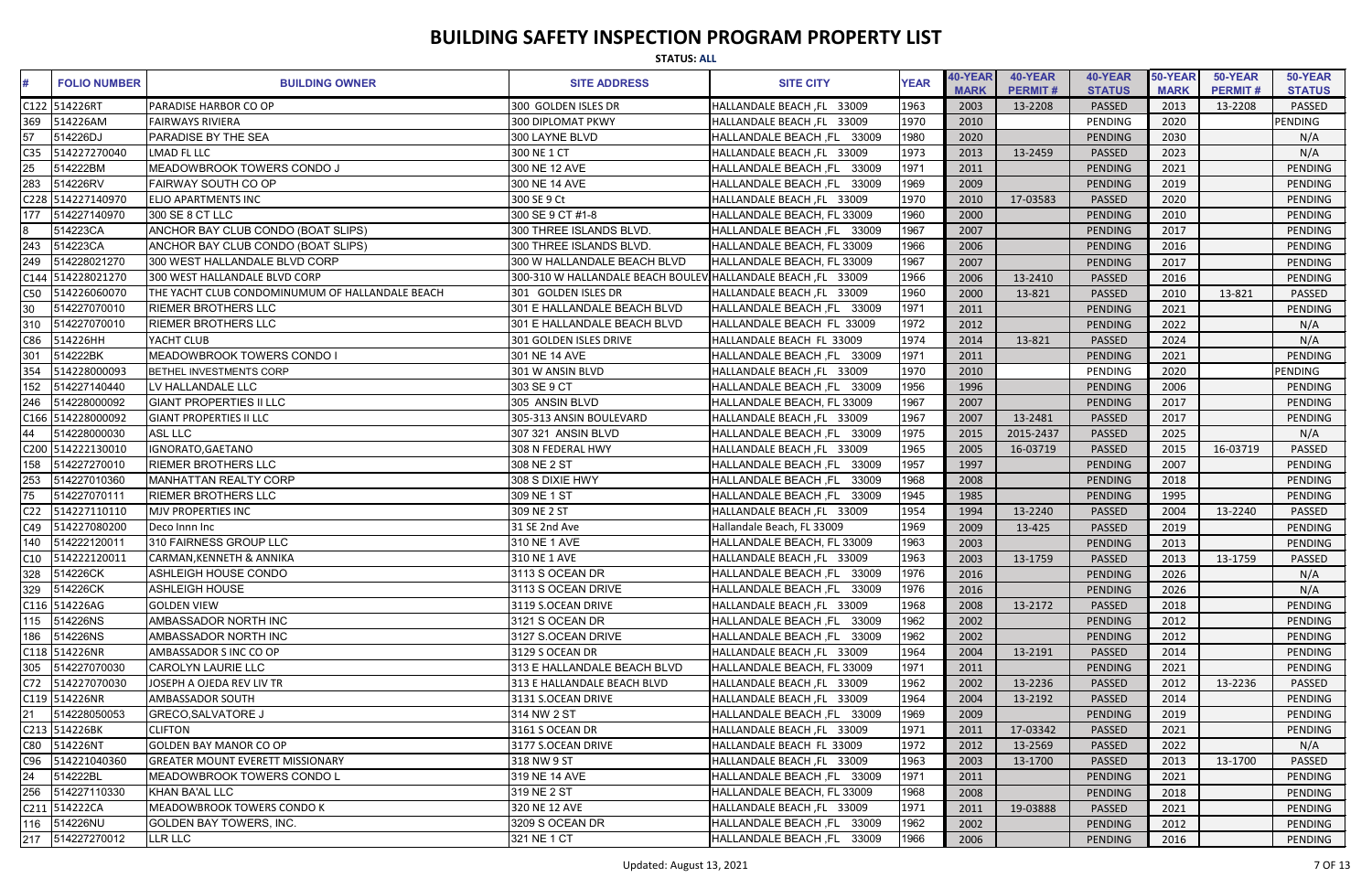|                 |                     |                                                 | <b>STATUS: ALL</b>                                           |                                      |             |                        |                           |                          |                        |                           |                          |
|-----------------|---------------------|-------------------------------------------------|--------------------------------------------------------------|--------------------------------------|-------------|------------------------|---------------------------|--------------------------|------------------------|---------------------------|--------------------------|
|                 | <b>FOLIO NUMBER</b> | <b>BUILDING OWNER</b>                           | <b>SITE ADDRESS</b>                                          | <b>SITE CITY</b>                     | <b>YEAR</b> | 40-YEAR<br><b>MARK</b> | 40-YEAR<br><b>PERMIT#</b> | 40-YEAR<br><b>STATUS</b> | 50-YEAR<br><b>MARK</b> | 50-YEAR<br><b>PERMIT#</b> | 50-YEAR<br><b>STATUS</b> |
|                 | C122 514226RT       | PARADISE HARBOR CO OP                           | 300 GOLDEN ISLES DR                                          | HALLANDALE BEACH, FL 33009           | 1963        | 2003                   | 13-2208                   | <b>PASSED</b>            | 2013                   | 13-2208                   | <b>PASSED</b>            |
| 369             | 514226AM            | <b>FAIRWAYS RIVIERA</b>                         | <b>300 DIPLOMAT PKWY</b>                                     | HALLANDALE BEACH, FL 33009           | 1970        | 2010                   |                           | PENDING                  | 2020                   |                           | <b>PENDING</b>           |
| 57              | 514226DJ            | PARADISE BY THE SEA                             | 300 LAYNE BLVD                                               | HALLANDALE BEACH, FL 33009           | 1980        | 2020                   |                           | PENDING                  | 2030                   |                           | N/A                      |
| C35             | 514227270040        | LMAD FL LLC                                     | 300 NE 1 CT                                                  | HALLANDALE BEACH, FL 33009           | 1973        | 2013                   | 13-2459                   | PASSED                   | 2023                   |                           | N/A                      |
| 25              | 514222BM            | MEADOWBROOK TOWERS CONDO J                      | 300 NE 12 AVE                                                | HALLANDALE BEACH ,FL<br>33009        | 1971        | 2011                   |                           | PENDING                  | 2021                   |                           | PENDING                  |
| 283             | 514226RV            | <b>FAIRWAY SOUTH CO OP</b>                      | 300 NE 14 AVE                                                | HALLANDALE BEACH, FL<br>33009        | 1969        | 2009                   |                           | PENDING                  | 2019                   |                           | <b>PENDING</b>           |
|                 | C228 514227140970   | ELJO APARTMENTS INC                             | 300 SE 9 Ct                                                  | HALLANDALE BEACH, FL 33009           | 1970        | 2010                   | 17-03583                  | <b>PASSED</b>            | 2020                   |                           | PENDING                  |
| 177             | 514227140970        | 300 SE 8 CT LLC                                 | 300 SE 9 CT #1-8                                             | HALLANDALE BEACH, FL 33009           | 1960        | 2000                   |                           | PENDING                  | 2010                   |                           | PENDING                  |
|                 | 514223CA            | ANCHOR BAY CLUB CONDO (BOAT SLIPS)              | 300 THREE ISLANDS BLVD                                       | HALLANDALE BEACH, FL 33009           | 1967        | 2007                   |                           | PENDING                  | 2017                   |                           | PENDING                  |
| 243             | 514223CA            | ANCHOR BAY CLUB CONDO (BOAT SLIPS)              | 300 THREE ISLANDS BLVD.                                      | HALLANDALE BEACH, FL 33009           | 1966        | 2006                   |                           | PENDING                  | 2016                   |                           | PENDING                  |
| 249             | 514228021270        | 300 WEST HALLANDALE BLVD CORP                   | 300 W HALLANDALE BEACH BLVD                                  | HALLANDALE BEACH, FL 33009           | 1967        | 2007                   |                           | PENDING                  | 2017                   |                           | PENDING                  |
|                 | C144 514228021270   | 300 WEST HALLANDALE BLVD CORP                   | 300-310 W HALLANDALE BEACH BOULEV HALLANDALE BEACH, FL 33009 |                                      | 1966        | 2006                   | 13-2410                   | PASSED                   | 2016                   |                           | PENDING                  |
| C50             | 514226060070        | THE YACHT CLUB CONDOMINUMUM OF HALLANDALE BEACH | 301 GOLDEN ISLES DR                                          | HALLANDALE BEACH, FL 33009           | 1960        | 2000                   | 13-821                    | <b>PASSED</b>            | 2010                   | 13-821                    | PASSED                   |
| 30              | 514227070010        | <b>RIEMER BROTHERS LLC</b>                      | 301 E HALLANDALE BEACH BLVD                                  | HALLANDALE BEACH, FL<br>33009        | 1971        | 2011                   |                           | PENDING                  | 2021                   |                           | PENDING                  |
| 310             | 514227070010        | <b>RIEMER BROTHERS LLC</b>                      | 301 E HALLANDALE BEACH BLVD                                  | HALLANDALE BEACH FL 33009            | 1972        | 2012                   |                           | PENDING                  | 2022                   |                           | N/A                      |
| C86             | 514226HH            | YACHT CLUB                                      | 301 GOLDEN ISLES DRIVE                                       | HALLANDALE BEACH FL 33009            | 1974        | 2014                   | 13-821                    | PASSED                   | 2024                   |                           | N/A                      |
| 301             | 514222BK            | MEADOWBROOK TOWERS CONDO I                      | 301 NE 14 AVE                                                | HALLANDALE BEACH, FL 33009           | 1971        | 2011                   |                           | PENDING                  | 2021                   |                           | PENDING                  |
| 354             | 514228000093        | BETHEL INVESTMENTS CORP                         | 301 W ANSIN BLVD                                             | HALLANDALE BEACH, FL 33009           | 1970        | 2010                   |                           | PENDING                  | 2020                   |                           | PENDING                  |
| 152             | 514227140440        | LV HALLANDALE LLC                               | 303 SE 9 CT                                                  | HALLANDALE BEACH ,FL<br>33009        | 1956        | 1996                   |                           | PENDING                  | 2006                   |                           | PENDING                  |
| 246             | 514228000092        | <b>GIANT PROPERTIES II LLC</b>                  | 305 ANSIN BLVD                                               | HALLANDALE BEACH, FL 33009           | 1967        | 2007                   |                           | PENDING                  | 2017                   |                           | PENDING                  |
|                 | C166 514228000092   | <b>GIANT PROPERTIES II LLC</b>                  | 305-313 ANSIN BOULEVARD                                      | HALLANDALE BEACH, FL 33009           | 1967        | 2007                   | 13-2481                   | PASSED                   | 2017                   |                           | <b>PENDING</b>           |
| 44              | 514228000030        | <b>ASL LLC</b>                                  | 307 321 ANSIN BLVD                                           | HALLANDALE BEACH, FL 33009           | 1975        | 2015                   | 2015-2437                 | PASSED                   | 2025                   |                           | N/A                      |
|                 | C200 514222130010   | IGNORATO, GAETANO                               | 308 N FEDERAL HWY                                            | HALLANDALE BEACH, FL 33009           | 1965        | 2005                   | 16-03719                  | PASSED                   | 2015                   | 16-03719                  | PASSED                   |
| 158             | 514227270010        | <b>RIEMER BROTHERS LLC</b>                      | 308 NE 2 ST                                                  | 33009<br><b>HALLANDALE BEACH, FL</b> | 1957        | 1997                   |                           | PENDING                  | 2007                   |                           | <b>PENDING</b>           |
| 253             | 514227010360        | MANHATTAN REALTY CORP                           | 308 S DIXIE HWY                                              | <b>HALLANDALE BEACH, FL</b><br>33009 | 1968        | 2008                   |                           | PENDING                  | 2018                   |                           | <b>PENDING</b>           |
| 75              | 514227070111        | <b>RIEMER BROTHERS LLC</b>                      | 309 NE 1 ST                                                  | <b>HALLANDALE BEACH, FL</b><br>33009 | 1945        | 1985                   |                           | PENDING                  | 1995                   |                           | PENDING                  |
| C <sub>22</sub> | 514227110110        | <b>MJV PROPERTIES INC</b>                       | 309 NE 2 ST                                                  | HALLANDALE BEACH, FL 33009           | 1954        | 1994                   | 13-2240                   | <b>PASSED</b>            | 2004                   | 13-2240                   | <b>PASSED</b>            |
|                 | C49 514227080200    | Deco Innn Inc                                   | 31 SE 2nd Ave                                                | Hallandale Beach, FL 33009           | 1969        | 2009                   | 13-425                    | PASSED                   | 2019                   |                           | PENDING                  |
|                 | 140 514222120011    | 310 FAIRNESS GROUP LLC                          | 310 NE 1 AVE                                                 | HALLANDALE BEACH, FL 33009           | 1963        | 2003                   |                           | PENDING                  | 2013                   |                           | PENDING                  |
|                 | C10 514222120011    | <b>CARMAN, KENNETH &amp; ANNIKA</b>             | 310 NE 1 AVE                                                 | HALLANDALE BEACH, FL 33009           | 1963        | 2003                   | 13-1759                   | PASSED                   | 2013                   | 13-1759                   | PASSED                   |
|                 | 328 514226CK        | <b>ASHLEIGH HOUSE CONDO</b>                     | 3113 S OCEAN DR                                              | HALLANDALE BEACH, FL 33009           | 1976        | 2016                   |                           | PENDING                  | 2026                   |                           | N/A                      |
|                 | 329 514226CK        | <b>ASHLEIGH HOUSE</b>                           | 3113 S OCEAN DRIVE                                           | HALLANDALE BEACH, FL 33009           | 1976        | 2016                   |                           | PENDING                  | 2026                   |                           | N/A                      |
|                 | C116 514226AG       | <b>GOLDEN VIEW</b>                              | 3119 S.OCEAN DRIVE                                           | HALLANDALE BEACH, FL 33009           | 1968        | 2008                   | 13-2172                   | <b>PASSED</b>            | 2018                   |                           | PENDING                  |
|                 | 115 514226NS        | AMBASSADOR NORTH INC                            | 3121 S OCEAN DR                                              | HALLANDALE BEACH, FL 33009           | 1962        | 2002                   |                           | PENDING                  | 2012                   |                           | PENDING                  |
|                 | 186 514226NS        | AMBASSADOR NORTH INC                            | 3127 S.OCEAN DRIVE                                           | HALLANDALE BEACH, FL 33009           | 1962        | 2002                   |                           | PENDING                  | 2012                   |                           | PENDING                  |
|                 | C118 514226NR       | AMBASSADOR S INC CO OP                          | 3129 S OCEAN DR                                              | HALLANDALE BEACH, FL 33009           | 1964        | 2004                   | 13-2191                   | <b>PASSED</b>            | 2014                   |                           | PENDING                  |
|                 | 305 514227070030    | <b>CAROLYN LAURIE LLC</b>                       | 313 E HALLANDALE BEACH BLVD                                  | HALLANDALE BEACH, FL 33009           | 1971        | 2011                   |                           | PENDING                  | 2021                   |                           | PENDING                  |
|                 | C72 514227070030    | JOSEPH A OJEDA REV LIV TR                       | 313 E HALLANDALE BEACH BLVD                                  | HALLANDALE BEACH, FL 33009           | 1962        | 2002                   | 13-2236                   | <b>PASSED</b>            | 2012                   | 13-2236                   | PASSED                   |
|                 | C119 514226NR       | AMBASSADOR SOUTH                                | 3131 S.OCEAN DRIVE                                           | HALLANDALE BEACH, FL 33009           | 1964        | 2004                   | 13-2192                   | <b>PASSED</b>            | 2014                   |                           | PENDING                  |
| 21              | 514228050053        | <b>GRECO, SALVATORE J</b>                       | 314 NW 2 ST                                                  | HALLANDALE BEACH, FL 33009           | 1969        | 2009                   |                           | PENDING                  | 2019                   |                           | PENDING                  |
|                 | C213 514226BK       | <b>CLIFTON</b>                                  | 3161 S OCEAN DR                                              | HALLANDALE BEACH, FL 33009           | 1971        | 2011                   | 17-03342                  | <b>PASSED</b>            | 2021                   |                           | PENDING                  |
| C80             | 514226NT            | <b>GOLDEN BAY MANOR CO OP</b>                   | 3177 S.OCEAN DRIVE                                           | HALLANDALE BEACH FL 33009            | 1972        | 2012                   | 13-2569                   | PASSED                   | 2022                   |                           | N/A                      |
|                 | C96 514221040360    | <b>GREATER MOUNT EVERETT MISSIONARY</b>         | 318 NW 9 ST                                                  | HALLANDALE BEACH, FL 33009           | 1963        | 2003                   | 13-1700                   | <b>PASSED</b>            | 2013                   | 13-1700                   | PASSED                   |
| 24              | 514222BL            | MEADOWBROOK TOWERS CONDO L                      | 319 NE 14 AVE                                                | HALLANDALE BEACH, FL 33009           | 1971        | 2011                   |                           | PENDING                  | 2021                   |                           | PENDING                  |
|                 | 256 514227110330    | KHAN BA'AL LLC                                  | 319 NE 2 ST                                                  | HALLANDALE BEACH, FL 33009           | 1968        | 2008                   |                           | PENDING                  | 2018                   |                           | PENDING                  |
|                 | C211 514222CA       | <b>MEADOWBROOK TOWERS CONDO K</b>               | 320 NE 12 AVE                                                | HALLANDALE BEACH, FL 33009           | 1971        | 2011                   | 19-03888                  | <b>PASSED</b>            | 2021                   |                           | PENDING                  |
|                 | 116 514226NU        | <b>GOLDEN BAY TOWERS, INC.</b>                  | 3209 S OCEAN DR                                              | HALLANDALE BEACH, FL 33009           | 1962        | 2002                   |                           | PENDING                  | 2012                   |                           | PENDING                  |
|                 | 217 514227270012    | LLR LLC                                         | 321 NE 1 CT                                                  | HALLANDALE BEACH, FL 33009           | 1966        | 2006                   |                           | PENDING                  | 2016                   |                           | PENDING                  |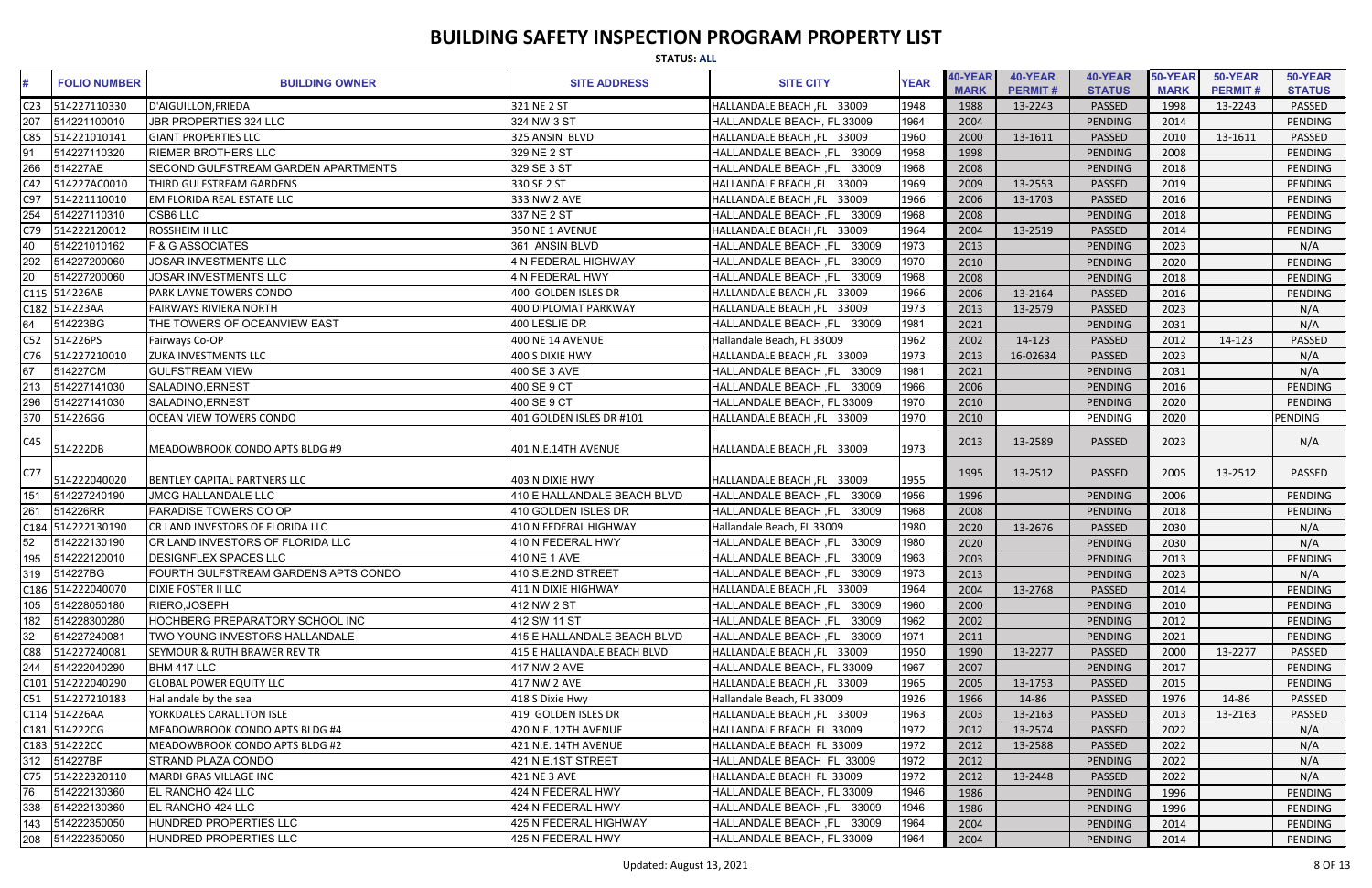|     | <b>STATUS: ALL</b>  |                                         |                             |                                      |             |                               |                           |                          |                        |                           |                          |  |
|-----|---------------------|-----------------------------------------|-----------------------------|--------------------------------------|-------------|-------------------------------|---------------------------|--------------------------|------------------------|---------------------------|--------------------------|--|
|     | <b>FOLIO NUMBER</b> | <b>BUILDING OWNER</b>                   | <b>SITE ADDRESS</b>         | <b>SITE CITY</b>                     | <b>YEAR</b> | <b>40-YEAR</b><br><b>MARK</b> | 40-YEAR<br><b>PERMIT#</b> | 40-YEAR<br><b>STATUS</b> | 50-YEAR<br><b>MARK</b> | 50-YEAR<br><b>PERMIT#</b> | 50-YEAR<br><b>STATUS</b> |  |
| C23 | 514227110330        | D'AIGUILLON, FRIEDA                     | 321 NE 2 ST                 | HALLANDALE BEACH, FL 33009           | 1948        | 1988                          | 13-2243                   | PASSED                   | 1998                   | 13-2243                   | <b>PASSED</b>            |  |
| 207 | 514221100010        | <b>JBR PROPERTIES 324 LLC</b>           | 324 NW 3 ST                 | HALLANDALE BEACH, FL 33009           | 1964        | 2004                          |                           | <b>PENDING</b>           | 2014                   |                           | <b>PENDING</b>           |  |
| C85 | 514221010141        | <b>GIANT PROPERTIES LLC</b>             | 325 ANSIN BLVD              | HALLANDALE BEACH, FL 33009           | 1960        | 2000                          | 13-1611                   | PASSED                   | 2010                   | 13-1611                   | PASSED                   |  |
| 91  | 514227110320        | <b>RIEMER BROTHERS LLC</b>              | 329 NE 2 ST                 | 33009<br><b>HALLANDALE BEACH, FL</b> | 1958        | 1998                          |                           | <b>PENDING</b>           | 2008                   |                           | <b>PENDING</b>           |  |
| 266 | 514227AE            | SECOND GULFSTREAM GARDEN APARTMENTS     | 329 SE 3 ST                 | 33009<br>HALLANDALE BEACH, FL        | 1968        | 2008                          |                           | PENDING                  | 2018                   |                           | <b>PENDING</b>           |  |
| C42 | 514227AC0010        | <b>THIRD GULFSTREAM GARDENS</b>         | 330 SE 2 ST                 | HALLANDALE BEACH, FL 33009           | 1969        | 2009                          | 13-2553                   | PASSED                   | 2019                   |                           | <b>PENDING</b>           |  |
| C97 | 514221110010        | <b>EM FLORIDA REAL ESTATE LLC</b>       | 333 NW 2 AVE                | HALLANDALE BEACH, FL 33009           | 1966        | 2006                          | 13-1703                   | PASSED                   | 2016                   |                           | PENDING                  |  |
| 254 | 514227110310        | <b>CSB6 LLC</b>                         | 337 NE 2 ST                 | HALLANDALE BEACH, FL 33009           | 1968        | 2008                          |                           | PENDING                  | 2018                   |                           | <b>PENDING</b>           |  |
| C79 | 514222120012        | ROSSHEIM II LLC                         | 350 NE 1 AVENUE             | HALLANDALE BEACH, FL 33009           | 1964        | 2004                          | 13-2519                   | <b>PASSED</b>            | 2014                   |                           | PENDING                  |  |
| 40  | 514221010162        | <b>F &amp; G ASSOCIATES</b>             | 361 ANSIN BLVD              | 33009<br><b>HALLANDALE BEACH, FL</b> | 1973        | 2013                          |                           | PENDING                  | 2023                   |                           | N/A                      |  |
| 292 | 514227200060        | JOSAR INVESTMENTS LLC                   | <b>4 N FEDERAL HIGHWAY</b>  | <b>HALLANDALE BEACH, FL</b><br>33009 | 1970        | 2010                          |                           | <b>PENDING</b>           | 2020                   |                           | <b>PENDING</b>           |  |
| 20  | 514227200060        | JOSAR INVESTMENTS LLC                   | 4 N FEDERAL HWY             | HALLANDALE BEACH, FL<br>33009        | 1968        | 2008                          |                           | <b>PENDING</b>           | 2018                   |                           | <b>PENDING</b>           |  |
|     | C115 514226AB       | PARK LAYNE TOWERS CONDO                 | 400 GOLDEN ISLES DR         | HALLANDALE BEACH, FL 33009           | 1966        | 2006                          | 13-2164                   | PASSED                   | 2016                   |                           | PENDING                  |  |
|     | C182 514223AA       | <b>FAIRWAYS RIVIERA NORTH</b>           | 400 DIPLOMAT PARKWAY        | HALLANDALE BEACH, FL 33009           | 1973        | 2013                          | 13-2579                   | PASSED                   | 2023                   |                           | N/A                      |  |
| 64  | 514223BG            | THE TOWERS OF OCEANVIEW EAST            | 400 LESLIE DR               | HALLANDALE BEACH, FL 33009           | 1981        | 2021                          |                           | PENDING                  | 2031                   |                           | N/A                      |  |
| C52 | 514226PS            | Fairways Co-OP                          | 400 NE 14 AVENUE            | Hallandale Beach, FL 33009           | 1962        | 2002                          | 14-123                    | <b>PASSED</b>            | 2012                   | 14-123                    | <b>PASSED</b>            |  |
| C76 | 514227210010        | <b>ZUKA INVESTMENTS LLC</b>             | 400 S DIXIE HWY             | HALLANDALE BEACH, FL 33009           | 1973        | 2013                          | 16-02634                  | PASSED                   | 2023                   |                           | N/A                      |  |
| 67  | 514227CM            | <b>GULFSTREAM VIEW</b>                  | 400 SE 3 AVE                | HALLANDALE BEACH, FL<br>33009        | 1981        | 2021                          |                           | PENDING                  | 2031                   |                           | N/A                      |  |
| 213 | 514227141030        | SALADINO, ERNEST                        | 400 SE 9 CT                 | <b>HALLANDALE BEACH, FL</b><br>33009 | 1966        | 2006                          |                           | PENDING                  | 2016                   |                           | <b>PENDING</b>           |  |
| 296 | 514227141030        | SALADINO, ERNEST                        | 400 SE 9 CT                 | HALLANDALE BEACH, FL 33009           | 1970        | 2010                          |                           | PENDING                  | 2020                   |                           | PENDING                  |  |
| 370 | 514226GG            | <b>OCEAN VIEW TOWERS CONDO</b>          | 401 GOLDEN ISLES DR #101    | HALLANDALE BEACH, FL 33009           | 1970        | 2010                          |                           | PENDING                  | 2020                   |                           | <b>PENDING</b>           |  |
| C45 | 514222DB            | MEADOWBROOK CONDO APTS BLDG #9          | 401 N.E.14TH AVENUE         | HALLANDALE BEACH, FL 33009           | 1973        | 2013                          | 13-2589                   | <b>PASSED</b>            | 2023                   |                           | N/A                      |  |
| C77 | 514222040020        | <b>BENTLEY CAPITAL PARTNERS LLC</b>     | 403 N DIXIE HWY             | HALLANDALE BEACH, FL 33009           | 1955        | 1995                          | 13-2512                   | <b>PASSED</b>            | 2005                   | 13-2512                   | PASSED                   |  |
| 151 | 514227240190        | <b>JMCG HALLANDALE LLC</b>              | 410 E HALLANDALE BEACH BLVD | <b>HALLANDALE BEACH, FL</b><br>33009 | 1956        | 1996                          |                           | PENDING                  | 2006                   |                           | <b>PENDING</b>           |  |
| 261 | 514226RR            | PARADISE TOWERS CO OP                   | 410 GOLDEN ISLES DR         | HALLANDALE BEACH, FL<br>33009        | 1968        | 2008                          |                           | <b>PENDING</b>           | 2018                   |                           | PENDING                  |  |
|     | C184 514222130190   | CR LAND INVESTORS OF FLORIDA LLC        | 410 N FEDERAL HIGHWAY       | Hallandale Beach, FL 33009           | 1980        | 2020                          | 13-2676                   | <b>PASSED</b>            | 2030                   |                           | N/A                      |  |
| 52  | 514222130190        | <b>CR LAND INVESTORS OF FLORIDA LLC</b> | 410 N FEDERAL HWY           | HALLANDALE BEACH, FL 33009           | 1980        | 2020                          |                           | PENDING                  | 2030                   |                           | N/A                      |  |
| 195 | 514222120010        | <b>DESIGNFLEX SPACES LLC</b>            | 410 NE 1 AVE                | HALLANDALE BEACH, FL<br>33009        | 1963        | 2003                          |                           | PENDING                  | 2013                   |                           | PENDING                  |  |
|     | 319 514227BG        | FOURTH GULFSTREAM GARDENS APTS CONDO    | 410 S.E.2ND STREET          | HALLANDALE BEACH, FL 33009           | 1973        | 2013                          |                           | PENDING                  | 2023                   |                           | N/A                      |  |
|     | C186 514222040070   | <b>DIXIE FOSTER II LLC</b>              | 411 N DIXIE HIGHWAY         | HALLANDALE BEACH, FL 33009           | 1964        | 2004                          | 13-2768                   | <b>PASSED</b>            | 2014                   |                           | PENDING                  |  |
| 105 | 514228050180        | RIERO, JOSEPH                           | 412 NW 2 ST                 | HALLANDALE BEACH, FL 33009           | 1960        | 2000                          |                           | PENDING                  | 2010                   |                           | PENDING                  |  |
| 182 | 514228300280        | HOCHBERG PREPARATORY SCHOOL INC         | 412 SW 11 ST                | HALLANDALE BEACH, FL<br>33009        | 1962        | 2002                          |                           | PENDING                  | 2012                   |                           | PENDING                  |  |
| 32  | 514227240081        | TWO YOUNG INVESTORS HALLANDALE          | 415 E HALLANDALE BEACH BLVD | HALLANDALE BEACH, FL 33009           | 1971        | 2011                          |                           | PENDING                  | 2021                   |                           | PENDING                  |  |
| C88 | 514227240081        | <b>SEYMOUR &amp; RUTH BRAWER REV TR</b> | 415 E HALLANDALE BEACH BLVD | HALLANDALE BEACH, FL 33009           | 1950        | 1990                          | 13-2277                   | PASSED                   | 2000                   | 13-2277                   | PASSED                   |  |
| 244 | 514222040290        | BHM 417 LLC                             | 417 NW 2 AVE                | HALLANDALE BEACH, FL 33009           | 1967        | 2007                          |                           | PENDING                  | 2017                   |                           | <b>PENDING</b>           |  |
|     | C101 514222040290   | <b>GLOBAL POWER EQUITY LLC</b>          | 417 NW 2 AVE                | HALLANDALE BEACH, FL 33009           | 1965        | 2005                          | 13-1753                   | <b>PASSED</b>            | 2015                   |                           | PENDING                  |  |
|     | C51 514227210183    | Hallandale by the sea                   | 418 S Dixie Hwy             | Hallandale Beach, FL 33009           | 1926        | 1966                          | 14-86                     | <b>PASSED</b>            | 1976                   | 14-86                     | PASSED                   |  |
|     | C114 514226AA       | YORKDALES CARALLTON ISLE                | 419 GOLDEN ISLES DR         | HALLANDALE BEACH, FL 33009           | 1963        | 2003                          | 13-2163                   | <b>PASSED</b>            | 2013                   | 13-2163                   | <b>PASSED</b>            |  |
|     | C181 514222CG       | MEADOWBROOK CONDO APTS BLDG #4          | 420 N.E. 12TH AVENUE        | HALLANDALE BEACH FL 33009            | 1972        | 2012                          | 13-2574                   | <b>PASSED</b>            | 2022                   |                           | N/A                      |  |
|     | C183 514222CC       | MEADOWBROOK CONDO APTS BLDG #2          | 421 N.E. 14TH AVENUE        | HALLANDALE BEACH FL 33009            | 1972        | 2012                          | 13-2588                   | PASSED                   | 2022                   |                           | N/A                      |  |
|     | 312 514227BF        | <b>STRAND PLAZA CONDO</b>               | 421 N.E.1ST STREET          | HALLANDALE BEACH FL 33009            | 1972        | 2012                          |                           | PENDING                  | 2022                   |                           | N/A                      |  |
| C75 | 514222320110        | MARDI GRAS VILLAGE INC                  | 421 NE 3 AVE                | HALLANDALE BEACH FL 33009            | 1972        | 2012                          | 13-2448                   | <b>PASSED</b>            | 2022                   |                           | N/A                      |  |
| 76  | 514222130360        | EL RANCHO 424 LLC                       | 424 N FEDERAL HWY           | HALLANDALE BEACH, FL 33009           | 1946        | 1986                          |                           | PENDING                  | 1996                   |                           | PENDING                  |  |
| 338 | 514222130360        | EL RANCHO 424 LLC                       | 424 N FEDERAL HWY           | HALLANDALE BEACH, FL 33009           | 1946        | 1986                          |                           | PENDING                  | 1996                   |                           | PENDING                  |  |
| 143 | 514222350050        | HUNDRED PROPERTIES LLC                  | 425 N FEDERAL HIGHWAY       | HALLANDALE BEACH, FL 33009           | 1964        | 2004                          |                           | PENDING                  | 2014                   |                           | PENDING                  |  |
| 208 | 514222350050        | HUNDRED PROPERTIES LLC                  | 425 N FEDERAL HWY           | HALLANDALE BEACH, FL 33009           | 1964        | 2004                          |                           | PENDING                  | 2014                   |                           | PENDING                  |  |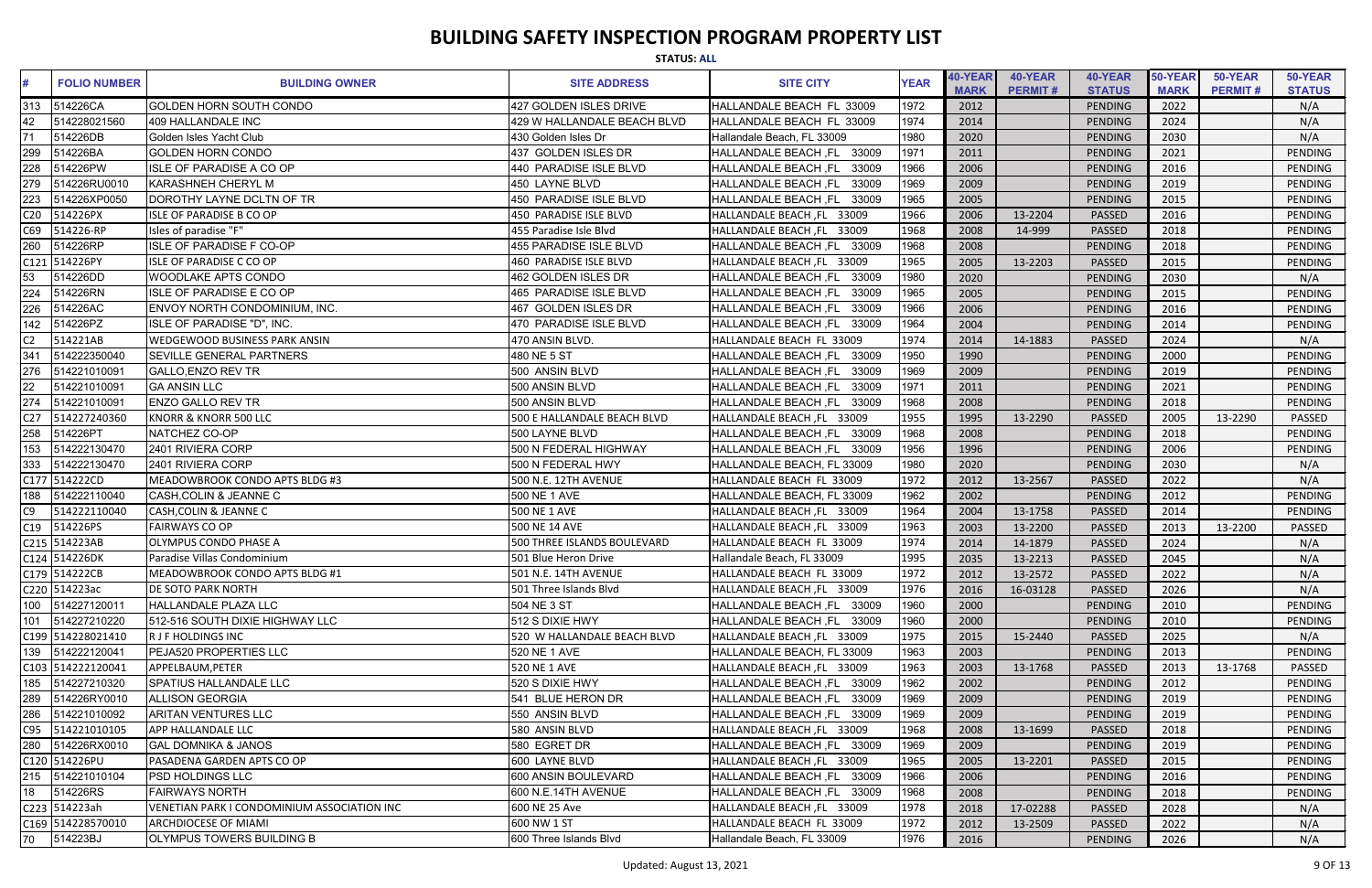|                 | <b>STATUS: ALL</b>  |                                             |                             |                                      |             |                               |                           |                          |                        |                           |                          |  |
|-----------------|---------------------|---------------------------------------------|-----------------------------|--------------------------------------|-------------|-------------------------------|---------------------------|--------------------------|------------------------|---------------------------|--------------------------|--|
|                 | <b>FOLIO NUMBER</b> | <b>BUILDING OWNER</b>                       | <b>SITE ADDRESS</b>         | <b>SITE CITY</b>                     | <b>YEAR</b> | <b>40-YEAR</b><br><b>MARK</b> | 40-YEAR<br><b>PERMIT#</b> | 40-YEAR<br><b>STATUS</b> | 50-YEAR<br><b>MARK</b> | 50-YEAR<br><b>PERMIT#</b> | 50-YEAR<br><b>STATUS</b> |  |
| 313             | 514226CA            | <b>GOLDEN HORN SOUTH CONDO</b>              | 427 GOLDEN ISLES DRIVE      | HALLANDALE BEACH FL 33009            | 1972        | 2012                          |                           | PENDING                  | 2022                   |                           | N/A                      |  |
| 42              | 514228021560        | 409 HALLANDALE INC                          | 429 W HALLANDALE BEACH BLVD | HALLANDALE BEACH FL 33009            | 1974        | 2014                          |                           | PENDING                  | 2024                   |                           | N/A                      |  |
| 71              | 514226DB            | Golden Isles Yacht Club                     | 430 Golden Isles Dr         | Hallandale Beach, FL 33009           | 1980        | 2020                          |                           | PENDING                  | 2030                   |                           | N/A                      |  |
| 299             | 514226BA            | <b>GOLDEN HORN CONDO</b>                    | 437 GOLDEN ISLES DR         | 33009<br>HALLANDALE BEACH ,FL        | 1971        | 2011                          |                           | PENDING                  | 2021                   |                           | PENDING                  |  |
| 228             | 514226PW            | <b>ISLE OF PARADISE A CO OP</b>             | 440 PARADISE ISLE BLVD      | 33009<br><b>HALLANDALE BEACH, FL</b> | 1966        | 2006                          |                           | PENDING                  | 2016                   |                           | PENDING                  |  |
| 279             | 514226RU0010        | <b>KARASHNEH CHERYL M</b>                   | 450 LAYNE BLVD              | <b>HALLANDALE BEACH, FL</b><br>33009 | 1969        | 2009                          |                           | PENDING                  | 2019                   |                           | PENDING                  |  |
| 223             | 514226XP0050        | DOROTHY LAYNE DCLTN OF TR                   | 450 PARADISE ISLE BLVD      | 33009<br>HALLANDALE BEACH ,FL        | 1965        | 2005                          |                           | PENDING                  | 2015                   |                           | PENDING                  |  |
| C <sub>20</sub> | 514226PX            | <b>ISLE OF PARADISE B CO OP</b>             | 450 PARADISE ISLE BLVD      | HALLANDALE BEACH, FL 33009           | 1966        | 2006                          | 13-2204                   | PASSED                   | 2016                   |                           | PENDING                  |  |
| C69             | 514226-RP           | Isles of paradise "F"                       | 455 Paradise Isle Blvd      | <b>HALLANDALE BEACH, FL</b><br>33009 | 1968        | 2008                          | 14-999                    | <b>PASSED</b>            | 2018                   |                           | PENDING                  |  |
| 260             | 514226RP            | <b>ISLE OF PARADISE F CO-OP</b>             | 455 PARADISE ISLE BLVD      | HALLANDALE BEACH ,FL<br>33009        | 1968        | 2008                          |                           | PENDING                  | 2018                   |                           | <b>PENDING</b>           |  |
|                 | C121 514226PY       | <b>ISLE OF PARADISE C CO OP</b>             | 460 PARADISE ISLE BLVD      | HALLANDALE BEACH, FL 33009           | 1965        | 2005                          | 13-2203                   | PASSED                   | 2015                   |                           | PENDING                  |  |
| 53              | 514226DD            | <b>WOODLAKE APTS CONDO</b>                  | 462 GOLDEN ISLES DR         | <b>HALLANDALE BEACH, FL</b><br>33009 | 1980        | 2020                          |                           | PENDING                  | 2030                   |                           | N/A                      |  |
| 224             | 514226RN            | ISLE OF PARADISE E CO OP                    | 465 PARADISE ISLE BLVD      | <b>HALLANDALE BEACH, FL</b><br>33009 | 1965        | 2005                          |                           | PENDING                  | 2015                   |                           | PENDING                  |  |
| 226             | 514226AC            | ENVOY NORTH CONDOMINIUM, INC.               | 467 GOLDEN ISLES DR         | 33009<br><b>HALLANDALE BEACH ,FL</b> | 1966        | 2006                          |                           | PENDING                  | 2016                   |                           | PENDING                  |  |
| 142             | 514226PZ            | ISLE OF PARADISE "D", INC.                  | 470 PARADISE ISLE BLVD      | HALLANDALE BEACH ,FL<br>33009        | 1964        | 2004                          |                           | PENDING                  | 2014                   |                           | PENDING                  |  |
| C2              | 514221AB            | <b>WEDGEWOOD BUSINESS PARK ANSIN</b>        | 470 ANSIN BLVD.             | HALLANDALE BEACH FL 33009            | 1974        | 2014                          | 14-1883                   | <b>PASSED</b>            | 2024                   |                           | N/A                      |  |
| 341             | 514222350040        | <b>SEVILLE GENERAL PARTNERS</b>             | 480 NE 5 ST                 | HALLANDALE BEACH ,FL<br>33009        | 1950        | 1990                          |                           | PENDING                  | 2000                   |                           | <b>PENDING</b>           |  |
| 276             | 514221010091        | <b>GALLO, ENZO REV TR</b>                   | 500 ANSIN BLVD              | <b>HALLANDALE BEACH, FL</b><br>33009 | 1969        | 2009                          |                           | PENDING                  | 2019                   |                           | PENDING                  |  |
| 22              | 514221010091        | <b>GA ANSIN LLC</b>                         | 500 ANSIN BLVD              | <b>HALLANDALE BEACH, FL</b><br>33009 | 1971        | 2011                          |                           | PENDING                  | 2021                   |                           | PENDING                  |  |
| 274             | 514221010091        | <b>ENZO GALLO REV TR</b>                    | 500 ANSIN BLVD              | <b>HALLANDALE BEACH, FL</b><br>33009 | 1968        | 2008                          |                           | PENDING                  | 2018                   |                           | PENDING                  |  |
| C <sub>27</sub> | 514227240360        | <b>KNORR &amp; KNORR 500 LLC</b>            | 500 E HALLANDALE BEACH BLVD | HALLANDALE BEACH, FL 33009           | 1955        | 1995                          | 13-2290                   | <b>PASSED</b>            | 2005                   | 13-2290                   | PASSED                   |  |
| 258             | 514226PT            | NATCHEZ CO-OP                               | 500 LAYNE BLVD              | 33009<br><b>HALLANDALE BEACH ,FL</b> | 1968        | 2008                          |                           | PENDING                  | 2018                   |                           | <b>PENDING</b>           |  |
| 153             | 514222130470        | 2401 RIVIERA CORP                           | 500 N FEDERAL HIGHWAY       | HALLANDALE BEACH, FL<br>33009        | 1956        | 1996                          |                           | PENDING                  | 2006                   |                           | PENDING                  |  |
| 333             | 514222130470        | 2401 RIVIERA CORP                           | 500 N FEDERAL HWY           | HALLANDALE BEACH, FL 33009           | 1980        | 2020                          |                           | PENDING                  | 2030                   |                           | N/A                      |  |
|                 | C177 514222CD       | MEADOWBROOK CONDO APTS BLDG #3              | 500 N.E. 12TH AVENUE        | HALLANDALE BEACH FL 33009            | 1972        | 2012                          | 13-2567                   | PASSED                   | 2022                   |                           | N/A                      |  |
| 188             | 514222110040        | <b>CASH,COLIN &amp; JEANNE C</b>            | 500 NE 1 AVE                | HALLANDALE BEACH, FL 33009           | 1962        | 2002                          |                           | PENDING                  | 2012                   |                           | PENDING                  |  |
| C9              | 514222110040        | <b>CASH, COLIN &amp; JEANNE C</b>           | <b>500 NE 1 AVE</b>         | HALLANDALE BEACH, FL 33009           | 1964        | 2004                          | 13-1758                   | <b>PASSED</b>            | 2014                   |                           | PENDING                  |  |
|                 | C19 514226PS        | <b>FAIRWAYS CO OP</b>                       | 500 NE 14 AVE               | HALLANDALE BEACH, FL 33009           | 1963        | 2003                          | 13-2200                   | <b>PASSED</b>            | 2013                   | 13-2200                   | <b>PASSED</b>            |  |
|                 | C215 514223AB       | OLYMPUS CONDO PHASE A                       | 500 THREE ISLANDS BOULEVARD | HALLANDALE BEACH FL 33009            | 1974        | 2014                          | 14-1879                   | <b>PASSED</b>            | 2024                   |                           | N/A                      |  |
|                 | C124 514226DK       | Paradise Villas Condominium                 | 501 Blue Heron Drive        | Hallandale Beach, FL 33009           | 1995        | 2035                          | 13-2213                   | PASSED                   | 2045                   |                           | N/A                      |  |
|                 | C179 514222CB       | MEADOWBROOK CONDO APTS BLDG #1              | 501 N.E. 14TH AVENUE        | HALLANDALE BEACH FL 33009            | 1972        | 2012                          | 13-2572                   | <b>PASSED</b>            | 2022                   |                           | N/A                      |  |
|                 | C220 514223ac       | <b>DE SOTO PARK NORTH</b>                   | 501 Three Islands Blvd      | HALLANDALE BEACH, FL 33009           | 1976        | 2016                          | 16-03128                  | <b>PASSED</b>            | 2026                   |                           | N/A                      |  |
|                 | 100 514227120011    | <b>HALLANDALE PLAZA LLC</b>                 | 504 NE 3 ST                 | HALLANDALE BEACH, FL 33009           | 1960        | 2000                          |                           | PENDING                  | 2010                   |                           | PENDING                  |  |
| 101             | 514227210220        | 512-516 SOUTH DIXIE HIGHWAY LLC             | 512 S DIXIE HWY             | HALLANDALE BEACH, FL 33009           | 1960        | 2000                          |                           | PENDING                  | 2010                   |                           | PENDING                  |  |
|                 | C199 514228021410   | <b>R J F HOLDINGS INC</b>                   | 520 W HALLANDALE BEACH BLVD | HALLANDALE BEACH, FL 33009           | 1975        | 2015                          | 15-2440                   | <b>PASSED</b>            | 2025                   |                           | N/A                      |  |
|                 | 139 514222120041    | PEJA520 PROPERTIES LLC                      | 520 NE 1 AVE                | HALLANDALE BEACH, FL 33009           | 1963        | 2003                          |                           | PENDING                  | 2013                   |                           | PENDING                  |  |
|                 | C103 514222120041   | APPELBAUM, PETER                            | 520 NE 1 AVE                | HALLANDALE BEACH, FL 33009           | 1963        | 2003                          | 13-1768                   | <b>PASSED</b>            | 2013                   | 13-1768                   | PASSED                   |  |
|                 | 185 514227210320    | <b>SPATIUS HALLANDALE LLC</b>               | 520 S DIXIE HWY             | HALLANDALE BEACH, FL 33009           | 1962        | 2002                          |                           | PENDING                  | 2012                   |                           | PENDING                  |  |
|                 | 289 514226RY0010    | <b>ALLISON GEORGIA</b>                      | 541 BLUE HERON DR           | HALLANDALE BEACH ,FL<br>33009        | 1969        | 2009                          |                           | PENDING                  | 2019                   |                           | PENDING                  |  |
|                 | 286 514221010092    | <b>ARITAN VENTURES LLC</b>                  | 550 ANSIN BLVD              | HALLANDALE BEACH, FL 33009           | 1969        | 2009                          |                           | PENDING                  | 2019                   |                           | PENDING                  |  |
|                 | C95 514221010105    | <b>APP HALLANDALE LLC</b>                   | 580 ANSIN BLVD              | HALLANDALE BEACH, FL 33009           | 1968        | 2008                          | 13-1699                   | <b>PASSED</b>            | 2018                   |                           | PENDING                  |  |
|                 | 280 514226RX0010    | <b>GAL DOMNIKA &amp; JANOS</b>              | 580 EGRET DR                | HALLANDALE BEACH, FL 33009           | 1969        | 2009                          |                           | PENDING                  | 2019                   |                           | PENDING                  |  |
|                 | C120 514226PU       | PASADENA GARDEN APTS CO OP                  | 600 LAYNE BLVD              | HALLANDALE BEACH, FL 33009           | 1965        | 2005                          | 13-2201                   | <b>PASSED</b>            | 2015                   |                           | PENDING                  |  |
|                 | 215 514221010104    | PSD HOLDINGS LLC                            | 600 ANSIN BOULEVARD         | HALLANDALE BEACH, FL 33009           | 1966        | 2006                          |                           | PENDING                  | 2016                   |                           | PENDING                  |  |
| 18              | 514226RS            | <b>FAIRWAYS NORTH</b>                       | 600 N.E.14TH AVENUE         | HALLANDALE BEACH, FL 33009           | 1968        | 2008                          |                           | PENDING                  | 2018                   |                           | PENDING                  |  |
|                 | C223 514223ah       | VENETIAN PARK I CONDOMINIUM ASSOCIATION INC | 600 NE 25 Ave               | HALLANDALE BEACH, FL 33009           | 1978        | 2018                          | 17-02288                  | <b>PASSED</b>            | 2028                   |                           | N/A                      |  |
|                 | C169 514228570010   | <b>ARCHDIOCESE OF MIAMI</b>                 | 600 NW 1 ST                 | HALLANDALE BEACH FL 33009            | 1972        | 2012                          | 13-2509                   | <b>PASSED</b>            | 2022                   |                           | N/A                      |  |
| 70              | 514223BJ            | OLYMPUS TOWERS BUILDING B                   | 600 Three Islands Blvd      | Hallandale Beach, FL 33009           | 1976        | 2016                          |                           | PENDING                  | 2026                   |                           | N/A                      |  |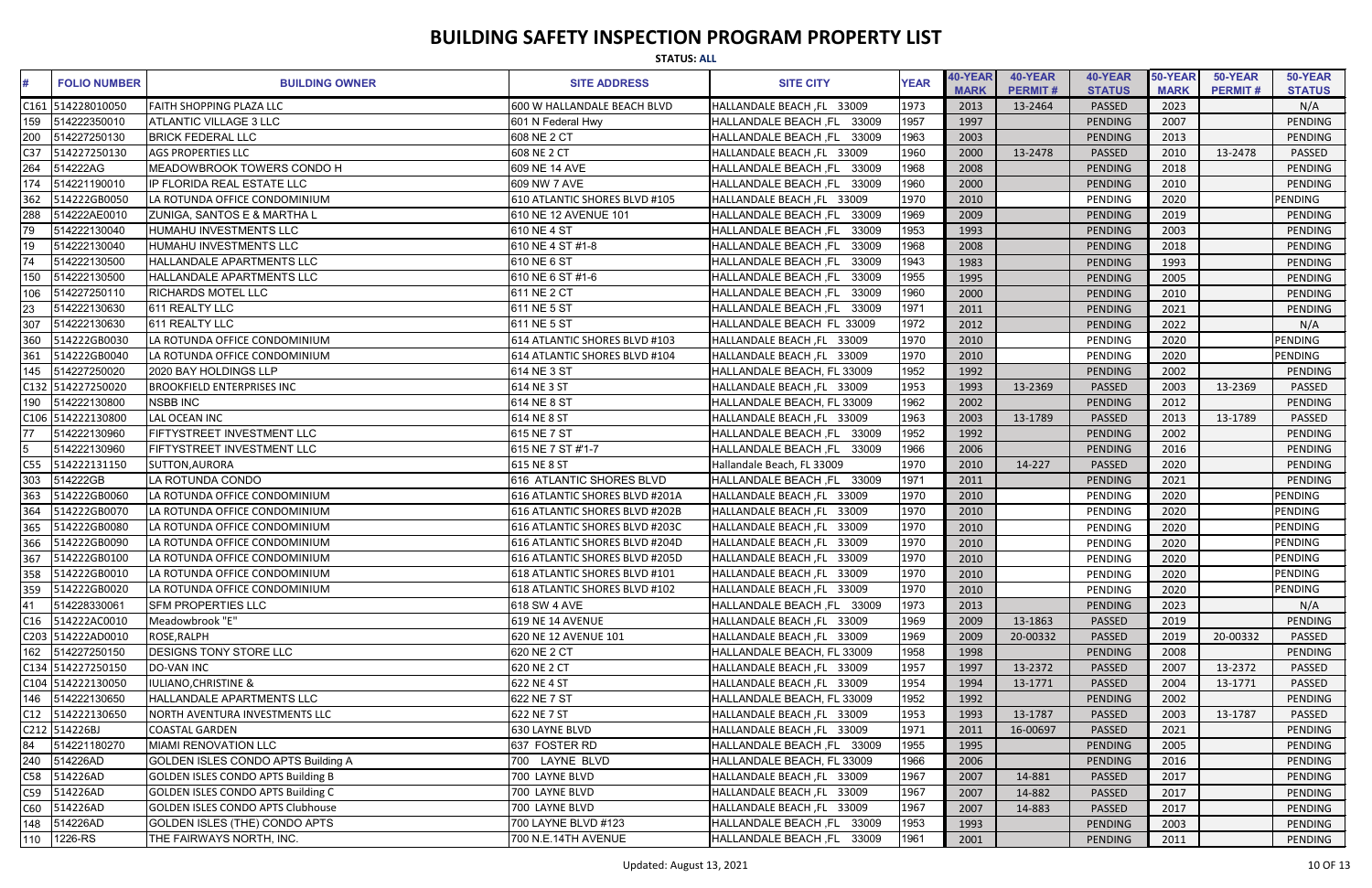|                 |                     |                                           | <b>STATUS: ALL</b>             |                                      |             |                        |                           |                          |                        |                           |                          |
|-----------------|---------------------|-------------------------------------------|--------------------------------|--------------------------------------|-------------|------------------------|---------------------------|--------------------------|------------------------|---------------------------|--------------------------|
|                 | <b>FOLIO NUMBER</b> | <b>BUILDING OWNER</b>                     | <b>SITE ADDRESS</b>            | <b>SITE CITY</b>                     | <b>YEAR</b> | 40-YEAR<br><b>MARK</b> | 40-YEAR<br><b>PERMIT#</b> | 40-YEAR<br><b>STATUS</b> | 50-YEAR<br><b>MARK</b> | 50-YEAR<br><b>PERMIT#</b> | 50-YEAR<br><b>STATUS</b> |
|                 | C161 514228010050   | <b>FAITH SHOPPING PLAZA LLC</b>           | 600 W HALLANDALE BEACH BLVD    | HALLANDALE BEACH, FL 33009           | 1973        | 2013                   | 13-2464                   | PASSED                   | 2023                   |                           | N/A                      |
| 159             | 514222350010        | <b>ATLANTIC VILLAGE 3 LLC</b>             | 601 N Federal Hwy              | 33009<br><b>HALLANDALE BEACH, FL</b> | 1957        | 1997                   |                           | PENDING                  | 2007                   |                           | <b>PENDING</b>           |
| 200             | 514227250130        | <b>BRICK FEDERAL LLC</b>                  | 608 NE 2 CT                    | 33009<br>HALLANDALE BEACH ,FL        | 1963        | 2003                   |                           | PENDING                  | 2013                   |                           | <b>PENDING</b>           |
| C <sub>37</sub> | 514227250130        | <b>AGS PROPERTIES LLC</b>                 | 608 NE 2 CT                    | HALLANDALE BEACH, FL 33009           | 1960        | 2000                   | 13-2478                   | <b>PASSED</b>            | 2010                   | 13-2478                   | PASSED                   |
| 264             | 514222AG            | MEADOWBROOK TOWERS CONDO H                | 609 NE 14 AVE                  | HALLANDALE BEACH ,FL<br>33009        | 1968        | 2008                   |                           | PENDING                  | 2018                   |                           | PENDING                  |
| 174             | 514221190010        | IP FLORIDA REAL ESTATE LLC                | 609 NW 7 AVE                   | HALLANDALE BEACH, FL<br>33009        | 1960        | 2000                   |                           | PENDING                  | 2010                   |                           | <b>PENDING</b>           |
| 362             | 514222GB0050        | LA ROTUNDA OFFICE CONDOMINIUM             | 610 ATLANTIC SHORES BLVD #105  | HALLANDALE BEACH, FL 33009           | 1970        | 2010                   |                           | PENDING                  | 2020                   |                           | <b>PENDING</b>           |
| 288             | 514222AE0010        | ZUNIGA, SANTOS E & MARTHA L               | 610 NE 12 AVENUE 101           | <b>HALLANDALE BEACH, FL</b><br>33009 | 1969        | 2009                   |                           | PENDING                  | 2019                   |                           | PENDING                  |
| 79              | 514222130040        | <b>HUMAHU INVESTMENTS LLC</b>             | 610 NE 4 ST                    | 33009<br><b>HALLANDALE BEACH, FL</b> | 1953        | 1993                   |                           | PENDING                  | 2003                   |                           | PENDING                  |
|                 | 514222130040        | HUMAHU INVESTMENTS LLC                    | 610 NE 4 ST #1-8               | 33009<br><b>HALLANDALE BEACH, FL</b> | 1968        | 2008                   |                           | PENDING                  | 2018                   |                           | PENDING                  |
|                 | 514222130500        | HALLANDALE APARTMENTS LLC                 | 610 NE 6 ST                    | <b>HALLANDALE BEACH, FL</b><br>33009 | 1943        | 1983                   |                           | PENDING                  | 1993                   |                           | PENDING                  |
| 150             | 514222130500        | <b>HALLANDALE APARTMENTS LLC</b>          | 610 NE 6 ST #1-6               | 33009<br><b>HALLANDALE BEACH, FL</b> | 1955        | 1995                   |                           | PENDING                  | 2005                   |                           | PENDING                  |
| 106             | 514227250110        | <b>RICHARDS MOTEL LLC</b>                 | 611 NE 2 CT                    | 33009<br><b>HALLANDALE BEACH ,FL</b> | 1960        | 2000                   |                           | PENDING                  | 2010                   |                           | PENDING                  |
|                 | 514222130630        | 611 REALTY LLC                            | 611 NE 5 ST                    | <b>HALLANDALE BEACH, FL</b><br>33009 | 1971        | 2011                   |                           | PENDING                  | 2021                   |                           | PENDING                  |
| 307             | 514222130630        | 611 REALTY LLC                            | 611 NE 5 ST                    | HALLANDALE BEACH FL 33009            | 1972        | 2012                   |                           | PENDING                  | 2022                   |                           | N/A                      |
| 360             | 514222GB0030        | LA ROTUNDA OFFICE CONDOMINIUM             | 614 ATLANTIC SHORES BLVD #103  | HALLANDALE BEACH, FL 33009           | 1970        | 2010                   |                           | PENDING                  | 2020                   |                           | PENDING                  |
| 361             | 514222GB0040        | LA ROTUNDA OFFICE CONDOMINIUM             | 614 ATLANTIC SHORES BLVD #104  | HALLANDALE BEACH, FL 33009           | 1970        | 2010                   |                           | PENDING                  | 2020                   |                           | PENDING                  |
| 145             | 514227250020        | 2020 BAY HOLDINGS LLP                     | 614 NE 3 ST                    | HALLANDALE BEACH, FL 33009           | 1952        | 1992                   |                           | PENDING                  | 2002                   |                           | PENDING                  |
|                 | C132 514227250020   | <b>BROOKFIELD ENTERPRISES INC</b>         | 614 NE 3 ST                    | HALLANDALE BEACH, FL 33009           | 1953        | 1993                   | 13-2369                   | PASSED                   | 2003                   | 13-2369                   | PASSED                   |
| 190             | 514222130800        | <b>NSBB INC</b>                           | 614 NE 8 ST                    | HALLANDALE BEACH, FL 33009           | 1962        | 2002                   |                           | PENDING                  | 2012                   |                           | <b>PENDING</b>           |
|                 | C106 514222130800   | LAL OCEAN INC                             | 614 NE 8 ST                    | HALLANDALE BEACH, FL 33009           | 1963        | 2003                   | 13-1789                   | <b>PASSED</b>            | 2013                   | 13-1789                   | <b>PASSED</b>            |
| 77              | 514222130960        | FIFTYSTREET INVESTMENT LLC                | 615 NE 7 ST                    | HALLANDALE BEACH, FL 33009           | 1952        | 1992                   |                           | PENDING                  | 2002                   |                           | <b>PENDING</b>           |
|                 | 514222130960        | FIFTYSTREET INVESTMENT LLC                | 615 NE 7 ST #'1-7              | HALLANDALE BEACH, FL 33009           | 1966        | 2006                   |                           | PENDING                  | 2016                   |                           | <b>PENDING</b>           |
| C55             | 514222131150        | SUTTON, AURORA                            | 615 NE 8 ST                    | Hallandale Beach, FL 33009           | 1970        | 2010                   | 14-227                    | <b>PASSED</b>            | 2020                   |                           | PENDING                  |
| 303             | 514222GB            | LA ROTUNDA CONDO                          | 616 ATLANTIC SHORES BLVD       | HALLANDALE BEACH, FL 33009           | 1971        | 2011                   |                           | PENDING                  | 2021                   |                           | PENDING                  |
| 363             | 514222GB0060        | LA ROTUNDA OFFICE CONDOMINIUM             | 616 ATLANTIC SHORES BLVD #201A | HALLANDALE BEACH, FL 33009           | 1970        | 2010                   |                           | PENDING                  | 2020                   |                           | <b>PENDING</b>           |
| 364             | 514222GB0070        | LA ROTUNDA OFFICE CONDOMINIUM             | 616 ATLANTIC SHORES BLVD #202B | HALLANDALE BEACH, FL 33009           | 1970        | 2010                   |                           | PENDING                  | 2020                   |                           | PENDING                  |
| 365             | 514222GB0080        | LA ROTUNDA OFFICE CONDOMINIUM             | 616 ATLANTIC SHORES BLVD #203C | HALLANDALE BEACH, FL 33009           | 1970        | 2010                   |                           | PENDING                  | 2020                   |                           | PENDING                  |
| 366             | 514222GB0090        | LA ROTUNDA OFFICE CONDOMINIUM             | 616 ATLANTIC SHORES BLVD #204D | HALLANDALE BEACH, FL 33009           | 1970        | 2010                   |                           | PENDING                  | 2020                   |                           | PENDING                  |
| 367             | 514222GB0100        | LA ROTUNDA OFFICE CONDOMINIUM             | 616 ATLANTIC SHORES BLVD #205D | HALLANDALE BEACH, FL 33009           | 1970        | 2010                   |                           | PENDING                  | 2020                   |                           | PENDING                  |
|                 | 358 514222GB0010    | LA ROTUNDA OFFICE CONDOMINIUM             | 618 ATLANTIC SHORES BLVD #101  | HALLANDALE BEACH, FL 33009           | 1970        | 2010                   |                           | PENDING                  | 2020                   |                           | <b>PENDING</b>           |
| 359             | 514222GB0020        | LA ROTUNDA OFFICE CONDOMINIUM             | 618 ATLANTIC SHORES BLVD #102  | HALLANDALE BEACH, FL 33009           | 1970        | 2010                   |                           | PENDING                  | 2020                   |                           | <b>PENDING</b>           |
| 41              | 514228330061        | <b>SFM PROPERTIES LLC</b>                 | 618 SW 4 AVE                   | HALLANDALE BEACH, FL 33009           | 1973        | 2013                   |                           | PENDING                  | 2023                   |                           | N/A                      |
|                 | C16 514222AC0010    | Meadowbrook "E"                           | 619 NE 14 AVENUE               | HALLANDALE BEACH, FL 33009           | 1969        | 2009                   | 13-1863                   | PASSED                   | 2019                   |                           | PENDING                  |
|                 | C203 514222AD0010   | ROSE, RALPH                               | 620 NE 12 AVENUE 101           | HALLANDALE BEACH, FL 33009           | 1969        | 2009                   | 20-00332                  | PASSED                   | 2019                   | 20-00332                  | PASSED                   |
|                 | 162 514227250150    | <b>DESIGNS TONY STORE LLC</b>             | 620 NE 2 CT                    | HALLANDALE BEACH, FL 33009           | 1958        | 1998                   |                           | PENDING                  | 2008                   |                           | PENDING                  |
|                 | C134 514227250150   | DO-VAN INC                                | 620 NE 2 CT                    | HALLANDALE BEACH, FL 33009           | 1957        | 1997                   | 13-2372                   | <b>PASSED</b>            | 2007                   | 13-2372                   | PASSED                   |
|                 | C104 514222130050   | <b>IULIANO, CHRISTINE &amp;</b>           | 622 NE 4 ST                    | HALLANDALE BEACH, FL 33009           | 1954        | 1994                   | 13-1771                   | <b>PASSED</b>            | 2004                   | 13-1771                   | PASSED                   |
|                 | 146  514222130650   | HALLANDALE APARTMENTS LLC                 | 622 NE 7 ST                    | HALLANDALE BEACH, FL 33009           | 1952        | 1992                   |                           | PENDING                  | 2002                   |                           | PENDING                  |
|                 | C12 514222130650    | NORTH AVENTURA INVESTMENTS LLC            | 622 NE 7 ST                    | HALLANDALE BEACH, FL 33009           | 1953        | 1993                   | 13-1787                   | PASSED                   | 2003                   | 13-1787                   | PASSED                   |
|                 | C212 514226BJ       | <b>COASTAL GARDEN</b>                     | 630 LAYNE BLVD                 | HALLANDALE BEACH, FL 33009           | 1971        | 2011                   | 16-00697                  | PASSED                   | 2021                   |                           | PENDING                  |
|                 | 514221180270        | <b>MIAMI RENOVATION LLC</b>               | 637 FOSTER RD                  | HALLANDALE BEACH, FL 33009           | 1955        | 1995                   |                           | PENDING                  | 2005                   |                           | PENDING                  |
| 240             | 514226AD            | <b>GOLDEN ISLES CONDO APTS Building A</b> | 700 LAYNE BLVD                 | HALLANDALE BEACH, FL 33009           | 1966        | 2006                   |                           | PENDING                  | 2016                   |                           | PENDING                  |
| C58             | 514226AD            | <b>GOLDEN ISLES CONDO APTS Building B</b> | 700 LAYNE BLVD                 | HALLANDALE BEACH, FL 33009           | 1967        | 2007                   | 14-881                    | <b>PASSED</b>            | 2017                   |                           | PENDING                  |
| C59             | 514226AD            | <b>GOLDEN ISLES CONDO APTS Building C</b> | 700 LAYNE BLVD                 | HALLANDALE BEACH, FL 33009           | 1967        | 2007                   | 14-882                    | <b>PASSED</b>            | 2017                   |                           | PENDING                  |
| C60             | 514226AD            | <b>GOLDEN ISLES CONDO APTS Clubhouse</b>  | 700 LAYNE BLVD                 | HALLANDALE BEACH, FL 33009           | 1967        | 2007                   | 14-883                    | <b>PASSED</b>            | 2017                   |                           | PENDING                  |
| 148             | 514226AD            | GOLDEN ISLES (THE) CONDO APTS             | 700 LAYNE BLVD #123            | HALLANDALE BEACH, FL 33009           | 1953        | 1993                   |                           | PENDING                  | 2003                   |                           | PENDING                  |
|                 | 110 1226-RS         | THE FAIRWAYS NORTH, INC.                  | 700 N.E.14TH AVENUE            | HALLANDALE BEACH, FL 33009           | 1961        | 2001                   |                           | PENDING                  | 2011                   |                           | PENDING                  |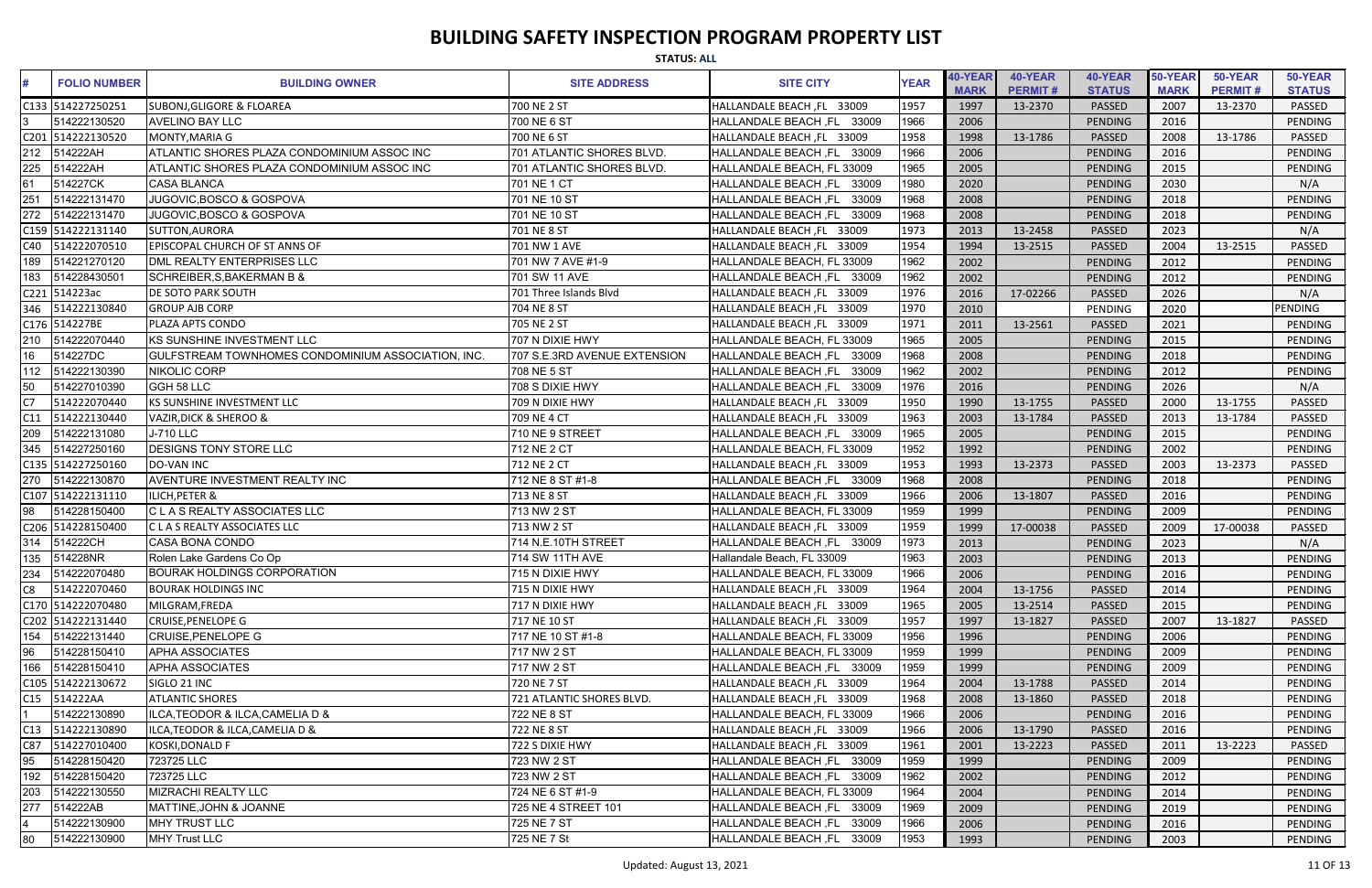|      | <b>STATUS: ALL</b>  |                                                    |                              |                               |             |                        |                           |                          |                        |                           |                          |  |
|------|---------------------|----------------------------------------------------|------------------------------|-------------------------------|-------------|------------------------|---------------------------|--------------------------|------------------------|---------------------------|--------------------------|--|
|      | <b>FOLIO NUMBER</b> | <b>BUILDING OWNER</b>                              | <b>SITE ADDRESS</b>          | <b>SITE CITY</b>              | <b>YEAR</b> | 40-YEAR<br><b>MARK</b> | 40-YEAR<br><b>PERMIT#</b> | 40-YEAR<br><b>STATUS</b> | 50-YEAR<br><b>MARK</b> | 50-YEAR<br><b>PERMIT#</b> | 50-YEAR<br><b>STATUS</b> |  |
|      | C133 514227250251   | <b>SUBONJ, GLIGORE &amp; FLOAREA</b>               | 700 NE 2 ST                  | HALLANDALE BEACH, FL 33009    | 1957        | 1997                   | 13-2370                   | <b>PASSED</b>            | 2007                   | 13-2370                   | PASSED                   |  |
|      | 514222130520        | <b>AVELINO BAY LLC</b>                             | 700 NE 6 ST                  | HALLANDALE BEACH, FL<br>33009 | 1966        | 2006                   |                           | PENDING                  | 2016                   |                           | <b>PENDING</b>           |  |
| C201 | 514222130520        | MONTY, MARIA G                                     | 700 NE 6 ST                  | HALLANDALE BEACH, FL 33009    | 1958        | 1998                   | 13-1786                   | PASSED                   | 2008                   | 13-1786                   | <b>PASSED</b>            |  |
| 212  | 514222AH            | ATLANTIC SHORES PLAZA CONDOMINIUM ASSOC INC        | 701 ATLANTIC SHORES BLVD.    | HALLANDALE BEACH, FL 33009    | 1966        | 2006                   |                           | PENDING                  | 2016                   |                           | <b>PENDING</b>           |  |
| 225  | 514222AH            | ATLANTIC SHORES PLAZA CONDOMINIUM ASSOC INC        | 701 ATLANTIC SHORES BLVD.    | HALLANDALE BEACH, FL 33009    | 1965        | 2005                   |                           | PENDING                  | 2015                   |                           | PENDING                  |  |
| 61   | 514227CK            | <b>CASA BLANCA</b>                                 | 701 NE 1 CT                  | HALLANDALE BEACH, FL<br>33009 | 1980        | 2020                   |                           | PENDING                  | 2030                   |                           | N/A                      |  |
| 251  | 514222131470        | JUGOVIC, BOSCO & GOSPOVA                           | 701 NE 10 ST                 | 33009<br>HALLANDALE BEACH, FL | 1968        | 2008                   |                           | <b>PENDING</b>           | 2018                   |                           | PENDING                  |  |
| 272  | 514222131470        | JUGOVIC, BOSCO & GOSPOVA                           | 701 NE 10 ST                 | 33009<br>HALLANDALE BEACH, FL | 1968        | 2008                   |                           | PENDING                  | 2018                   |                           | <b>PENDING</b>           |  |
|      | C159 514222131140   | SUTTON, AURORA                                     | 701 NE 8 ST                  | HALLANDALE BEACH, FL 33009    | 1973        | 2013                   | 13-2458                   | PASSED                   | 2023                   |                           | N/A                      |  |
| C40  | 514222070510        | <b>EPISCOPAL CHURCH OF ST ANNS OF</b>              | 701 NW 1 AVE                 | HALLANDALE BEACH ,FL 33009    | 1954        | 1994                   | 13-2515                   | PASSED                   | 2004                   | 13-2515                   | <b>PASSED</b>            |  |
| 189  | 514221270120        | DML REALTY ENTERPRISES LLC                         | 701 NW 7 AVE #1-9            | HALLANDALE BEACH, FL 33009    | 1962        | 2002                   |                           | PENDING                  | 2012                   |                           | <b>PENDING</b>           |  |
| 183  | 514228430501        | SCHREIBER, S, BAKERMAN B &                         | 701 SW 11 AVE                | HALLANDALE BEACH, FL 33009    | 1962        | 2002                   |                           | <b>PENDING</b>           | 2012                   |                           | PENDING                  |  |
|      | C221 514223ac       | <b>DE SOTO PARK SOUTH</b>                          | 701 Three Islands Blvd       | HALLANDALE BEACH, FL 33009    | 1976        | 2016                   | 17-02266                  | PASSED                   | 2026                   |                           | N/A                      |  |
| 346  | 514222130840        | <b>GROUP AJB CORP</b>                              | 704 NE 8 ST                  | HALLANDALE BEACH, FL 33009    | 1970        | 2010                   |                           | PENDING                  | 2020                   |                           | <b>PENDING</b>           |  |
|      | C176 514227BE       | PLAZA APTS CONDO                                   | 705 NE 2 ST                  | HALLANDALE BEACH, FL 33009    | 1971        | 2011                   | 13-2561                   | PASSED                   | 2021                   |                           | <b>PENDING</b>           |  |
| 210  | 514222070440        | KS SUNSHINE INVESTMENT LLC                         | 707 N DIXIE HWY              | HALLANDALE BEACH, FL 33009    | 1965        | 2005                   |                           | PENDING                  | 2015                   |                           | <b>PENDING</b>           |  |
| 16   | 514227DC            | GULFSTREAM TOWNHOMES CONDOMINIUM ASSOCIATION, INC. | 707 S.E.3RD AVENUE EXTENSION | HALLANDALE BEACH, FL 33009    | 1968        | 2008                   |                           | <b>PENDING</b>           | 2018                   |                           | PENDING                  |  |
| 112  | 514222130390        | NIKOLIC CORP                                       | 708 NE 5 ST                  | 33009<br>HALLANDALE BEACH, FL | 1962        | 2002                   |                           | PENDING                  | 2012                   |                           | PENDING                  |  |
| 50   | 514227010390        | GGH 58 LLC                                         | 708 S DIXIE HWY              | 33009<br>HALLANDALE BEACH, FL | 1976        | 2016                   |                           | <b>PENDING</b>           | 2026                   |                           | N/A                      |  |
| C7   | 514222070440        | KS SUNSHINE INVESTMENT LLC                         | 709 N DIXIE HWY              | HALLANDALE BEACH, FL 33009    | 1950        | 1990                   | 13-1755                   | PASSED                   | 2000                   | 13-1755                   | <b>PASSED</b>            |  |
| C11  | 514222130440        | VAZIR, DICK & SHEROO &                             | 709 NE 4 CT                  | HALLANDALE BEACH, FL 33009    | 1963        | 2003                   | 13-1784                   | PASSED                   | 2013                   | 13-1784                   | <b>PASSED</b>            |  |
| 209  | 514222131080        | <b>J-710 LLC</b>                                   | 710 NE 9 STREET              | HALLANDALE BEACH, FL 33009    | 1965        | 2005                   |                           | <b>PENDING</b>           | 2015                   |                           | <b>PENDING</b>           |  |
| 345  | 514227250160        | <b>DESIGNS TONY STORE LLC</b>                      | 712 NE 2 CT                  | HALLANDALE BEACH, FL 33009    | 1952        | 1992                   |                           | PENDING                  | 2002                   |                           | <b>PENDING</b>           |  |
|      | C135 514227250160   | DO-VAN INC                                         | 712 NE 2 CT                  | HALLANDALE BEACH, FL 33009    | 1953        | 1993                   | 13-2373                   | PASSED                   | 2003                   | 13-2373                   | <b>PASSED</b>            |  |
| 270  | 514222130870        | <b>AVENTURE INVESTMENT REALTY INC</b>              | 712 NE 8 ST #1-8             | HALLANDALE BEACH, FL 33009    | 1968        | 2008                   |                           | <b>PENDING</b>           | 2018                   |                           | <b>PENDING</b>           |  |
|      | C107 514222131110   | <b>ILICH, PETER &amp;</b>                          | 713 NE 8 ST                  | HALLANDALE BEACH, FL 33009    | 1966        | 2006                   | 13-1807                   | PASSED                   | 2016                   |                           | PENDING                  |  |
| 98   | 514228150400        | C L A S REALTY ASSOCIATES LLC                      | 713 NW 2 ST                  | HALLANDALE BEACH, FL 33009    | 1959        | 1999                   |                           | <b>PENDING</b>           | 2009                   |                           | PENDING                  |  |
|      | C206 514228150400   | C L A S REALTY ASSOCIATES LLC                      | 713 NW 2 ST                  | HALLANDALE BEACH, FL 33009    | 1959        | 1999                   | 17-00038                  | PASSED                   | 2009                   | 17-00038                  | <b>PASSED</b>            |  |
| 314  | 514222CH            | <b>CASA BONA CONDO</b>                             | 714 N.E.10TH STREET          | HALLANDALE BEACH, FL 33009    | 1973        | 2013                   |                           | PENDING                  | 2023                   |                           | N/A                      |  |
| 135  | 514228NR            | Rolen Lake Gardens Co Op                           | 714 SW 11TH AVE              | Hallandale Beach, FL 33009    | 1963        | 2003                   |                           | PENDING                  | 2013                   |                           | PENDING                  |  |
| 234  | 514222070480        | <b>BOURAK HOLDINGS CORPORATION</b>                 | 715 N DIXIE HWY              | HALLANDALE BEACH, FL 33009    | 1966        | 2006                   |                           | <b>PENDING</b>           | 2016                   |                           | PENDING                  |  |
| C8   | 514222070460        | <b>BOURAK HOLDINGS INC</b>                         | 715 N DIXIE HWY              | HALLANDALE BEACH, FL 33009    | 1964        | 2004                   | 13-1756                   | PASSED                   | 2014                   |                           | PENDING                  |  |
|      | C170 514222070480   | MILGRAM.FREDA                                      | 717 N DIXIE HWY              | HALLANDALE BEACH, FL 33009    | 1965        | 2005                   | 13-2514                   | PASSED                   | 2015                   |                           | PENDING                  |  |
|      | C202 514222131440   | <b>CRUISE, PENELOPE G</b>                          | 717 NE 10 ST                 | HALLANDALE BEACH, FL 33009    | 1957        | 1997                   | 13-1827                   | PASSED                   | 2007                   | 13-1827                   | PASSED                   |  |
| 154  | 514222131440        | <b>CRUISE, PENELOPE G</b>                          | 717 NE 10 ST #1-8            | HALLANDALE BEACH, FL 33009    | 1956        | 1996                   |                           | PENDING                  | 2006                   |                           | PENDING                  |  |
| 96   | 514228150410        | <b>APHA ASSOCIATES</b>                             | 717 NW 2 ST                  | HALLANDALE BEACH, FL 33009    | 1959        | 1999                   |                           | PENDING                  | 2009                   |                           | PENDING                  |  |
| 166  | 514228150410        | <b>APHA ASSOCIATES</b>                             | 717 NW 2 ST                  | HALLANDALE BEACH, FL 33009    | 1959        | 1999                   |                           | PENDING                  | 2009                   |                           | PENDING                  |  |
|      | C105 514222130672   | SIGLO 21 INC                                       | 720 NE 7 ST                  | HALLANDALE BEACH, FL 33009    | 1964        | 2004                   | 13-1788                   | PASSED                   | 2014                   |                           | PENDING                  |  |
|      | C15 514222AA        | <b>ATLANTIC SHORES</b>                             | 721 ATLANTIC SHORES BLVD.    | HALLANDALE BEACH, FL 33009    | 1968        | 2008                   | 13-1860                   | PASSED                   | 2018                   |                           | PENDING                  |  |
|      | 514222130890        | ILCA, TEODOR & ILCA, CAMELIA D &                   | 722 NE 8 ST                  | HALLANDALE BEACH, FL 33009    | 1966        | 2006                   |                           | <b>PENDING</b>           | 2016                   |                           | PENDING                  |  |
| C13  | 514222130890        | <b>ILCA, TEODOR &amp; ILCA, CAMELIA D &amp;</b>    | 722 NE 8 ST                  | HALLANDALE BEACH, FL 33009    | 1966        | 2006                   | 13-1790                   | PASSED                   | 2016                   |                           | PENDING                  |  |
| C87  | 514227010400        | KOSKI, DONALD F                                    | 722 S DIXIE HWY              | HALLANDALE BEACH, FL 33009    | 1961        | 2001                   | 13-2223                   | PASSED                   | 2011                   | 13-2223                   | PASSED                   |  |
| 95   | 514228150420        | 723725 LLC                                         | 723 NW 2 ST                  | HALLANDALE BEACH, FL 33009    | 1959        | 1999                   |                           | <b>PENDING</b>           | 2009                   |                           | PENDING                  |  |
| 192  | 514228150420        | 723725 LLC                                         | 723 NW 2 ST                  | HALLANDALE BEACH, FL 33009    | 1962        | 2002                   |                           | PENDING                  | 2012                   |                           | PENDING                  |  |
| 203  | 514222130550        | MIZRACHI REALTY LLC                                | 724 NE 6 ST #1-9             | HALLANDALE BEACH, FL 33009    | 1964        | 2004                   |                           | <b>PENDING</b>           | 2014                   |                           | PENDING                  |  |
| 277  | 514222AB            | <b>MATTINE,JOHN &amp; JOANNE</b>                   | 725 NE 4 STREET 101          | HALLANDALE BEACH, FL 33009    | 1969        | 2009                   |                           | PENDING                  | 2019                   |                           | PENDING                  |  |
|      | 514222130900        | MHY TRUST LLC                                      | 725 NE 7 ST                  | HALLANDALE BEACH, FL 33009    | 1966        | 2006                   |                           | PENDING                  | 2016                   |                           | PENDING                  |  |
| 80   | 514222130900        | <b>MHY Trust LLC</b>                               | 725 NE 7 St                  | HALLANDALE BEACH, FL 33009    | 1953        | 1993                   |                           | PENDING                  | 2003                   |                           | PENDING                  |  |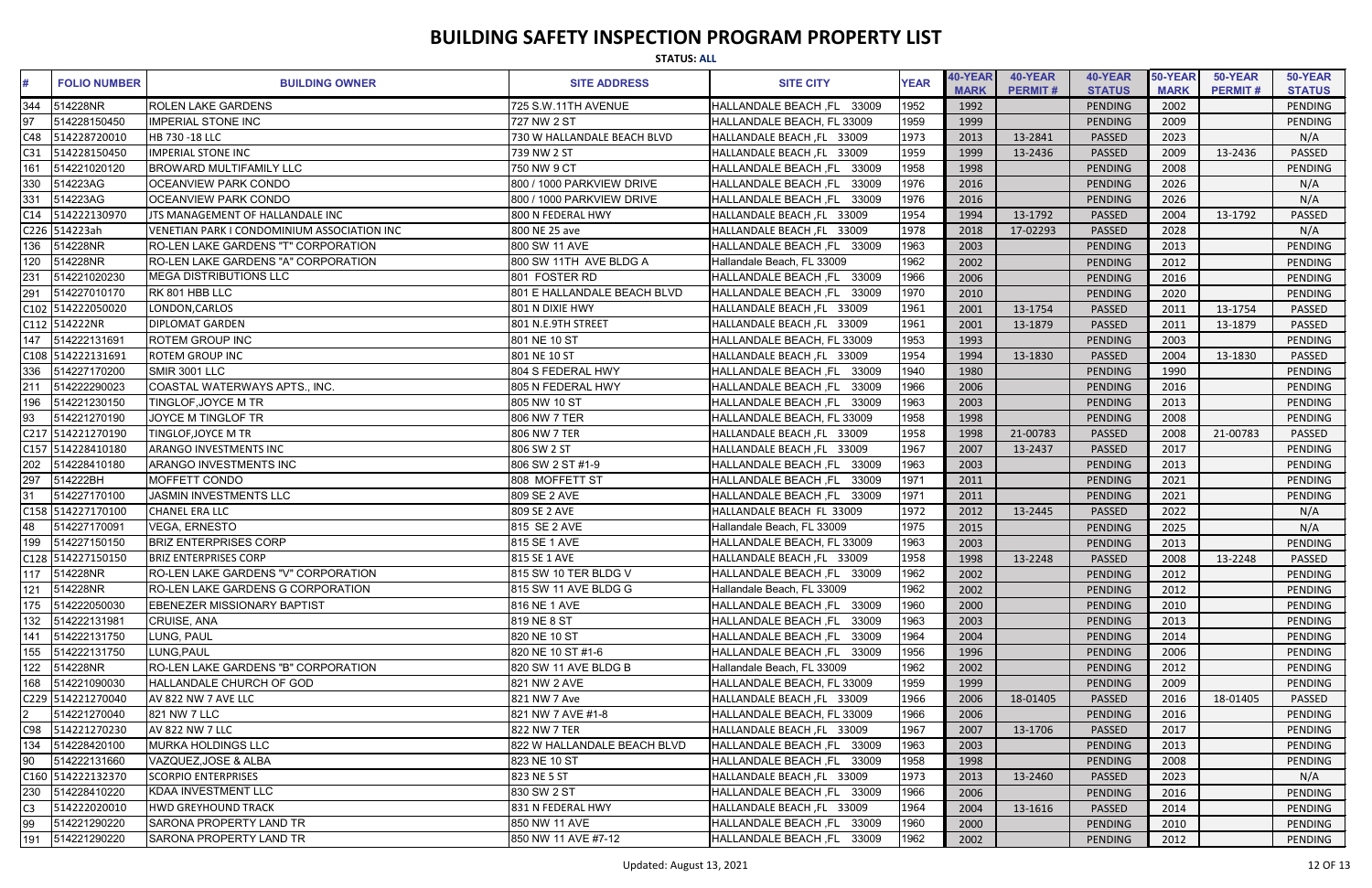| <b>STATUS: ALL</b> |                     |                                             |                             |                                      |             |                        |                           |                          |                        |                           |                          |
|--------------------|---------------------|---------------------------------------------|-----------------------------|--------------------------------------|-------------|------------------------|---------------------------|--------------------------|------------------------|---------------------------|--------------------------|
|                    | <b>FOLIO NUMBER</b> | <b>BUILDING OWNER</b>                       | <b>SITE ADDRESS</b>         | <b>SITE CITY</b>                     | <b>YEAR</b> | 40-YEAR<br><b>MARK</b> | 40-YEAR<br><b>PERMIT#</b> | 40-YEAR<br><b>STATUS</b> | 50-YEAR<br><b>MARK</b> | 50-YEAR<br><b>PERMIT#</b> | 50-YEAR<br><b>STATUS</b> |
| 344                | 514228NR            | <b>ROLEN LAKE GARDENS</b>                   | 725 S.W.11TH AVENUE         | <b>HALLANDALE BEACH ,FL</b><br>33009 | 1952        | 1992                   |                           | PENDING                  | 2002                   |                           | PENDING                  |
| 97                 | 514228150450        | <b>IMPERIAL STONE INC</b>                   | 727 NW 2 ST                 | HALLANDALE BEACH, FL 33009           | 1959        | 1999                   |                           | PENDING                  | 2009                   |                           | PENDING                  |
| C48                | 514228720010        | HB 730 -18 LLC                              | 730 W HALLANDALE BEACH BLVD | HALLANDALE BEACH, FL 33009           | 1973        | 2013                   | 13-2841                   | <b>PASSED</b>            | 2023                   |                           | N/A                      |
| C31                | 514228150450        | <b>IMPERIAL STONE INC</b>                   | 739 NW 2 ST                 | HALLANDALE BEACH, FL 33009           | 1959        | 1999                   | 13-2436                   | PASSED                   | 2009                   | 13-2436                   | PASSED                   |
| 161                | 514221020120        | <b>BROWARD MULTIFAMILY LLC</b>              | 750 NW 9 CT                 | HALLANDALE BEACH ,FL<br>33009        | 1958        | 1998                   |                           | PENDING                  | 2008                   |                           | PENDING                  |
| 330                | 514223AG            | <b>OCEANVIEW PARK CONDO</b>                 | 800 / 1000 PARKVIEW DRIVE   | <b>HALLANDALE BEACH, FL</b><br>33009 | 1976        | 2016                   |                           | PENDING                  | 2026                   |                           | N/A                      |
| 331                | 514223AG            | <b>OCEANVIEW PARK CONDO</b>                 | 800 / 1000 PARKVIEW DRIVE   | 33009<br><b>HALLANDALE BEACH, FL</b> | 1976        | 2016                   |                           | PENDING                  | 2026                   |                           | N/A                      |
| C14                | 514222130970        | JTS MANAGEMENT OF HALLANDALE INC            | 800 N FEDERAL HWY           | HALLANDALE BEACH, FL 33009           | 1954        | 1994                   | 13-1792                   | <b>PASSED</b>            | 2004                   | 13-1792                   | <b>PASSED</b>            |
|                    | C226 514223ah       | VENETIAN PARK I CONDOMINIUM ASSOCIATION INC | 800 NE 25 ave               | HALLANDALE BEACH, FL 33009           | 1978        | 2018                   | 17-02293                  | <b>PASSED</b>            | 2028                   |                           | N/A                      |
| 136                | 514228NR            | RO-LEN LAKE GARDENS "T" CORPORATION         | 800 SW 11 AVE               | HALLANDALE BEACH, FL 33009           | 1963        | 2003                   |                           | PENDING                  | 2013                   |                           | <b>PENDING</b>           |
| 120                | 514228NR            | <b>RO-LEN LAKE GARDENS "A" CORPORATION</b>  | 800 SW 11TH AVE BLDG A      | Hallandale Beach, FL 33009           | 1962        | 2002                   |                           | PENDING                  | 2012                   |                           | <b>PENDING</b>           |
| 231                | 514221020230        | <b>MEGA DISTRIBUTIONS LLC</b>               | 801 FOSTER RD               | HALLANDALE BEACH, FL<br>33009        | 1966        | 2006                   |                           | PENDING                  | 2016                   |                           | PENDING                  |
| 291                | 514227010170        | RK 801 HBB LLC                              | 801 E HALLANDALE BEACH BLVD | <b>HALLANDALE BEACH .FL</b><br>33009 | 1970        | 2010                   |                           | PENDING                  | 2020                   |                           | PENDING                  |
|                    | C102 514222050020   | LONDON, CARLOS                              | 801 N DIXIE HWY             | HALLANDALE BEACH, FL 33009           | 1961        | 2001                   | 13-1754                   | <b>PASSED</b>            | 2011                   | 13-1754                   | PASSED                   |
|                    | C112 514222NR       | <b>DIPLOMAT GARDEN</b>                      | 801 N.E.9TH STREET          | HALLANDALE BEACH, FL 33009           | 1961        | 2001                   | 13-1879                   | <b>PASSED</b>            | 2011                   | 13-1879                   | <b>PASSED</b>            |
|                    | 147 514222131691    | <b>ROTEM GROUP INC</b>                      | 801 NE 10 ST                | HALLANDALE BEACH, FL 33009           | 1953        | 1993                   |                           | PENDING                  | 2003                   |                           | <b>PENDING</b>           |
|                    | C108 514222131691   | <b>ROTEM GROUP INC</b>                      | 801 NE 10 ST                | HALLANDALE BEACH, FL 33009           | 1954        | 1994                   | 13-1830                   | PASSED                   | 2004                   | 13-1830                   | <b>PASSED</b>            |
|                    | 336 514227170200    | SMIR 3001 LLC                               | 804 S FEDERAL HWY           | <b>HALLANDALE BEACH, FL</b><br>33009 | 1940        | 1980                   |                           | PENDING                  | 1990                   |                           | <b>PENDING</b>           |
| 211                | 514222290023        | COASTAL WATERWAYS APTS., INC.               | 805 N FEDERAL HWY           | <b>HALLANDALE BEACH, FL</b><br>33009 | 1966        | 2006                   |                           | PENDING                  | 2016                   |                           | PENDING                  |
| 196                | 514221230150        | TINGLOF, JOYCE M TR                         | 805 NW 10 ST                | 33009<br>HALLANDALE BEACH ,FL        | 1963        | 2003                   |                           | PENDING                  | 2013                   |                           | PENDING                  |
| 93                 | 514221270190        | <b>JOYCE M TINGLOF TR</b>                   | 806 NW 7 TER                | HALLANDALE BEACH, FL 33009           | 1958        | 1998                   |                           | PENDING                  | 2008                   |                           | PENDING                  |
|                    | C217 514221270190   | TINGLOF, JOYCE M TR                         | 806 NW 7 TER                | HALLANDALE BEACH, FL 33009           | 1958        | 1998                   | 21-00783                  | <b>PASSED</b>            | 2008                   | 21-00783                  | PASSED                   |
|                    | C157 514228410180   | <b>ARANGO INVESTMENTS INC</b>               | 806 SW 2 ST                 | HALLANDALE BEACH, FL 33009           | 1967        | 2007                   | 13-2437                   | PASSED                   | 2017                   |                           | <b>PENDING</b>           |
| 202                | 514228410180        | <b>ARANGO INVESTMENTS INC</b>               | 806 SW 2 ST #1-9            | 33009<br><b>HALLANDALE BEACH, FL</b> | 1963        | 2003                   |                           | PENDING                  | 2013                   |                           | PENDING                  |
| 297                | 514222BH            | MOFFETT CONDO                               | 808 MOFFETT ST              | <b>HALLANDALE BEACH, FL</b><br>33009 | 1971        | 2011                   |                           | PENDING                  | 2021                   |                           | PENDING                  |
| 31                 | 514227170100        | <b>JASMIN INVESTMENTS LLC</b>               | 809 SE 2 AVE                | <b>HALLANDALE BEACH, FL</b><br>33009 | 1971        | 2011                   |                           | PENDING                  | 2021                   |                           | PENDING                  |
|                    | C158 514227170100   | <b>CHANEL ERA LLC</b>                       | 809 SE 2 AVE                | HALLANDALE BEACH FL 33009            | 1972        | 2012                   | 13-2445                   | <b>PASSED</b>            | 2022                   |                           | N/A                      |
| 48                 | 514227170091        | <b>VEGA, ERNESTO</b>                        | 815 SE 2 AVE                | Hallandale Beach, FL 33009           | 1975        | 2015                   |                           | PENDING                  | 2025                   |                           | N/A                      |
| 199                | 514227150150        | <b>BRIZ ENTERPRISES CORP</b>                | 815 SE 1 AVE                | HALLANDALE BEACH, FL 33009           | 1963        | 2003                   |                           | PENDING                  | 2013                   |                           | PENDING                  |
|                    | C128 514227150150   | <b>BRIZ ENTERPRISES CORP</b>                | 815 SE 1 AVE                | HALLANDALE BEACH, FL 33009           | 1958        | 1998                   | 13-2248                   | PASSED                   | 2008                   | 13-2248                   | PASSED                   |
|                    | 117 514228NR        | <b>RO-LEN LAKE GARDENS "V" CORPORATION</b>  | 815 SW 10 TER BLDG V        | HALLANDALE BEACH, FL 33009           | 1962        | 2002                   |                           | PENDING                  | 2012                   |                           | PENDING                  |
| 121                | 514228NR            | RO-LEN LAKE GARDENS G CORPORATION           | 815 SW 11 AVE BLDG G        | Hallandale Beach, FL 33009           | 1962        | 2002                   |                           | PENDING                  | 2012                   |                           | PENDING                  |
|                    | 175 514222050030    | <b>EBENEZER MISSIONARY BAPTIST</b>          | 816 NE 1 AVE                | HALLANDALE BEACH, FL 33009           | 1960        | 2000                   |                           | PENDING                  | 2010                   |                           | PENDING                  |
|                    | 132 514222131981    | CRUISE, ANA                                 | 819 NE 8 ST                 | HALLANDALE BEACH, FL 33009           | 1963        | 2003                   |                           | PENDING                  | 2013                   |                           | PENDING                  |
|                    | 141 514222131750    | LUNG, PAUL                                  | 820 NE 10 ST                | HALLANDALE BEACH, FL<br>33009        | 1964        | 2004                   |                           | PENDING                  | 2014                   |                           | PENDING                  |
| 155                | 514222131750        | LUNG, PAUL                                  | 820 NE 10 ST #1-6           | HALLANDALE BEACH, FL 33009           | 1956        | 1996                   |                           | PENDING                  | 2006                   |                           | PENDING                  |
|                    | 122 514228NR        | RO-LEN LAKE GARDENS "B" CORPORATION         | 820 SW 11 AVE BLDG B        | Hallandale Beach, FL 33009           | 1962        | 2002                   |                           | PENDING                  | 2012                   |                           | PENDING                  |
|                    | 168 514221090030    | HALLANDALE CHURCH OF GOD                    | 821 NW 2 AVE                | HALLANDALE BEACH, FL 33009           | 1959        | 1999                   |                           | PENDING                  | 2009                   |                           | PENDING                  |
|                    | C229 514221270040   | AV 822 NW 7 AVE LLC                         | 821 NW 7 Ave                | HALLANDALE BEACH, FL 33009           | 1966        | 2006                   | 18-01405                  | PASSED                   | 2016                   | 18-01405                  | PASSED                   |
|                    | 514221270040        | 821 NW 7 LLC                                | 821 NW 7 AVE #1-8           | HALLANDALE BEACH, FL 33009           | 1966        | 2006                   |                           | PENDING                  | 2016                   |                           | PENDING                  |
| C98                | 514221270230        | <b>AV 822 NW 7 LLC</b>                      | 822 NW 7 TER                | HALLANDALE BEACH, FL 33009           | 1967        | 2007                   | 13-1706                   | PASSED                   | 2017                   |                           | PENDING                  |
| 134                | 514228420100        | <b>MURKA HOLDINGS LLC</b>                   | 822 W HALLANDALE BEACH BLVD | HALLANDALE BEACH, FL 33009           | 1963        | 2003                   |                           | PENDING                  | 2013                   |                           | <b>PENDING</b>           |
| 90                 | 514222131660        | VAZQUEZ, JOSE & ALBA                        | 823 NE 10 ST                | HALLANDALE BEACH, FL 33009           | 1958        | 1998                   |                           | PENDING                  | 2008                   |                           | PENDING                  |
|                    | C160 514222132370   | <b>SCORPIO ENTERPRISES</b>                  | 823 NE 5 ST                 | HALLANDALE BEACH, FL 33009           | 1973        | 2013                   | 13-2460                   | PASSED                   | 2023                   |                           | N/A                      |
|                    | 230 514228410220    | <b>KDAA INVESTMENT LLC</b>                  | 830 SW 2 ST                 | HALLANDALE BEACH, FL 33009           | 1966        | 2006                   |                           | PENDING                  | 2016                   |                           | PENDING                  |
| C3                 | 514222020010        | <b>HWD GREYHOUND TRACK</b>                  | 831 N FEDERAL HWY           | HALLANDALE BEACH, FL 33009           | 1964        | 2004                   | 13-1616                   | <b>PASSED</b>            | 2014                   |                           | PENDING                  |
| 99                 | 514221290220        | SARONA PROPERTY LAND TR                     | 850 NW 11 AVE               | HALLANDALE BEACH, FL 33009           | 1960        | 2000                   |                           | PENDING                  | 2010                   |                           | PENDING                  |
| 191                | 514221290220        | <b>SARONA PROPERTY LAND TR</b>              | 850 NW 11 AVE #7-12         | HALLANDALE BEACH, FL 33009           | 1962        | 2002                   |                           | PENDING                  | 2012                   |                           | PENDING                  |